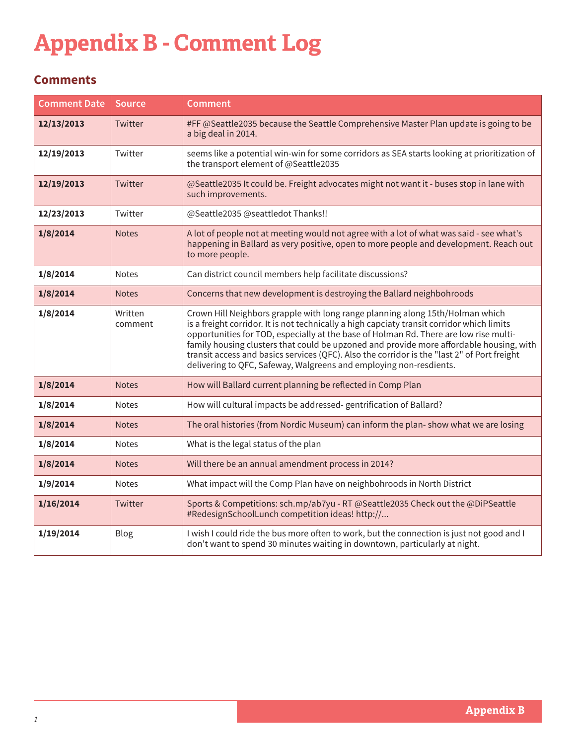## **Appendix B - Comment Log**

## **Comments**

| <b>Comment Date</b> | <b>Source</b>      | <b>Comment</b>                                                                                                                                                                                                                                                                                                                                                                                                                                                                                                                       |
|---------------------|--------------------|--------------------------------------------------------------------------------------------------------------------------------------------------------------------------------------------------------------------------------------------------------------------------------------------------------------------------------------------------------------------------------------------------------------------------------------------------------------------------------------------------------------------------------------|
| 12/13/2013          | Twitter            | #FF @Seattle2035 because the Seattle Comprehensive Master Plan update is going to be<br>a big deal in 2014.                                                                                                                                                                                                                                                                                                                                                                                                                          |
| 12/19/2013          | Twitter            | seems like a potential win-win for some corridors as SEA starts looking at prioritization of<br>the transport element of @Seattle2035                                                                                                                                                                                                                                                                                                                                                                                                |
| 12/19/2013          | Twitter            | @Seattle2035 It could be. Freight advocates might not want it - buses stop in lane with<br>such improvements.                                                                                                                                                                                                                                                                                                                                                                                                                        |
| 12/23/2013          | Twitter            | @Seattle2035 @seattledot Thanks!!                                                                                                                                                                                                                                                                                                                                                                                                                                                                                                    |
| 1/8/2014            | <b>Notes</b>       | A lot of people not at meeting would not agree with a lot of what was said - see what's<br>happening in Ballard as very positive, open to more people and development. Reach out<br>to more people.                                                                                                                                                                                                                                                                                                                                  |
| 1/8/2014            | <b>Notes</b>       | Can district council members help facilitate discussions?                                                                                                                                                                                                                                                                                                                                                                                                                                                                            |
| 1/8/2014            | <b>Notes</b>       | Concerns that new development is destroying the Ballard neighbohroods                                                                                                                                                                                                                                                                                                                                                                                                                                                                |
| 1/8/2014            | Written<br>comment | Crown Hill Neighbors grapple with long range planning along 15th/Holman which<br>is a freight corridor. It is not technically a high capciaty transit corridor which limits<br>opportunities for TOD, especially at the base of Holman Rd. There are low rise multi-<br>family housing clusters that could be upzoned and provide more affordable housing, with<br>transit access and basics services (QFC). Also the corridor is the "last 2" of Port freight<br>delivering to QFC, Safeway, Walgreens and employing non-resdients. |
| 1/8/2014            | <b>Notes</b>       | How will Ballard current planning be reflected in Comp Plan                                                                                                                                                                                                                                                                                                                                                                                                                                                                          |
| 1/8/2014            | <b>Notes</b>       | How will cultural impacts be addressed-gentrification of Ballard?                                                                                                                                                                                                                                                                                                                                                                                                                                                                    |
| 1/8/2014            | <b>Notes</b>       | The oral histories (from Nordic Museum) can inform the plan-show what we are losing                                                                                                                                                                                                                                                                                                                                                                                                                                                  |
| 1/8/2014            | <b>Notes</b>       | What is the legal status of the plan                                                                                                                                                                                                                                                                                                                                                                                                                                                                                                 |
| 1/8/2014            | <b>Notes</b>       | Will there be an annual amendment process in 2014?                                                                                                                                                                                                                                                                                                                                                                                                                                                                                   |
| 1/9/2014            | <b>Notes</b>       | What impact will the Comp Plan have on neighbohroods in North District                                                                                                                                                                                                                                                                                                                                                                                                                                                               |
| 1/16/2014           | Twitter            | Sports & Competitions: sch.mp/ab7yu - RT @Seattle2035 Check out the @DiPSeattle<br>#RedesignSchoolLunch competition ideas! http://                                                                                                                                                                                                                                                                                                                                                                                                   |
| 1/19/2014           | Blog               | I wish I could ride the bus more often to work, but the connection is just not good and I<br>don't want to spend 30 minutes waiting in downtown, particularly at night.                                                                                                                                                                                                                                                                                                                                                              |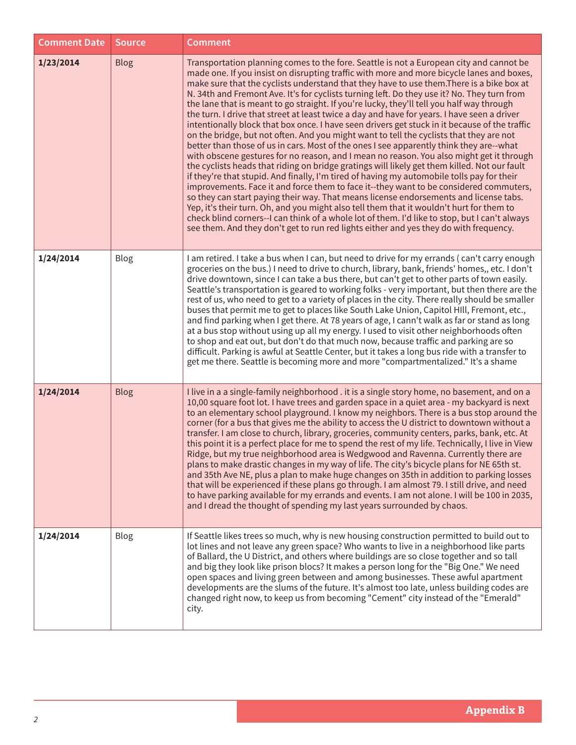| <b>Comment Date</b> | <b>Source</b> | <b>Comment</b>                                                                                                                                                                                                                                                                                                                                                                                                                                                                                                                                                                                                                                                                                                                                                                                                                                                                                                                                                                                                                                                                                                                                                                                                                                                                                                                                                                                                                                                                                                                                                                                                                         |
|---------------------|---------------|----------------------------------------------------------------------------------------------------------------------------------------------------------------------------------------------------------------------------------------------------------------------------------------------------------------------------------------------------------------------------------------------------------------------------------------------------------------------------------------------------------------------------------------------------------------------------------------------------------------------------------------------------------------------------------------------------------------------------------------------------------------------------------------------------------------------------------------------------------------------------------------------------------------------------------------------------------------------------------------------------------------------------------------------------------------------------------------------------------------------------------------------------------------------------------------------------------------------------------------------------------------------------------------------------------------------------------------------------------------------------------------------------------------------------------------------------------------------------------------------------------------------------------------------------------------------------------------------------------------------------------------|
| 1/23/2014           | <b>Blog</b>   | Transportation planning comes to the fore. Seattle is not a European city and cannot be<br>made one. If you insist on disrupting traffic with more and more bicycle lanes and boxes,<br>make sure that the cyclists understand that they have to use them. There is a bike box at<br>N. 34th and Fremont Ave. It's for cyclists turning left. Do they use it? No. They turn from<br>the lane that is meant to go straight. If you're lucky, they'll tell you half way through<br>the turn. I drive that street at least twice a day and have for years. I have seen a driver<br>intentionally block that box once. I have seen drivers get stuck in it because of the traffic<br>on the bridge, but not often. And you might want to tell the cyclists that they are not<br>better than those of us in cars. Most of the ones I see apparently think they are--what<br>with obscene gestures for no reason, and I mean no reason. You also might get it through<br>the cyclists heads that riding on bridge gratings will likely get them killed. Not our fault<br>if they're that stupid. And finally, I'm tired of having my automobile tolls pay for their<br>improvements. Face it and force them to face it--they want to be considered commuters,<br>so they can start paying their way. That means license endorsements and license tabs.<br>Yep, it's their turn. Oh, and you might also tell them that it wouldn't hurt for them to<br>check blind corners--I can think of a whole lot of them. I'd like to stop, but I can't always<br>see them. And they don't get to run red lights either and yes they do with frequency. |
| 1/24/2014           | Blog          | I am retired. I take a bus when I can, but need to drive for my errands (can't carry enough<br>groceries on the bus.) I need to drive to church, library, bank, friends' homes,, etc. I don't<br>drive downtown, since I can take a bus there, but can't get to other parts of town easily.<br>Seattle's transportation is geared to working folks - very important, but then there are the<br>rest of us, who need to get to a variety of places in the city. There really should be smaller<br>buses that permit me to get to places like South Lake Union, Capitol HIll, Fremont, etc.,<br>and find parking when I get there. At 78 years of age, I cann't walk as far or stand as long<br>at a bus stop without using up all my energy. I used to visit other neighborhoods often<br>to shop and eat out, but don't do that much now, because traffic and parking are so<br>difficult. Parking is awful at Seattle Center, but it takes a long bus ride with a transfer to<br>get me there. Seattle is becoming more and more "compartmentalized." It's a shame                                                                                                                                                                                                                                                                                                                                                                                                                                                                                                                                                                    |
| 1/24/2014           | <b>Blog</b>   | I live in a a single-family neighborhood . it is a single story home, no basement, and on a<br>10,00 square foot lot. I have trees and garden space in a quiet area - my backyard is next<br>to an elementary school playground. I know my neighbors. There is a bus stop around the<br>corner (for a bus that gives me the ability to access the U district to downtown without a<br>transfer. I am close to church, library, groceries, community centers, parks, bank, etc. At<br>this point it is a perfect place for me to spend the rest of my life. Technically, I live in View<br>Ridge, but my true neighborhood area is Wedgwood and Ravenna. Currently there are<br>plans to make drastic changes in my way of life. The city's bicycle plans for NE 65th st.<br>and 35th Ave NE, plus a plan to make huge changes on 35th in addition to parking losses<br>that will be experienced if these plans go through. I am almost 79. I still drive, and need<br>to have parking available for my errands and events. I am not alone. I will be 100 in 2035,<br>and I dread the thought of spending my last years surrounded by chaos.                                                                                                                                                                                                                                                                                                                                                                                                                                                                                            |
| 1/24/2014           | <b>Blog</b>   | If Seattle likes trees so much, why is new housing construction permitted to build out to<br>lot lines and not leave any green space? Who wants to live in a neighborhood like parts<br>of Ballard, the U District, and others where buildings are so close together and so tall<br>and big they look like prison blocs? It makes a person long for the "Big One." We need<br>open spaces and living green between and among businesses. These awful apartment<br>developments are the slums of the future. It's almost too late, unless building codes are<br>changed right now, to keep us from becoming "Cement" city instead of the "Emerald"<br>city.                                                                                                                                                                                                                                                                                                                                                                                                                                                                                                                                                                                                                                                                                                                                                                                                                                                                                                                                                                             |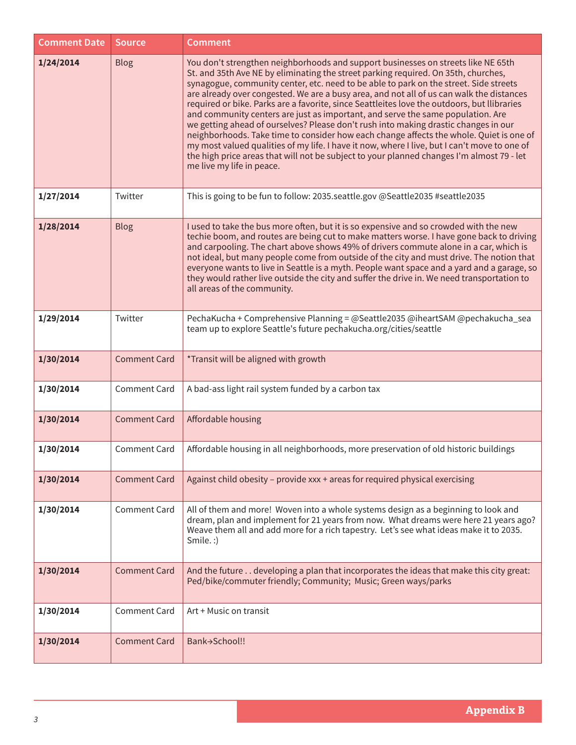| <b>Comment Date</b> | <b>Source</b>       | <b>Comment</b>                                                                                                                                                                                                                                                                                                                                                                                                                                                                                                                                                                                                                                                                                                                                                                                                                                                                                                                                             |
|---------------------|---------------------|------------------------------------------------------------------------------------------------------------------------------------------------------------------------------------------------------------------------------------------------------------------------------------------------------------------------------------------------------------------------------------------------------------------------------------------------------------------------------------------------------------------------------------------------------------------------------------------------------------------------------------------------------------------------------------------------------------------------------------------------------------------------------------------------------------------------------------------------------------------------------------------------------------------------------------------------------------|
| 1/24/2014           | <b>Blog</b>         | You don't strengthen neighborhoods and support businesses on streets like NE 65th<br>St. and 35th Ave NE by eliminating the street parking required. On 35th, churches,<br>synagogue, community center, etc. need to be able to park on the street. Side streets<br>are already over congested. We are a busy area, and not all of us can walk the distances<br>required or bike. Parks are a favorite, since Seattleites love the outdoors, but llibraries<br>and community centers are just as important, and serve the same population. Are<br>we getting ahead of ourselves? Please don't rush into making drastic changes in our<br>neighborhoods. Take time to consider how each change affects the whole. Quiet is one of<br>my most valued qualities of my life. I have it now, where I live, but I can't move to one of<br>the high price areas that will not be subject to your planned changes I'm almost 79 - let<br>me live my life in peace. |
| 1/27/2014           | Twitter             | This is going to be fun to follow: 2035.seattle.gov @Seattle2035 #seattle2035                                                                                                                                                                                                                                                                                                                                                                                                                                                                                                                                                                                                                                                                                                                                                                                                                                                                              |
| 1/28/2014           | <b>Blog</b>         | I used to take the bus more often, but it is so expensive and so crowded with the new<br>techie boom, and routes are being cut to make matters worse. I have gone back to driving<br>and carpooling. The chart above shows 49% of drivers commute alone in a car, which is<br>not ideal, but many people come from outside of the city and must drive. The notion that<br>everyone wants to live in Seattle is a myth. People want space and a yard and a garage, so<br>they would rather live outside the city and suffer the drive in. We need transportation to<br>all areas of the community.                                                                                                                                                                                                                                                                                                                                                          |
| 1/29/2014           | Twitter             | PechaKucha + Comprehensive Planning = @Seattle2035 @iheartSAM @pechakucha_sea<br>team up to explore Seattle's future pechakucha.org/cities/seattle                                                                                                                                                                                                                                                                                                                                                                                                                                                                                                                                                                                                                                                                                                                                                                                                         |
| 1/30/2014           | <b>Comment Card</b> | *Transit will be aligned with growth                                                                                                                                                                                                                                                                                                                                                                                                                                                                                                                                                                                                                                                                                                                                                                                                                                                                                                                       |
| 1/30/2014           | <b>Comment Card</b> | A bad-ass light rail system funded by a carbon tax                                                                                                                                                                                                                                                                                                                                                                                                                                                                                                                                                                                                                                                                                                                                                                                                                                                                                                         |
| 1/30/2014           | <b>Comment Card</b> | Affordable housing                                                                                                                                                                                                                                                                                                                                                                                                                                                                                                                                                                                                                                                                                                                                                                                                                                                                                                                                         |
| 1/30/2014           | <b>Comment Card</b> | Affordable housing in all neighborhoods, more preservation of old historic buildings                                                                                                                                                                                                                                                                                                                                                                                                                                                                                                                                                                                                                                                                                                                                                                                                                                                                       |
| 1/30/2014           | <b>Comment Card</b> | Against child obesity - provide xxx + areas for required physical exercising                                                                                                                                                                                                                                                                                                                                                                                                                                                                                                                                                                                                                                                                                                                                                                                                                                                                               |
| 1/30/2014           | <b>Comment Card</b> | All of them and more! Woven into a whole systems design as a beginning to look and<br>dream, plan and implement for 21 years from now. What dreams were here 21 years ago?<br>Weave them all and add more for a rich tapestry. Let's see what ideas make it to 2035.<br>Smile.:)                                                                                                                                                                                                                                                                                                                                                                                                                                                                                                                                                                                                                                                                           |
| 1/30/2014           | <b>Comment Card</b> | And the future developing a plan that incorporates the ideas that make this city great:<br>Ped/bike/commuter friendly; Community; Music; Green ways/parks                                                                                                                                                                                                                                                                                                                                                                                                                                                                                                                                                                                                                                                                                                                                                                                                  |
| 1/30/2014           | <b>Comment Card</b> | Art + Music on transit                                                                                                                                                                                                                                                                                                                                                                                                                                                                                                                                                                                                                                                                                                                                                                                                                                                                                                                                     |
| 1/30/2014           | <b>Comment Card</b> | Bank+School!!                                                                                                                                                                                                                                                                                                                                                                                                                                                                                                                                                                                                                                                                                                                                                                                                                                                                                                                                              |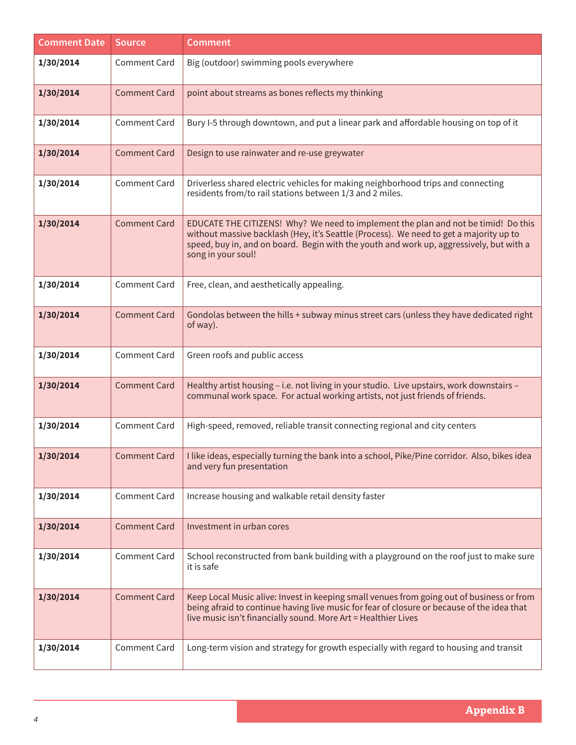| <b>Comment Date</b> | Source              | <b>Comment</b>                                                                                                                                                                                                                                                                                |
|---------------------|---------------------|-----------------------------------------------------------------------------------------------------------------------------------------------------------------------------------------------------------------------------------------------------------------------------------------------|
| 1/30/2014           | <b>Comment Card</b> | Big (outdoor) swimming pools everywhere                                                                                                                                                                                                                                                       |
| 1/30/2014           | <b>Comment Card</b> | point about streams as bones reflects my thinking                                                                                                                                                                                                                                             |
| 1/30/2014           | <b>Comment Card</b> | Bury I-5 through downtown, and put a linear park and affordable housing on top of it                                                                                                                                                                                                          |
| 1/30/2014           | <b>Comment Card</b> | Design to use rainwater and re-use greywater                                                                                                                                                                                                                                                  |
| 1/30/2014           | <b>Comment Card</b> | Driverless shared electric vehicles for making neighborhood trips and connecting<br>residents from/to rail stations between 1/3 and 2 miles.                                                                                                                                                  |
| 1/30/2014           | <b>Comment Card</b> | EDUCATE THE CITIZENS! Why? We need to implement the plan and not be timid! Do this<br>without massive backlash (Hey, it's Seattle (Process). We need to get a majority up to<br>speed, buy in, and on board. Begin with the youth and work up, aggressively, but with a<br>song in your soul! |
| 1/30/2014           | <b>Comment Card</b> | Free, clean, and aesthetically appealing.                                                                                                                                                                                                                                                     |
| 1/30/2014           | <b>Comment Card</b> | Gondolas between the hills + subway minus street cars (unless they have dedicated right<br>of way).                                                                                                                                                                                           |
| 1/30/2014           | <b>Comment Card</b> | Green roofs and public access                                                                                                                                                                                                                                                                 |
| 1/30/2014           | <b>Comment Card</b> | Healthy artist housing - i.e. not living in your studio. Live upstairs, work downstairs -<br>communal work space. For actual working artists, not just friends of friends.                                                                                                                    |
| 1/30/2014           | <b>Comment Card</b> | High-speed, removed, reliable transit connecting regional and city centers                                                                                                                                                                                                                    |
| 1/30/2014           | <b>Comment Card</b> | I like ideas, especially turning the bank into a school, Pike/Pine corridor. Also, bikes idea<br>and very fun presentation                                                                                                                                                                    |
| 1/30/2014           | <b>Comment Card</b> | Increase housing and walkable retail density faster                                                                                                                                                                                                                                           |
| 1/30/2014           | <b>Comment Card</b> | Investment in urban cores                                                                                                                                                                                                                                                                     |
| 1/30/2014           | Comment Card        | School reconstructed from bank building with a playground on the roof just to make sure<br>it is safe                                                                                                                                                                                         |
| 1/30/2014           | <b>Comment Card</b> | Keep Local Music alive: Invest in keeping small venues from going out of business or from<br>being afraid to continue having live music for fear of closure or because of the idea that<br>live music isn't financially sound. More Art = Healthier Lives                                     |
| 1/30/2014           | <b>Comment Card</b> | Long-term vision and strategy for growth especially with regard to housing and transit                                                                                                                                                                                                        |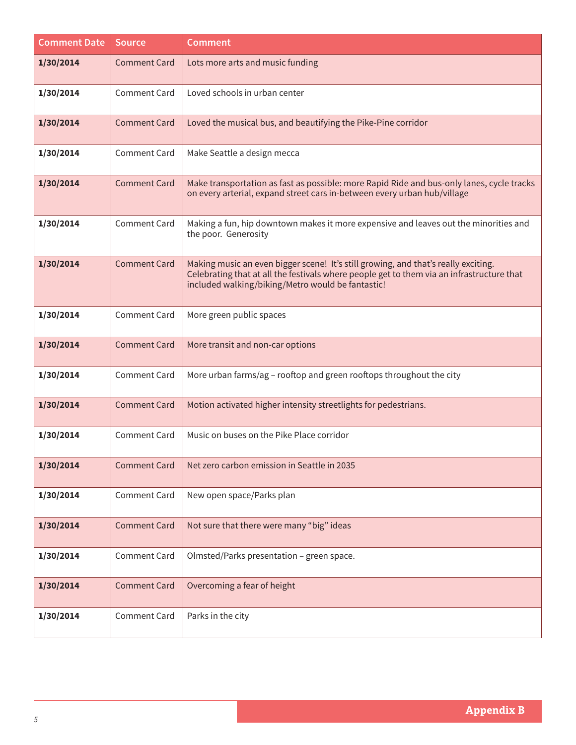| <b>Comment Date</b> | <b>Source</b>       | <b>Comment</b>                                                                                                                                                                                                                       |
|---------------------|---------------------|--------------------------------------------------------------------------------------------------------------------------------------------------------------------------------------------------------------------------------------|
| 1/30/2014           | <b>Comment Card</b> | Lots more arts and music funding                                                                                                                                                                                                     |
| 1/30/2014           | <b>Comment Card</b> | Loved schools in urban center                                                                                                                                                                                                        |
| 1/30/2014           | <b>Comment Card</b> | Loved the musical bus, and beautifying the Pike-Pine corridor                                                                                                                                                                        |
| 1/30/2014           | <b>Comment Card</b> | Make Seattle a design mecca                                                                                                                                                                                                          |
| 1/30/2014           | <b>Comment Card</b> | Make transportation as fast as possible: more Rapid Ride and bus-only lanes, cycle tracks<br>on every arterial, expand street cars in-between every urban hub/village                                                                |
| 1/30/2014           | <b>Comment Card</b> | Making a fun, hip downtown makes it more expensive and leaves out the minorities and<br>the poor. Generosity                                                                                                                         |
| 1/30/2014           | <b>Comment Card</b> | Making music an even bigger scene! It's still growing, and that's really exciting.<br>Celebrating that at all the festivals where people get to them via an infrastructure that<br>included walking/biking/Metro would be fantastic! |
| 1/30/2014           | <b>Comment Card</b> | More green public spaces                                                                                                                                                                                                             |
| 1/30/2014           | <b>Comment Card</b> | More transit and non-car options                                                                                                                                                                                                     |
| 1/30/2014           | <b>Comment Card</b> | More urban farms/ag - rooftop and green rooftops throughout the city                                                                                                                                                                 |
| 1/30/2014           | <b>Comment Card</b> | Motion activated higher intensity streetlights for pedestrians.                                                                                                                                                                      |
| 1/30/2014           | <b>Comment Card</b> | Music on buses on the Pike Place corridor                                                                                                                                                                                            |
| 1/30/2014           | <b>Comment Card</b> | Net zero carbon emission in Seattle in 2035                                                                                                                                                                                          |
| 1/30/2014           | Comment Card        | New open space/Parks plan                                                                                                                                                                                                            |
| 1/30/2014           | <b>Comment Card</b> | Not sure that there were many "big" ideas                                                                                                                                                                                            |
| 1/30/2014           | Comment Card        | Olmsted/Parks presentation - green space.                                                                                                                                                                                            |
| 1/30/2014           | <b>Comment Card</b> | Overcoming a fear of height                                                                                                                                                                                                          |
| 1/30/2014           | <b>Comment Card</b> | Parks in the city                                                                                                                                                                                                                    |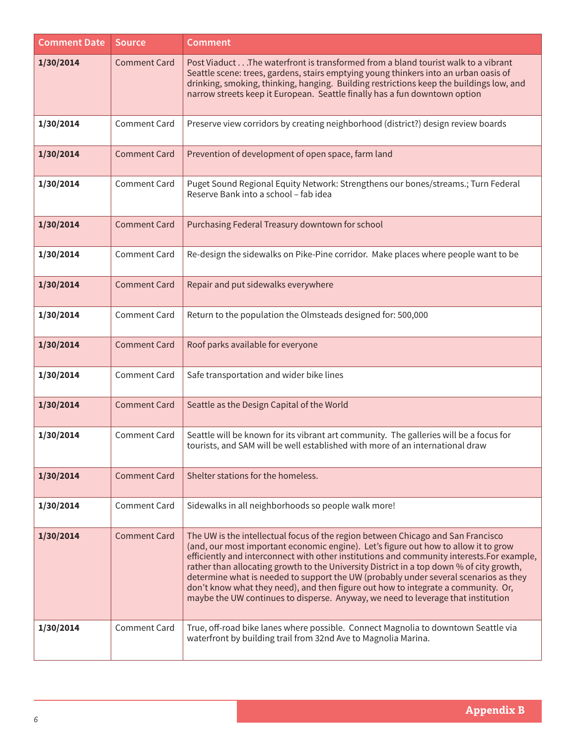| <b>Comment Date</b> | <b>Source</b>       | <b>Comment</b>                                                                                                                                                                                                                                                                                                                                                                                                                                                                                                                                                                                                                     |
|---------------------|---------------------|------------------------------------------------------------------------------------------------------------------------------------------------------------------------------------------------------------------------------------------------------------------------------------------------------------------------------------------------------------------------------------------------------------------------------------------------------------------------------------------------------------------------------------------------------------------------------------------------------------------------------------|
| 1/30/2014           | <b>Comment Card</b> | Post ViaductThe waterfront is transformed from a bland tourist walk to a vibrant<br>Seattle scene: trees, gardens, stairs emptying young thinkers into an urban oasis of<br>drinking, smoking, thinking, hanging. Building restrictions keep the buildings low, and<br>narrow streets keep it European. Seattle finally has a fun downtown option                                                                                                                                                                                                                                                                                  |
| 1/30/2014           | <b>Comment Card</b> | Preserve view corridors by creating neighborhood (district?) design review boards                                                                                                                                                                                                                                                                                                                                                                                                                                                                                                                                                  |
| 1/30/2014           | <b>Comment Card</b> | Prevention of development of open space, farm land                                                                                                                                                                                                                                                                                                                                                                                                                                                                                                                                                                                 |
| 1/30/2014           | <b>Comment Card</b> | Puget Sound Regional Equity Network: Strengthens our bones/streams.; Turn Federal<br>Reserve Bank into a school - fab idea                                                                                                                                                                                                                                                                                                                                                                                                                                                                                                         |
| 1/30/2014           | <b>Comment Card</b> | Purchasing Federal Treasury downtown for school                                                                                                                                                                                                                                                                                                                                                                                                                                                                                                                                                                                    |
| 1/30/2014           | <b>Comment Card</b> | Re-design the sidewalks on Pike-Pine corridor. Make places where people want to be                                                                                                                                                                                                                                                                                                                                                                                                                                                                                                                                                 |
| 1/30/2014           | <b>Comment Card</b> | Repair and put sidewalks everywhere                                                                                                                                                                                                                                                                                                                                                                                                                                                                                                                                                                                                |
| 1/30/2014           | <b>Comment Card</b> | Return to the population the Olmsteads designed for: 500,000                                                                                                                                                                                                                                                                                                                                                                                                                                                                                                                                                                       |
| 1/30/2014           | <b>Comment Card</b> | Roof parks available for everyone                                                                                                                                                                                                                                                                                                                                                                                                                                                                                                                                                                                                  |
| 1/30/2014           | Comment Card        | Safe transportation and wider bike lines                                                                                                                                                                                                                                                                                                                                                                                                                                                                                                                                                                                           |
| 1/30/2014           | <b>Comment Card</b> | Seattle as the Design Capital of the World                                                                                                                                                                                                                                                                                                                                                                                                                                                                                                                                                                                         |
| 1/30/2014           | <b>Comment Card</b> | Seattle will be known for its vibrant art community. The galleries will be a focus for<br>tourists, and SAM will be well established with more of an international draw                                                                                                                                                                                                                                                                                                                                                                                                                                                            |
| 1/30/2014           | <b>Comment Card</b> | Shelter stations for the homeless.                                                                                                                                                                                                                                                                                                                                                                                                                                                                                                                                                                                                 |
| 1/30/2014           | <b>Comment Card</b> | Sidewalks in all neighborhoods so people walk more!                                                                                                                                                                                                                                                                                                                                                                                                                                                                                                                                                                                |
| 1/30/2014           | <b>Comment Card</b> | The UW is the intellectual focus of the region between Chicago and San Francisco<br>(and, our most important economic engine). Let's figure out how to allow it to grow<br>efficiently and interconnect with other institutions and community interests. For example,<br>rather than allocating growth to the University District in a top down % of city growth,<br>determine what is needed to support the UW (probably under several scenarios as they<br>don't know what they need), and then figure out how to integrate a community. Or,<br>maybe the UW continues to disperse. Anyway, we need to leverage that institution |
| 1/30/2014           | <b>Comment Card</b> | True, off-road bike lanes where possible. Connect Magnolia to downtown Seattle via<br>waterfront by building trail from 32nd Ave to Magnolia Marina.                                                                                                                                                                                                                                                                                                                                                                                                                                                                               |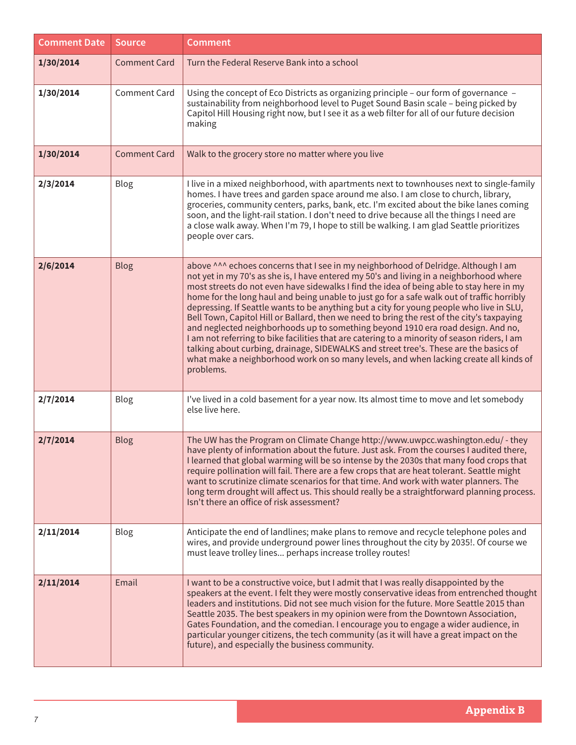| <b>Comment Date</b> | Source              | <b>Comment</b>                                                                                                                                                                                                                                                                                                                                                                                                                                                                                                                                                                                                                                                                                                                                                                                                                                                                                                                                       |
|---------------------|---------------------|------------------------------------------------------------------------------------------------------------------------------------------------------------------------------------------------------------------------------------------------------------------------------------------------------------------------------------------------------------------------------------------------------------------------------------------------------------------------------------------------------------------------------------------------------------------------------------------------------------------------------------------------------------------------------------------------------------------------------------------------------------------------------------------------------------------------------------------------------------------------------------------------------------------------------------------------------|
| 1/30/2014           | <b>Comment Card</b> | Turn the Federal Reserve Bank into a school                                                                                                                                                                                                                                                                                                                                                                                                                                                                                                                                                                                                                                                                                                                                                                                                                                                                                                          |
| 1/30/2014           | <b>Comment Card</b> | Using the concept of Eco Districts as organizing principle - our form of governance -<br>sustainability from neighborhood level to Puget Sound Basin scale - being picked by<br>Capitol Hill Housing right now, but I see it as a web filter for all of our future decision<br>making                                                                                                                                                                                                                                                                                                                                                                                                                                                                                                                                                                                                                                                                |
| 1/30/2014           | <b>Comment Card</b> | Walk to the grocery store no matter where you live                                                                                                                                                                                                                                                                                                                                                                                                                                                                                                                                                                                                                                                                                                                                                                                                                                                                                                   |
| 2/3/2014            | Blog                | I live in a mixed neighborhood, with apartments next to townhouses next to single-family<br>homes. I have trees and garden space around me also. I am close to church, library,<br>groceries, community centers, parks, bank, etc. I'm excited about the bike lanes coming<br>soon, and the light-rail station. I don't need to drive because all the things I need are<br>a close walk away. When I'm 79, I hope to still be walking. I am glad Seattle prioritizes<br>people over cars.                                                                                                                                                                                                                                                                                                                                                                                                                                                            |
| 2/6/2014            | <b>Blog</b>         | above ^^^ echoes concerns that I see in my neighborhood of Delridge. Although I am<br>not yet in my 70's as she is, I have entered my 50's and living in a neighborhood where<br>most streets do not even have sidewalks I find the idea of being able to stay here in my<br>home for the long haul and being unable to just go for a safe walk out of traffic horribly<br>depressing. If Seattle wants to be anything but a city for young people who live in SLU,<br>Bell Town, Capitol Hill or Ballard, then we need to bring the rest of the city's taxpaying<br>and neglected neighborhoods up to something beyond 1910 era road design. And no,<br>I am not referring to bike facilities that are catering to a minority of season riders, I am<br>talking about curbing, drainage, SIDEWALKS and street tree's. These are the basics of<br>what make a neighborhood work on so many levels, and when lacking create all kinds of<br>problems. |
| 2/7/2014            | Blog                | I've lived in a cold basement for a year now. Its almost time to move and let somebody<br>else live here.                                                                                                                                                                                                                                                                                                                                                                                                                                                                                                                                                                                                                                                                                                                                                                                                                                            |
| 2/7/2014            | <b>Blog</b>         | The UW has the Program on Climate Change http://www.uwpcc.washington.edu/ - they<br>have plenty of information about the future. Just ask. From the courses I audited there,<br>I learned that global warming will be so intense by the 2030s that many food crops that<br>require pollination will fail. There are a few crops that are heat tolerant. Seattle might<br>want to scrutinize climate scenarios for that time. And work with water planners. The<br>long term drought will affect us. This should really be a straightforward planning process.<br>Isn't there an office of risk assessment?                                                                                                                                                                                                                                                                                                                                           |
| 2/11/2014           | <b>Blog</b>         | Anticipate the end of landlines; make plans to remove and recycle telephone poles and<br>wires, and provide underground power lines throughout the city by 2035!. Of course we<br>must leave trolley lines perhaps increase trolley routes!                                                                                                                                                                                                                                                                                                                                                                                                                                                                                                                                                                                                                                                                                                          |
| 2/11/2014           | Email               | I want to be a constructive voice, but I admit that I was really disappointed by the<br>speakers at the event. I felt they were mostly conservative ideas from entrenched thought<br>leaders and institutions. Did not see much vision for the future. More Seattle 2015 than<br>Seattle 2035. The best speakers in my opinion were from the Downtown Association,<br>Gates Foundation, and the comedian. I encourage you to engage a wider audience, in<br>particular younger citizens, the tech community (as it will have a great impact on the<br>future), and especially the business community.                                                                                                                                                                                                                                                                                                                                                |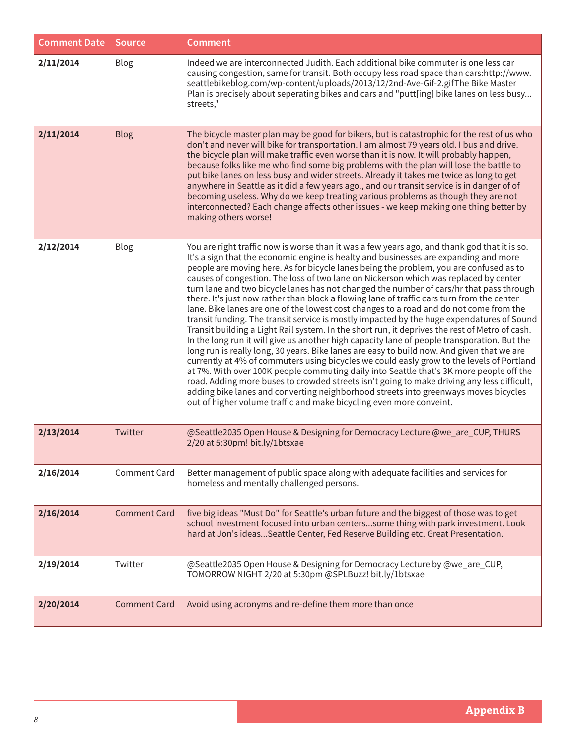| <b>Comment Date</b> | Source              | <b>Comment</b>                                                                                                                                                                                                                                                                                                                                                                                                                                                                                                                                                                                                                                                                                                                                                                                                                                                                                                                                                                                                                                                                                                                                                                                                                                                                                                                                                                                                                                                                                            |
|---------------------|---------------------|-----------------------------------------------------------------------------------------------------------------------------------------------------------------------------------------------------------------------------------------------------------------------------------------------------------------------------------------------------------------------------------------------------------------------------------------------------------------------------------------------------------------------------------------------------------------------------------------------------------------------------------------------------------------------------------------------------------------------------------------------------------------------------------------------------------------------------------------------------------------------------------------------------------------------------------------------------------------------------------------------------------------------------------------------------------------------------------------------------------------------------------------------------------------------------------------------------------------------------------------------------------------------------------------------------------------------------------------------------------------------------------------------------------------------------------------------------------------------------------------------------------|
| 2/11/2014           | Blog                | Indeed we are interconnected Judith. Each additional bike commuter is one less car<br>causing congestion, same for transit. Both occupy less road space than cars:http://www.<br>seattlebikeblog.com/wp-content/uploads/2013/12/2nd-Ave-Gif-2.gifThe Bike Master<br>Plan is precisely about seperating bikes and cars and "putt[ing] bike lanes on less busy<br>streets,"                                                                                                                                                                                                                                                                                                                                                                                                                                                                                                                                                                                                                                                                                                                                                                                                                                                                                                                                                                                                                                                                                                                                 |
| 2/11/2014           | Blog                | The bicycle master plan may be good for bikers, but is catastrophic for the rest of us who<br>don't and never will bike for transportation. I am almost 79 years old. I bus and drive.<br>the bicycle plan will make traffic even worse than it is now. It will probably happen,<br>because folks like me who find some big problems with the plan will lose the battle to<br>put bike lanes on less busy and wider streets. Already it takes me twice as long to get<br>anywhere in Seattle as it did a few years ago., and our transit service is in danger of of<br>becoming useless. Why do we keep treating various problems as though they are not<br>interconnected? Each change affects other issues - we keep making one thing better by<br>making others worse!                                                                                                                                                                                                                                                                                                                                                                                                                                                                                                                                                                                                                                                                                                                                 |
| 2/12/2014           | Blog                | You are right traffic now is worse than it was a few years ago, and thank god that it is so.<br>It's a sign that the economic engine is healty and businesses are expanding and more<br>people are moving here. As for bicycle lanes being the problem, you are confused as to<br>causes of congestion. The loss of two lane on Nickerson which was replaced by center<br>turn lane and two bicycle lanes has not changed the number of cars/hr that pass through<br>there. It's just now rather than block a flowing lane of traffic cars turn from the center<br>lane. Bike lanes are one of the lowest cost changes to a road and do not come from the<br>transit funding. The transit service is mostly impacted by the huge expendatures of Sound<br>Transit building a Light Rail system. In the short run, it deprives the rest of Metro of cash.<br>In the long run it will give us another high capacity lane of people transporation. But the<br>long run is really long, 30 years. Bike lanes are easy to build now. And given that we are<br>currently at 4% of commuters using bicycles we could easly grow to the levels of Portland<br>at 7%. With over 100K people commuting daily into Seattle that's 3K more people off the<br>road. Adding more buses to crowded streets isn't going to make driving any less difficult,<br>adding bike lanes and converting neighborhood streets into greenways moves bicycles<br>out of higher volume traffic and make bicycling even more conveint. |
| 2/13/2014           | Twitter             | @Seattle2035 Open House & Designing for Democracy Lecture @we_are_CUP, THURS<br>2/20 at 5:30pm! bit.ly/1btsxae                                                                                                                                                                                                                                                                                                                                                                                                                                                                                                                                                                                                                                                                                                                                                                                                                                                                                                                                                                                                                                                                                                                                                                                                                                                                                                                                                                                            |
| 2/16/2014           | <b>Comment Card</b> | Better management of public space along with adequate facilities and services for<br>homeless and mentally challenged persons.                                                                                                                                                                                                                                                                                                                                                                                                                                                                                                                                                                                                                                                                                                                                                                                                                                                                                                                                                                                                                                                                                                                                                                                                                                                                                                                                                                            |
| 2/16/2014           | <b>Comment Card</b> | five big ideas "Must Do" for Seattle's urban future and the biggest of those was to get<br>school investment focused into urban centerssome thing with park investment. Look<br>hard at Jon's ideasSeattle Center, Fed Reserve Building etc. Great Presentation.                                                                                                                                                                                                                                                                                                                                                                                                                                                                                                                                                                                                                                                                                                                                                                                                                                                                                                                                                                                                                                                                                                                                                                                                                                          |
| 2/19/2014           | Twitter             | @Seattle2035 Open House & Designing for Democracy Lecture by @we_are_CUP,<br>TOMORROW NIGHT 2/20 at 5:30pm @SPLBuzz! bit.ly/1btsxae                                                                                                                                                                                                                                                                                                                                                                                                                                                                                                                                                                                                                                                                                                                                                                                                                                                                                                                                                                                                                                                                                                                                                                                                                                                                                                                                                                       |
| 2/20/2014           | <b>Comment Card</b> | Avoid using acronyms and re-define them more than once                                                                                                                                                                                                                                                                                                                                                                                                                                                                                                                                                                                                                                                                                                                                                                                                                                                                                                                                                                                                                                                                                                                                                                                                                                                                                                                                                                                                                                                    |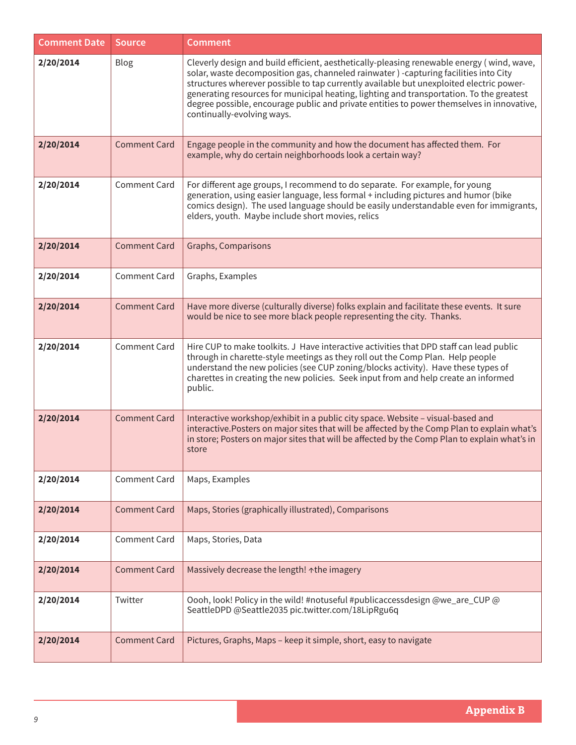| <b>Comment Date</b> | <b>Source</b>       | <b>Comment</b>                                                                                                                                                                                                                                                                                                                                                                                                                                                                                      |
|---------------------|---------------------|-----------------------------------------------------------------------------------------------------------------------------------------------------------------------------------------------------------------------------------------------------------------------------------------------------------------------------------------------------------------------------------------------------------------------------------------------------------------------------------------------------|
| 2/20/2014           | Blog                | Cleverly design and build efficient, aesthetically-pleasing renewable energy (wind, wave,<br>solar, waste decomposition gas, channeled rainwater) -capturing facilities into City<br>structures wherever possible to tap currently available but unexploited electric power-<br>generating resources for municipal heating, lighting and transportation. To the greatest<br>degree possible, encourage public and private entities to power themselves in innovative,<br>continually-evolving ways. |
| 2/20/2014           | <b>Comment Card</b> | Engage people in the community and how the document has affected them. For<br>example, why do certain neighborhoods look a certain way?                                                                                                                                                                                                                                                                                                                                                             |
| 2/20/2014           | <b>Comment Card</b> | For different age groups, I recommend to do separate. For example, for young<br>generation, using easier language, less formal + including pictures and humor (bike<br>comics design). The used language should be easily understandable even for immigrants,<br>elders, youth. Maybe include short movies, relics                                                                                                                                                                                  |
| 2/20/2014           | <b>Comment Card</b> | Graphs, Comparisons                                                                                                                                                                                                                                                                                                                                                                                                                                                                                 |
| 2/20/2014           | Comment Card        | Graphs, Examples                                                                                                                                                                                                                                                                                                                                                                                                                                                                                    |
| 2/20/2014           | <b>Comment Card</b> | Have more diverse (culturally diverse) folks explain and facilitate these events. It sure<br>would be nice to see more black people representing the city. Thanks.                                                                                                                                                                                                                                                                                                                                  |
| 2/20/2014           | <b>Comment Card</b> | Hire CUP to make toolkits. J Have interactive activities that DPD staff can lead public<br>through in charette-style meetings as they roll out the Comp Plan. Help people<br>understand the new policies (see CUP zoning/blocks activity). Have these types of<br>charettes in creating the new policies. Seek input from and help create an informed<br>public.                                                                                                                                    |
| 2/20/2014           | <b>Comment Card</b> | Interactive workshop/exhibit in a public city space. Website - visual-based and<br>interactive. Posters on major sites that will be affected by the Comp Plan to explain what's<br>in store; Posters on major sites that will be affected by the Comp Plan to explain what's in<br>store                                                                                                                                                                                                            |
| 2/20/2014           | <b>Comment Card</b> | Maps, Examples                                                                                                                                                                                                                                                                                                                                                                                                                                                                                      |
| 2/20/2014           | <b>Comment Card</b> | Maps, Stories (graphically illustrated), Comparisons                                                                                                                                                                                                                                                                                                                                                                                                                                                |
| 2/20/2014           | <b>Comment Card</b> | Maps, Stories, Data                                                                                                                                                                                                                                                                                                                                                                                                                                                                                 |
| 2/20/2014           | <b>Comment Card</b> | Massively decrease the length! ^the imagery                                                                                                                                                                                                                                                                                                                                                                                                                                                         |
| 2/20/2014           | Twitter             | Oooh, look! Policy in the wild! #notuseful #publicaccessdesign @we_are_CUP @<br>SeattleDPD @Seattle2035 pic.twitter.com/18LipRgu6q                                                                                                                                                                                                                                                                                                                                                                  |
| 2/20/2014           | <b>Comment Card</b> | Pictures, Graphs, Maps - keep it simple, short, easy to navigate                                                                                                                                                                                                                                                                                                                                                                                                                                    |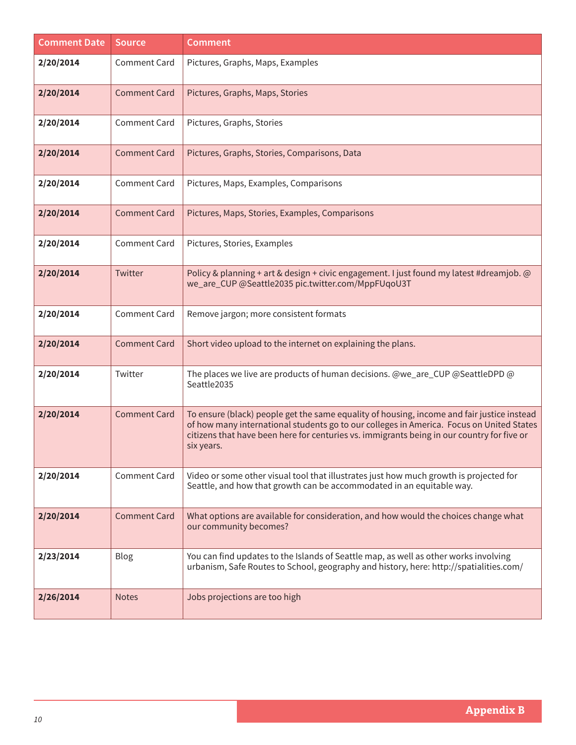| <b>Comment Date</b> | <b>Source</b>       | <b>Comment</b>                                                                                                                                                                                                                                                                                     |
|---------------------|---------------------|----------------------------------------------------------------------------------------------------------------------------------------------------------------------------------------------------------------------------------------------------------------------------------------------------|
| 2/20/2014           | <b>Comment Card</b> | Pictures, Graphs, Maps, Examples                                                                                                                                                                                                                                                                   |
| 2/20/2014           | <b>Comment Card</b> | Pictures, Graphs, Maps, Stories                                                                                                                                                                                                                                                                    |
| 2/20/2014           | <b>Comment Card</b> | Pictures, Graphs, Stories                                                                                                                                                                                                                                                                          |
| 2/20/2014           | <b>Comment Card</b> | Pictures, Graphs, Stories, Comparisons, Data                                                                                                                                                                                                                                                       |
| 2/20/2014           | <b>Comment Card</b> | Pictures, Maps, Examples, Comparisons                                                                                                                                                                                                                                                              |
| 2/20/2014           | <b>Comment Card</b> | Pictures, Maps, Stories, Examples, Comparisons                                                                                                                                                                                                                                                     |
| 2/20/2014           | <b>Comment Card</b> | Pictures, Stories, Examples                                                                                                                                                                                                                                                                        |
| 2/20/2014           | Twitter             | Policy & planning + art & design + civic engagement. I just found my latest #dreamjob. @<br>we_are_CUP @Seattle2035 pic.twitter.com/MppFUqoU3T                                                                                                                                                     |
| 2/20/2014           | <b>Comment Card</b> | Remove jargon; more consistent formats                                                                                                                                                                                                                                                             |
| 2/20/2014           | <b>Comment Card</b> | Short video upload to the internet on explaining the plans.                                                                                                                                                                                                                                        |
| 2/20/2014           | Twitter             | The places we live are products of human decisions. @we_are_CUP @SeattleDPD @<br>Seattle2035                                                                                                                                                                                                       |
| 2/20/2014           | <b>Comment Card</b> | To ensure (black) people get the same equality of housing, income and fair justice instead<br>of how many international students go to our colleges in America. Focus on United States<br>citizens that have been here for centuries vs. immigrants being in our country for five or<br>six years. |
| 2/20/2014           | <b>Comment Card</b> | Video or some other visual tool that illustrates just how much growth is projected for<br>Seattle, and how that growth can be accommodated in an equitable way.                                                                                                                                    |
| 2/20/2014           | <b>Comment Card</b> | What options are available for consideration, and how would the choices change what<br>our community becomes?                                                                                                                                                                                      |
| 2/23/2014           | <b>Blog</b>         | You can find updates to the Islands of Seattle map, as well as other works involving<br>urbanism, Safe Routes to School, geography and history, here: http://spatialities.com/                                                                                                                     |
| 2/26/2014           | <b>Notes</b>        | Jobs projections are too high                                                                                                                                                                                                                                                                      |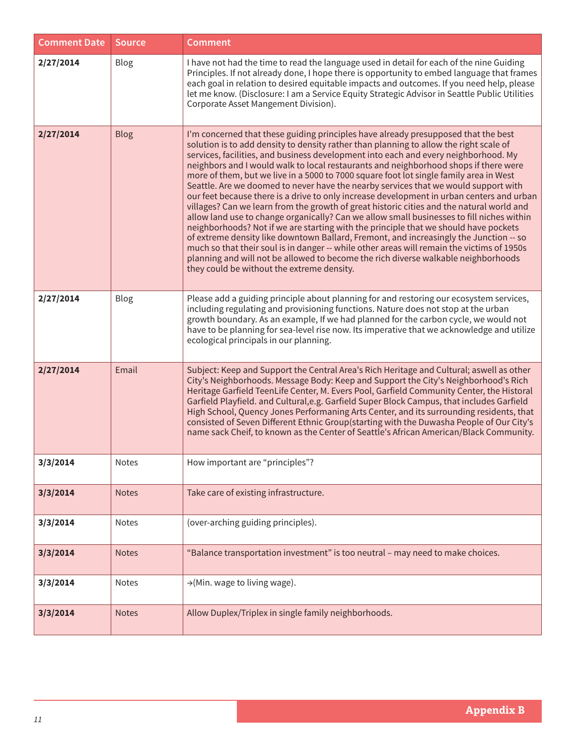| <b>Comment Date</b> | <b>Source</b> | <b>Comment</b>                                                                                                                                                                                                                                                                                                                                                                                                                                                                                                                                                                                                                                                                                                                                                                                                                                                                                                                                                                                                                                                                                                                                                                                                                                          |
|---------------------|---------------|---------------------------------------------------------------------------------------------------------------------------------------------------------------------------------------------------------------------------------------------------------------------------------------------------------------------------------------------------------------------------------------------------------------------------------------------------------------------------------------------------------------------------------------------------------------------------------------------------------------------------------------------------------------------------------------------------------------------------------------------------------------------------------------------------------------------------------------------------------------------------------------------------------------------------------------------------------------------------------------------------------------------------------------------------------------------------------------------------------------------------------------------------------------------------------------------------------------------------------------------------------|
| 2/27/2014           | Blog          | I have not had the time to read the language used in detail for each of the nine Guiding<br>Principles. If not already done, I hope there is opportunity to embed language that frames<br>each goal in relation to desired equitable impacts and outcomes. If you need help, please<br>let me know. (Disclosure: I am a Service Equity Strategic Advisor in Seattle Public Utilities<br>Corporate Asset Mangement Division).                                                                                                                                                                                                                                                                                                                                                                                                                                                                                                                                                                                                                                                                                                                                                                                                                            |
| 2/27/2014           | Blog          | I'm concerned that these guiding principles have already presupposed that the best<br>solution is to add density to density rather than planning to allow the right scale of<br>services, facilities, and business development into each and every neighborhood. My<br>neighbors and I would walk to local restaurants and neighborhood shops if there were<br>more of them, but we live in a 5000 to 7000 square foot lot single family area in West<br>Seattle. Are we doomed to never have the nearby services that we would support with<br>our feet because there is a drive to only increase development in urban centers and urban<br>villages? Can we learn from the growth of great historic cities and the natural world and<br>allow land use to change organically? Can we allow small businesses to fill niches within<br>neighborhoods? Not if we are starting with the principle that we should have pockets<br>of extreme density like downtown Ballard, Fremont, and increasingly the Junction -- so<br>much so that their soul is in danger -- while other areas will remain the victims of 1950s<br>planning and will not be allowed to become the rich diverse walkable neighborhoods<br>they could be without the extreme density. |
| 2/27/2014           | Blog          | Please add a guiding principle about planning for and restoring our ecosystem services,<br>including regulating and provisioning functions. Nature does not stop at the urban<br>growth boundary. As an example, If we had planned for the carbon cycle, we would not<br>have to be planning for sea-level rise now. Its imperative that we acknowledge and utilize<br>ecological principals in our planning.                                                                                                                                                                                                                                                                                                                                                                                                                                                                                                                                                                                                                                                                                                                                                                                                                                           |
| 2/27/2014           | Email         | Subject: Keep and Support the Central Area's Rich Heritage and Cultural; aswell as other<br>City's Neighborhoods. Message Body: Keep and Support the City's Neighborhood's Rich<br>Heritage Garfield TeenLife Center, M. Evers Pool, Garfield Community Center, the Historal<br>Garfield Playfield. and Cultural, e.g. Garfield Super Block Campus, that includes Garfield<br>High School, Quency Jones Performaning Arts Center, and its surrounding residents, that<br>consisted of Seven Different Ethnic Group(starting with the Duwasha People of Our City's<br>name sack Cheif, to known as the Center of Seattle's African American/Black Community.                                                                                                                                                                                                                                                                                                                                                                                                                                                                                                                                                                                             |
| 3/3/2014            | Notes         | How important are "principles"?                                                                                                                                                                                                                                                                                                                                                                                                                                                                                                                                                                                                                                                                                                                                                                                                                                                                                                                                                                                                                                                                                                                                                                                                                         |
| 3/3/2014            | <b>Notes</b>  | Take care of existing infrastructure.                                                                                                                                                                                                                                                                                                                                                                                                                                                                                                                                                                                                                                                                                                                                                                                                                                                                                                                                                                                                                                                                                                                                                                                                                   |
| 3/3/2014            | Notes         | (over-arching guiding principles).                                                                                                                                                                                                                                                                                                                                                                                                                                                                                                                                                                                                                                                                                                                                                                                                                                                                                                                                                                                                                                                                                                                                                                                                                      |
| 3/3/2014            | <b>Notes</b>  | "Balance transportation investment" is too neutral - may need to make choices.                                                                                                                                                                                                                                                                                                                                                                                                                                                                                                                                                                                                                                                                                                                                                                                                                                                                                                                                                                                                                                                                                                                                                                          |
| 3/3/2014            | Notes         | →(Min. wage to living wage).                                                                                                                                                                                                                                                                                                                                                                                                                                                                                                                                                                                                                                                                                                                                                                                                                                                                                                                                                                                                                                                                                                                                                                                                                            |
| 3/3/2014            | <b>Notes</b>  | Allow Duplex/Triplex in single family neighborhoods.                                                                                                                                                                                                                                                                                                                                                                                                                                                                                                                                                                                                                                                                                                                                                                                                                                                                                                                                                                                                                                                                                                                                                                                                    |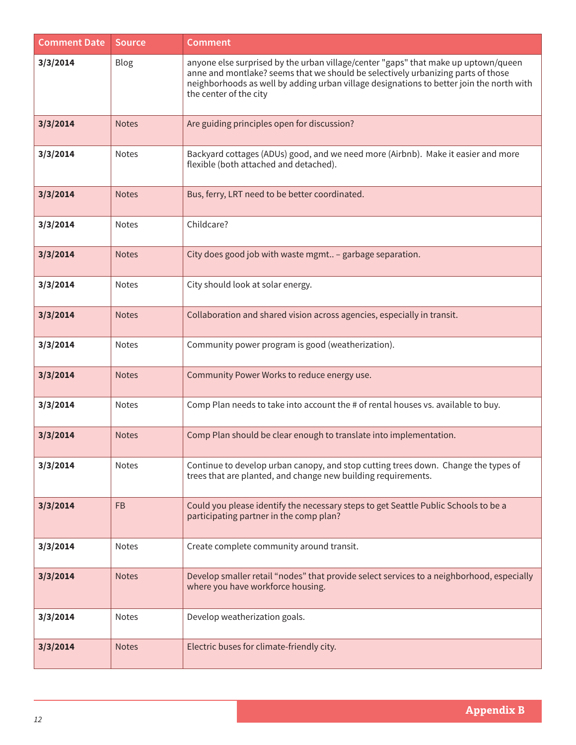| <b>Comment Date</b> | <b>Source</b> | <b>Comment</b>                                                                                                                                                                                                                                                                               |
|---------------------|---------------|----------------------------------------------------------------------------------------------------------------------------------------------------------------------------------------------------------------------------------------------------------------------------------------------|
| 3/3/2014            | Blog          | anyone else surprised by the urban village/center "gaps" that make up uptown/queen<br>anne and montlake? seems that we should be selectively urbanizing parts of those<br>neighborhoods as well by adding urban village designations to better join the north with<br>the center of the city |
| 3/3/2014            | <b>Notes</b>  | Are guiding principles open for discussion?                                                                                                                                                                                                                                                  |
| 3/3/2014            | <b>Notes</b>  | Backyard cottages (ADUs) good, and we need more (Airbnb). Make it easier and more<br>flexible (both attached and detached).                                                                                                                                                                  |
| 3/3/2014            | <b>Notes</b>  | Bus, ferry, LRT need to be better coordinated.                                                                                                                                                                                                                                               |
| 3/3/2014            | <b>Notes</b>  | Childcare?                                                                                                                                                                                                                                                                                   |
| 3/3/2014            | <b>Notes</b>  | City does good job with waste mgmt - garbage separation.                                                                                                                                                                                                                                     |
| 3/3/2014            | Notes         | City should look at solar energy.                                                                                                                                                                                                                                                            |
| 3/3/2014            | <b>Notes</b>  | Collaboration and shared vision across agencies, especially in transit.                                                                                                                                                                                                                      |
| 3/3/2014            | <b>Notes</b>  | Community power program is good (weatherization).                                                                                                                                                                                                                                            |
| 3/3/2014            | <b>Notes</b>  | Community Power Works to reduce energy use.                                                                                                                                                                                                                                                  |
| 3/3/2014            | <b>Notes</b>  | Comp Plan needs to take into account the # of rental houses vs. available to buy.                                                                                                                                                                                                            |
| 3/3/2014            | <b>Notes</b>  | Comp Plan should be clear enough to translate into implementation.                                                                                                                                                                                                                           |
| 3/3/2014            | Notes         | Continue to develop urban canopy, and stop cutting trees down. Change the types of<br>trees that are planted, and change new building requirements.                                                                                                                                          |
| 3/3/2014            | <b>FB</b>     | Could you please identify the necessary steps to get Seattle Public Schools to be a<br>participating partner in the comp plan?                                                                                                                                                               |
| 3/3/2014            | <b>Notes</b>  | Create complete community around transit.                                                                                                                                                                                                                                                    |
| 3/3/2014            | <b>Notes</b>  | Develop smaller retail "nodes" that provide select services to a neighborhood, especially<br>where you have workforce housing.                                                                                                                                                               |
| 3/3/2014            | Notes         | Develop weatherization goals.                                                                                                                                                                                                                                                                |
| 3/3/2014            | <b>Notes</b>  | Electric buses for climate-friendly city.                                                                                                                                                                                                                                                    |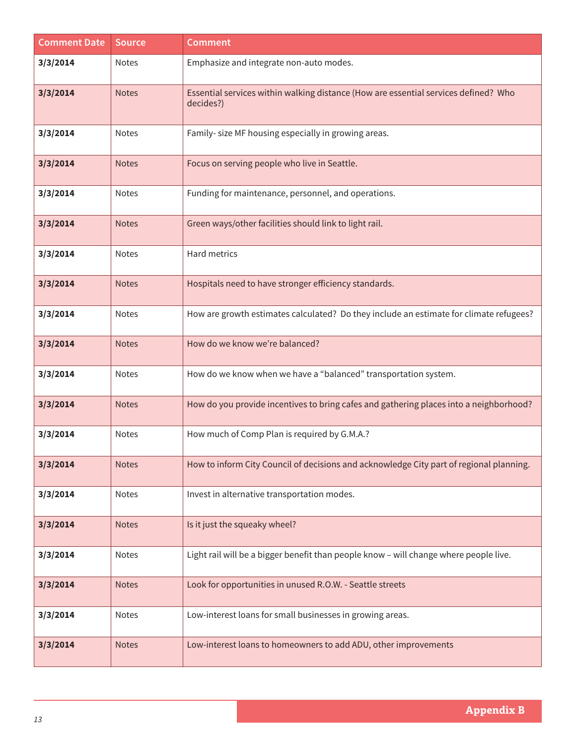| <b>Comment Date</b> | <b>Source</b> | <b>Comment</b>                                                                                   |
|---------------------|---------------|--------------------------------------------------------------------------------------------------|
| 3/3/2014            | <b>Notes</b>  | Emphasize and integrate non-auto modes.                                                          |
| 3/3/2014            | <b>Notes</b>  | Essential services within walking distance (How are essential services defined? Who<br>decides?) |
| 3/3/2014            | <b>Notes</b>  | Family- size MF housing especially in growing areas.                                             |
| 3/3/2014            | <b>Notes</b>  | Focus on serving people who live in Seattle.                                                     |
| 3/3/2014            | Notes         | Funding for maintenance, personnel, and operations.                                              |
| 3/3/2014            | <b>Notes</b>  | Green ways/other facilities should link to light rail.                                           |
| 3/3/2014            | Notes         | Hard metrics                                                                                     |
| 3/3/2014            | <b>Notes</b>  | Hospitals need to have stronger efficiency standards.                                            |
| 3/3/2014            | <b>Notes</b>  | How are growth estimates calculated? Do they include an estimate for climate refugees?           |
| 3/3/2014            | <b>Notes</b>  | How do we know we're balanced?                                                                   |
| 3/3/2014            | Notes         | How do we know when we have a "balanced" transportation system.                                  |
| 3/3/2014            | <b>Notes</b>  | How do you provide incentives to bring cafes and gathering places into a neighborhood?           |
| 3/3/2014            | Notes         | How much of Comp Plan is required by G.M.A.?                                                     |
| 3/3/2014            | <b>Notes</b>  | How to inform City Council of decisions and acknowledge City part of regional planning.          |
| 3/3/2014            | Notes         | Invest in alternative transportation modes.                                                      |
| 3/3/2014            | <b>Notes</b>  | Is it just the squeaky wheel?                                                                    |
| 3/3/2014            | Notes         | Light rail will be a bigger benefit than people know - will change where people live.            |
| 3/3/2014            | <b>Notes</b>  | Look for opportunities in unused R.O.W. - Seattle streets                                        |
| 3/3/2014            | Notes         | Low-interest loans for small businesses in growing areas.                                        |
| 3/3/2014            | <b>Notes</b>  | Low-interest loans to homeowners to add ADU, other improvements                                  |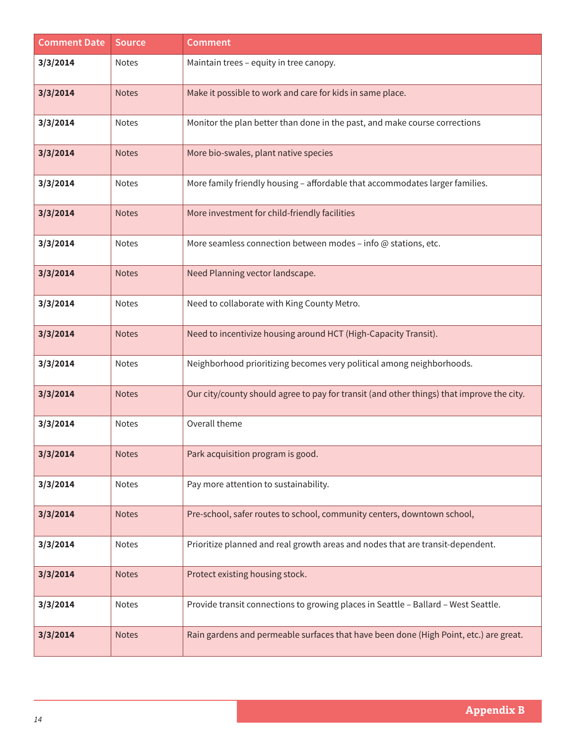| <b>Comment Date</b> | <b>Source</b> | <b>Comment</b>                                                                            |
|---------------------|---------------|-------------------------------------------------------------------------------------------|
| 3/3/2014            | Notes         | Maintain trees - equity in tree canopy.                                                   |
| 3/3/2014            | <b>Notes</b>  | Make it possible to work and care for kids in same place.                                 |
| 3/3/2014            | Notes         | Monitor the plan better than done in the past, and make course corrections                |
| 3/3/2014            | <b>Notes</b>  | More bio-swales, plant native species                                                     |
| 3/3/2014            | Notes         | More family friendly housing - affordable that accommodates larger families.              |
| 3/3/2014            | <b>Notes</b>  | More investment for child-friendly facilities                                             |
| 3/3/2014            | Notes         | More seamless connection between modes - info $@$ stations, etc.                          |
| 3/3/2014            | <b>Notes</b>  | Need Planning vector landscape.                                                           |
| 3/3/2014            | Notes         | Need to collaborate with King County Metro.                                               |
| 3/3/2014            | <b>Notes</b>  | Need to incentivize housing around HCT (High-Capacity Transit).                           |
| 3/3/2014            | Notes         | Neighborhood prioritizing becomes very political among neighborhoods.                     |
| 3/3/2014            | <b>Notes</b>  | Our city/county should agree to pay for transit (and other things) that improve the city. |
| 3/3/2014            | <b>Notes</b>  | Overall theme                                                                             |
| 3/3/2014            | Notes         | Park acquisition program is good.                                                         |
| 3/3/2014            | Notes         | Pay more attention to sustainability.                                                     |
| 3/3/2014            | <b>Notes</b>  | Pre-school, safer routes to school, community centers, downtown school,                   |
| 3/3/2014            | Notes         | Prioritize planned and real growth areas and nodes that are transit-dependent.            |
| 3/3/2014            | <b>Notes</b>  | Protect existing housing stock.                                                           |
| 3/3/2014            | Notes         | Provide transit connections to growing places in Seattle - Ballard - West Seattle.        |
| 3/3/2014            | <b>Notes</b>  | Rain gardens and permeable surfaces that have been done (High Point, etc.) are great.     |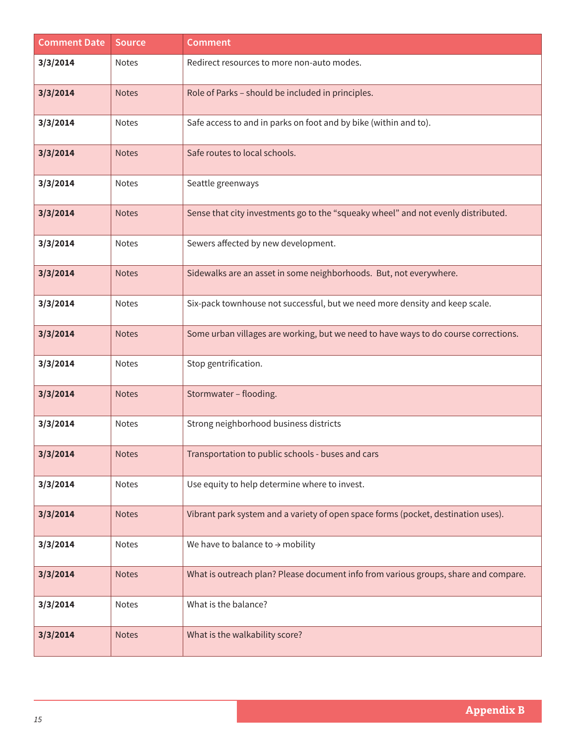| <b>Comment Date</b> | <b>Source</b> | <b>Comment</b>                                                                      |
|---------------------|---------------|-------------------------------------------------------------------------------------|
| 3/3/2014            | Notes         | Redirect resources to more non-auto modes.                                          |
| 3/3/2014            | <b>Notes</b>  | Role of Parks - should be included in principles.                                   |
| 3/3/2014            | Notes         | Safe access to and in parks on foot and by bike (within and to).                    |
| 3/3/2014            | <b>Notes</b>  | Safe routes to local schools.                                                       |
| 3/3/2014            | Notes         | Seattle greenways                                                                   |
| 3/3/2014            | <b>Notes</b>  | Sense that city investments go to the "squeaky wheel" and not evenly distributed.   |
| 3/3/2014            | Notes         | Sewers affected by new development.                                                 |
| 3/3/2014            | <b>Notes</b>  | Sidewalks are an asset in some neighborhoods. But, not everywhere.                  |
| 3/3/2014            | Notes         | Six-pack townhouse not successful, but we need more density and keep scale.         |
| 3/3/2014            | <b>Notes</b>  | Some urban villages are working, but we need to have ways to do course corrections. |
| 3/3/2014            | Notes         | Stop gentrification.                                                                |
| 3/3/2014            | <b>Notes</b>  | Stormwater - flooding.                                                              |
| 3/3/2014            | Notes         | Strong neighborhood business districts                                              |
| 3/3/2014            | <b>Notes</b>  | Transportation to public schools - buses and cars                                   |
| 3/3/2014            | <b>Notes</b>  | Use equity to help determine where to invest.                                       |
| 3/3/2014            | <b>Notes</b>  | Vibrant park system and a variety of open space forms (pocket, destination uses).   |
| 3/3/2014            | Notes         | We have to balance to $\rightarrow$ mobility                                        |
| 3/3/2014            | <b>Notes</b>  | What is outreach plan? Please document info from various groups, share and compare. |
| 3/3/2014            | Notes         | What is the balance?                                                                |
| 3/3/2014            | <b>Notes</b>  | What is the walkability score?                                                      |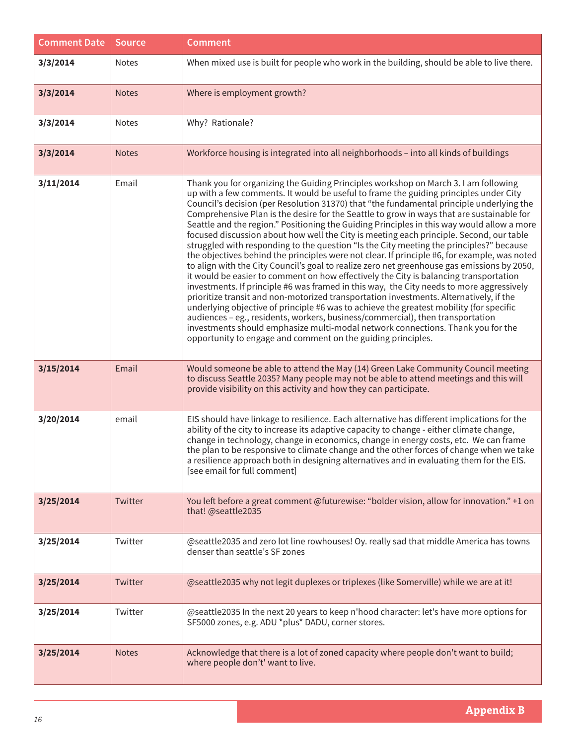| <b>Comment Date</b> | <b>Source</b> | <b>Comment</b>                                                                                                                                                                                                                                                                                                                                                                                                                                                                                                                                                                                                                                                                                                                                                                                                                                                                                                                                                                                                                                                                                                                                                                                                                                                                                                                                                                                                                                                          |
|---------------------|---------------|-------------------------------------------------------------------------------------------------------------------------------------------------------------------------------------------------------------------------------------------------------------------------------------------------------------------------------------------------------------------------------------------------------------------------------------------------------------------------------------------------------------------------------------------------------------------------------------------------------------------------------------------------------------------------------------------------------------------------------------------------------------------------------------------------------------------------------------------------------------------------------------------------------------------------------------------------------------------------------------------------------------------------------------------------------------------------------------------------------------------------------------------------------------------------------------------------------------------------------------------------------------------------------------------------------------------------------------------------------------------------------------------------------------------------------------------------------------------------|
| 3/3/2014            | Notes         | When mixed use is built for people who work in the building, should be able to live there.                                                                                                                                                                                                                                                                                                                                                                                                                                                                                                                                                                                                                                                                                                                                                                                                                                                                                                                                                                                                                                                                                                                                                                                                                                                                                                                                                                              |
| 3/3/2014            | <b>Notes</b>  | Where is employment growth?                                                                                                                                                                                                                                                                                                                                                                                                                                                                                                                                                                                                                                                                                                                                                                                                                                                                                                                                                                                                                                                                                                                                                                                                                                                                                                                                                                                                                                             |
| 3/3/2014            | Notes         | Why? Rationale?                                                                                                                                                                                                                                                                                                                                                                                                                                                                                                                                                                                                                                                                                                                                                                                                                                                                                                                                                                                                                                                                                                                                                                                                                                                                                                                                                                                                                                                         |
| 3/3/2014            | <b>Notes</b>  | Workforce housing is integrated into all neighborhoods - into all kinds of buildings                                                                                                                                                                                                                                                                                                                                                                                                                                                                                                                                                                                                                                                                                                                                                                                                                                                                                                                                                                                                                                                                                                                                                                                                                                                                                                                                                                                    |
| 3/11/2014           | Email         | Thank you for organizing the Guiding Principles workshop on March 3. I am following<br>up with a few comments. It would be useful to frame the guiding principles under City<br>Council's decision (per Resolution 31370) that "the fundamental principle underlying the<br>Comprehensive Plan is the desire for the Seattle to grow in ways that are sustainable for<br>Seattle and the region." Positioning the Guiding Principles in this way would allow a more<br>focused discussion about how well the City is meeting each principle. Second, our table<br>struggled with responding to the question "Is the City meeting the principles?" because<br>the objectives behind the principles were not clear. If principle #6, for example, was noted<br>to align with the City Council's goal to realize zero net greenhouse gas emissions by 2050,<br>it would be easier to comment on how effectively the City is balancing transportation<br>investments. If principle #6 was framed in this way, the City needs to more aggressively<br>prioritize transit and non-motorized transportation investments. Alternatively, if the<br>underlying objective of principle #6 was to achieve the greatest mobility (for specific<br>audiences - eg., residents, workers, business/commercial), then transportation<br>investments should emphasize multi-modal network connections. Thank you for the<br>opportunity to engage and comment on the guiding principles. |
| 3/15/2014           | Email         | Would someone be able to attend the May (14) Green Lake Community Council meeting<br>to discuss Seattle 2035? Many people may not be able to attend meetings and this will<br>provide visibility on this activity and how they can participate.                                                                                                                                                                                                                                                                                                                                                                                                                                                                                                                                                                                                                                                                                                                                                                                                                                                                                                                                                                                                                                                                                                                                                                                                                         |
| 3/20/2014           | email         | EIS should have linkage to resilience. Each alternative has different implications for the<br>ability of the city to increase its adaptive capacity to change - either climate change,<br>change in technology, change in economics, change in energy costs, etc. We can frame<br>the plan to be responsive to climate change and the other forces of change when we take<br>a resilience approach both in designing alternatives and in evaluating them for the EIS.<br>[see email for full comment]                                                                                                                                                                                                                                                                                                                                                                                                                                                                                                                                                                                                                                                                                                                                                                                                                                                                                                                                                                   |
| 3/25/2014           | Twitter       | You left before a great comment @futurewise: "bolder vision, allow for innovation." +1 on<br>that! @seattle2035                                                                                                                                                                                                                                                                                                                                                                                                                                                                                                                                                                                                                                                                                                                                                                                                                                                                                                                                                                                                                                                                                                                                                                                                                                                                                                                                                         |
| 3/25/2014           | Twitter       | @seattle2035 and zero lot line rowhouses! Oy. really sad that middle America has towns<br>denser than seattle's SF zones                                                                                                                                                                                                                                                                                                                                                                                                                                                                                                                                                                                                                                                                                                                                                                                                                                                                                                                                                                                                                                                                                                                                                                                                                                                                                                                                                |
| 3/25/2014           | Twitter       | @seattle2035 why not legit duplexes or triplexes (like Somerville) while we are at it!                                                                                                                                                                                                                                                                                                                                                                                                                                                                                                                                                                                                                                                                                                                                                                                                                                                                                                                                                                                                                                                                                                                                                                                                                                                                                                                                                                                  |
| 3/25/2014           | Twitter       | @seattle2035 In the next 20 years to keep n'hood character: let's have more options for<br>SF5000 zones, e.g. ADU *plus* DADU, corner stores.                                                                                                                                                                                                                                                                                                                                                                                                                                                                                                                                                                                                                                                                                                                                                                                                                                                                                                                                                                                                                                                                                                                                                                                                                                                                                                                           |
| 3/25/2014           | <b>Notes</b>  | Acknowledge that there is a lot of zoned capacity where people don't want to build;<br>where people don't' want to live.                                                                                                                                                                                                                                                                                                                                                                                                                                                                                                                                                                                                                                                                                                                                                                                                                                                                                                                                                                                                                                                                                                                                                                                                                                                                                                                                                |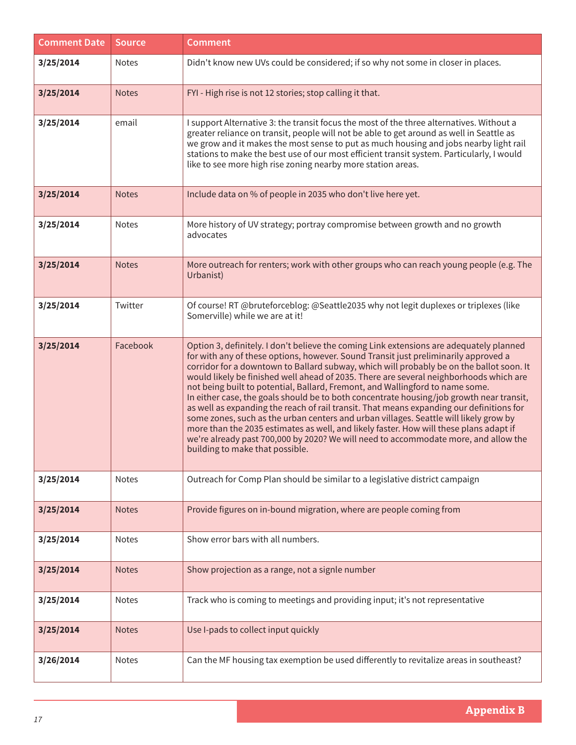| <b>Comment Date</b> | <b>Source</b> | <b>Comment</b>                                                                                                                                                                                                                                                                                                                                                                                                                                                                                                                                                                                                                                                                                                                                                                                                                                                                                                                                             |
|---------------------|---------------|------------------------------------------------------------------------------------------------------------------------------------------------------------------------------------------------------------------------------------------------------------------------------------------------------------------------------------------------------------------------------------------------------------------------------------------------------------------------------------------------------------------------------------------------------------------------------------------------------------------------------------------------------------------------------------------------------------------------------------------------------------------------------------------------------------------------------------------------------------------------------------------------------------------------------------------------------------|
| 3/25/2014           | Notes         | Didn't know new UVs could be considered; if so why not some in closer in places.                                                                                                                                                                                                                                                                                                                                                                                                                                                                                                                                                                                                                                                                                                                                                                                                                                                                           |
| 3/25/2014           | <b>Notes</b>  | FYI - High rise is not 12 stories; stop calling it that.                                                                                                                                                                                                                                                                                                                                                                                                                                                                                                                                                                                                                                                                                                                                                                                                                                                                                                   |
| 3/25/2014           | email         | I support Alternative 3: the transit focus the most of the three alternatives. Without a<br>greater reliance on transit, people will not be able to get around as well in Seattle as<br>we grow and it makes the most sense to put as much housing and jobs nearby light rail<br>stations to make the best use of our most efficient transit system. Particularly, I would<br>like to see more high rise zoning nearby more station areas.                                                                                                                                                                                                                                                                                                                                                                                                                                                                                                                 |
| 3/25/2014           | <b>Notes</b>  | Include data on % of people in 2035 who don't live here yet.                                                                                                                                                                                                                                                                                                                                                                                                                                                                                                                                                                                                                                                                                                                                                                                                                                                                                               |
| 3/25/2014           | <b>Notes</b>  | More history of UV strategy; portray compromise between growth and no growth<br>advocates                                                                                                                                                                                                                                                                                                                                                                                                                                                                                                                                                                                                                                                                                                                                                                                                                                                                  |
| 3/25/2014           | <b>Notes</b>  | More outreach for renters; work with other groups who can reach young people (e.g. The<br>Urbanist)                                                                                                                                                                                                                                                                                                                                                                                                                                                                                                                                                                                                                                                                                                                                                                                                                                                        |
| 3/25/2014           | Twitter       | Of course! RT @bruteforceblog: @Seattle2035 why not legit duplexes or triplexes (like<br>Somerville) while we are at it!                                                                                                                                                                                                                                                                                                                                                                                                                                                                                                                                                                                                                                                                                                                                                                                                                                   |
| 3/25/2014           | Facebook      | Option 3, definitely. I don't believe the coming Link extensions are adequately planned<br>for with any of these options, however. Sound Transit just preliminarily approved a<br>corridor for a downtown to Ballard subway, which will probably be on the ballot soon. It<br>would likely be finished well ahead of 2035. There are several neighborhoods which are<br>not being built to potential, Ballard, Fremont, and Wallingford to name some.<br>In either case, the goals should be to both concentrate housing/job growth near transit,<br>as well as expanding the reach of rail transit. That means expanding our definitions for<br>some zones, such as the urban centers and urban villages. Seattle will likely grow by<br>more than the 2035 estimates as well, and likely faster. How will these plans adapt if<br>we're already past 700,000 by 2020? We will need to accommodate more, and allow the<br>building to make that possible. |
| 3/25/2014           | Notes         | Outreach for Comp Plan should be similar to a legislative district campaign                                                                                                                                                                                                                                                                                                                                                                                                                                                                                                                                                                                                                                                                                                                                                                                                                                                                                |
| 3/25/2014           | <b>Notes</b>  | Provide figures on in-bound migration, where are people coming from                                                                                                                                                                                                                                                                                                                                                                                                                                                                                                                                                                                                                                                                                                                                                                                                                                                                                        |
| 3/25/2014           | Notes         | Show error bars with all numbers.                                                                                                                                                                                                                                                                                                                                                                                                                                                                                                                                                                                                                                                                                                                                                                                                                                                                                                                          |
| 3/25/2014           | <b>Notes</b>  | Show projection as a range, not a signle number                                                                                                                                                                                                                                                                                                                                                                                                                                                                                                                                                                                                                                                                                                                                                                                                                                                                                                            |
| 3/25/2014           | Notes         | Track who is coming to meetings and providing input; it's not representative                                                                                                                                                                                                                                                                                                                                                                                                                                                                                                                                                                                                                                                                                                                                                                                                                                                                               |
| 3/25/2014           | <b>Notes</b>  | Use I-pads to collect input quickly                                                                                                                                                                                                                                                                                                                                                                                                                                                                                                                                                                                                                                                                                                                                                                                                                                                                                                                        |
| 3/26/2014           | Notes         | Can the MF housing tax exemption be used differently to revitalize areas in southeast?                                                                                                                                                                                                                                                                                                                                                                                                                                                                                                                                                                                                                                                                                                                                                                                                                                                                     |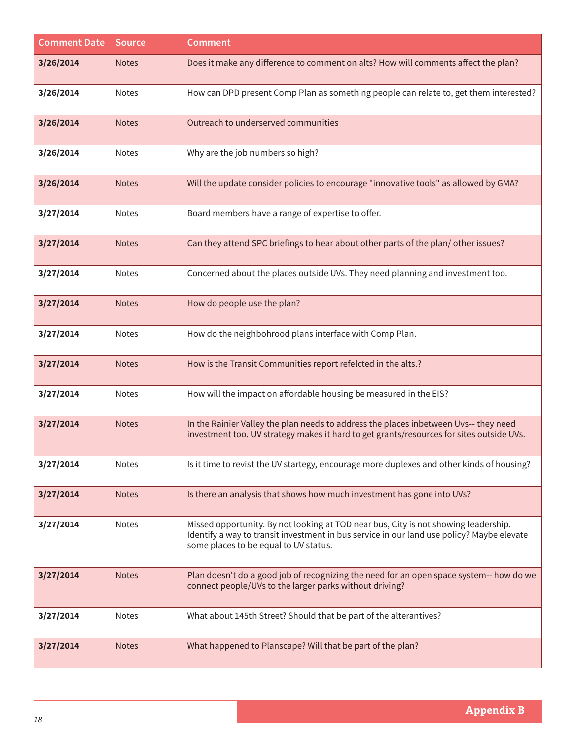| <b>Comment Date</b> | <b>Source</b> | <b>Comment</b>                                                                                                                                                                                                            |
|---------------------|---------------|---------------------------------------------------------------------------------------------------------------------------------------------------------------------------------------------------------------------------|
| 3/26/2014           | <b>Notes</b>  | Does it make any difference to comment on alts? How will comments affect the plan?                                                                                                                                        |
| 3/26/2014           | <b>Notes</b>  | How can DPD present Comp Plan as something people can relate to, get them interested?                                                                                                                                     |
| 3/26/2014           | <b>Notes</b>  | Outreach to underserved communities                                                                                                                                                                                       |
| 3/26/2014           | Notes         | Why are the job numbers so high?                                                                                                                                                                                          |
| 3/26/2014           | <b>Notes</b>  | Will the update consider policies to encourage "innovative tools" as allowed by GMA?                                                                                                                                      |
| 3/27/2014           | <b>Notes</b>  | Board members have a range of expertise to offer.                                                                                                                                                                         |
| 3/27/2014           | <b>Notes</b>  | Can they attend SPC briefings to hear about other parts of the plan/other issues?                                                                                                                                         |
| 3/27/2014           | <b>Notes</b>  | Concerned about the places outside UVs. They need planning and investment too.                                                                                                                                            |
| 3/27/2014           | <b>Notes</b>  | How do people use the plan?                                                                                                                                                                                               |
| 3/27/2014           | Notes         | How do the neighbohrood plans interface with Comp Plan.                                                                                                                                                                   |
| 3/27/2014           | <b>Notes</b>  | How is the Transit Communities report refelcted in the alts.?                                                                                                                                                             |
| 3/27/2014           | <b>Notes</b>  | How will the impact on affordable housing be measured in the EIS?                                                                                                                                                         |
| 3/27/2014           | <b>Notes</b>  | In the Rainier Valley the plan needs to address the places inbetween Uvs-- they need<br>investment too. UV strategy makes it hard to get grants/resources for sites outside UVs.                                          |
| 3/27/2014           | <b>Notes</b>  | Is it time to revist the UV startegy, encourage more duplexes and other kinds of housing?                                                                                                                                 |
| 3/27/2014           | <b>Notes</b>  | Is there an analysis that shows how much investment has gone into UVs?                                                                                                                                                    |
| 3/27/2014           | <b>Notes</b>  | Missed opportunity. By not looking at TOD near bus, City is not showing leadership.<br>Identify a way to transit investment in bus service in our land use policy? Maybe elevate<br>some places to be equal to UV status. |
| 3/27/2014           | <b>Notes</b>  | Plan doesn't do a good job of recognizing the need for an open space system-- how do we<br>connect people/UVs to the larger parks without driving?                                                                        |
| 3/27/2014           | Notes         | What about 145th Street? Should that be part of the alterantives?                                                                                                                                                         |
| 3/27/2014           | <b>Notes</b>  | What happened to Planscape? Will that be part of the plan?                                                                                                                                                                |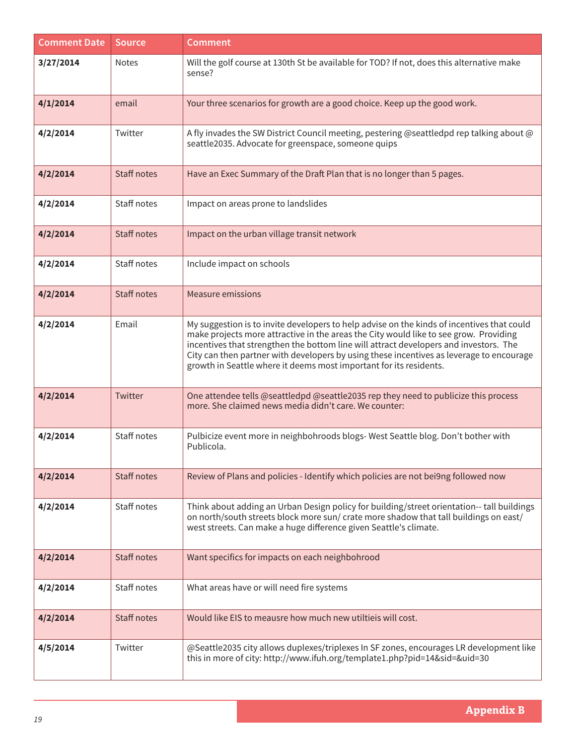| <b>Comment Date</b> | <b>Source</b>      | <b>Comment</b>                                                                                                                                                                                                                                                                                                                                                                                                                                 |
|---------------------|--------------------|------------------------------------------------------------------------------------------------------------------------------------------------------------------------------------------------------------------------------------------------------------------------------------------------------------------------------------------------------------------------------------------------------------------------------------------------|
| 3/27/2014           | <b>Notes</b>       | Will the golf course at 130th St be available for TOD? If not, does this alternative make<br>sense?                                                                                                                                                                                                                                                                                                                                            |
| 4/1/2014            | email              | Your three scenarios for growth are a good choice. Keep up the good work.                                                                                                                                                                                                                                                                                                                                                                      |
| 4/2/2014            | Twitter            | A fly invades the SW District Council meeting, pestering @seattledpd rep talking about @<br>seattle2035. Advocate for greenspace, someone quips                                                                                                                                                                                                                                                                                                |
| 4/2/2014            | <b>Staff notes</b> | Have an Exec Summary of the Draft Plan that is no longer than 5 pages.                                                                                                                                                                                                                                                                                                                                                                         |
| 4/2/2014            | Staff notes        | Impact on areas prone to landslides                                                                                                                                                                                                                                                                                                                                                                                                            |
| 4/2/2014            | <b>Staff notes</b> | Impact on the urban village transit network                                                                                                                                                                                                                                                                                                                                                                                                    |
| 4/2/2014            | Staff notes        | Include impact on schools                                                                                                                                                                                                                                                                                                                                                                                                                      |
| 4/2/2014            | <b>Staff notes</b> | <b>Measure emissions</b>                                                                                                                                                                                                                                                                                                                                                                                                                       |
| 4/2/2014            | Email              | My suggestion is to invite developers to help advise on the kinds of incentives that could<br>make projects more attractive in the areas the City would like to see grow. Providing<br>incentives that strengthen the bottom line will attract developers and investors. The<br>City can then partner with developers by using these incentives as leverage to encourage<br>growth in Seattle where it deems most important for its residents. |
| 4/2/2014            | Twitter            | One attendee tells @seattledpd @seattle2035 rep they need to publicize this process<br>more. She claimed news media didn't care. We counter:                                                                                                                                                                                                                                                                                                   |
| 4/2/2014            | Staff notes        | Pulbicize event more in neighbohroods blogs- West Seattle blog. Don't bother with<br>Publicola.                                                                                                                                                                                                                                                                                                                                                |
| 4/2/2014            | <b>Staff notes</b> | Review of Plans and policies - Identify which policies are not bei9ng followed now                                                                                                                                                                                                                                                                                                                                                             |
| 4/2/2014            | Staff notes        | Think about adding an Urban Design policy for building/street orientation-- tall buildings<br>on north/south streets block more sun/ crate more shadow that tall buildings on east/<br>west streets. Can make a huge difference given Seattle's climate.                                                                                                                                                                                       |
| 4/2/2014            | Staff notes        | Want specifics for impacts on each neighbohrood                                                                                                                                                                                                                                                                                                                                                                                                |
| 4/2/2014            | Staff notes        | What areas have or will need fire systems                                                                                                                                                                                                                                                                                                                                                                                                      |
| 4/2/2014            | Staff notes        | Would like EIS to meausre how much new utiltieis will cost.                                                                                                                                                                                                                                                                                                                                                                                    |
| 4/5/2014            | Twitter            | @Seattle2035 city allows duplexes/triplexes In SF zones, encourages LR development like<br>this in more of city: http://www.ifuh.org/template1.php?pid=14&sid=&uid=30                                                                                                                                                                                                                                                                          |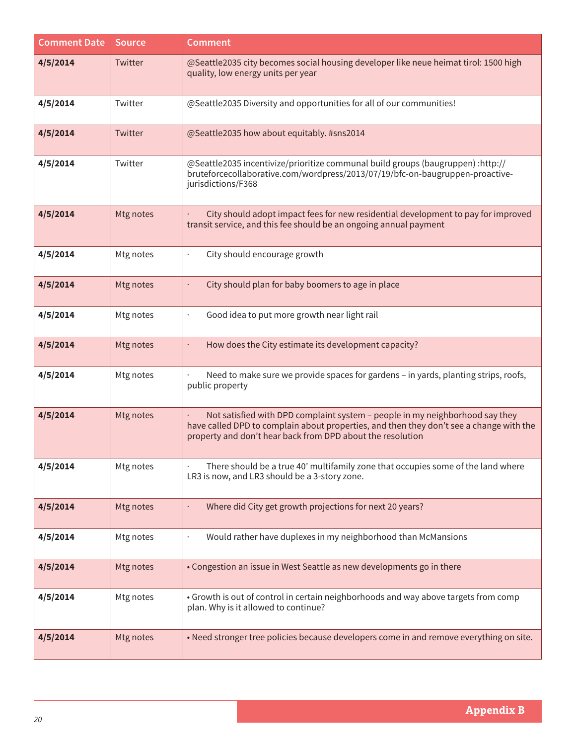| <b>Comment Date</b> | <b>Source</b> | <b>Comment</b>                                                                                                                                                                                                                        |
|---------------------|---------------|---------------------------------------------------------------------------------------------------------------------------------------------------------------------------------------------------------------------------------------|
| 4/5/2014            | Twitter       | @Seattle2035 city becomes social housing developer like neue heimat tirol: 1500 high<br>quality, low energy units per year                                                                                                            |
| 4/5/2014            | Twitter       | @Seattle2035 Diversity and opportunities for all of our communities!                                                                                                                                                                  |
| 4/5/2014            | Twitter       | @Seattle2035 how about equitably. #sns2014                                                                                                                                                                                            |
| 4/5/2014            | Twitter       | @Seattle2035 incentivize/prioritize communal build groups (baugruppen) :http://<br>bruteforcecollaborative.com/wordpress/2013/07/19/bfc-on-baugruppen-proactive-<br>jurisdictions/F368                                                |
| 4/5/2014            | Mtg notes     | City should adopt impact fees for new residential development to pay for improved<br>transit service, and this fee should be an ongoing annual payment                                                                                |
| 4/5/2014            | Mtg notes     | City should encourage growth                                                                                                                                                                                                          |
| 4/5/2014            | Mtg notes     | City should plan for baby boomers to age in place                                                                                                                                                                                     |
| 4/5/2014            | Mtg notes     | Good idea to put more growth near light rail                                                                                                                                                                                          |
| 4/5/2014            | Mtg notes     | How does the City estimate its development capacity?                                                                                                                                                                                  |
| 4/5/2014            | Mtg notes     | Need to make sure we provide spaces for gardens - in yards, planting strips, roofs,<br>public property                                                                                                                                |
| 4/5/2014            | Mtg notes     | Not satisfied with DPD complaint system - people in my neighborhood say they<br>have called DPD to complain about properties, and then they don't see a change with the<br>property and don't hear back from DPD about the resolution |
| 4/5/2014            | Mtg notes     | There should be a true 40' multifamily zone that occupies some of the land where<br>LR3 is now, and LR3 should be a 3-story zone.                                                                                                     |
| 4/5/2014            | Mtg notes     | Where did City get growth projections for next 20 years?                                                                                                                                                                              |
| 4/5/2014            | Mtg notes     | Would rather have duplexes in my neighborhood than McMansions                                                                                                                                                                         |
| 4/5/2014            | Mtg notes     | • Congestion an issue in West Seattle as new developments go in there                                                                                                                                                                 |
| 4/5/2014            | Mtg notes     | • Growth is out of control in certain neighborhoods and way above targets from comp<br>plan. Why is it allowed to continue?                                                                                                           |
| 4/5/2014            | Mtg notes     | . Need stronger tree policies because developers come in and remove everything on site.                                                                                                                                               |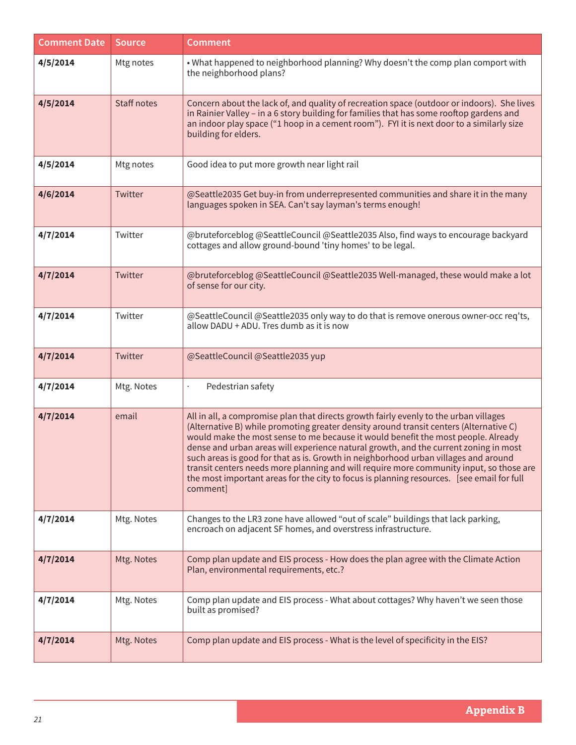| <b>Comment Date</b> | <b>Source</b> | <b>Comment</b>                                                                                                                                                                                                                                                                                                                                                                                                                                                                                                                                                                                                                                         |
|---------------------|---------------|--------------------------------------------------------------------------------------------------------------------------------------------------------------------------------------------------------------------------------------------------------------------------------------------------------------------------------------------------------------------------------------------------------------------------------------------------------------------------------------------------------------------------------------------------------------------------------------------------------------------------------------------------------|
| 4/5/2014            | Mtg notes     | . What happened to neighborhood planning? Why doesn't the comp plan comport with<br>the neighborhood plans?                                                                                                                                                                                                                                                                                                                                                                                                                                                                                                                                            |
| 4/5/2014            | Staff notes   | Concern about the lack of, and quality of recreation space (outdoor or indoors). She lives<br>in Rainier Valley - in a 6 story building for families that has some rooftop gardens and<br>an indoor play space ("1 hoop in a cement room"). FYI it is next door to a similarly size<br>building for elders.                                                                                                                                                                                                                                                                                                                                            |
| 4/5/2014            | Mtg notes     | Good idea to put more growth near light rail                                                                                                                                                                                                                                                                                                                                                                                                                                                                                                                                                                                                           |
| 4/6/2014            | Twitter       | @Seattle2035 Get buy-in from underrepresented communities and share it in the many<br>languages spoken in SEA. Can't say layman's terms enough!                                                                                                                                                                                                                                                                                                                                                                                                                                                                                                        |
| 4/7/2014            | Twitter       | @bruteforceblog @SeattleCouncil @Seattle2035 Also, find ways to encourage backyard<br>cottages and allow ground-bound 'tiny homes' to be legal.                                                                                                                                                                                                                                                                                                                                                                                                                                                                                                        |
| 4/7/2014            | Twitter       | @bruteforceblog @SeattleCouncil @Seattle2035 Well-managed, these would make a lot<br>of sense for our city.                                                                                                                                                                                                                                                                                                                                                                                                                                                                                                                                            |
| 4/7/2014            | Twitter       | @SeattleCouncil @Seattle2035 only way to do that is remove onerous owner-occ req'ts,<br>allow DADU + ADU. Tres dumb as it is now                                                                                                                                                                                                                                                                                                                                                                                                                                                                                                                       |
| 4/7/2014            | Twitter       | @SeattleCouncil @Seattle2035 yup                                                                                                                                                                                                                                                                                                                                                                                                                                                                                                                                                                                                                       |
| 4/7/2014            | Mtg. Notes    | Pedestrian safety                                                                                                                                                                                                                                                                                                                                                                                                                                                                                                                                                                                                                                      |
| 4/7/2014            | email         | All in all, a compromise plan that directs growth fairly evenly to the urban villages<br>(Alternative B) while promoting greater density around transit centers (Alternative C)<br>would make the most sense to me because it would benefit the most people. Already<br>dense and urban areas will experience natural growth, and the current zoning in most<br>such areas is good for that as is. Growth in neighborhood urban villages and around<br>transit centers needs more planning and will require more community input, so those are<br>the most important areas for the city to focus is planning resources. [see email for full<br>comment |
| 4/7/2014            | Mtg. Notes    | Changes to the LR3 zone have allowed "out of scale" buildings that lack parking,<br>encroach on adjacent SF homes, and overstress infrastructure.                                                                                                                                                                                                                                                                                                                                                                                                                                                                                                      |
| 4/7/2014            | Mtg. Notes    | Comp plan update and EIS process - How does the plan agree with the Climate Action<br>Plan, environmental requirements, etc.?                                                                                                                                                                                                                                                                                                                                                                                                                                                                                                                          |
| 4/7/2014            | Mtg. Notes    | Comp plan update and EIS process - What about cottages? Why haven't we seen those<br>built as promised?                                                                                                                                                                                                                                                                                                                                                                                                                                                                                                                                                |
| 4/7/2014            | Mtg. Notes    | Comp plan update and EIS process - What is the level of specificity in the EIS?                                                                                                                                                                                                                                                                                                                                                                                                                                                                                                                                                                        |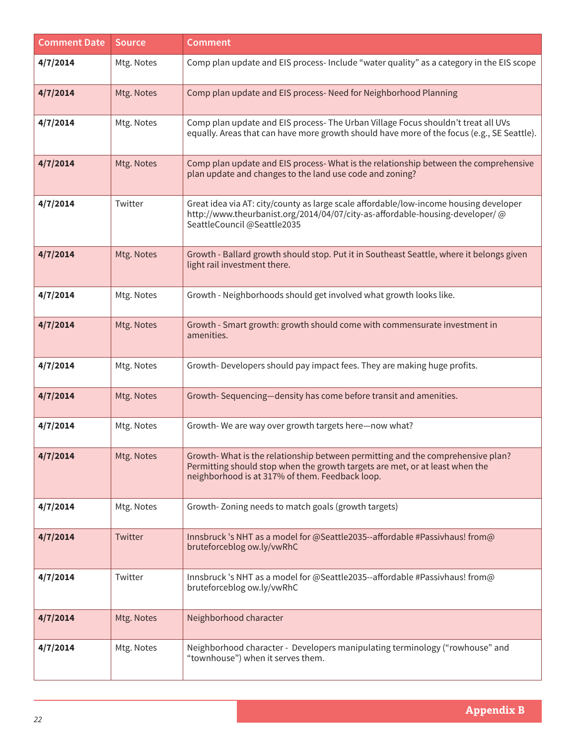| <b>Comment Date</b> | <b>Source</b> | <b>Comment</b>                                                                                                                                                                                                    |
|---------------------|---------------|-------------------------------------------------------------------------------------------------------------------------------------------------------------------------------------------------------------------|
| 4/7/2014            | Mtg. Notes    | Comp plan update and EIS process- Include "water quality" as a category in the EIS scope                                                                                                                          |
| 4/7/2014            | Mtg. Notes    | Comp plan update and EIS process- Need for Neighborhood Planning                                                                                                                                                  |
| 4/7/2014            | Mtg. Notes    | Comp plan update and EIS process- The Urban Village Focus shouldn't treat all UVs<br>equally. Areas that can have more growth should have more of the focus (e.g., SE Seattle).                                   |
| 4/7/2014            | Mtg. Notes    | Comp plan update and EIS process- What is the relationship between the comprehensive<br>plan update and changes to the land use code and zoning?                                                                  |
| 4/7/2014            | Twitter       | Great idea via AT: city/county as large scale affordable/low-income housing developer<br>http://www.theurbanist.org/2014/04/07/city-as-affordable-housing-developer/@<br>SeattleCouncil @Seattle2035              |
| 4/7/2014            | Mtg. Notes    | Growth - Ballard growth should stop. Put it in Southeast Seattle, where it belongs given<br>light rail investment there.                                                                                          |
| 4/7/2014            | Mtg. Notes    | Growth - Neighborhoods should get involved what growth looks like.                                                                                                                                                |
| 4/7/2014            | Mtg. Notes    | Growth - Smart growth: growth should come with commensurate investment in<br>amenities.                                                                                                                           |
| 4/7/2014            | Mtg. Notes    | Growth-Developers should pay impact fees. They are making huge profits.                                                                                                                                           |
| 4/7/2014            | Mtg. Notes    | Growth-Sequencing-density has come before transit and amenities.                                                                                                                                                  |
| 4/7/2014            | Mtg. Notes    | Growth-We are way over growth targets here-now what?                                                                                                                                                              |
| 4/7/2014            | Mtg. Notes    | Growth-What is the relationship between permitting and the comprehensive plan?<br>Permitting should stop when the growth targets are met, or at least when the<br>neighborhood is at 317% of them. Feedback loop. |
| 4/7/2014            | Mtg. Notes    | Growth-Zoning needs to match goals (growth targets)                                                                                                                                                               |
| 4/7/2014            | Twitter       | Innsbruck 's NHT as a model for @Seattle2035--affordable #Passivhaus! from@<br>bruteforceblog ow.ly/vwRhC                                                                                                         |
| 4/7/2014            | Twitter       | Innsbruck 's NHT as a model for @Seattle2035--affordable #Passivhaus! from@<br>bruteforceblog ow.ly/vwRhC                                                                                                         |
| 4/7/2014            | Mtg. Notes    | Neighborhood character                                                                                                                                                                                            |
| 4/7/2014            | Mtg. Notes    | Neighborhood character - Developers manipulating terminology ("rowhouse" and<br>"townhouse") when it serves them.                                                                                                 |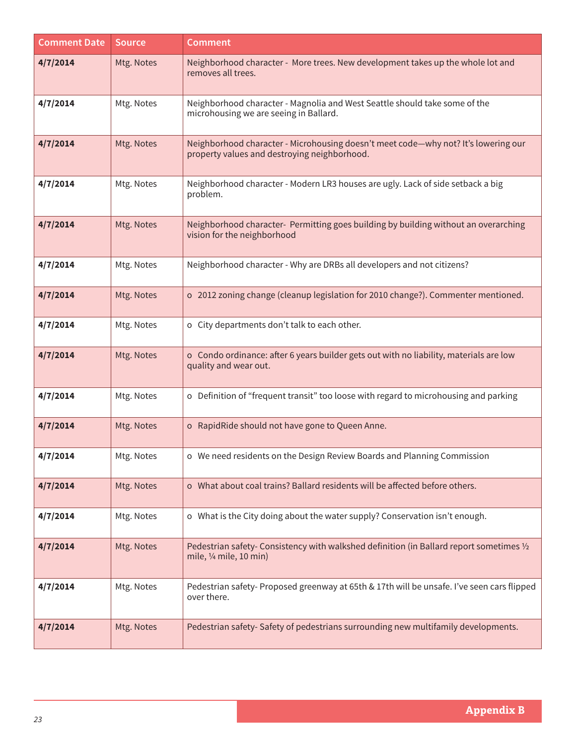| <b>Comment Date</b> | <b>Source</b> | <b>Comment</b>                                                                                                                     |
|---------------------|---------------|------------------------------------------------------------------------------------------------------------------------------------|
| 4/7/2014            | Mtg. Notes    | Neighborhood character - More trees. New development takes up the whole lot and<br>removes all trees.                              |
| 4/7/2014            | Mtg. Notes    | Neighborhood character - Magnolia and West Seattle should take some of the<br>microhousing we are seeing in Ballard.               |
| 4/7/2014            | Mtg. Notes    | Neighborhood character - Microhousing doesn't meet code-why not? It's lowering our<br>property values and destroying neighborhood. |
| 4/7/2014            | Mtg. Notes    | Neighborhood character - Modern LR3 houses are ugly. Lack of side setback a big<br>problem.                                        |
| 4/7/2014            | Mtg. Notes    | Neighborhood character- Permitting goes building by building without an overarching<br>vision for the neighborhood                 |
| 4/7/2014            | Mtg. Notes    | Neighborhood character - Why are DRBs all developers and not citizens?                                                             |
| 4/7/2014            | Mtg. Notes    | o 2012 zoning change (cleanup legislation for 2010 change?). Commenter mentioned.                                                  |
| 4/7/2014            | Mtg. Notes    | o City departments don't talk to each other.                                                                                       |
| 4/7/2014            | Mtg. Notes    | o Condo ordinance: after 6 years builder gets out with no liability, materials are low<br>quality and wear out.                    |
| 4/7/2014            | Mtg. Notes    | o Definition of "frequent transit" too loose with regard to microhousing and parking                                               |
| 4/7/2014            | Mtg. Notes    | o RapidRide should not have gone to Queen Anne.                                                                                    |
| 4/7/2014            | Mtg. Notes    | o We need residents on the Design Review Boards and Planning Commission                                                            |
| 4/7/2014            | Mtg. Notes    | o What about coal trains? Ballard residents will be affected before others.                                                        |
| 4/7/2014            | Mtg. Notes    | o What is the City doing about the water supply? Conservation isn't enough.                                                        |
| 4/7/2014            | Mtg. Notes    | Pedestrian safety- Consistency with walkshed definition (in Ballard report sometimes 1/2<br>mile, 1/4 mile, 10 min)                |
| 4/7/2014            | Mtg. Notes    | Pedestrian safety- Proposed greenway at 65th & 17th will be unsafe. I've seen cars flipped<br>over there.                          |
| 4/7/2014            | Mtg. Notes    | Pedestrian safety-Safety of pedestrians surrounding new multifamily developments.                                                  |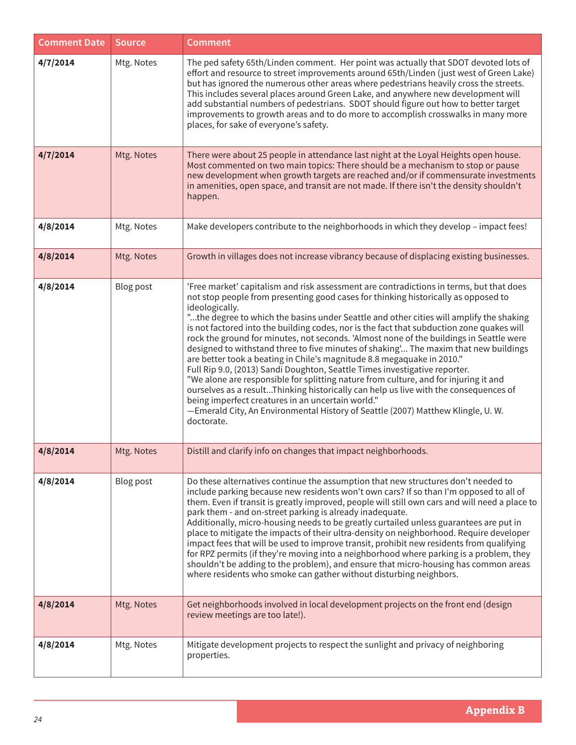| <b>Comment Date</b> | <b>Source</b> | <b>Comment</b>                                                                                                                                                                                                                                                                                                                                                                                                                                                                                                                                                                                                                                                                                                                                                                                                                                                                                                                                                                                                                                                           |
|---------------------|---------------|--------------------------------------------------------------------------------------------------------------------------------------------------------------------------------------------------------------------------------------------------------------------------------------------------------------------------------------------------------------------------------------------------------------------------------------------------------------------------------------------------------------------------------------------------------------------------------------------------------------------------------------------------------------------------------------------------------------------------------------------------------------------------------------------------------------------------------------------------------------------------------------------------------------------------------------------------------------------------------------------------------------------------------------------------------------------------|
| 4/7/2014            | Mtg. Notes    | The ped safety 65th/Linden comment. Her point was actually that SDOT devoted lots of<br>effort and resource to street improvements around 65th/Linden (just west of Green Lake)<br>but has ignored the numerous other areas where pedestrians heavily cross the streets.<br>This includes several places around Green Lake, and anywhere new development will<br>add substantial numbers of pedestrians. SDOT should figure out how to better target<br>improvements to growth areas and to do more to accomplish crosswalks in many more<br>places, for sake of everyone's safety.                                                                                                                                                                                                                                                                                                                                                                                                                                                                                      |
| 4/7/2014            | Mtg. Notes    | There were about 25 people in attendance last night at the Loyal Heights open house.<br>Most commented on two main topics: There should be a mechanism to stop or pause<br>new development when growth targets are reached and/or if commensurate investments<br>in amenities, open space, and transit are not made. If there isn't the density shouldn't<br>happen.                                                                                                                                                                                                                                                                                                                                                                                                                                                                                                                                                                                                                                                                                                     |
| 4/8/2014            | Mtg. Notes    | Make developers contribute to the neighborhoods in which they develop - impact fees!                                                                                                                                                                                                                                                                                                                                                                                                                                                                                                                                                                                                                                                                                                                                                                                                                                                                                                                                                                                     |
| 4/8/2014            | Mtg. Notes    | Growth in villages does not increase vibrancy because of displacing existing businesses.                                                                                                                                                                                                                                                                                                                                                                                                                                                                                                                                                                                                                                                                                                                                                                                                                                                                                                                                                                                 |
| 4/8/2014            | Blog post     | 'Free market' capitalism and risk assessment are contradictions in terms, but that does<br>not stop people from presenting good cases for thinking historically as opposed to<br>ideologically.<br>"the degree to which the basins under Seattle and other cities will amplify the shaking<br>is not factored into the building codes, nor is the fact that subduction zone quakes will<br>rock the ground for minutes, not seconds. 'Almost none of the buildings in Seattle were<br>designed to withstand three to five minutes of shaking' The maxim that new buildings<br>are better took a beating in Chile's magnitude 8.8 megaquake in 2010."<br>Full Rip 9.0, (2013) Sandi Doughton, Seattle Times investigative reporter.<br>"We alone are responsible for splitting nature from culture, and for injuring it and<br>ourselves as a resultThinking historically can help us live with the consequences of<br>being imperfect creatures in an uncertain world."<br>-Emerald City, An Environmental History of Seattle (2007) Matthew Klingle, U.W.<br>doctorate. |
| 4/8/2014            | Mtg. Notes    | Distill and clarify info on changes that impact neighborhoods.                                                                                                                                                                                                                                                                                                                                                                                                                                                                                                                                                                                                                                                                                                                                                                                                                                                                                                                                                                                                           |
| 4/8/2014            | Blog post     | Do these alternatives continue the assumption that new structures don't needed to<br>include parking because new residents won't own cars? If so than I'm opposed to all of<br>them. Even if transit is greatly improved, people will still own cars and will need a place to<br>park them - and on-street parking is already inadequate.<br>Additionally, micro-housing needs to be greatly curtailed unless guarantees are put in<br>place to mitigate the impacts of their ultra-density on neighborhood. Require developer<br>impact fees that will be used to improve transit, prohibit new residents from qualifying<br>for RPZ permits (if they're moving into a neighborhood where parking is a problem, they<br>shouldn't be adding to the problem), and ensure that micro-housing has common areas<br>where residents who smoke can gather without disturbing neighbors.                                                                                                                                                                                       |
| 4/8/2014            | Mtg. Notes    | Get neighborhoods involved in local development projects on the front end (design<br>review meetings are too late!).                                                                                                                                                                                                                                                                                                                                                                                                                                                                                                                                                                                                                                                                                                                                                                                                                                                                                                                                                     |
| 4/8/2014            | Mtg. Notes    | Mitigate development projects to respect the sunlight and privacy of neighboring<br>properties.                                                                                                                                                                                                                                                                                                                                                                                                                                                                                                                                                                                                                                                                                                                                                                                                                                                                                                                                                                          |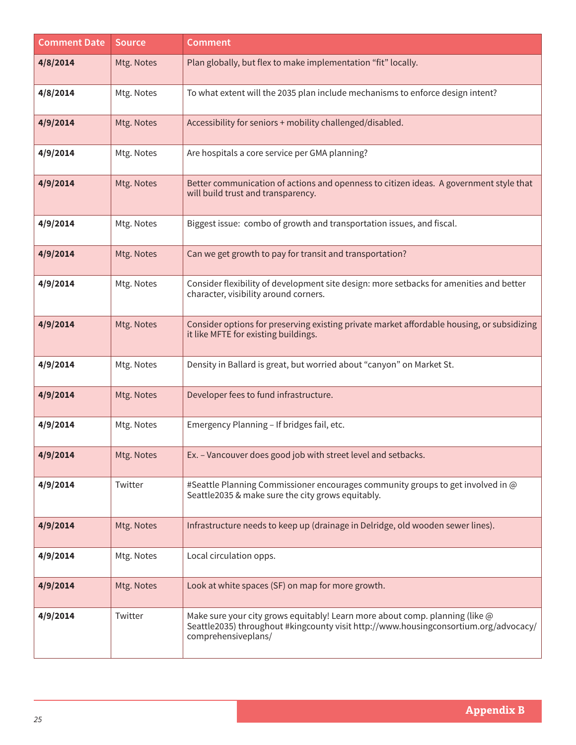| <b>Comment Date</b> | <b>Source</b> | <b>Comment</b>                                                                                                                                                                              |
|---------------------|---------------|---------------------------------------------------------------------------------------------------------------------------------------------------------------------------------------------|
| 4/8/2014            | Mtg. Notes    | Plan globally, but flex to make implementation "fit" locally.                                                                                                                               |
| 4/8/2014            | Mtg. Notes    | To what extent will the 2035 plan include mechanisms to enforce design intent?                                                                                                              |
| 4/9/2014            | Mtg. Notes    | Accessibility for seniors + mobility challenged/disabled.                                                                                                                                   |
| 4/9/2014            | Mtg. Notes    | Are hospitals a core service per GMA planning?                                                                                                                                              |
| 4/9/2014            | Mtg. Notes    | Better communication of actions and openness to citizen ideas. A government style that<br>will build trust and transparency.                                                                |
| 4/9/2014            | Mtg. Notes    | Biggest issue: combo of growth and transportation issues, and fiscal.                                                                                                                       |
| 4/9/2014            | Mtg. Notes    | Can we get growth to pay for transit and transportation?                                                                                                                                    |
| 4/9/2014            | Mtg. Notes    | Consider flexibility of development site design: more setbacks for amenities and better<br>character, visibility around corners.                                                            |
| 4/9/2014            | Mtg. Notes    | Consider options for preserving existing private market affordable housing, or subsidizing<br>it like MFTE for existing buildings.                                                          |
| 4/9/2014            | Mtg. Notes    | Density in Ballard is great, but worried about "canyon" on Market St.                                                                                                                       |
| 4/9/2014            | Mtg. Notes    | Developer fees to fund infrastructure.                                                                                                                                                      |
| 4/9/2014            | Mtg. Notes    | Emergency Planning - If bridges fail, etc.                                                                                                                                                  |
| 4/9/2014            | Mtg. Notes    | Ex. - Vancouver does good job with street level and setbacks.                                                                                                                               |
| 4/9/2014            | Twitter       | #Seattle Planning Commissioner encourages community groups to get involved in @<br>Seattle2035 & make sure the city grows equitably.                                                        |
| 4/9/2014            | Mtg. Notes    | Infrastructure needs to keep up (drainage in Delridge, old wooden sewer lines).                                                                                                             |
| 4/9/2014            | Mtg. Notes    | Local circulation opps.                                                                                                                                                                     |
| 4/9/2014            | Mtg. Notes    | Look at white spaces (SF) on map for more growth.                                                                                                                                           |
| 4/9/2014            | Twitter       | Make sure your city grows equitably! Learn more about comp. planning (like @<br>Seattle2035) throughout #kingcounty visit http://www.housingconsortium.org/advocacy/<br>comprehensiveplans/ |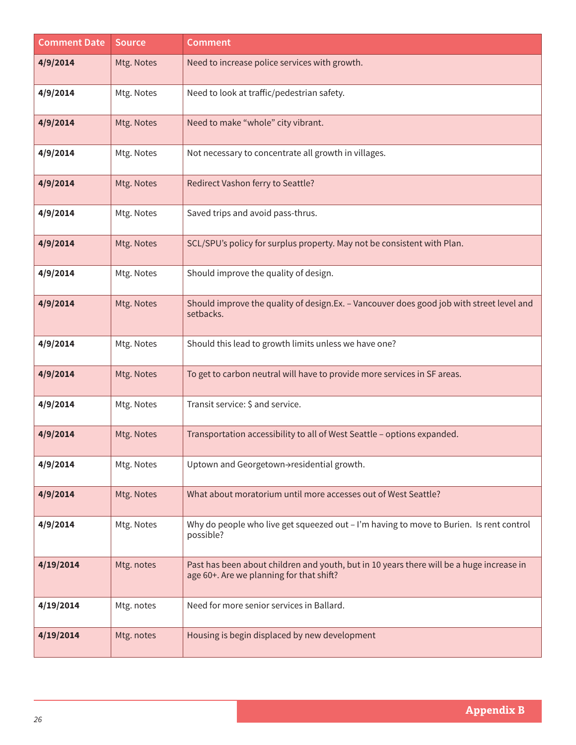| <b>Comment Date</b> | <b>Source</b> | <b>Comment</b>                                                                                                                       |
|---------------------|---------------|--------------------------------------------------------------------------------------------------------------------------------------|
| 4/9/2014            | Mtg. Notes    | Need to increase police services with growth.                                                                                        |
| 4/9/2014            | Mtg. Notes    | Need to look at traffic/pedestrian safety.                                                                                           |
| 4/9/2014            | Mtg. Notes    | Need to make "whole" city vibrant.                                                                                                   |
| 4/9/2014            | Mtg. Notes    | Not necessary to concentrate all growth in villages.                                                                                 |
| 4/9/2014            | Mtg. Notes    | Redirect Vashon ferry to Seattle?                                                                                                    |
| 4/9/2014            | Mtg. Notes    | Saved trips and avoid pass-thrus.                                                                                                    |
| 4/9/2014            | Mtg. Notes    | SCL/SPU's policy for surplus property. May not be consistent with Plan.                                                              |
| 4/9/2014            | Mtg. Notes    | Should improve the quality of design.                                                                                                |
| 4/9/2014            | Mtg. Notes    | Should improve the quality of design.Ex. - Vancouver does good job with street level and<br>setbacks.                                |
| 4/9/2014            | Mtg. Notes    | Should this lead to growth limits unless we have one?                                                                                |
| 4/9/2014            | Mtg. Notes    | To get to carbon neutral will have to provide more services in SF areas.                                                             |
| 4/9/2014            | Mtg. Notes    | Transit service: \$ and service.                                                                                                     |
| 4/9/2014            | Mtg. Notes    | Transportation accessibility to all of West Seattle - options expanded.                                                              |
| 4/9/2014            | Mtg. Notes    | Uptown and Georgetown->residential growth.                                                                                           |
| 4/9/2014            | Mtg. Notes    | What about moratorium until more accesses out of West Seattle?                                                                       |
| 4/9/2014            | Mtg. Notes    | Why do people who live get squeezed out - I'm having to move to Burien. Is rent control<br>possible?                                 |
| 4/19/2014           | Mtg. notes    | Past has been about children and youth, but in 10 years there will be a huge increase in<br>age 60+. Are we planning for that shift? |
| 4/19/2014           | Mtg. notes    | Need for more senior services in Ballard.                                                                                            |
| 4/19/2014           | Mtg. notes    | Housing is begin displaced by new development                                                                                        |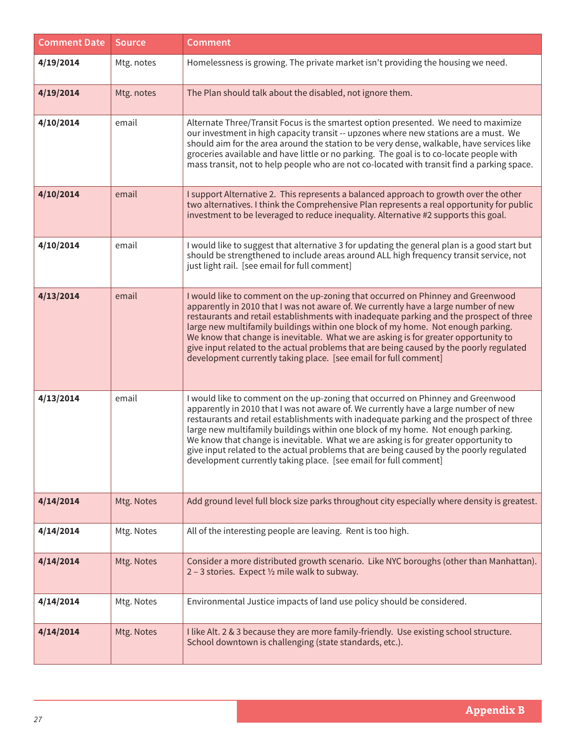| <b>Comment Date</b> | <b>Source</b> | <b>Comment</b>                                                                                                                                                                                                                                                                                                                                                                                                                                                                                                                                                                                              |
|---------------------|---------------|-------------------------------------------------------------------------------------------------------------------------------------------------------------------------------------------------------------------------------------------------------------------------------------------------------------------------------------------------------------------------------------------------------------------------------------------------------------------------------------------------------------------------------------------------------------------------------------------------------------|
| 4/19/2014           | Mtg. notes    | Homelessness is growing. The private market isn't providing the housing we need.                                                                                                                                                                                                                                                                                                                                                                                                                                                                                                                            |
| 4/19/2014           | Mtg. notes    | The Plan should talk about the disabled, not ignore them.                                                                                                                                                                                                                                                                                                                                                                                                                                                                                                                                                   |
| 4/10/2014           | email         | Alternate Three/Transit Focus is the smartest option presented. We need to maximize<br>our investment in high capacity transit -- upzones where new stations are a must. We<br>should aim for the area around the station to be very dense, walkable, have services like<br>groceries available and have little or no parking. The goal is to co-locate people with<br>mass transit, not to help people who are not co-located with transit find a parking space.                                                                                                                                           |
| 4/10/2014           | email         | I support Alternative 2. This represents a balanced approach to growth over the other<br>two alternatives. I think the Comprehensive Plan represents a real opportunity for public<br>investment to be leveraged to reduce inequality. Alternative #2 supports this goal.                                                                                                                                                                                                                                                                                                                                   |
| 4/10/2014           | email         | I would like to suggest that alternative 3 for updating the general plan is a good start but<br>should be strengthened to include areas around ALL high frequency transit service, not<br>just light rail. [see email for full comment]                                                                                                                                                                                                                                                                                                                                                                     |
| 4/13/2014           | email         | I would like to comment on the up-zoning that occurred on Phinney and Greenwood<br>apparently in 2010 that I was not aware of. We currently have a large number of new<br>restaurants and retail establishments with inadequate parking and the prospect of three<br>large new multifamily buildings within one block of my home. Not enough parking.<br>We know that change is inevitable. What we are asking is for greater opportunity to<br>give input related to the actual problems that are being caused by the poorly regulated<br>development currently taking place. [see email for full comment] |
| 4/13/2014           | email         | I would like to comment on the up-zoning that occurred on Phinney and Greenwood<br>apparently in 2010 that I was not aware of. We currently have a large number of new<br>restaurants and retail establishments with inadequate parking and the prospect of three<br>large new multifamily buildings within one block of my home. Not enough parking.<br>We know that change is inevitable. What we are asking is for greater opportunity to<br>give input related to the actual problems that are being caused by the poorly regulated<br>development currently taking place. [see email for full comment] |
| 4/14/2014           | Mtg. Notes    | Add ground level full block size parks throughout city especially where density is greatest.                                                                                                                                                                                                                                                                                                                                                                                                                                                                                                                |
| 4/14/2014           | Mtg. Notes    | All of the interesting people are leaving. Rent is too high.                                                                                                                                                                                                                                                                                                                                                                                                                                                                                                                                                |
| 4/14/2014           | Mtg. Notes    | Consider a more distributed growth scenario. Like NYC boroughs (other than Manhattan).<br>2 - 3 stories. Expect 1/2 mile walk to subway.                                                                                                                                                                                                                                                                                                                                                                                                                                                                    |
| 4/14/2014           | Mtg. Notes    | Environmental Justice impacts of land use policy should be considered.                                                                                                                                                                                                                                                                                                                                                                                                                                                                                                                                      |
| 4/14/2014           | Mtg. Notes    | I like Alt. 2 & 3 because they are more family-friendly. Use existing school structure.<br>School downtown is challenging (state standards, etc.).                                                                                                                                                                                                                                                                                                                                                                                                                                                          |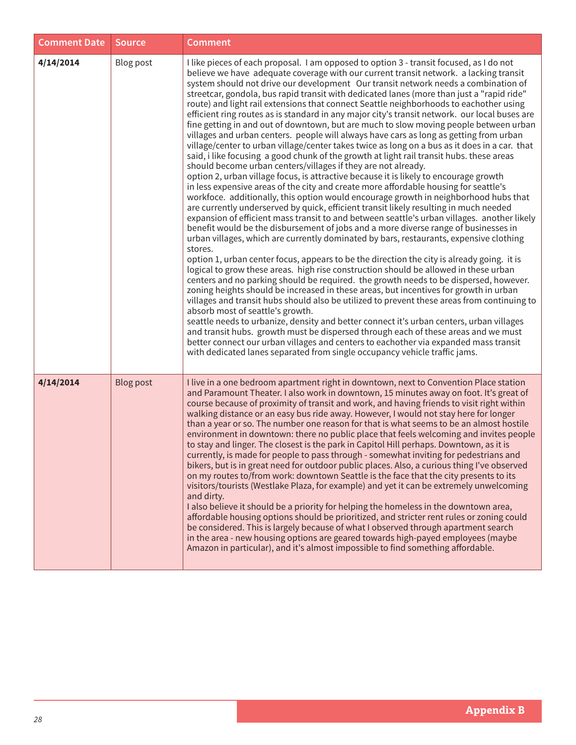| <b>Comment Date</b> | <b>Source</b>    | <b>Comment</b>                                                                                                                                                                                                                                                                                                                                                                                                                                                                                                                                                                                                                                                                                                                                                                                                                                                                                                                                                                                                                                                                                                                                                                                                                                                                                                                                                                                                                                                                                                                                                                                                                                                                                                                                                                                                                                                                                                                                                                                                                                                                                                                                                                                                                                                                                                                                                                                                                                                                                                                                  |
|---------------------|------------------|-------------------------------------------------------------------------------------------------------------------------------------------------------------------------------------------------------------------------------------------------------------------------------------------------------------------------------------------------------------------------------------------------------------------------------------------------------------------------------------------------------------------------------------------------------------------------------------------------------------------------------------------------------------------------------------------------------------------------------------------------------------------------------------------------------------------------------------------------------------------------------------------------------------------------------------------------------------------------------------------------------------------------------------------------------------------------------------------------------------------------------------------------------------------------------------------------------------------------------------------------------------------------------------------------------------------------------------------------------------------------------------------------------------------------------------------------------------------------------------------------------------------------------------------------------------------------------------------------------------------------------------------------------------------------------------------------------------------------------------------------------------------------------------------------------------------------------------------------------------------------------------------------------------------------------------------------------------------------------------------------------------------------------------------------------------------------------------------------------------------------------------------------------------------------------------------------------------------------------------------------------------------------------------------------------------------------------------------------------------------------------------------------------------------------------------------------------------------------------------------------------------------------------------------------|
| 4/14/2014           | Blog post        | I like pieces of each proposal. I am opposed to option 3 - transit focused, as I do not<br>believe we have adequate coverage with our current transit network. a lacking transit<br>system should not drive our development Our transit network needs a combination of<br>streetcar, gondola, bus rapid transit with dedicated lanes (more than just a "rapid ride"<br>route) and light rail extensions that connect Seattle neighborhoods to eachother using<br>efficient ring routes as is standard in any major city's transit network. our local buses are<br>fine getting in and out of downtown, but are much to slow moving people between urban<br>villages and urban centers. people will always have cars as long as getting from urban<br>village/center to urban village/center takes twice as long on a bus as it does in a car. that<br>said, i like focusing a good chunk of the growth at light rail transit hubs. these areas<br>should become urban centers/villages if they are not already.<br>option 2, urban village focus, is attractive because it is likely to encourage growth<br>in less expensive areas of the city and create more affordable housing for seattle's<br>workfoce. additionally, this option would encourage growth in neighborhood hubs that<br>are currently underserved by quick, efficient transit likely resulting in much needed<br>expansion of efficient mass transit to and between seattle's urban villages. another likely<br>benefit would be the disbursement of jobs and a more diverse range of businesses in<br>urban villages, which are currently dominated by bars, restaurants, expensive clothing<br>stores.<br>option 1, urban center focus, appears to be the direction the city is already going. it is<br>logical to grow these areas. high rise construction should be allowed in these urban<br>centers and no parking should be required. the growth needs to be dispersed, however.<br>zoning heights should be increased in these areas, but incentives for growth in urban<br>villages and transit hubs should also be utilized to prevent these areas from continuing to<br>absorb most of seattle's growth.<br>seattle needs to urbanize, density and better connect it's urban centers, urban villages<br>and transit hubs. growth must be dispersed through each of these areas and we must<br>better connect our urban villages and centers to eachother via expanded mass transit<br>with dedicated lanes separated from single occupancy vehicle traffic jams. |
| 4/14/2014           | <b>Blog post</b> | I live in a one bedroom apartment right in downtown, next to Convention Place station<br>and Paramount Theater. I also work in downtown, 15 minutes away on foot. It's great of<br>course because of proximity of transit and work, and having friends to visit right within<br>walking distance or an easy bus ride away. However, I would not stay here for longer<br>than a year or so. The number one reason for that is what seems to be an almost hostile<br>environment in downtown: there no public place that feels welcoming and invites people<br>to stay and linger. The closest is the park in Capitol Hill perhaps. Downtown, as it is<br>currently, is made for people to pass through - somewhat inviting for pedestrians and<br>bikers, but is in great need for outdoor public places. Also, a curious thing I've observed<br>on my routes to/from work: downtown Seattle is the face that the city presents to its<br>visitors/tourists (Westlake Plaza, for example) and yet it can be extremely unwelcoming<br>and dirty.<br>I also believe it should be a priority for helping the homeless in the downtown area,<br>affordable housing options should be prioritized, and stricter rent rules or zoning could<br>be considered. This is largely because of what I observed through apartment search<br>in the area - new housing options are geared towards high-payed employees (maybe<br>Amazon in particular), and it's almost impossible to find something affordable.                                                                                                                                                                                                                                                                                                                                                                                                                                                                                                                                                                                                                                                                                                                                                                                                                                                                                                                                                                                                                                               |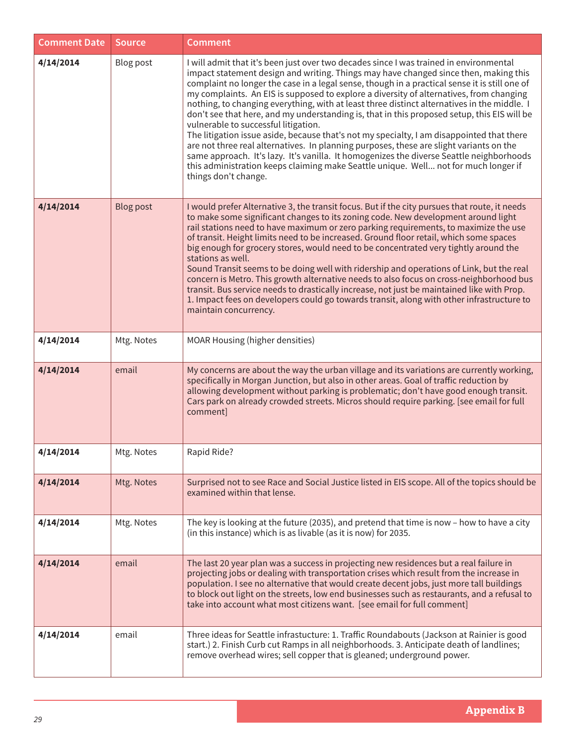| <b>Comment Date</b> | <b>Source</b>    | <b>Comment</b>                                                                                                                                                                                                                                                                                                                                                                                                                                                                                                                                                                                                                                                                                                                                                                                                                                                                                                                                                                                                      |
|---------------------|------------------|---------------------------------------------------------------------------------------------------------------------------------------------------------------------------------------------------------------------------------------------------------------------------------------------------------------------------------------------------------------------------------------------------------------------------------------------------------------------------------------------------------------------------------------------------------------------------------------------------------------------------------------------------------------------------------------------------------------------------------------------------------------------------------------------------------------------------------------------------------------------------------------------------------------------------------------------------------------------------------------------------------------------|
| 4/14/2014           | Blog post        | I will admit that it's been just over two decades since I was trained in environmental<br>impact statement design and writing. Things may have changed since then, making this<br>complaint no longer the case in a legal sense, though in a practical sense it is still one of<br>my complaints. An EIS is supposed to explore a diversity of alternatives, from changing<br>nothing, to changing everything, with at least three distinct alternatives in the middle. I<br>don't see that here, and my understanding is, that in this proposed setup, this EIS will be<br>vulnerable to successful litigation.<br>The litigation issue aside, because that's not my specialty, I am disappointed that there<br>are not three real alternatives. In planning purposes, these are slight variants on the<br>same approach. It's lazy. It's vanilla. It homogenizes the diverse Seattle neighborhoods<br>this administration keeps claiming make Seattle unique. Well not for much longer if<br>things don't change. |
| 4/14/2014           | <b>Blog post</b> | I would prefer Alternative 3, the transit focus. But if the city pursues that route, it needs<br>to make some significant changes to its zoning code. New development around light<br>rail stations need to have maximum or zero parking requirements, to maximize the use<br>of transit. Height limits need to be increased. Ground floor retail, which some spaces<br>big enough for grocery stores, would need to be concentrated very tightly around the<br>stations as well.<br>Sound Transit seems to be doing well with ridership and operations of Link, but the real<br>concern is Metro. This growth alternative needs to also focus on cross-neighborhood bus<br>transit. Bus service needs to drastically increase, not just be maintained like with Prop.<br>1. Impact fees on developers could go towards transit, along with other infrastructure to<br>maintain concurrency.                                                                                                                        |
| 4/14/2014           | Mtg. Notes       | MOAR Housing (higher densities)                                                                                                                                                                                                                                                                                                                                                                                                                                                                                                                                                                                                                                                                                                                                                                                                                                                                                                                                                                                     |
| 4/14/2014           | email            | My concerns are about the way the urban village and its variations are currently working,<br>specifically in Morgan Junction, but also in other areas. Goal of traffic reduction by<br>allowing development without parking is problematic; don't have good enough transit.<br>Cars park on already crowded streets. Micros should require parking. [see email for full<br>comment]                                                                                                                                                                                                                                                                                                                                                                                                                                                                                                                                                                                                                                 |
| 4/14/2014           | Mtg. Notes       | Rapid Ride?                                                                                                                                                                                                                                                                                                                                                                                                                                                                                                                                                                                                                                                                                                                                                                                                                                                                                                                                                                                                         |
| 4/14/2014           | Mtg. Notes       | Surprised not to see Race and Social Justice listed in EIS scope. All of the topics should be<br>examined within that lense.                                                                                                                                                                                                                                                                                                                                                                                                                                                                                                                                                                                                                                                                                                                                                                                                                                                                                        |
| 4/14/2014           | Mtg. Notes       | The key is looking at the future (2035), and pretend that time is now - how to have a city<br>(in this instance) which is as livable (as it is now) for 2035.                                                                                                                                                                                                                                                                                                                                                                                                                                                                                                                                                                                                                                                                                                                                                                                                                                                       |
| 4/14/2014           | email            | The last 20 year plan was a success in projecting new residences but a real failure in<br>projecting jobs or dealing with transportation crises which result from the increase in<br>population. I see no alternative that would create decent jobs, just more tall buildings<br>to block out light on the streets, low end businesses such as restaurants, and a refusal to<br>take into account what most citizens want. [see email for full comment]                                                                                                                                                                                                                                                                                                                                                                                                                                                                                                                                                             |
| 4/14/2014           | email            | Three ideas for Seattle infrastucture: 1. Traffic Roundabouts (Jackson at Rainier is good<br>start.) 2. Finish Curb cut Ramps in all neighborhoods. 3. Anticipate death of landlines;<br>remove overhead wires; sell copper that is gleaned; underground power.                                                                                                                                                                                                                                                                                                                                                                                                                                                                                                                                                                                                                                                                                                                                                     |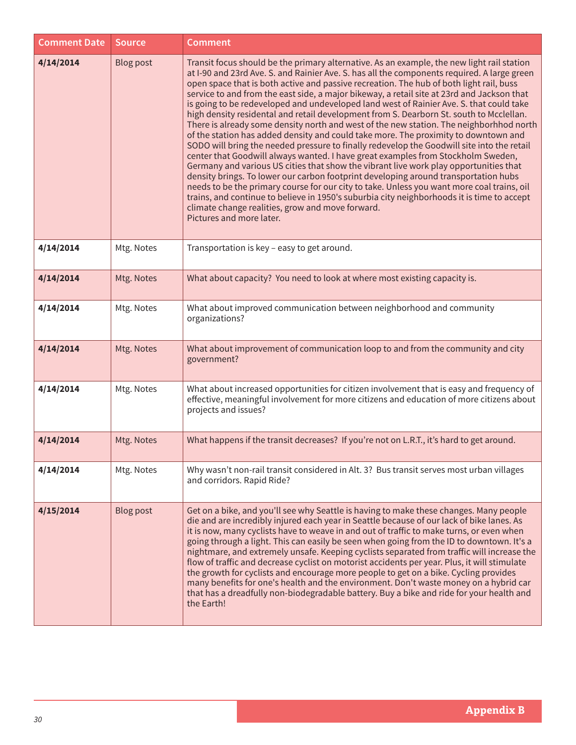| <b>Comment Date</b> | <b>Source</b>    | <b>Comment</b>                                                                                                                                                                                                                                                                                                                                                                                                                                                                                                                                                                                                                                                                                                                                                                                                                                                                                                                                                                                                                                                                                                                                                                                                                                                                                                                                                                                           |
|---------------------|------------------|----------------------------------------------------------------------------------------------------------------------------------------------------------------------------------------------------------------------------------------------------------------------------------------------------------------------------------------------------------------------------------------------------------------------------------------------------------------------------------------------------------------------------------------------------------------------------------------------------------------------------------------------------------------------------------------------------------------------------------------------------------------------------------------------------------------------------------------------------------------------------------------------------------------------------------------------------------------------------------------------------------------------------------------------------------------------------------------------------------------------------------------------------------------------------------------------------------------------------------------------------------------------------------------------------------------------------------------------------------------------------------------------------------|
| 4/14/2014           | <b>Blog post</b> | Transit focus should be the primary alternative. As an example, the new light rail station<br>at I-90 and 23rd Ave. S. and Rainier Ave. S. has all the components required. A large green<br>open space that is both active and passive recreation. The hub of both light rail, buss<br>service to and from the east side, a major bikeway, a retail site at 23rd and Jackson that<br>is going to be redeveloped and undeveloped land west of Rainier Ave. S. that could take<br>high density residental and retail development from S. Dearborn St. south to Mcclellan.<br>There is already some density north and west of the new station. The neighborhhod north<br>of the station has added density and could take more. The proximity to downtown and<br>SODO will bring the needed pressure to finally redevelop the Goodwill site into the retail<br>center that Goodwill always wanted. I have great examples from Stockholm Sweden,<br>Germany and various US cities that show the vibrant live work play opportunities that<br>density brings. To lower our carbon footprint developing around transportation hubs<br>needs to be the primary course for our city to take. Unless you want more coal trains, oil<br>trains, and continue to believe in 1950's suburbia city neighborhoods it is time to accept<br>climate change realities, grow and move forward.<br>Pictures and more later. |
| 4/14/2014           | Mtg. Notes       | Transportation is key - easy to get around.                                                                                                                                                                                                                                                                                                                                                                                                                                                                                                                                                                                                                                                                                                                                                                                                                                                                                                                                                                                                                                                                                                                                                                                                                                                                                                                                                              |
| 4/14/2014           | Mtg. Notes       | What about capacity? You need to look at where most existing capacity is.                                                                                                                                                                                                                                                                                                                                                                                                                                                                                                                                                                                                                                                                                                                                                                                                                                                                                                                                                                                                                                                                                                                                                                                                                                                                                                                                |
| 4/14/2014           | Mtg. Notes       | What about improved communication between neighborhood and community<br>organizations?                                                                                                                                                                                                                                                                                                                                                                                                                                                                                                                                                                                                                                                                                                                                                                                                                                                                                                                                                                                                                                                                                                                                                                                                                                                                                                                   |
| 4/14/2014           | Mtg. Notes       | What about improvement of communication loop to and from the community and city<br>government?                                                                                                                                                                                                                                                                                                                                                                                                                                                                                                                                                                                                                                                                                                                                                                                                                                                                                                                                                                                                                                                                                                                                                                                                                                                                                                           |
| 4/14/2014           | Mtg. Notes       | What about increased opportunities for citizen involvement that is easy and frequency of<br>effective, meaningful involvement for more citizens and education of more citizens about<br>projects and issues?                                                                                                                                                                                                                                                                                                                                                                                                                                                                                                                                                                                                                                                                                                                                                                                                                                                                                                                                                                                                                                                                                                                                                                                             |
| 4/14/2014           | Mtg. Notes       | What happens if the transit decreases? If you're not on L.R.T., it's hard to get around.                                                                                                                                                                                                                                                                                                                                                                                                                                                                                                                                                                                                                                                                                                                                                                                                                                                                                                                                                                                                                                                                                                                                                                                                                                                                                                                 |
| 4/14/2014           | Mtg. Notes       | Why wasn't non-rail transit considered in Alt. 3? Bus transit serves most urban villages<br>and corridors. Rapid Ride?                                                                                                                                                                                                                                                                                                                                                                                                                                                                                                                                                                                                                                                                                                                                                                                                                                                                                                                                                                                                                                                                                                                                                                                                                                                                                   |
| 4/15/2014           | <b>Blog post</b> | Get on a bike, and you'll see why Seattle is having to make these changes. Many people<br>die and are incredibly injured each year in Seattle because of our lack of bike lanes. As<br>it is now, many cyclists have to weave in and out of traffic to make turns, or even when<br>going through a light. This can easily be seen when going from the ID to downtown. It's a<br>nightmare, and extremely unsafe. Keeping cyclists separated from traffic will increase the<br>flow of traffic and decrease cyclist on motorist accidents per year. Plus, it will stimulate<br>the growth for cyclists and encourage more people to get on a bike. Cycling provides<br>many benefits for one's health and the environment. Don't waste money on a hybrid car<br>that has a dreadfully non-biodegradable battery. Buy a bike and ride for your health and<br>the Earth!                                                                                                                                                                                                                                                                                                                                                                                                                                                                                                                                    |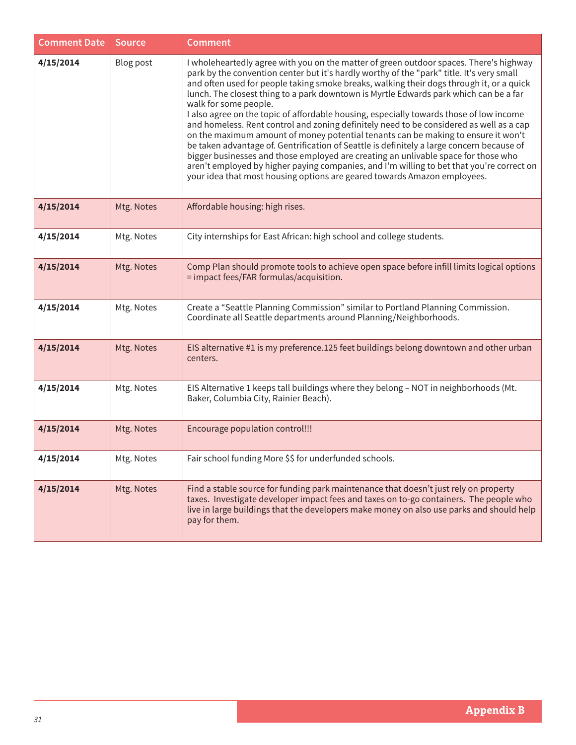| <b>Comment Date</b> | <b>Source</b> | <b>Comment</b>                                                                                                                                                                                                                                                                                                                                                                                                                                                                                                                                                                                                                                                                                                                                                                                                                                                                                                                                                                                                                           |
|---------------------|---------------|------------------------------------------------------------------------------------------------------------------------------------------------------------------------------------------------------------------------------------------------------------------------------------------------------------------------------------------------------------------------------------------------------------------------------------------------------------------------------------------------------------------------------------------------------------------------------------------------------------------------------------------------------------------------------------------------------------------------------------------------------------------------------------------------------------------------------------------------------------------------------------------------------------------------------------------------------------------------------------------------------------------------------------------|
| 4/15/2014           | Blog post     | I wholeheartedly agree with you on the matter of green outdoor spaces. There's highway<br>park by the convention center but it's hardly worthy of the "park" title. It's very small<br>and often used for people taking smoke breaks, walking their dogs through it, or a quick<br>lunch. The closest thing to a park downtown is Myrtle Edwards park which can be a far<br>walk for some people.<br>I also agree on the topic of affordable housing, especially towards those of low income<br>and homeless. Rent control and zoning definitely need to be considered as well as a cap<br>on the maximum amount of money potential tenants can be making to ensure it won't<br>be taken advantage of. Gentrification of Seattle is definitely a large concern because of<br>bigger businesses and those employed are creating an unlivable space for those who<br>aren't employed by higher paying companies, and I'm willing to bet that you're correct on<br>your idea that most housing options are geared towards Amazon employees. |
| 4/15/2014           | Mtg. Notes    | Affordable housing: high rises.                                                                                                                                                                                                                                                                                                                                                                                                                                                                                                                                                                                                                                                                                                                                                                                                                                                                                                                                                                                                          |
| 4/15/2014           | Mtg. Notes    | City internships for East African: high school and college students.                                                                                                                                                                                                                                                                                                                                                                                                                                                                                                                                                                                                                                                                                                                                                                                                                                                                                                                                                                     |
| 4/15/2014           | Mtg. Notes    | Comp Plan should promote tools to achieve open space before infill limits logical options<br>= impact fees/FAR formulas/acquisition.                                                                                                                                                                                                                                                                                                                                                                                                                                                                                                                                                                                                                                                                                                                                                                                                                                                                                                     |
| 4/15/2014           | Mtg. Notes    | Create a "Seattle Planning Commission" similar to Portland Planning Commission.<br>Coordinate all Seattle departments around Planning/Neighborhoods.                                                                                                                                                                                                                                                                                                                                                                                                                                                                                                                                                                                                                                                                                                                                                                                                                                                                                     |
| 4/15/2014           | Mtg. Notes    | EIS alternative #1 is my preference.125 feet buildings belong downtown and other urban<br>centers.                                                                                                                                                                                                                                                                                                                                                                                                                                                                                                                                                                                                                                                                                                                                                                                                                                                                                                                                       |
| 4/15/2014           | Mtg. Notes    | EIS Alternative 1 keeps tall buildings where they belong - NOT in neighborhoods (Mt.<br>Baker, Columbia City, Rainier Beach).                                                                                                                                                                                                                                                                                                                                                                                                                                                                                                                                                                                                                                                                                                                                                                                                                                                                                                            |
| 4/15/2014           | Mtg. Notes    | Encourage population control!!!                                                                                                                                                                                                                                                                                                                                                                                                                                                                                                                                                                                                                                                                                                                                                                                                                                                                                                                                                                                                          |
| 4/15/2014           | Mtg. Notes    | Fair school funding More \$\$ for underfunded schools.                                                                                                                                                                                                                                                                                                                                                                                                                                                                                                                                                                                                                                                                                                                                                                                                                                                                                                                                                                                   |
| 4/15/2014           | Mtg. Notes    | Find a stable source for funding park maintenance that doesn't just rely on property<br>taxes. Investigate developer impact fees and taxes on to-go containers. The people who<br>live in large buildings that the developers make money on also use parks and should help<br>pay for them.                                                                                                                                                                                                                                                                                                                                                                                                                                                                                                                                                                                                                                                                                                                                              |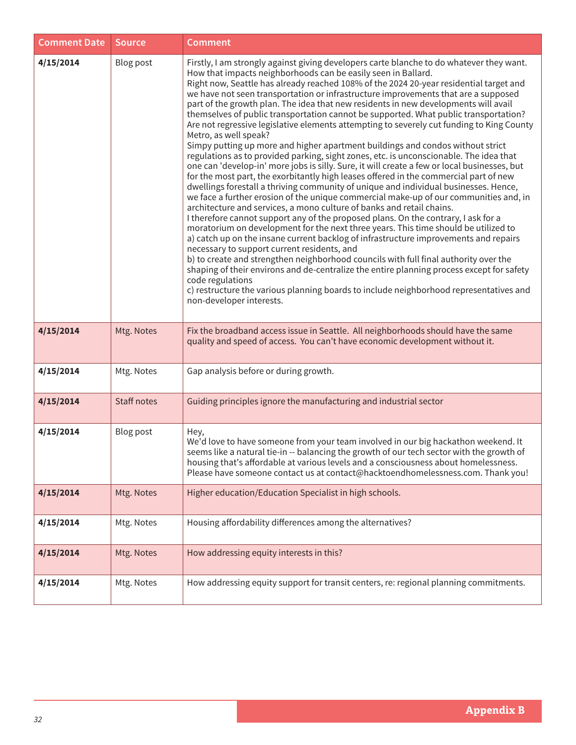| <b>Comment Date</b> | <b>Source</b>      | <b>Comment</b>                                                                                                                                                                                                                                                                                                                                                                                                                                                                                                                                                                                                                                                                                                                                                                                                                                                                                                                                                                                                                                                                                                                                                                                                                                                                                                                                                                                                                                                                                                                                                                                                                                                                                                                                                                                                                                                                                                                   |
|---------------------|--------------------|----------------------------------------------------------------------------------------------------------------------------------------------------------------------------------------------------------------------------------------------------------------------------------------------------------------------------------------------------------------------------------------------------------------------------------------------------------------------------------------------------------------------------------------------------------------------------------------------------------------------------------------------------------------------------------------------------------------------------------------------------------------------------------------------------------------------------------------------------------------------------------------------------------------------------------------------------------------------------------------------------------------------------------------------------------------------------------------------------------------------------------------------------------------------------------------------------------------------------------------------------------------------------------------------------------------------------------------------------------------------------------------------------------------------------------------------------------------------------------------------------------------------------------------------------------------------------------------------------------------------------------------------------------------------------------------------------------------------------------------------------------------------------------------------------------------------------------------------------------------------------------------------------------------------------------|
| 4/15/2014           | Blog post          | Firstly, I am strongly against giving developers carte blanche to do whatever they want.<br>How that impacts neighborhoods can be easily seen in Ballard.<br>Right now, Seattle has already reached 108% of the 2024 20-year residential target and<br>we have not seen transportation or infrastructure improvements that are a supposed<br>part of the growth plan. The idea that new residents in new developments will avail<br>themselves of public transportation cannot be supported. What public transportation?<br>Are not regressive legislative elements attempting to severely cut funding to King County<br>Metro, as well speak?<br>Simpy putting up more and higher apartment buildings and condos without strict<br>regulations as to provided parking, sight zones, etc. is unconscionable. The idea that<br>one can 'develop-in' more jobs is silly. Sure, it will create a few or local businesses, but<br>for the most part, the exorbitantly high leases offered in the commercial part of new<br>dwellings forestall a thriving community of unique and individual businesses. Hence,<br>we face a further erosion of the unique commercial make-up of our communities and, in<br>architecture and services, a mono culture of banks and retail chains.<br>I therefore cannot support any of the proposed plans. On the contrary, I ask for a<br>moratorium on development for the next three years. This time should be utilized to<br>a) catch up on the insane current backlog of infrastructure improvements and repairs<br>necessary to support current residents, and<br>b) to create and strengthen neighborhood councils with full final authority over the<br>shaping of their environs and de-centralize the entire planning process except for safety<br>code regulations<br>c) restructure the various planning boards to include neighborhood representatives and<br>non-developer interests. |
| 4/15/2014           | Mtg. Notes         | Fix the broadband access issue in Seattle. All neighborhoods should have the same<br>quality and speed of access. You can't have economic development without it.                                                                                                                                                                                                                                                                                                                                                                                                                                                                                                                                                                                                                                                                                                                                                                                                                                                                                                                                                                                                                                                                                                                                                                                                                                                                                                                                                                                                                                                                                                                                                                                                                                                                                                                                                                |
| 4/15/2014           | Mtg. Notes         | Gap analysis before or during growth.                                                                                                                                                                                                                                                                                                                                                                                                                                                                                                                                                                                                                                                                                                                                                                                                                                                                                                                                                                                                                                                                                                                                                                                                                                                                                                                                                                                                                                                                                                                                                                                                                                                                                                                                                                                                                                                                                            |
| 4/15/2014           | <b>Staff notes</b> | Guiding principles ignore the manufacturing and industrial sector                                                                                                                                                                                                                                                                                                                                                                                                                                                                                                                                                                                                                                                                                                                                                                                                                                                                                                                                                                                                                                                                                                                                                                                                                                                                                                                                                                                                                                                                                                                                                                                                                                                                                                                                                                                                                                                                |
| 4/15/2014           | Blog post          | Hey,<br>We'd love to have someone from your team involved in our big hackathon weekend. It<br>seems like a natural tie-in -- balancing the growth of our tech sector with the growth of<br>housing that's affordable at various levels and a consciousness about homelessness.<br>Please have someone contact us at contact@hacktoendhomelessness.com. Thank you!                                                                                                                                                                                                                                                                                                                                                                                                                                                                                                                                                                                                                                                                                                                                                                                                                                                                                                                                                                                                                                                                                                                                                                                                                                                                                                                                                                                                                                                                                                                                                                |
| 4/15/2014           | Mtg. Notes         | Higher education/Education Specialist in high schools.                                                                                                                                                                                                                                                                                                                                                                                                                                                                                                                                                                                                                                                                                                                                                                                                                                                                                                                                                                                                                                                                                                                                                                                                                                                                                                                                                                                                                                                                                                                                                                                                                                                                                                                                                                                                                                                                           |
| 4/15/2014           | Mtg. Notes         | Housing affordability differences among the alternatives?                                                                                                                                                                                                                                                                                                                                                                                                                                                                                                                                                                                                                                                                                                                                                                                                                                                                                                                                                                                                                                                                                                                                                                                                                                                                                                                                                                                                                                                                                                                                                                                                                                                                                                                                                                                                                                                                        |
| 4/15/2014           | Mtg. Notes         | How addressing equity interests in this?                                                                                                                                                                                                                                                                                                                                                                                                                                                                                                                                                                                                                                                                                                                                                                                                                                                                                                                                                                                                                                                                                                                                                                                                                                                                                                                                                                                                                                                                                                                                                                                                                                                                                                                                                                                                                                                                                         |
| 4/15/2014           | Mtg. Notes         | How addressing equity support for transit centers, re: regional planning commitments.                                                                                                                                                                                                                                                                                                                                                                                                                                                                                                                                                                                                                                                                                                                                                                                                                                                                                                                                                                                                                                                                                                                                                                                                                                                                                                                                                                                                                                                                                                                                                                                                                                                                                                                                                                                                                                            |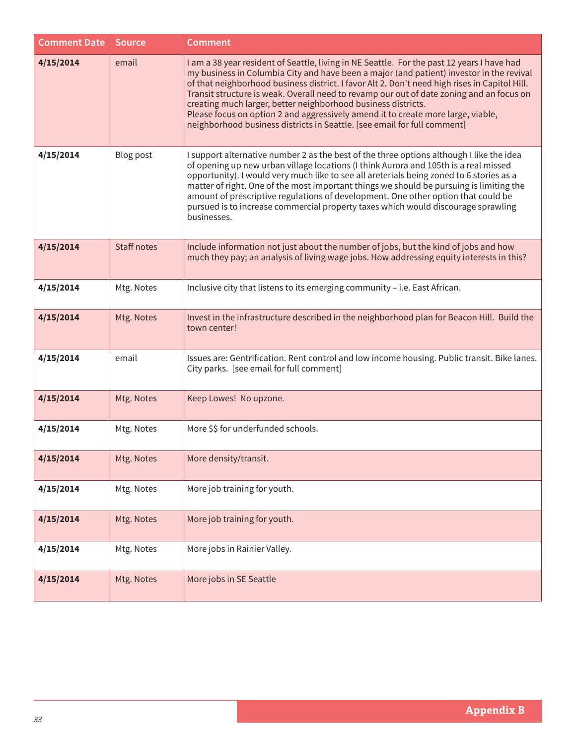| <b>Comment Date</b> | <b>Source</b> | <b>Comment</b>                                                                                                                                                                                                                                                                                                                                                                                                                                                                                                                                                                                                       |
|---------------------|---------------|----------------------------------------------------------------------------------------------------------------------------------------------------------------------------------------------------------------------------------------------------------------------------------------------------------------------------------------------------------------------------------------------------------------------------------------------------------------------------------------------------------------------------------------------------------------------------------------------------------------------|
| 4/15/2014           | email         | I am a 38 year resident of Seattle, living in NE Seattle. For the past 12 years I have had<br>my business in Columbia City and have been a major (and patient) investor in the revival<br>of that neighborhood business district. I favor Alt 2. Don't need high rises in Capitol Hill.<br>Transit structure is weak. Overall need to revamp our out of date zoning and an focus on<br>creating much larger, better neighborhood business districts.<br>Please focus on option 2 and aggressively amend it to create more large, viable,<br>neighborhood business districts in Seattle. [see email for full comment] |
| 4/15/2014           | Blog post     | I support alternative number 2 as the best of the three options although I like the idea<br>of opening up new urban village locations (I think Aurora and 105th is a real missed<br>opportunity). I would very much like to see all areterials being zoned to 6 stories as a<br>matter of right. One of the most important things we should be pursuing is limiting the<br>amount of prescriptive regulations of development. One other option that could be<br>pursued is to increase commercial property taxes which would discourage sprawling<br>businesses.                                                     |
| 4/15/2014           | Staff notes   | Include information not just about the number of jobs, but the kind of jobs and how<br>much they pay; an analysis of living wage jobs. How addressing equity interests in this?                                                                                                                                                                                                                                                                                                                                                                                                                                      |
| 4/15/2014           | Mtg. Notes    | Inclusive city that listens to its emerging community - i.e. East African.                                                                                                                                                                                                                                                                                                                                                                                                                                                                                                                                           |
| 4/15/2014           | Mtg. Notes    | Invest in the infrastructure described in the neighborhood plan for Beacon Hill. Build the<br>town center!                                                                                                                                                                                                                                                                                                                                                                                                                                                                                                           |
| 4/15/2014           | email         | Issues are: Gentrification. Rent control and low income housing. Public transit. Bike lanes.<br>City parks. [see email for full comment]                                                                                                                                                                                                                                                                                                                                                                                                                                                                             |
| 4/15/2014           | Mtg. Notes    | Keep Lowes! No upzone.                                                                                                                                                                                                                                                                                                                                                                                                                                                                                                                                                                                               |
| 4/15/2014           | Mtg. Notes    | More \$\$ for underfunded schools.                                                                                                                                                                                                                                                                                                                                                                                                                                                                                                                                                                                   |
| 4/15/2014           | Mtg. Notes    | More density/transit.                                                                                                                                                                                                                                                                                                                                                                                                                                                                                                                                                                                                |
| 4/15/2014           | Mtg. Notes    | More job training for youth.                                                                                                                                                                                                                                                                                                                                                                                                                                                                                                                                                                                         |
| 4/15/2014           | Mtg. Notes    | More job training for youth.                                                                                                                                                                                                                                                                                                                                                                                                                                                                                                                                                                                         |
| 4/15/2014           | Mtg. Notes    | More jobs in Rainier Valley.                                                                                                                                                                                                                                                                                                                                                                                                                                                                                                                                                                                         |
| 4/15/2014           | Mtg. Notes    | More jobs in SE Seattle                                                                                                                                                                                                                                                                                                                                                                                                                                                                                                                                                                                              |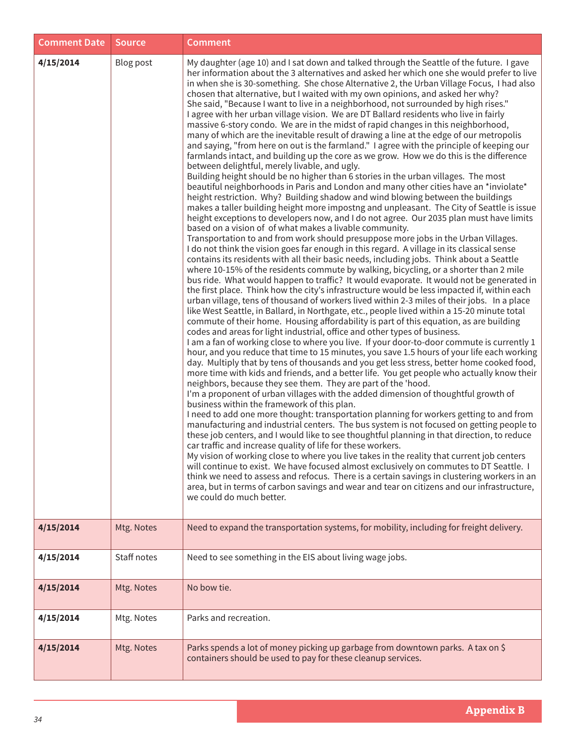| <b>Comment Date</b> | <b>Source</b>    | <b>Comment</b>                                                                                                                                                                                                                                                                                                                                                                                                                                                                                                                                                                                                                                                                                                                                                                                                                                                                                                                                                                                                                                                                                                                                                                                                                                                                                                                                                                                                                                                                                                                                                                                                                                                                                                                                                                                                                                                                                                                                                                                                                                                                                                                                                                                                                                                                                                                                                                                                                                                                                                                                                                                                                                                                                                                                                                                                                                                                                                                                                                                                                                                                                                                                                                                                                                                                                                                                                                                                                                                                                                                                                                                                                                                                                                                                                                                                  |
|---------------------|------------------|-----------------------------------------------------------------------------------------------------------------------------------------------------------------------------------------------------------------------------------------------------------------------------------------------------------------------------------------------------------------------------------------------------------------------------------------------------------------------------------------------------------------------------------------------------------------------------------------------------------------------------------------------------------------------------------------------------------------------------------------------------------------------------------------------------------------------------------------------------------------------------------------------------------------------------------------------------------------------------------------------------------------------------------------------------------------------------------------------------------------------------------------------------------------------------------------------------------------------------------------------------------------------------------------------------------------------------------------------------------------------------------------------------------------------------------------------------------------------------------------------------------------------------------------------------------------------------------------------------------------------------------------------------------------------------------------------------------------------------------------------------------------------------------------------------------------------------------------------------------------------------------------------------------------------------------------------------------------------------------------------------------------------------------------------------------------------------------------------------------------------------------------------------------------------------------------------------------------------------------------------------------------------------------------------------------------------------------------------------------------------------------------------------------------------------------------------------------------------------------------------------------------------------------------------------------------------------------------------------------------------------------------------------------------------------------------------------------------------------------------------------------------------------------------------------------------------------------------------------------------------------------------------------------------------------------------------------------------------------------------------------------------------------------------------------------------------------------------------------------------------------------------------------------------------------------------------------------------------------------------------------------------------------------------------------------------------------------------------------------------------------------------------------------------------------------------------------------------------------------------------------------------------------------------------------------------------------------------------------------------------------------------------------------------------------------------------------------------------------------------------------------------------------------------------------------------|
| 4/15/2014           | <b>Blog post</b> | My daughter (age 10) and I sat down and talked through the Seattle of the future. I gave<br>her information about the 3 alternatives and asked her which one she would prefer to live<br>in when she is 30-something. She chose Alternative 2, the Urban Village Focus, I had also<br>chosen that alternative, but I waited with my own opinions, and asked her why?<br>She said, "Because I want to live in a neighborhood, not surrounded by high rises."<br>I agree with her urban village vision. We are DT Ballard residents who live in fairly<br>massive 6-story condo. We are in the midst of rapid changes in this neighborhood,<br>many of which are the inevitable result of drawing a line at the edge of our metropolis<br>and saying, "from here on out is the farmland." I agree with the principle of keeping our<br>farmlands intact, and building up the core as we grow. How we do this is the difference<br>between delightful, merely livable, and ugly.<br>Building height should be no higher than 6 stories in the urban villages. The most<br>beautiful neighborhoods in Paris and London and many other cities have an *inviolate*<br>height restriction. Why? Building shadow and wind blowing between the buildings<br>makes a taller building height more impostng and unpleasant. The City of Seattle is issue<br>height exceptions to developers now, and I do not agree. Our 2035 plan must have limits<br>based on a vision of of what makes a livable community.<br>Transportation to and from work should presuppose more jobs in the Urban Villages.<br>I do not think the vision goes far enough in this regard. A village in its classical sense<br>contains its residents with all their basic needs, including jobs. Think about a Seattle<br>where 10-15% of the residents commute by walking, bicycling, or a shorter than 2 mile<br>bus ride. What would happen to traffic? It would evaporate. It would not be generated in<br>the first place. Think how the city's infrastructure would be less impacted if, within each<br>urban village, tens of thousand of workers lived within 2-3 miles of their jobs. In a place<br>like West Seattle, in Ballard, in Northgate, etc., people lived within a 15-20 minute total<br>commute of their home. Housing affordability is part of this equation, as are building<br>codes and areas for light industrial, office and other types of business.<br>I am a fan of working close to where you live. If your door-to-door commute is currently 1<br>hour, and you reduce that time to 15 minutes, you save 1.5 hours of your life each working<br>day. Multiply that by tens of thousands and you get less stress, better home cooked food,<br>more time with kids and friends, and a better life. You get people who actually know their<br>neighbors, because they see them. They are part of the 'hood.<br>I'm a proponent of urban villages with the added dimension of thoughtful growth of<br>business within the framework of this plan.<br>I need to add one more thought: transportation planning for workers getting to and from<br>manufacturing and industrial centers. The bus system is not focused on getting people to<br>these job centers, and I would like to see thoughtful planning in that direction, to reduce<br>car traffic and increase quality of life for these workers.<br>My vision of working close to where you live takes in the reality that current job centers<br>will continue to exist. We have focused almost exclusively on commutes to DT Seattle. I<br>think we need to assess and refocus. There is a certain savings in clustering workers in an<br>area, but in terms of carbon savings and wear and tear on citizens and our infrastructure,<br>we could do much better. |
| 4/15/2014           | Mtg. Notes       | Need to expand the transportation systems, for mobility, including for freight delivery.                                                                                                                                                                                                                                                                                                                                                                                                                                                                                                                                                                                                                                                                                                                                                                                                                                                                                                                                                                                                                                                                                                                                                                                                                                                                                                                                                                                                                                                                                                                                                                                                                                                                                                                                                                                                                                                                                                                                                                                                                                                                                                                                                                                                                                                                                                                                                                                                                                                                                                                                                                                                                                                                                                                                                                                                                                                                                                                                                                                                                                                                                                                                                                                                                                                                                                                                                                                                                                                                                                                                                                                                                                                                                                                        |
| 4/15/2014           | Staff notes      | Need to see something in the EIS about living wage jobs.                                                                                                                                                                                                                                                                                                                                                                                                                                                                                                                                                                                                                                                                                                                                                                                                                                                                                                                                                                                                                                                                                                                                                                                                                                                                                                                                                                                                                                                                                                                                                                                                                                                                                                                                                                                                                                                                                                                                                                                                                                                                                                                                                                                                                                                                                                                                                                                                                                                                                                                                                                                                                                                                                                                                                                                                                                                                                                                                                                                                                                                                                                                                                                                                                                                                                                                                                                                                                                                                                                                                                                                                                                                                                                                                                        |
| 4/15/2014           | Mtg. Notes       | No bow tie.                                                                                                                                                                                                                                                                                                                                                                                                                                                                                                                                                                                                                                                                                                                                                                                                                                                                                                                                                                                                                                                                                                                                                                                                                                                                                                                                                                                                                                                                                                                                                                                                                                                                                                                                                                                                                                                                                                                                                                                                                                                                                                                                                                                                                                                                                                                                                                                                                                                                                                                                                                                                                                                                                                                                                                                                                                                                                                                                                                                                                                                                                                                                                                                                                                                                                                                                                                                                                                                                                                                                                                                                                                                                                                                                                                                                     |
| 4/15/2014           | Mtg. Notes       | Parks and recreation.                                                                                                                                                                                                                                                                                                                                                                                                                                                                                                                                                                                                                                                                                                                                                                                                                                                                                                                                                                                                                                                                                                                                                                                                                                                                                                                                                                                                                                                                                                                                                                                                                                                                                                                                                                                                                                                                                                                                                                                                                                                                                                                                                                                                                                                                                                                                                                                                                                                                                                                                                                                                                                                                                                                                                                                                                                                                                                                                                                                                                                                                                                                                                                                                                                                                                                                                                                                                                                                                                                                                                                                                                                                                                                                                                                                           |
| 4/15/2014           | Mtg. Notes       | Parks spends a lot of money picking up garbage from downtown parks. A tax on \$<br>containers should be used to pay for these cleanup services.                                                                                                                                                                                                                                                                                                                                                                                                                                                                                                                                                                                                                                                                                                                                                                                                                                                                                                                                                                                                                                                                                                                                                                                                                                                                                                                                                                                                                                                                                                                                                                                                                                                                                                                                                                                                                                                                                                                                                                                                                                                                                                                                                                                                                                                                                                                                                                                                                                                                                                                                                                                                                                                                                                                                                                                                                                                                                                                                                                                                                                                                                                                                                                                                                                                                                                                                                                                                                                                                                                                                                                                                                                                                 |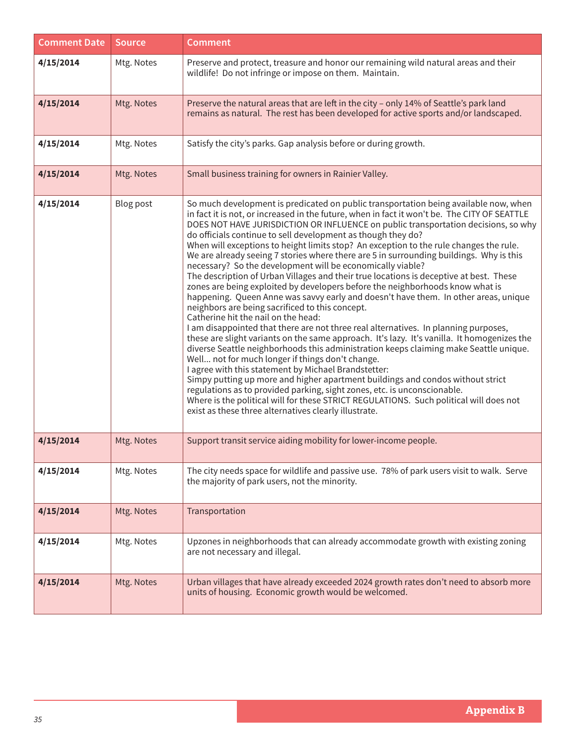| <b>Comment Date</b> | <b>Source</b> | <b>Comment</b>                                                                                                                                                                                                                                                                                                                                                                                                                                                                                                                                                                                                                                                                                                                                                                                                                                                                                                                                                                                                                                                                                                                                                                                                                                                                                                                                                                                                                                                                                                                                                                                                                                                        |
|---------------------|---------------|-----------------------------------------------------------------------------------------------------------------------------------------------------------------------------------------------------------------------------------------------------------------------------------------------------------------------------------------------------------------------------------------------------------------------------------------------------------------------------------------------------------------------------------------------------------------------------------------------------------------------------------------------------------------------------------------------------------------------------------------------------------------------------------------------------------------------------------------------------------------------------------------------------------------------------------------------------------------------------------------------------------------------------------------------------------------------------------------------------------------------------------------------------------------------------------------------------------------------------------------------------------------------------------------------------------------------------------------------------------------------------------------------------------------------------------------------------------------------------------------------------------------------------------------------------------------------------------------------------------------------------------------------------------------------|
| 4/15/2014           | Mtg. Notes    | Preserve and protect, treasure and honor our remaining wild natural areas and their<br>wildlife! Do not infringe or impose on them. Maintain.                                                                                                                                                                                                                                                                                                                                                                                                                                                                                                                                                                                                                                                                                                                                                                                                                                                                                                                                                                                                                                                                                                                                                                                                                                                                                                                                                                                                                                                                                                                         |
| 4/15/2014           | Mtg. Notes    | Preserve the natural areas that are left in the city - only 14% of Seattle's park land<br>remains as natural. The rest has been developed for active sports and/or landscaped.                                                                                                                                                                                                                                                                                                                                                                                                                                                                                                                                                                                                                                                                                                                                                                                                                                                                                                                                                                                                                                                                                                                                                                                                                                                                                                                                                                                                                                                                                        |
| 4/15/2014           | Mtg. Notes    | Satisfy the city's parks. Gap analysis before or during growth.                                                                                                                                                                                                                                                                                                                                                                                                                                                                                                                                                                                                                                                                                                                                                                                                                                                                                                                                                                                                                                                                                                                                                                                                                                                                                                                                                                                                                                                                                                                                                                                                       |
| 4/15/2014           | Mtg. Notes    | Small business training for owners in Rainier Valley.                                                                                                                                                                                                                                                                                                                                                                                                                                                                                                                                                                                                                                                                                                                                                                                                                                                                                                                                                                                                                                                                                                                                                                                                                                                                                                                                                                                                                                                                                                                                                                                                                 |
| 4/15/2014           | Blog post     | So much development is predicated on public transportation being available now, when<br>in fact it is not, or increased in the future, when in fact it won't be. The CITY OF SEATTLE<br>DOES NOT HAVE JURISDICTION OR INFLUENCE on public transportation decisions, so why<br>do officials continue to sell development as though they do?<br>When will exceptions to height limits stop? An exception to the rule changes the rule.<br>We are already seeing 7 stories where there are 5 in surrounding buildings. Why is this<br>necessary? So the development will be economically viable?<br>The description of Urban Villages and their true locations is deceptive at best. These<br>zones are being exploited by developers before the neighborhoods know what is<br>happening. Queen Anne was savvy early and doesn't have them. In other areas, unique<br>neighbors are being sacrificed to this concept.<br>Catherine hit the nail on the head:<br>I am disappointed that there are not three real alternatives. In planning purposes,<br>these are slight variants on the same approach. It's lazy. It's vanilla. It homogenizes the<br>diverse Seattle neighborhoods this administration keeps claiming make Seattle unique.<br>Well not for much longer if things don't change.<br>I agree with this statement by Michael Brandstetter:<br>Simpy putting up more and higher apartment buildings and condos without strict<br>regulations as to provided parking, sight zones, etc. is unconscionable.<br>Where is the political will for these STRICT REGULATIONS. Such political will does not<br>exist as these three alternatives clearly illustrate. |
| 4/15/2014           | Mtg. Notes    | Support transit service aiding mobility for lower-income people.                                                                                                                                                                                                                                                                                                                                                                                                                                                                                                                                                                                                                                                                                                                                                                                                                                                                                                                                                                                                                                                                                                                                                                                                                                                                                                                                                                                                                                                                                                                                                                                                      |
| 4/15/2014           | Mtg. Notes    | The city needs space for wildlife and passive use. 78% of park users visit to walk. Serve<br>the majority of park users, not the minority.                                                                                                                                                                                                                                                                                                                                                                                                                                                                                                                                                                                                                                                                                                                                                                                                                                                                                                                                                                                                                                                                                                                                                                                                                                                                                                                                                                                                                                                                                                                            |
| 4/15/2014           | Mtg. Notes    | Transportation                                                                                                                                                                                                                                                                                                                                                                                                                                                                                                                                                                                                                                                                                                                                                                                                                                                                                                                                                                                                                                                                                                                                                                                                                                                                                                                                                                                                                                                                                                                                                                                                                                                        |
| 4/15/2014           | Mtg. Notes    | Upzones in neighborhoods that can already accommodate growth with existing zoning<br>are not necessary and illegal.                                                                                                                                                                                                                                                                                                                                                                                                                                                                                                                                                                                                                                                                                                                                                                                                                                                                                                                                                                                                                                                                                                                                                                                                                                                                                                                                                                                                                                                                                                                                                   |
| 4/15/2014           | Mtg. Notes    | Urban villages that have already exceeded 2024 growth rates don't need to absorb more<br>units of housing. Economic growth would be welcomed.                                                                                                                                                                                                                                                                                                                                                                                                                                                                                                                                                                                                                                                                                                                                                                                                                                                                                                                                                                                                                                                                                                                                                                                                                                                                                                                                                                                                                                                                                                                         |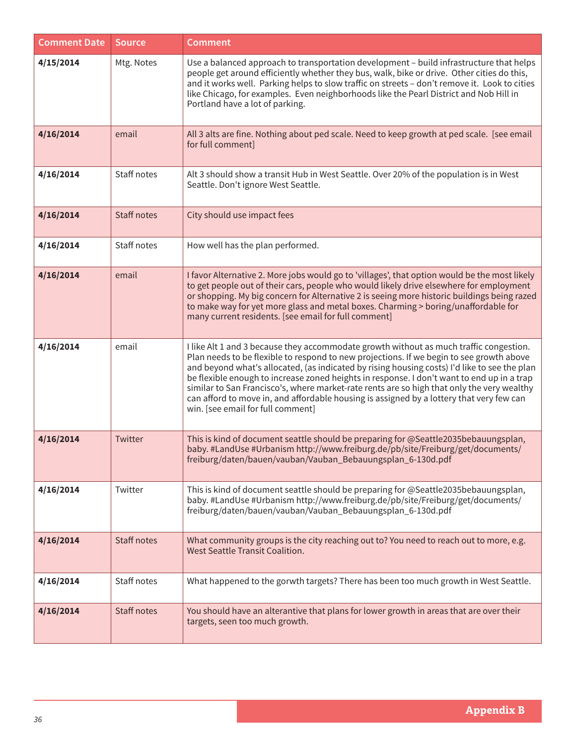| <b>Comment Date</b> | <b>Source</b>      | <b>Comment</b>                                                                                                                                                                                                                                                                                                                                                                                                                                                                                                                                                                                                  |
|---------------------|--------------------|-----------------------------------------------------------------------------------------------------------------------------------------------------------------------------------------------------------------------------------------------------------------------------------------------------------------------------------------------------------------------------------------------------------------------------------------------------------------------------------------------------------------------------------------------------------------------------------------------------------------|
| 4/15/2014           | Mtg. Notes         | Use a balanced approach to transportation development - build infrastructure that helps<br>people get around efficiently whether they bus, walk, bike or drive. Other cities do this,<br>and it works well. Parking helps to slow traffic on streets - don't remove it. Look to cities<br>like Chicago, for examples. Even neighborhoods like the Pearl District and Nob Hill in<br>Portland have a lot of parking.                                                                                                                                                                                             |
| 4/16/2014           | email              | All 3 alts are fine. Nothing about ped scale. Need to keep growth at ped scale. [see email<br>for full comment]                                                                                                                                                                                                                                                                                                                                                                                                                                                                                                 |
| 4/16/2014           | Staff notes        | Alt 3 should show a transit Hub in West Seattle. Over 20% of the population is in West<br>Seattle. Don't ignore West Seattle.                                                                                                                                                                                                                                                                                                                                                                                                                                                                                   |
| 4/16/2014           | Staff notes        | City should use impact fees                                                                                                                                                                                                                                                                                                                                                                                                                                                                                                                                                                                     |
| 4/16/2014           | Staff notes        | How well has the plan performed.                                                                                                                                                                                                                                                                                                                                                                                                                                                                                                                                                                                |
| 4/16/2014           | email              | I favor Alternative 2. More jobs would go to 'villages', that option would be the most likely<br>to get people out of their cars, people who would likely drive elsewhere for employment<br>or shopping. My big concern for Alternative 2 is seeing more historic buildings being razed<br>to make way for yet more glass and metal boxes. Charming > boring/unaffordable for<br>many current residents. [see email for full comment]                                                                                                                                                                           |
| 4/16/2014           | email              | I like Alt 1 and 3 because they accommodate growth without as much traffic congestion.<br>Plan needs to be flexible to respond to new projections. If we begin to see growth above<br>and beyond what's allocated, (as indicated by rising housing costs) I'd like to see the plan<br>be flexible enough to increase zoned heights in response. I don't want to end up in a trap<br>similar to San Francisco's, where market-rate rents are so high that only the very wealthy<br>can afford to move in, and affordable housing is assigned by a lottery that very few can<br>win. [see email for full comment] |
| 4/16/2014           | Twitter            | This is kind of document seattle should be preparing for @Seattle2035bebauungsplan,<br>baby. #LandUse #Urbanism http://www.freiburg.de/pb/site/Freiburg/get/documents/<br>freiburg/daten/bauen/vauban/Vauban_Bebauungsplan_6-130d.pdf                                                                                                                                                                                                                                                                                                                                                                           |
| 4/16/2014           | Twitter            | This is kind of document seattle should be preparing for @Seattle2035bebauungsplan,<br>baby. #LandUse #Urbanism http://www.freiburg.de/pb/site/Freiburg/get/documents/<br>freiburg/daten/bauen/vauban/Vauban_Bebauungsplan_6-130d.pdf                                                                                                                                                                                                                                                                                                                                                                           |
| 4/16/2014           | <b>Staff notes</b> | What community groups is the city reaching out to? You need to reach out to more, e.g.<br>West Seattle Transit Coalition.                                                                                                                                                                                                                                                                                                                                                                                                                                                                                       |
| 4/16/2014           | Staff notes        | What happened to the gorwth targets? There has been too much growth in West Seattle.                                                                                                                                                                                                                                                                                                                                                                                                                                                                                                                            |
| 4/16/2014           | <b>Staff notes</b> | You should have an alterantive that plans for lower growth in areas that are over their<br>targets, seen too much growth.                                                                                                                                                                                                                                                                                                                                                                                                                                                                                       |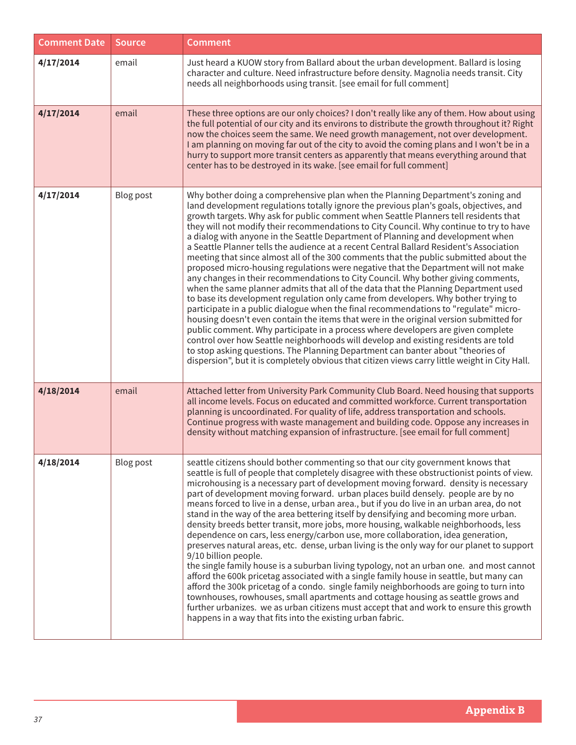| <b>Comment Date</b> | <b>Source</b> | <b>Comment</b>                                                                                                                                                                                                                                                                                                                                                                                                                                                                                                                                                                                                                                                                                                                                                                                                                                                                                                                                                                                                                                                                                                                                                                                                                                                                                                                                                                                                                                                                                                                                |
|---------------------|---------------|-----------------------------------------------------------------------------------------------------------------------------------------------------------------------------------------------------------------------------------------------------------------------------------------------------------------------------------------------------------------------------------------------------------------------------------------------------------------------------------------------------------------------------------------------------------------------------------------------------------------------------------------------------------------------------------------------------------------------------------------------------------------------------------------------------------------------------------------------------------------------------------------------------------------------------------------------------------------------------------------------------------------------------------------------------------------------------------------------------------------------------------------------------------------------------------------------------------------------------------------------------------------------------------------------------------------------------------------------------------------------------------------------------------------------------------------------------------------------------------------------------------------------------------------------|
| 4/17/2014           | email         | Just heard a KUOW story from Ballard about the urban development. Ballard is losing<br>character and culture. Need infrastructure before density. Magnolia needs transit. City<br>needs all neighborhoods using transit. [see email for full comment]                                                                                                                                                                                                                                                                                                                                                                                                                                                                                                                                                                                                                                                                                                                                                                                                                                                                                                                                                                                                                                                                                                                                                                                                                                                                                         |
| 4/17/2014           | email         | These three options are our only choices? I don't really like any of them. How about using<br>the full potential of our city and its environs to distribute the growth throughout it? Right<br>now the choices seem the same. We need growth management, not over development.<br>I am planning on moving far out of the city to avoid the coming plans and I won't be in a<br>hurry to support more transit centers as apparently that means everything around that<br>center has to be destroyed in its wake. [see email for full comment]                                                                                                                                                                                                                                                                                                                                                                                                                                                                                                                                                                                                                                                                                                                                                                                                                                                                                                                                                                                                  |
| 4/17/2014           | Blog post     | Why bother doing a comprehensive plan when the Planning Department's zoning and<br>land development regulations totally ignore the previous plan's goals, objectives, and<br>growth targets. Why ask for public comment when Seattle Planners tell residents that<br>they will not modify their recommendations to City Council. Why continue to try to have<br>a dialog with anyone in the Seattle Department of Planning and development when<br>a Seattle Planner tells the audience at a recent Central Ballard Resident's Association<br>meeting that since almost all of the 300 comments that the public submitted about the<br>proposed micro-housing regulations were negative that the Department will not make<br>any changes in their recommendations to City Council. Why bother giving comments,<br>when the same planner admits that all of the data that the Planning Department used<br>to base its development regulation only came from developers. Why bother trying to<br>participate in a public dialogue when the final recommendations to "regulate" micro-<br>housing doesn't even contain the items that were in the original version submitted for<br>public comment. Why participate in a process where developers are given complete<br>control over how Seattle neighborhoods will develop and existing residents are told<br>to stop asking questions. The Planning Department can banter about "theories of<br>dispersion", but it is completely obvious that citizen views carry little weight in City Hall. |
| 4/18/2014           | email         | Attached letter from University Park Community Club Board. Need housing that supports<br>all income levels. Focus on educated and committed workforce. Current transportation<br>planning is uncoordinated. For quality of life, address transportation and schools.<br>Continue progress with waste management and building code. Oppose any increases in<br>density without matching expansion of infrastructure. [see email for full comment]                                                                                                                                                                                                                                                                                                                                                                                                                                                                                                                                                                                                                                                                                                                                                                                                                                                                                                                                                                                                                                                                                              |
| 4/18/2014           | Blog post     | seattle citizens should bother commenting so that our city government knows that<br>seattle is full of people that completely disagree with these obstructionist points of view.<br>microhousing is a necessary part of development moving forward. density is necessary<br>part of development moving forward. urban places build densely. people are by no<br>means forced to live in a dense, urban area., but if you do live in an urban area, do not<br>stand in the way of the area bettering itself by densifying and becoming more urban.<br>density breeds better transit, more jobs, more housing, walkable neighborhoods, less<br>dependence on cars, less energy/carbon use, more collaboration, idea generation,<br>preserves natural areas, etc. dense, urban living is the only way for our planet to support<br>9/10 billion people.<br>the single family house is a suburban living typology, not an urban one. and most cannot<br>afford the 600k pricetag associated with a single family house in seattle, but many can<br>afford the 300k pricetag of a condo. single family neighborhoods are going to turn into<br>townhouses, rowhouses, small apartments and cottage housing as seattle grows and<br>further urbanizes. we as urban citizens must accept that and work to ensure this growth<br>happens in a way that fits into the existing urban fabric.                                                                                                                                                           |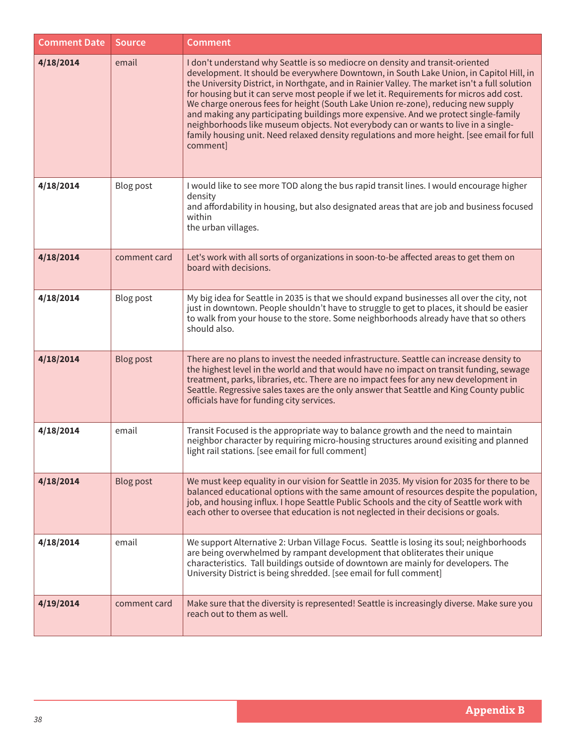| <b>Comment Date</b> | <b>Source</b>    | <b>Comment</b>                                                                                                                                                                                                                                                                                                                                                                                                                                                                                                                                                                                                                                                                                                                                     |
|---------------------|------------------|----------------------------------------------------------------------------------------------------------------------------------------------------------------------------------------------------------------------------------------------------------------------------------------------------------------------------------------------------------------------------------------------------------------------------------------------------------------------------------------------------------------------------------------------------------------------------------------------------------------------------------------------------------------------------------------------------------------------------------------------------|
| 4/18/2014           | email            | I don't understand why Seattle is so mediocre on density and transit-oriented<br>development. It should be everywhere Downtown, in South Lake Union, in Capitol Hill, in<br>the University District, in Northgate, and in Rainier Valley. The market isn't a full solution<br>for housing but it can serve most people if we let it. Requirements for micros add cost.<br>We charge onerous fees for height (South Lake Union re-zone), reducing new supply<br>and making any participating buildings more expensive. And we protect single-family<br>neighborhoods like museum objects. Not everybody can or wants to live in a single-<br>family housing unit. Need relaxed density regulations and more height. [see email for full<br>comment] |
| 4/18/2014           | <b>Blog post</b> | I would like to see more TOD along the bus rapid transit lines. I would encourage higher<br>density<br>and affordability in housing, but also designated areas that are job and business focused<br>within<br>the urban villages.                                                                                                                                                                                                                                                                                                                                                                                                                                                                                                                  |
| 4/18/2014           | comment card     | Let's work with all sorts of organizations in soon-to-be affected areas to get them on<br>board with decisions.                                                                                                                                                                                                                                                                                                                                                                                                                                                                                                                                                                                                                                    |
| 4/18/2014           | Blog post        | My big idea for Seattle in 2035 is that we should expand businesses all over the city, not<br>just in downtown. People shouldn't have to struggle to get to places, it should be easier<br>to walk from your house to the store. Some neighborhoods already have that so others<br>should also.                                                                                                                                                                                                                                                                                                                                                                                                                                                    |
| 4/18/2014           | <b>Blog post</b> | There are no plans to invest the needed infrastructure. Seattle can increase density to<br>the highest level in the world and that would have no impact on transit funding, sewage<br>treatment, parks, libraries, etc. There are no impact fees for any new development in<br>Seattle. Regressive sales taxes are the only answer that Seattle and King County public<br>officials have for funding city services.                                                                                                                                                                                                                                                                                                                                |
| 4/18/2014           | email            | Transit Focused is the appropriate way to balance growth and the need to maintain<br>neighbor character by requiring micro-housing structures around exisiting and planned<br>light rail stations. [see email for full comment]                                                                                                                                                                                                                                                                                                                                                                                                                                                                                                                    |
| 4/18/2014           | <b>Blog post</b> | We must keep equality in our vision for Seattle in 2035. My vision for 2035 for there to be<br>balanced educational options with the same amount of resources despite the population,<br>job, and housing influx. I hope Seattle Public Schools and the city of Seattle work with<br>each other to oversee that education is not neglected in their decisions or goals.                                                                                                                                                                                                                                                                                                                                                                            |
| 4/18/2014           | email            | We support Alternative 2: Urban Village Focus. Seattle is losing its soul; neighborhoods<br>are being overwhelmed by rampant development that obliterates their unique<br>characteristics. Tall buildings outside of downtown are mainly for developers. The<br>University District is being shredded. [see email for full comment]                                                                                                                                                                                                                                                                                                                                                                                                                |
| 4/19/2014           | comment card     | Make sure that the diversity is represented! Seattle is increasingly diverse. Make sure you<br>reach out to them as well.                                                                                                                                                                                                                                                                                                                                                                                                                                                                                                                                                                                                                          |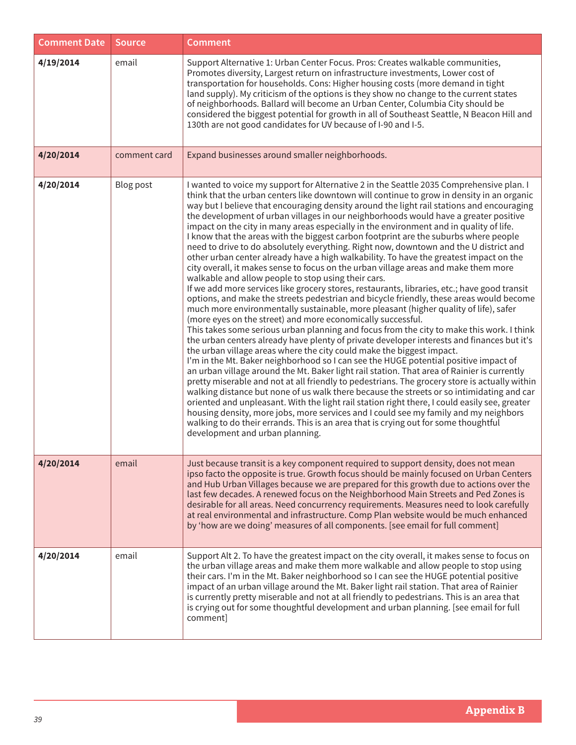| <b>Comment Date</b> | Source       | <b>Comment</b>                                                                                                                                                                                                                                                                                                                                                                                                                                                                                                                                                                                                                                                                                                                                                                                                                                                                                                                                                                                                                                                                                                                                                                                                                                                                                                                                                                                                                                                                                                                                                                                                                                                                                                                                                                                                                                                                                                                                                                                                                                                                                                                                                                                                              |
|---------------------|--------------|-----------------------------------------------------------------------------------------------------------------------------------------------------------------------------------------------------------------------------------------------------------------------------------------------------------------------------------------------------------------------------------------------------------------------------------------------------------------------------------------------------------------------------------------------------------------------------------------------------------------------------------------------------------------------------------------------------------------------------------------------------------------------------------------------------------------------------------------------------------------------------------------------------------------------------------------------------------------------------------------------------------------------------------------------------------------------------------------------------------------------------------------------------------------------------------------------------------------------------------------------------------------------------------------------------------------------------------------------------------------------------------------------------------------------------------------------------------------------------------------------------------------------------------------------------------------------------------------------------------------------------------------------------------------------------------------------------------------------------------------------------------------------------------------------------------------------------------------------------------------------------------------------------------------------------------------------------------------------------------------------------------------------------------------------------------------------------------------------------------------------------------------------------------------------------------------------------------------------------|
| 4/19/2014           | email        | Support Alternative 1: Urban Center Focus. Pros: Creates walkable communities,<br>Promotes diversity, Largest return on infrastructure investments, Lower cost of<br>transportation for households. Cons: Higher housing costs (more demand in tight<br>land supply). My criticism of the options is they show no change to the current states<br>of neighborhoods. Ballard will become an Urban Center, Columbia City should be<br>considered the biggest potential for growth in all of Southeast Seattle, N Beacon Hill and<br>130th are not good candidates for UV because of I-90 and I-5.                                                                                                                                                                                                                                                                                                                                                                                                                                                                                                                                                                                                                                                                                                                                                                                                                                                                                                                                                                                                                                                                                                                                                                                                                                                                                                                                                                                                                                                                                                                                                                                                                             |
| 4/20/2014           | comment card | Expand businesses around smaller neighborhoods.                                                                                                                                                                                                                                                                                                                                                                                                                                                                                                                                                                                                                                                                                                                                                                                                                                                                                                                                                                                                                                                                                                                                                                                                                                                                                                                                                                                                                                                                                                                                                                                                                                                                                                                                                                                                                                                                                                                                                                                                                                                                                                                                                                             |
| 4/20/2014           | Blog post    | I wanted to voice my support for Alternative 2 in the Seattle 2035 Comprehensive plan. I<br>think that the urban centers like downtown will continue to grow in density in an organic<br>way but I believe that encouraging density around the light rail stations and encouraging<br>the development of urban villages in our neighborhoods would have a greater positive<br>impact on the city in many areas especially in the environment and in quality of life.<br>I know that the areas with the biggest carbon footprint are the suburbs where people<br>need to drive to do absolutely everything. Right now, downtown and the U district and<br>other urban center already have a high walkability. To have the greatest impact on the<br>city overall, it makes sense to focus on the urban village areas and make them more<br>walkable and allow people to stop using their cars.<br>If we add more services like grocery stores, restaurants, libraries, etc.; have good transit<br>options, and make the streets pedestrian and bicycle friendly, these areas would become<br>much more environmentally sustainable, more pleasant (higher quality of life), safer<br>(more eyes on the street) and more economically successful.<br>This takes some serious urban planning and focus from the city to make this work. I think<br>the urban centers already have plenty of private developer interests and finances but it's<br>the urban village areas where the city could make the biggest impact.<br>I'm in the Mt. Baker neighborhood so I can see the HUGE potential positive impact of<br>an urban village around the Mt. Baker light rail station. That area of Rainier is currently<br>pretty miserable and not at all friendly to pedestrians. The grocery store is actually within<br>walking distance but none of us walk there because the streets or so intimidating and car<br>oriented and unpleasant. With the light rail station right there, I could easily see, greater<br>housing density, more jobs, more services and I could see my family and my neighbors<br>walking to do their errands. This is an area that is crying out for some thoughtful<br>development and urban planning. |
| 4/20/2014           | email        | Just because transit is a key component required to support density, does not mean<br>ipso facto the opposite is true. Growth focus should be mainly focused on Urban Centers<br>and Hub Urban Villages because we are prepared for this growth due to actions over the<br>last few decades. A renewed focus on the Neighborhood Main Streets and Ped Zones is<br>desirable for all areas. Need concurrency requirements. Measures need to look carefully<br>at real environmental and infrastructure. Comp Plan website would be much enhanced<br>by 'how are we doing' measures of all components. [see email for full comment]                                                                                                                                                                                                                                                                                                                                                                                                                                                                                                                                                                                                                                                                                                                                                                                                                                                                                                                                                                                                                                                                                                                                                                                                                                                                                                                                                                                                                                                                                                                                                                                           |
| 4/20/2014           | email        | Support Alt 2. To have the greatest impact on the city overall, it makes sense to focus on<br>the urban village areas and make them more walkable and allow people to stop using<br>their cars. I'm in the Mt. Baker neighborhood so I can see the HUGE potential positive<br>impact of an urban village around the Mt. Baker light rail station. That area of Rainier<br>is currently pretty miserable and not at all friendly to pedestrians. This is an area that<br>is crying out for some thoughtful development and urban planning. [see email for full<br>comment]                                                                                                                                                                                                                                                                                                                                                                                                                                                                                                                                                                                                                                                                                                                                                                                                                                                                                                                                                                                                                                                                                                                                                                                                                                                                                                                                                                                                                                                                                                                                                                                                                                                   |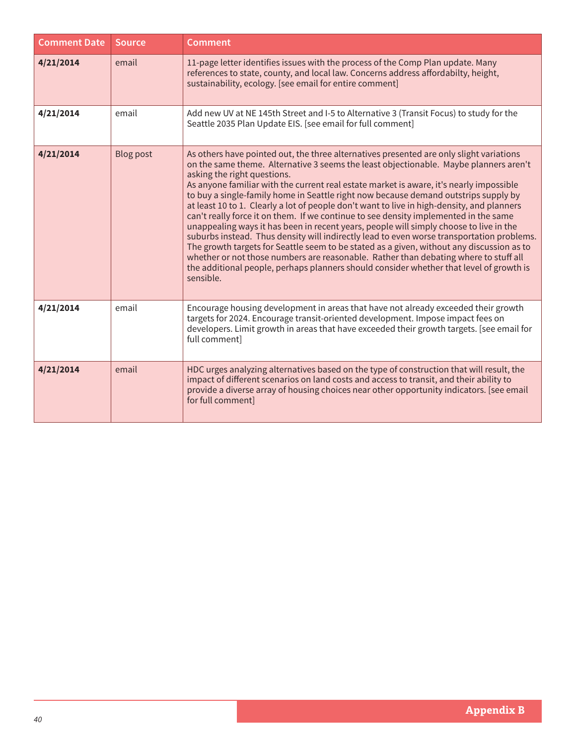| <b>Comment Date</b> | <b>Source</b>    | <b>Comment</b>                                                                                                                                                                                                                                                                                                                                                                                                                                                                                                                                                                                                                                                                                                                                                                                                                                                                                                                                                                                                                                                              |
|---------------------|------------------|-----------------------------------------------------------------------------------------------------------------------------------------------------------------------------------------------------------------------------------------------------------------------------------------------------------------------------------------------------------------------------------------------------------------------------------------------------------------------------------------------------------------------------------------------------------------------------------------------------------------------------------------------------------------------------------------------------------------------------------------------------------------------------------------------------------------------------------------------------------------------------------------------------------------------------------------------------------------------------------------------------------------------------------------------------------------------------|
| 4/21/2014           | email            | 11-page letter identifies issues with the process of the Comp Plan update. Many<br>references to state, county, and local law. Concerns address affordabilty, height,<br>sustainability, ecology. [see email for entire comment]                                                                                                                                                                                                                                                                                                                                                                                                                                                                                                                                                                                                                                                                                                                                                                                                                                            |
| 4/21/2014           | email            | Add new UV at NE 145th Street and I-5 to Alternative 3 (Transit Focus) to study for the<br>Seattle 2035 Plan Update EIS. [see email for full comment]                                                                                                                                                                                                                                                                                                                                                                                                                                                                                                                                                                                                                                                                                                                                                                                                                                                                                                                       |
| 4/21/2014           | <b>Blog post</b> | As others have pointed out, the three alternatives presented are only slight variations<br>on the same theme. Alternative 3 seems the least objectionable. Maybe planners aren't<br>asking the right questions.<br>As anyone familiar with the current real estate market is aware, it's nearly impossible<br>to buy a single-family home in Seattle right now because demand outstrips supply by<br>at least 10 to 1. Clearly a lot of people don't want to live in high-density, and planners<br>can't really force it on them. If we continue to see density implemented in the same<br>unappealing ways it has been in recent years, people will simply choose to live in the<br>suburbs instead. Thus density will indirectly lead to even worse transportation problems.<br>The growth targets for Seattle seem to be stated as a given, without any discussion as to<br>whether or not those numbers are reasonable. Rather than debating where to stuff all<br>the additional people, perhaps planners should consider whether that level of growth is<br>sensible. |
| 4/21/2014           | email            | Encourage housing development in areas that have not already exceeded their growth<br>targets for 2024. Encourage transit-oriented development. Impose impact fees on<br>developers. Limit growth in areas that have exceeded their growth targets. [see email for<br>full comment]                                                                                                                                                                                                                                                                                                                                                                                                                                                                                                                                                                                                                                                                                                                                                                                         |
| 4/21/2014           | email            | HDC urges analyzing alternatives based on the type of construction that will result, the<br>impact of different scenarios on land costs and access to transit, and their ability to<br>provide a diverse array of housing choices near other opportunity indicators. [see email<br>for full comment]                                                                                                                                                                                                                                                                                                                                                                                                                                                                                                                                                                                                                                                                                                                                                                        |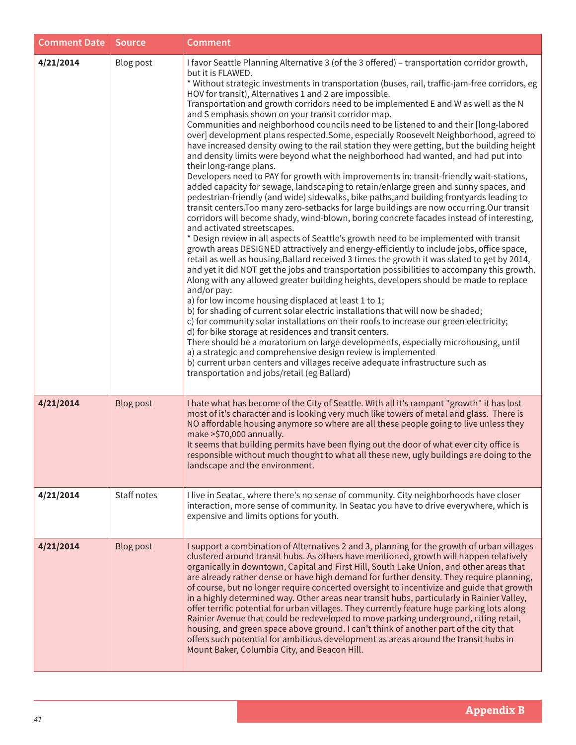| <b>Comment Date</b> | <b>Source</b>    | <b>Comment</b>                                                                                                                                                                                                                                                                                                                                                                                                                                                                                                                                                                                                                                                                                                                                                                                                                                                                                                                                                                                                                                                                                                                                                                                                                                                                                                                                                                                                                                                                                                                                                                                                                                                                                                                                                                                                                                                                                                                                                                                                                                                                                                                                                                                                                                                                                                                                                                                                     |
|---------------------|------------------|--------------------------------------------------------------------------------------------------------------------------------------------------------------------------------------------------------------------------------------------------------------------------------------------------------------------------------------------------------------------------------------------------------------------------------------------------------------------------------------------------------------------------------------------------------------------------------------------------------------------------------------------------------------------------------------------------------------------------------------------------------------------------------------------------------------------------------------------------------------------------------------------------------------------------------------------------------------------------------------------------------------------------------------------------------------------------------------------------------------------------------------------------------------------------------------------------------------------------------------------------------------------------------------------------------------------------------------------------------------------------------------------------------------------------------------------------------------------------------------------------------------------------------------------------------------------------------------------------------------------------------------------------------------------------------------------------------------------------------------------------------------------------------------------------------------------------------------------------------------------------------------------------------------------------------------------------------------------------------------------------------------------------------------------------------------------------------------------------------------------------------------------------------------------------------------------------------------------------------------------------------------------------------------------------------------------------------------------------------------------------------------------------------------------|
| 4/21/2014           | Blog post        | I favor Seattle Planning Alternative 3 (of the 3 offered) - transportation corridor growth,<br>but it is FLAWED.<br>* Without strategic investments in transportation (buses, rail, traffic-jam-free corridors, eg<br>HOV for transit), Alternatives 1 and 2 are impossible.<br>Transportation and growth corridors need to be implemented E and W as well as the N<br>and S emphasis shown on your transit corridor map.<br>Communities and neighborhood councils need to be listened to and their [long-labored<br>over] development plans respected.Some, especially Roosevelt Neighborhood, agreed to<br>have increased density owing to the rail station they were getting, but the building height<br>and density limits were beyond what the neighborhood had wanted, and had put into<br>their long-range plans.<br>Developers need to PAY for growth with improvements in: transit-friendly wait-stations,<br>added capacity for sewage, landscaping to retain/enlarge green and sunny spaces, and<br>pedestrian-friendly (and wide) sidewalks, bike paths, and building frontyards leading to<br>transit centers. Too many zero-setbacks for large buildings are now occurring. Our transit<br>corridors will become shady, wind-blown, boring concrete facades instead of interesting,<br>and activated streetscapes.<br>* Design review in all aspects of Seattle's growth need to be implemented with transit<br>growth areas DESIGNED attractively and energy-efficiently to include jobs, office space,<br>retail as well as housing. Ballard received 3 times the growth it was slated to get by 2014,<br>and yet it did NOT get the jobs and transportation possibilities to accompany this growth.<br>Along with any allowed greater building heights, developers should be made to replace<br>and/or pay:<br>a) for low income housing displaced at least 1 to 1;<br>b) for shading of current solar electric installations that will now be shaded;<br>c) for community solar installations on their roofs to increase our green electricity;<br>d) for bike storage at residences and transit centers.<br>There should be a moratorium on large developments, especially microhousing, until<br>a) a strategic and comprehensive design review is implemented<br>b) current urban centers and villages receive adequate infrastructure such as<br>transportation and jobs/retail (eg Ballard) |
| 4/21/2014           | <b>Blog post</b> | I hate what has become of the City of Seattle. With all it's rampant "growth" it has lost<br>most of it's character and is looking very much like towers of metal and glass. There is<br>NO affordable housing anymore so where are all these people going to live unless they<br>make > \$70,000 annually.<br>It seems that building permits have been flying out the door of what ever city office is<br>responsible without much thought to what all these new, ugly buildings are doing to the<br>landscape and the environment.                                                                                                                                                                                                                                                                                                                                                                                                                                                                                                                                                                                                                                                                                                                                                                                                                                                                                                                                                                                                                                                                                                                                                                                                                                                                                                                                                                                                                                                                                                                                                                                                                                                                                                                                                                                                                                                                               |
| 4/21/2014           | Staff notes      | I live in Seatac, where there's no sense of community. City neighborhoods have closer<br>interaction, more sense of community. In Seatac you have to drive everywhere, which is<br>expensive and limits options for youth.                                                                                                                                                                                                                                                                                                                                                                                                                                                                                                                                                                                                                                                                                                                                                                                                                                                                                                                                                                                                                                                                                                                                                                                                                                                                                                                                                                                                                                                                                                                                                                                                                                                                                                                                                                                                                                                                                                                                                                                                                                                                                                                                                                                         |
| 4/21/2014           | <b>Blog post</b> | I support a combination of Alternatives 2 and 3, planning for the growth of urban villages<br>clustered around transit hubs. As others have mentioned, growth will happen relatively<br>organically in downtown, Capital and First Hill, South Lake Union, and other areas that<br>are already rather dense or have high demand for further density. They require planning,<br>of course, but no longer require concerted oversight to incentivize and guide that growth<br>in a highly determined way. Other areas near transit hubs, particularly in Rainier Valley,<br>offer terrific potential for urban villages. They currently feature huge parking lots along<br>Rainier Avenue that could be redeveloped to move parking underground, citing retail,<br>housing, and green space above ground. I can't think of another part of the city that<br>offers such potential for ambitious development as areas around the transit hubs in<br>Mount Baker, Columbia City, and Beacon Hill.                                                                                                                                                                                                                                                                                                                                                                                                                                                                                                                                                                                                                                                                                                                                                                                                                                                                                                                                                                                                                                                                                                                                                                                                                                                                                                                                                                                                                      |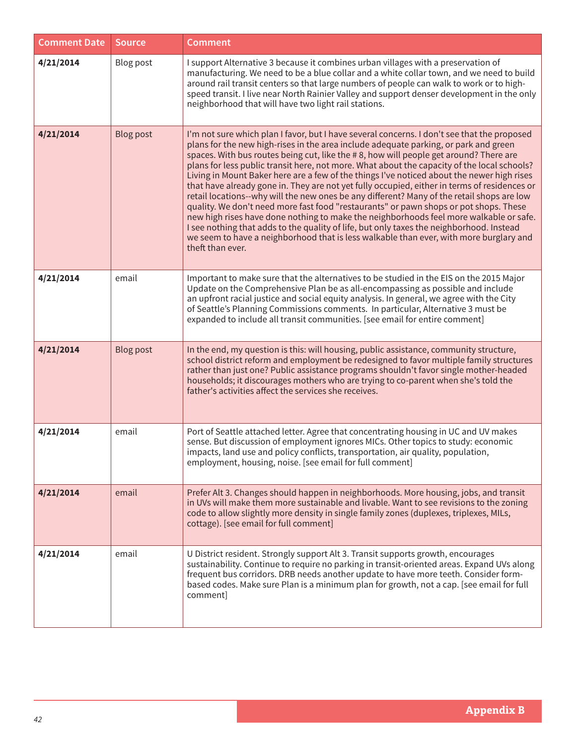| <b>Comment Date</b> | Source           | <b>Comment</b>                                                                                                                                                                                                                                                                                                                                                                                                                                                                                                                                                                                                                                                                                                                                                                                                                                                                                                                                                                                                                                                       |
|---------------------|------------------|----------------------------------------------------------------------------------------------------------------------------------------------------------------------------------------------------------------------------------------------------------------------------------------------------------------------------------------------------------------------------------------------------------------------------------------------------------------------------------------------------------------------------------------------------------------------------------------------------------------------------------------------------------------------------------------------------------------------------------------------------------------------------------------------------------------------------------------------------------------------------------------------------------------------------------------------------------------------------------------------------------------------------------------------------------------------|
| 4/21/2014           | <b>Blog post</b> | I support Alternative 3 because it combines urban villages with a preservation of<br>manufacturing. We need to be a blue collar and a white collar town, and we need to build<br>around rail transit centers so that large numbers of people can walk to work or to high-<br>speed transit. I live near North Rainier Valley and support denser development in the only<br>neighborhood that will have two light rail stations.                                                                                                                                                                                                                                                                                                                                                                                                                                                                                                                                                                                                                                      |
| 4/21/2014           | <b>Blog post</b> | I'm not sure which plan I favor, but I have several concerns. I don't see that the proposed<br>plans for the new high-rises in the area include adequate parking, or park and green<br>spaces. With bus routes being cut, like the #8, how will people get around? There are<br>plans for less public transit here, not more. What about the capacity of the local schools?<br>Living in Mount Baker here are a few of the things I've noticed about the newer high rises<br>that have already gone in. They are not yet fully occupied, either in terms of residences or<br>retail locations--why will the new ones be any different? Many of the retail shops are low<br>quality. We don't need more fast food "restaurants" or pawn shops or pot shops. These<br>new high rises have done nothing to make the neighborhoods feel more walkable or safe.<br>I see nothing that adds to the quality of life, but only taxes the neighborhood. Instead<br>we seem to have a neighborhood that is less walkable than ever, with more burglary and<br>theft than ever. |
| 4/21/2014           | email            | Important to make sure that the alternatives to be studied in the EIS on the 2015 Major<br>Update on the Comprehensive Plan be as all-encompassing as possible and include<br>an upfront racial justice and social equity analysis. In general, we agree with the City<br>of Seattle's Planning Commissions comments. In particular, Alternative 3 must be<br>expanded to include all transit communities. [see email for entire comment]                                                                                                                                                                                                                                                                                                                                                                                                                                                                                                                                                                                                                            |
| 4/21/2014           | <b>Blog post</b> | In the end, my question is this: will housing, public assistance, community structure,<br>school district reform and employment be redesigned to favor multiple family structures<br>rather than just one? Public assistance programs shouldn't favor single mother-headed<br>households; it discourages mothers who are trying to co-parent when she's told the<br>father's activities affect the services she receives.                                                                                                                                                                                                                                                                                                                                                                                                                                                                                                                                                                                                                                            |
| 4/21/2014           | email            | Port of Seattle attached letter. Agree that concentrating housing in UC and UV makes<br>sense. But discussion of employment ignores MICs. Other topics to study: economic<br>impacts, land use and policy conflicts, transportation, air quality, population,<br>employment, housing, noise. [see email for full comment]                                                                                                                                                                                                                                                                                                                                                                                                                                                                                                                                                                                                                                                                                                                                            |
| 4/21/2014           | email            | Prefer Alt 3. Changes should happen in neighborhoods. More housing, jobs, and transit<br>in UVs will make them more sustainable and livable. Want to see revisions to the zoning<br>code to allow slightly more density in single family zones (duplexes, triplexes, MILs,<br>cottage). [see email for full comment]                                                                                                                                                                                                                                                                                                                                                                                                                                                                                                                                                                                                                                                                                                                                                 |
| 4/21/2014           | email            | U District resident. Strongly support Alt 3. Transit supports growth, encourages<br>sustainability. Continue to require no parking in transit-oriented areas. Expand UVs along<br>frequent bus corridors. DRB needs another update to have more teeth. Consider form-<br>based codes. Make sure Plan is a minimum plan for growth, not a cap. [see email for full<br>comment]                                                                                                                                                                                                                                                                                                                                                                                                                                                                                                                                                                                                                                                                                        |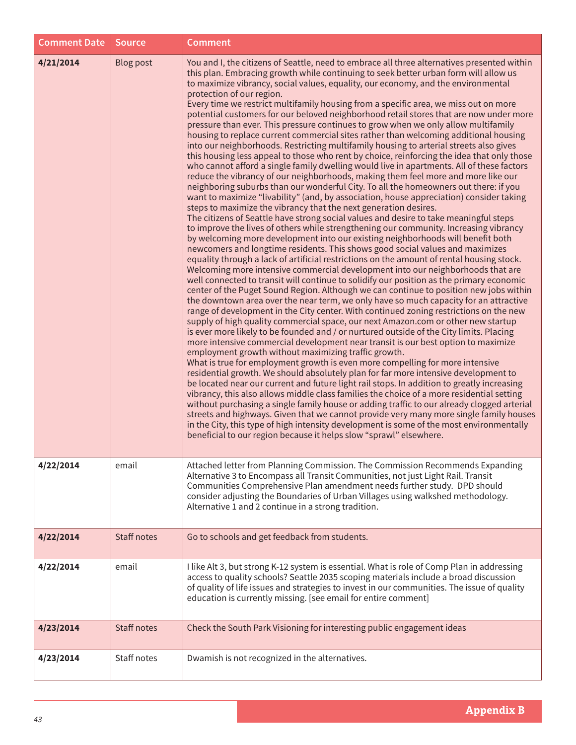| <b>Comment Date</b> | Source             | <b>Comment</b>                                                                                                                                                                                                                                                                                                                                                                                                                                                                                                                                                                                                                                                                                                                                                                                                                                                                                                                                                                                                                                                                                                                                                                                                                                                                                                                                                                                                                                                                                                                                                                                                                                                                                                                                                                                                                                                                                                                                                                                                                                                                                                                                                                                                                                                                                                                                                                                                                                                                                                                                                                                                                                                                                                                                                                                                                                                                                                                                                                                                                                                                                                                                                                                                                                                                  |
|---------------------|--------------------|---------------------------------------------------------------------------------------------------------------------------------------------------------------------------------------------------------------------------------------------------------------------------------------------------------------------------------------------------------------------------------------------------------------------------------------------------------------------------------------------------------------------------------------------------------------------------------------------------------------------------------------------------------------------------------------------------------------------------------------------------------------------------------------------------------------------------------------------------------------------------------------------------------------------------------------------------------------------------------------------------------------------------------------------------------------------------------------------------------------------------------------------------------------------------------------------------------------------------------------------------------------------------------------------------------------------------------------------------------------------------------------------------------------------------------------------------------------------------------------------------------------------------------------------------------------------------------------------------------------------------------------------------------------------------------------------------------------------------------------------------------------------------------------------------------------------------------------------------------------------------------------------------------------------------------------------------------------------------------------------------------------------------------------------------------------------------------------------------------------------------------------------------------------------------------------------------------------------------------------------------------------------------------------------------------------------------------------------------------------------------------------------------------------------------------------------------------------------------------------------------------------------------------------------------------------------------------------------------------------------------------------------------------------------------------------------------------------------------------------------------------------------------------------------------------------------------------------------------------------------------------------------------------------------------------------------------------------------------------------------------------------------------------------------------------------------------------------------------------------------------------------------------------------------------------------------------------------------------------------------------------------------------------|
| 4/21/2014           | <b>Blog post</b>   | You and I, the citizens of Seattle, need to embrace all three alternatives presented within<br>this plan. Embracing growth while continuing to seek better urban form will allow us<br>to maximize vibrancy, social values, equality, our economy, and the environmental<br>protection of our region.<br>Every time we restrict multifamily housing from a specific area, we miss out on more<br>potential customers for our beloved neighborhood retail stores that are now under more<br>pressure than ever. This pressure continues to grow when we only allow multifamily<br>housing to replace current commercial sites rather than welcoming additional housing<br>into our neighborhoods. Restricting multifamily housing to arterial streets also gives<br>this housing less appeal to those who rent by choice, reinforcing the idea that only those<br>who cannot afford a single family dwelling would live in apartments. All of these factors<br>reduce the vibrancy of our neighborhoods, making them feel more and more like our<br>neighboring suburbs than our wonderful City. To all the homeowners out there: if you<br>want to maximize "livability" (and, by association, house appreciation) consider taking<br>steps to maximize the vibrancy that the next generation desires.<br>The citizens of Seattle have strong social values and desire to take meaningful steps<br>to improve the lives of others while strengthening our community. Increasing vibrancy<br>by welcoming more development into our existing neighborhoods will benefit both<br>newcomers and longtime residents. This shows good social values and maximizes<br>equality through a lack of artificial restrictions on the amount of rental housing stock.<br>Welcoming more intensive commercial development into our neighborhoods that are<br>well connected to transit will continue to solidify our position as the primary economic<br>center of the Puget Sound Region. Although we can continue to position new jobs within<br>the downtown area over the near term, we only have so much capacity for an attractive<br>range of development in the City center. With continued zoning restrictions on the new<br>supply of high quality commercial space, our next Amazon.com or other new startup<br>is ever more likely to be founded and / or nurtured outside of the City limits. Placing<br>more intensive commercial development near transit is our best option to maximize<br>employment growth without maximizing traffic growth.<br>What is true for employment growth is even more compelling for more intensive<br>residential growth. We should absolutely plan for far more intensive development to<br>be located near our current and future light rail stops. In addition to greatly increasing<br>vibrancy, this also allows middle class families the choice of a more residential setting<br>without purchasing a single family house or adding traffic to our already clogged arterial<br>streets and highways. Given that we cannot provide very many more single family houses<br>in the City, this type of high intensity development is some of the most environmentally<br>beneficial to our region because it helps slow "sprawl" elsewhere. |
| 4/22/2014           | email              | Attached letter from Planning Commission. The Commission Recommends Expanding<br>Alternative 3 to Encompass all Transit Communities, not just Light Rail. Transit<br>Communities Comprehensive Plan amendment needs further study. DPD should<br>consider adjusting the Boundaries of Urban Villages using walkshed methodology.<br>Alternative 1 and 2 continue in a strong tradition.                                                                                                                                                                                                                                                                                                                                                                                                                                                                                                                                                                                                                                                                                                                                                                                                                                                                                                                                                                                                                                                                                                                                                                                                                                                                                                                                                                                                                                                                                                                                                                                                                                                                                                                                                                                                                                                                                                                                                                                                                                                                                                                                                                                                                                                                                                                                                                                                                                                                                                                                                                                                                                                                                                                                                                                                                                                                                         |
| 4/22/2014           | <b>Staff notes</b> | Go to schools and get feedback from students.                                                                                                                                                                                                                                                                                                                                                                                                                                                                                                                                                                                                                                                                                                                                                                                                                                                                                                                                                                                                                                                                                                                                                                                                                                                                                                                                                                                                                                                                                                                                                                                                                                                                                                                                                                                                                                                                                                                                                                                                                                                                                                                                                                                                                                                                                                                                                                                                                                                                                                                                                                                                                                                                                                                                                                                                                                                                                                                                                                                                                                                                                                                                                                                                                                   |
| 4/22/2014           | email              | I like Alt 3, but strong K-12 system is essential. What is role of Comp Plan in addressing<br>access to quality schools? Seattle 2035 scoping materials include a broad discussion<br>of quality of life issues and strategies to invest in our communities. The issue of quality<br>education is currently missing. [see email for entire comment]                                                                                                                                                                                                                                                                                                                                                                                                                                                                                                                                                                                                                                                                                                                                                                                                                                                                                                                                                                                                                                                                                                                                                                                                                                                                                                                                                                                                                                                                                                                                                                                                                                                                                                                                                                                                                                                                                                                                                                                                                                                                                                                                                                                                                                                                                                                                                                                                                                                                                                                                                                                                                                                                                                                                                                                                                                                                                                                             |
| 4/23/2014           | Staff notes        | Check the South Park Visioning for interesting public engagement ideas                                                                                                                                                                                                                                                                                                                                                                                                                                                                                                                                                                                                                                                                                                                                                                                                                                                                                                                                                                                                                                                                                                                                                                                                                                                                                                                                                                                                                                                                                                                                                                                                                                                                                                                                                                                                                                                                                                                                                                                                                                                                                                                                                                                                                                                                                                                                                                                                                                                                                                                                                                                                                                                                                                                                                                                                                                                                                                                                                                                                                                                                                                                                                                                                          |
| 4/23/2014           | Staff notes        | Dwamish is not recognized in the alternatives.                                                                                                                                                                                                                                                                                                                                                                                                                                                                                                                                                                                                                                                                                                                                                                                                                                                                                                                                                                                                                                                                                                                                                                                                                                                                                                                                                                                                                                                                                                                                                                                                                                                                                                                                                                                                                                                                                                                                                                                                                                                                                                                                                                                                                                                                                                                                                                                                                                                                                                                                                                                                                                                                                                                                                                                                                                                                                                                                                                                                                                                                                                                                                                                                                                  |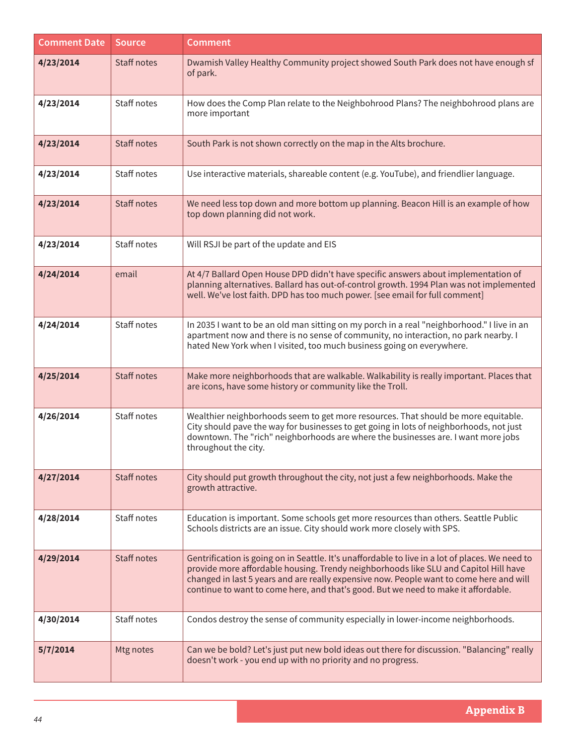| <b>Comment Date</b> | <b>Source</b>      | <b>Comment</b>                                                                                                                                                                                                                                                                                                                                                           |
|---------------------|--------------------|--------------------------------------------------------------------------------------------------------------------------------------------------------------------------------------------------------------------------------------------------------------------------------------------------------------------------------------------------------------------------|
| 4/23/2014           | <b>Staff notes</b> | Dwamish Valley Healthy Community project showed South Park does not have enough sf<br>of park.                                                                                                                                                                                                                                                                           |
| 4/23/2014           | Staff notes        | How does the Comp Plan relate to the Neighbohrood Plans? The neighbohrood plans are<br>more important                                                                                                                                                                                                                                                                    |
| 4/23/2014           | <b>Staff notes</b> | South Park is not shown correctly on the map in the Alts brochure.                                                                                                                                                                                                                                                                                                       |
| 4/23/2014           | Staff notes        | Use interactive materials, shareable content (e.g. YouTube), and friendlier language.                                                                                                                                                                                                                                                                                    |
| 4/23/2014           | Staff notes        | We need less top down and more bottom up planning. Beacon Hill is an example of how<br>top down planning did not work.                                                                                                                                                                                                                                                   |
| 4/23/2014           | Staff notes        | Will RSJI be part of the update and EIS                                                                                                                                                                                                                                                                                                                                  |
| 4/24/2014           | email              | At 4/7 Ballard Open House DPD didn't have specific answers about implementation of<br>planning alternatives. Ballard has out-of-control growth. 1994 Plan was not implemented<br>well. We've lost faith. DPD has too much power. [see email for full comment]                                                                                                            |
| 4/24/2014           | Staff notes        | In 2035 I want to be an old man sitting on my porch in a real "neighborhood." I live in an<br>apartment now and there is no sense of community, no interaction, no park nearby. I<br>hated New York when I visited, too much business going on everywhere.                                                                                                               |
| 4/25/2014           | <b>Staff notes</b> | Make more neighborhoods that are walkable. Walkability is really important. Places that<br>are icons, have some history or community like the Troll.                                                                                                                                                                                                                     |
| 4/26/2014           | Staff notes        | Wealthier neighborhoods seem to get more resources. That should be more equitable.<br>City should pave the way for businesses to get going in lots of neighborhoods, not just<br>downtown. The "rich" neighborhoods are where the businesses are. I want more jobs<br>throughout the city.                                                                               |
| 4/27/2014           | <b>Staff notes</b> | City should put growth throughout the city, not just a few neighborhoods. Make the<br>growth attractive.                                                                                                                                                                                                                                                                 |
| 4/28/2014           | Staff notes        | Education is important. Some schools get more resources than others. Seattle Public<br>Schools districts are an issue. City should work more closely with SPS.                                                                                                                                                                                                           |
| 4/29/2014           | <b>Staff notes</b> | Gentrification is going on in Seattle. It's unaffordable to live in a lot of places. We need to<br>provide more affordable housing. Trendy neighborhoods like SLU and Capitol Hill have<br>changed in last 5 years and are really expensive now. People want to come here and will<br>continue to want to come here, and that's good. But we need to make it affordable. |
| 4/30/2014           | Staff notes        | Condos destroy the sense of community especially in lower-income neighborhoods.                                                                                                                                                                                                                                                                                          |
| 5/7/2014            | Mtg notes          | Can we be bold? Let's just put new bold ideas out there for discussion. "Balancing" really<br>doesn't work - you end up with no priority and no progress.                                                                                                                                                                                                                |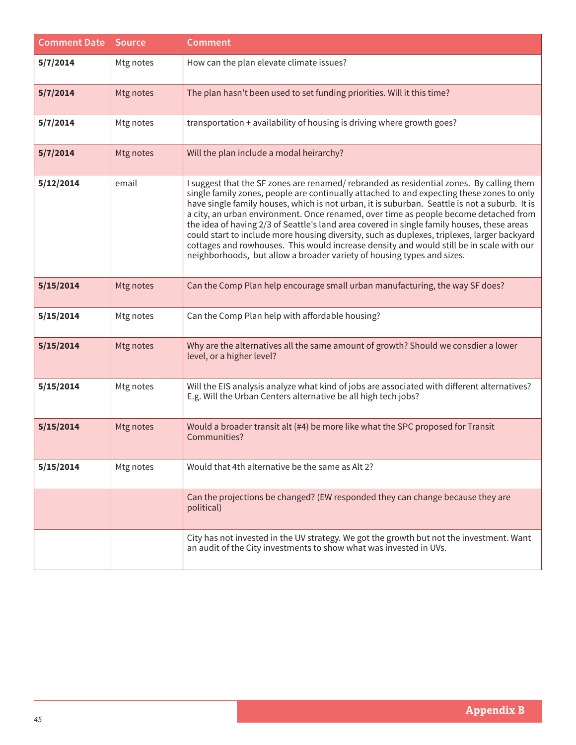| <b>Comment Date</b> | <b>Source</b> | <b>Comment</b>                                                                                                                                                                                                                                                                                                                                                                                                                                                                                                                                                                                                                                                                                                                                   |
|---------------------|---------------|--------------------------------------------------------------------------------------------------------------------------------------------------------------------------------------------------------------------------------------------------------------------------------------------------------------------------------------------------------------------------------------------------------------------------------------------------------------------------------------------------------------------------------------------------------------------------------------------------------------------------------------------------------------------------------------------------------------------------------------------------|
| 5/7/2014            | Mtg notes     | How can the plan elevate climate issues?                                                                                                                                                                                                                                                                                                                                                                                                                                                                                                                                                                                                                                                                                                         |
| 5/7/2014            | Mtg notes     | The plan hasn't been used to set funding priorities. Will it this time?                                                                                                                                                                                                                                                                                                                                                                                                                                                                                                                                                                                                                                                                          |
| 5/7/2014            | Mtg notes     | transportation + availability of housing is driving where growth goes?                                                                                                                                                                                                                                                                                                                                                                                                                                                                                                                                                                                                                                                                           |
| 5/7/2014            | Mtg notes     | Will the plan include a modal heirarchy?                                                                                                                                                                                                                                                                                                                                                                                                                                                                                                                                                                                                                                                                                                         |
| 5/12/2014           | email         | I suggest that the SF zones are renamed/rebranded as residential zones. By calling them<br>single family zones, people are continually attached to and expecting these zones to only<br>have single family houses, which is not urban, it is suburban. Seattle is not a suburb. It is<br>a city, an urban environment. Once renamed, over time as people become detached from<br>the idea of having 2/3 of Seattle's land area covered in single family houses, these areas<br>could start to include more housing diversity, such as duplexes, triplexes, larger backyard<br>cottages and rowhouses. This would increase density and would still be in scale with our<br>neighborhoods, but allow a broader variety of housing types and sizes. |
| 5/15/2014           | Mtg notes     | Can the Comp Plan help encourage small urban manufacturing, the way SF does?                                                                                                                                                                                                                                                                                                                                                                                                                                                                                                                                                                                                                                                                     |
| 5/15/2014           | Mtg notes     | Can the Comp Plan help with affordable housing?                                                                                                                                                                                                                                                                                                                                                                                                                                                                                                                                                                                                                                                                                                  |
| 5/15/2014           | Mtg notes     | Why are the alternatives all the same amount of growth? Should we consdier a lower<br>level, or a higher level?                                                                                                                                                                                                                                                                                                                                                                                                                                                                                                                                                                                                                                  |
| 5/15/2014           | Mtg notes     | Will the EIS analysis analyze what kind of jobs are associated with different alternatives?<br>E.g. Will the Urban Centers alternative be all high tech jobs?                                                                                                                                                                                                                                                                                                                                                                                                                                                                                                                                                                                    |
| 5/15/2014           | Mtg notes     | Would a broader transit alt (#4) be more like what the SPC proposed for Transit<br>Communities?                                                                                                                                                                                                                                                                                                                                                                                                                                                                                                                                                                                                                                                  |
| 5/15/2014           | Mtg notes     | Would that 4th alternative be the same as Alt 2?                                                                                                                                                                                                                                                                                                                                                                                                                                                                                                                                                                                                                                                                                                 |
|                     |               | Can the projections be changed? (EW responded they can change because they are<br>political)                                                                                                                                                                                                                                                                                                                                                                                                                                                                                                                                                                                                                                                     |
|                     |               | City has not invested in the UV strategy. We got the growth but not the investment. Want<br>an audit of the City investments to show what was invested in UVs.                                                                                                                                                                                                                                                                                                                                                                                                                                                                                                                                                                                   |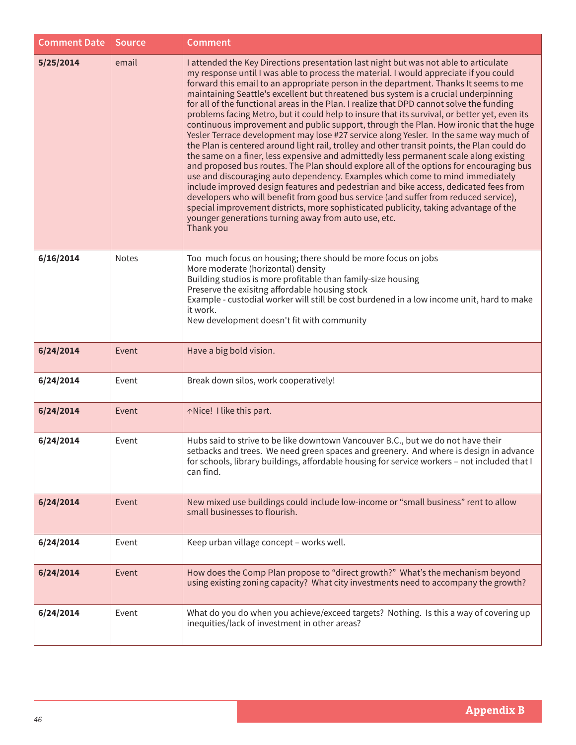| <b>Comment Date</b> | <b>Source</b> | <b>Comment</b>                                                                                                                                                                                                                                                                                                                                                                                                                                                                                                                                                                                                                                                                                                                                                                                                                                                                                                                                                                                                                                                                                                                                                                                                                                                                                                                                                                                                                                                |
|---------------------|---------------|---------------------------------------------------------------------------------------------------------------------------------------------------------------------------------------------------------------------------------------------------------------------------------------------------------------------------------------------------------------------------------------------------------------------------------------------------------------------------------------------------------------------------------------------------------------------------------------------------------------------------------------------------------------------------------------------------------------------------------------------------------------------------------------------------------------------------------------------------------------------------------------------------------------------------------------------------------------------------------------------------------------------------------------------------------------------------------------------------------------------------------------------------------------------------------------------------------------------------------------------------------------------------------------------------------------------------------------------------------------------------------------------------------------------------------------------------------------|
| 5/25/2014           | email         | I attended the Key Directions presentation last night but was not able to articulate<br>my response until I was able to process the material. I would appreciate if you could<br>forward this email to an appropriate person in the department. Thanks It seems to me<br>maintaining Seattle's excellent but threatened bus system is a crucial underpinning<br>for all of the functional areas in the Plan. I realize that DPD cannot solve the funding<br>problems facing Metro, but it could help to insure that its survival, or better yet, even its<br>continuous improvement and public support, through the Plan. How ironic that the huge<br>Yesler Terrace development may lose #27 service along Yesler. In the same way much of<br>the Plan is centered around light rail, trolley and other transit points, the Plan could do<br>the same on a finer, less expensive and admittedly less permanent scale along existing<br>and proposed bus routes. The Plan should explore all of the options for encouraging bus<br>use and discouraging auto dependency. Examples which come to mind immediately<br>include improved design features and pedestrian and bike access, dedicated fees from<br>developers who will benefit from good bus service (and suffer from reduced service),<br>special improvement districts, more sophisticated publicity, taking advantage of the<br>younger generations turning away from auto use, etc.<br>Thank you |
| 6/16/2014           | <b>Notes</b>  | Too much focus on housing; there should be more focus on jobs<br>More moderate (horizontal) density<br>Building studios is more profitable than family-size housing<br>Preserve the exisitng affordable housing stock<br>Example - custodial worker will still be cost burdened in a low income unit, hard to make<br>it work.<br>New development doesn't fit with community                                                                                                                                                                                                                                                                                                                                                                                                                                                                                                                                                                                                                                                                                                                                                                                                                                                                                                                                                                                                                                                                                  |
| 6/24/2014           | Event         | Have a big bold vision.                                                                                                                                                                                                                                                                                                                                                                                                                                                                                                                                                                                                                                                                                                                                                                                                                                                                                                                                                                                                                                                                                                                                                                                                                                                                                                                                                                                                                                       |
| 6/24/2014           | Event         | Break down silos, work cooperatively!                                                                                                                                                                                                                                                                                                                                                                                                                                                                                                                                                                                                                                                                                                                                                                                                                                                                                                                                                                                                                                                                                                                                                                                                                                                                                                                                                                                                                         |
| 6/24/2014           | Event         | ↑Nice! I like this part.                                                                                                                                                                                                                                                                                                                                                                                                                                                                                                                                                                                                                                                                                                                                                                                                                                                                                                                                                                                                                                                                                                                                                                                                                                                                                                                                                                                                                                      |
| 6/24/2014           | Event         | Hubs said to strive to be like downtown Vancouver B.C., but we do not have their<br>setbacks and trees. We need green spaces and greenery. And where is design in advance<br>for schools, library buildings, affordable housing for service workers - not included that I<br>can find.                                                                                                                                                                                                                                                                                                                                                                                                                                                                                                                                                                                                                                                                                                                                                                                                                                                                                                                                                                                                                                                                                                                                                                        |
| 6/24/2014           | Event         | New mixed use buildings could include low-income or "small business" rent to allow<br>small businesses to flourish.                                                                                                                                                                                                                                                                                                                                                                                                                                                                                                                                                                                                                                                                                                                                                                                                                                                                                                                                                                                                                                                                                                                                                                                                                                                                                                                                           |
| 6/24/2014           | Event         | Keep urban village concept - works well.                                                                                                                                                                                                                                                                                                                                                                                                                                                                                                                                                                                                                                                                                                                                                                                                                                                                                                                                                                                                                                                                                                                                                                                                                                                                                                                                                                                                                      |
| 6/24/2014           | Event         | How does the Comp Plan propose to "direct growth?" What's the mechanism beyond<br>using existing zoning capacity? What city investments need to accompany the growth?                                                                                                                                                                                                                                                                                                                                                                                                                                                                                                                                                                                                                                                                                                                                                                                                                                                                                                                                                                                                                                                                                                                                                                                                                                                                                         |
| 6/24/2014           | Event         | What do you do when you achieve/exceed targets? Nothing. Is this a way of covering up<br>inequities/lack of investment in other areas?                                                                                                                                                                                                                                                                                                                                                                                                                                                                                                                                                                                                                                                                                                                                                                                                                                                                                                                                                                                                                                                                                                                                                                                                                                                                                                                        |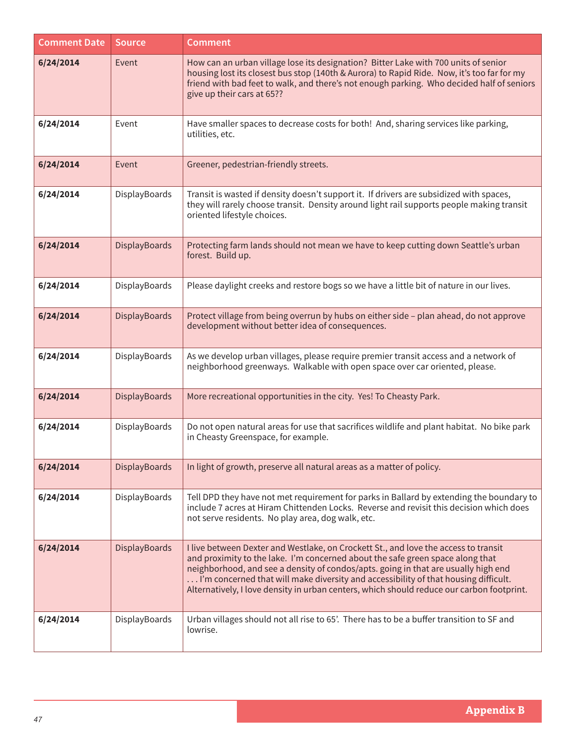| <b>Comment Date</b> | <b>Source</b>        | <b>Comment</b>                                                                                                                                                                                                                                                                                                                                                                                                                                  |
|---------------------|----------------------|-------------------------------------------------------------------------------------------------------------------------------------------------------------------------------------------------------------------------------------------------------------------------------------------------------------------------------------------------------------------------------------------------------------------------------------------------|
| 6/24/2014           | Event                | How can an urban village lose its designation? Bitter Lake with 700 units of senior<br>housing lost its closest bus stop (140th & Aurora) to Rapid Ride. Now, it's too far for my<br>friend with bad feet to walk, and there's not enough parking. Who decided half of seniors<br>give up their cars at 65??                                                                                                                                    |
| 6/24/2014           | Event                | Have smaller spaces to decrease costs for both! And, sharing services like parking,<br>utilities, etc.                                                                                                                                                                                                                                                                                                                                          |
| 6/24/2014           | Event                | Greener, pedestrian-friendly streets.                                                                                                                                                                                                                                                                                                                                                                                                           |
| 6/24/2014           | DisplayBoards        | Transit is wasted if density doesn't support it. If drivers are subsidized with spaces,<br>they will rarely choose transit. Density around light rail supports people making transit<br>oriented lifestyle choices.                                                                                                                                                                                                                             |
| 6/24/2014           | DisplayBoards        | Protecting farm lands should not mean we have to keep cutting down Seattle's urban<br>forest. Build up.                                                                                                                                                                                                                                                                                                                                         |
| 6/24/2014           | DisplayBoards        | Please daylight creeks and restore bogs so we have a little bit of nature in our lives.                                                                                                                                                                                                                                                                                                                                                         |
| 6/24/2014           | DisplayBoards        | Protect village from being overrun by hubs on either side - plan ahead, do not approve<br>development without better idea of consequences.                                                                                                                                                                                                                                                                                                      |
| 6/24/2014           | DisplayBoards        | As we develop urban villages, please require premier transit access and a network of<br>neighborhood greenways. Walkable with open space over car oriented, please.                                                                                                                                                                                                                                                                             |
| 6/24/2014           | DisplayBoards        | More recreational opportunities in the city. Yes! To Cheasty Park.                                                                                                                                                                                                                                                                                                                                                                              |
| 6/24/2014           | DisplayBoards        | Do not open natural areas for use that sacrifices wildlife and plant habitat. No bike park<br>in Cheasty Greenspace, for example.                                                                                                                                                                                                                                                                                                               |
| 6/24/2014           | <b>DisplayBoards</b> | In light of growth, preserve all natural areas as a matter of policy.                                                                                                                                                                                                                                                                                                                                                                           |
| 6/24/2014           | DisplayBoards        | Tell DPD they have not met requirement for parks in Ballard by extending the boundary to<br>include 7 acres at Hiram Chittenden Locks. Reverse and revisit this decision which does<br>not serve residents. No play area, dog walk, etc.                                                                                                                                                                                                        |
| 6/24/2014           | DisplayBoards        | I live between Dexter and Westlake, on Crockett St., and love the access to transit<br>and proximity to the lake. I'm concerned about the safe green space along that<br>neighborhood, and see a density of condos/apts. going in that are usually high end<br>I'm concerned that will make diversity and accessibility of that housing difficult.<br>Alternatively, I love density in urban centers, which should reduce our carbon footprint. |
| 6/24/2014           | DisplayBoards        | Urban villages should not all rise to 65'. There has to be a buffer transition to SF and<br>lowrise.                                                                                                                                                                                                                                                                                                                                            |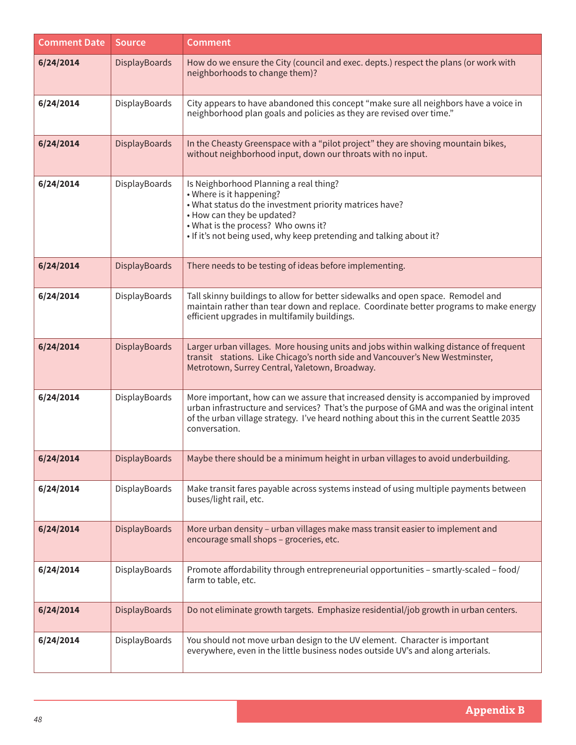| <b>Comment Date</b> | <b>Source</b> | <b>Comment</b>                                                                                                                                                                                                                                                                               |
|---------------------|---------------|----------------------------------------------------------------------------------------------------------------------------------------------------------------------------------------------------------------------------------------------------------------------------------------------|
| 6/24/2014           | DisplayBoards | How do we ensure the City (council and exec. depts.) respect the plans (or work with<br>neighborhoods to change them)?                                                                                                                                                                       |
| 6/24/2014           | DisplayBoards | City appears to have abandoned this concept "make sure all neighbors have a voice in<br>neighborhood plan goals and policies as they are revised over time."                                                                                                                                 |
| 6/24/2014           | DisplayBoards | In the Cheasty Greenspace with a "pilot project" they are shoving mountain bikes,<br>without neighborhood input, down our throats with no input.                                                                                                                                             |
| 6/24/2014           | DisplayBoards | Is Neighborhood Planning a real thing?<br>• Where is it happening?<br>. What status do the investment priority matrices have?<br>• How can they be updated?<br>. What is the process? Who owns it?<br>. If it's not being used, why keep pretending and talking about it?                    |
| 6/24/2014           | DisplayBoards | There needs to be testing of ideas before implementing.                                                                                                                                                                                                                                      |
| 6/24/2014           | DisplayBoards | Tall skinny buildings to allow for better sidewalks and open space. Remodel and<br>maintain rather than tear down and replace. Coordinate better programs to make energy<br>efficient upgrades in multifamily buildings.                                                                     |
| 6/24/2014           | DisplayBoards | Larger urban villages. More housing units and jobs within walking distance of frequent<br>transit stations. Like Chicago's north side and Vancouver's New Westminster,<br>Metrotown, Surrey Central, Yaletown, Broadway.                                                                     |
| 6/24/2014           | DisplayBoards | More important, how can we assure that increased density is accompanied by improved<br>urban infrastructure and services? That's the purpose of GMA and was the original intent<br>of the urban village strategy. I've heard nothing about this in the current Seattle 2035<br>conversation. |
| 6/24/2014           | DisplayBoards | Maybe there should be a minimum height in urban villages to avoid underbuilding.                                                                                                                                                                                                             |
| 6/24/2014           | DisplayBoards | Make transit fares payable across systems instead of using multiple payments between<br>buses/light rail, etc.                                                                                                                                                                               |
| 6/24/2014           | DisplayBoards | More urban density - urban villages make mass transit easier to implement and<br>encourage small shops - groceries, etc.                                                                                                                                                                     |
| 6/24/2014           | DisplayBoards | Promote affordability through entrepreneurial opportunities - smartly-scaled - food/<br>farm to table, etc.                                                                                                                                                                                  |
| 6/24/2014           | DisplayBoards | Do not eliminate growth targets. Emphasize residential/job growth in urban centers.                                                                                                                                                                                                          |
| 6/24/2014           | DisplayBoards | You should not move urban design to the UV element. Character is important<br>everywhere, even in the little business nodes outside UV's and along arterials.                                                                                                                                |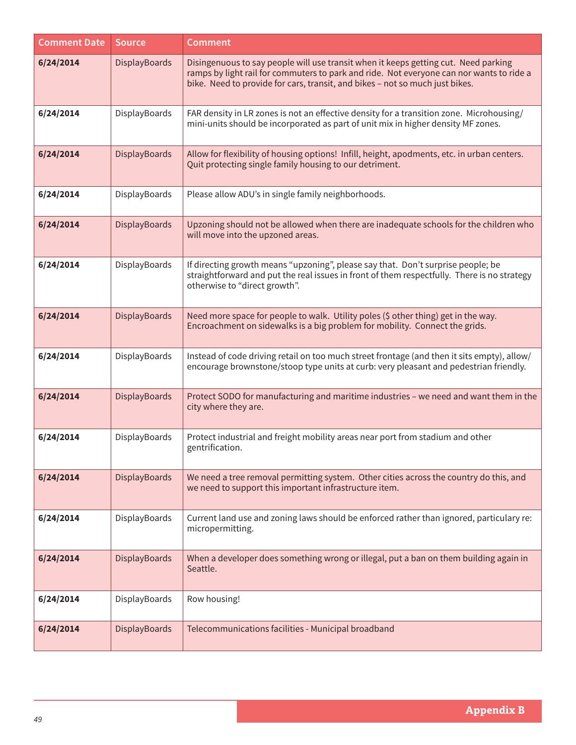| <b>Comment Date</b> | <b>Source</b> | <b>Comment</b>                                                                                                                                                                                                                                                  |
|---------------------|---------------|-----------------------------------------------------------------------------------------------------------------------------------------------------------------------------------------------------------------------------------------------------------------|
| 6/24/2014           | DisplayBoards | Disingenuous to say people will use transit when it keeps getting cut. Need parking<br>ramps by light rail for commuters to park and ride. Not everyone can nor wants to ride a<br>bike. Need to provide for cars, transit, and bikes - not so much just bikes. |
| 6/24/2014           | DisplayBoards | FAR density in LR zones is not an effective density for a transition zone. Microhousing/<br>mini-units should be incorporated as part of unit mix in higher density MF zones.                                                                                   |
| 6/24/2014           | DisplayBoards | Allow for flexibility of housing options! Infill, height, apodments, etc. in urban centers.<br>Quit protecting single family housing to our detriment.                                                                                                          |
| 6/24/2014           | DisplayBoards | Please allow ADU's in single family neighborhoods.                                                                                                                                                                                                              |
| 6/24/2014           | DisplayBoards | Upzoning should not be allowed when there are inadequate schools for the children who<br>will move into the upzoned areas.                                                                                                                                      |
| 6/24/2014           | DisplayBoards | If directing growth means "upzoning", please say that. Don't surprise people; be<br>straightforward and put the real issues in front of them respectfully. There is no strategy<br>otherwise to "direct growth".                                                |
| 6/24/2014           | DisplayBoards | Need more space for people to walk. Utility poles (\$ other thing) get in the way.<br>Encroachment on sidewalks is a big problem for mobility. Connect the grids.                                                                                               |
| 6/24/2014           | DisplayBoards | Instead of code driving retail on too much street frontage (and then it sits empty), allow/<br>encourage brownstone/stoop type units at curb: very pleasant and pedestrian friendly.                                                                            |
| 6/24/2014           | DisplayBoards | Protect SODO for manufacturing and maritime industries - we need and want them in the<br>city where they are.                                                                                                                                                   |
| 6/24/2014           | DisplayBoards | Protect industrial and freight mobility areas near port from stadium and other<br>gentrification.                                                                                                                                                               |
| 6/24/2014           | DisplayBoards | We need a tree removal permitting system. Other cities across the country do this, and<br>we need to support this important infrastructure item.                                                                                                                |
| 6/24/2014           | DisplayBoards | Current land use and zoning laws should be enforced rather than ignored, particulary re:<br>micropermitting.                                                                                                                                                    |
| 6/24/2014           | DisplayBoards | When a developer does something wrong or illegal, put a ban on them building again in<br>Seattle.                                                                                                                                                               |
| 6/24/2014           | DisplayBoards | Row housing!                                                                                                                                                                                                                                                    |
| 6/24/2014           | DisplayBoards | Telecommunications facilities - Municipal broadband                                                                                                                                                                                                             |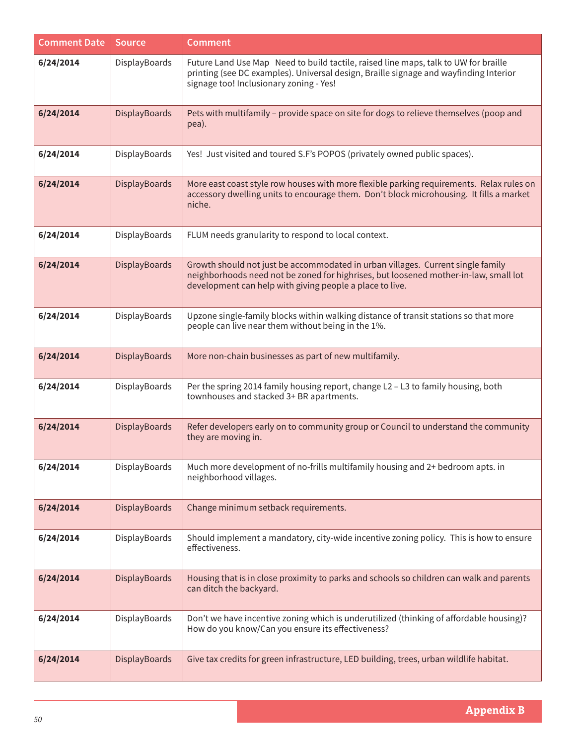| <b>Comment Date</b> | <b>Source</b> | <b>Comment</b>                                                                                                                                                                                                                      |
|---------------------|---------------|-------------------------------------------------------------------------------------------------------------------------------------------------------------------------------------------------------------------------------------|
| 6/24/2014           | DisplayBoards | Future Land Use Map Need to build tactile, raised line maps, talk to UW for braille<br>printing (see DC examples). Universal design, Braille signage and wayfinding Interior<br>signage too! Inclusionary zoning - Yes!             |
| 6/24/2014           | DisplayBoards | Pets with multifamily - provide space on site for dogs to relieve themselves (poop and<br>pea).                                                                                                                                     |
| 6/24/2014           | DisplayBoards | Yes! Just visited and toured S.F's POPOS (privately owned public spaces).                                                                                                                                                           |
| 6/24/2014           | DisplayBoards | More east coast style row houses with more flexible parking requirements. Relax rules on<br>accessory dwelling units to encourage them. Don't block microhousing. It fills a market<br>niche.                                       |
| 6/24/2014           | DisplayBoards | FLUM needs granularity to respond to local context.                                                                                                                                                                                 |
| 6/24/2014           | DisplayBoards | Growth should not just be accommodated in urban villages. Current single family<br>neighborhoods need not be zoned for highrises, but loosened mother-in-law, small lot<br>development can help with giving people a place to live. |
| 6/24/2014           | DisplayBoards | Upzone single-family blocks within walking distance of transit stations so that more<br>people can live near them without being in the 1%.                                                                                          |
| 6/24/2014           | DisplayBoards | More non-chain businesses as part of new multifamily.                                                                                                                                                                               |
| 6/24/2014           | DisplayBoards | Per the spring 2014 family housing report, change L2 - L3 to family housing, both<br>townhouses and stacked 3+ BR apartments.                                                                                                       |
| 6/24/2014           | DisplayBoards | Refer developers early on to community group or Council to understand the community<br>they are moving in.                                                                                                                          |
| 6/24/2014           | DisplayBoards | Much more development of no-frills multifamily housing and 2+ bedroom apts. in<br>neighborhood villages.                                                                                                                            |
| 6/24/2014           | DisplayBoards | Change minimum setback requirements.                                                                                                                                                                                                |
| 6/24/2014           | DisplayBoards | Should implement a mandatory, city-wide incentive zoning policy. This is how to ensure<br>effectiveness.                                                                                                                            |
| 6/24/2014           | DisplayBoards | Housing that is in close proximity to parks and schools so children can walk and parents<br>can ditch the backyard.                                                                                                                 |
| 6/24/2014           | DisplayBoards | Don't we have incentive zoning which is underutilized (thinking of affordable housing)?<br>How do you know/Can you ensure its effectiveness?                                                                                        |
| 6/24/2014           | DisplayBoards | Give tax credits for green infrastructure, LED building, trees, urban wildlife habitat.                                                                                                                                             |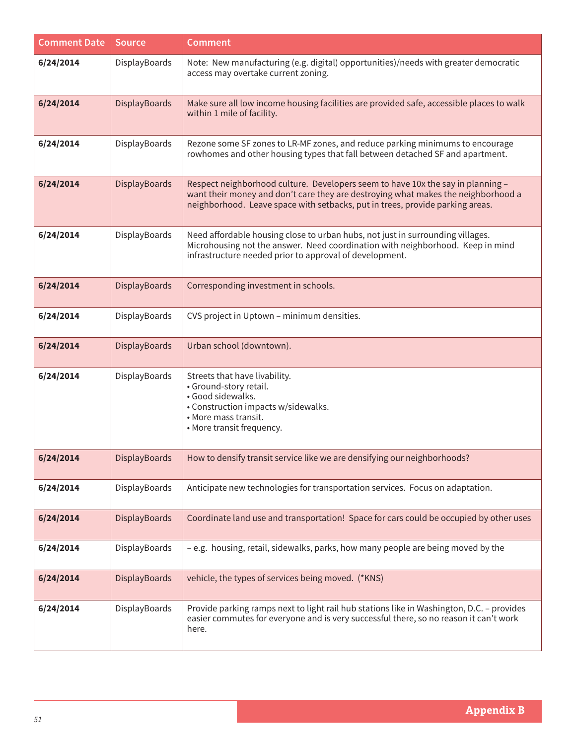| <b>Comment Date</b> | <b>Source</b>        | <b>Comment</b>                                                                                                                                                                                                                                        |
|---------------------|----------------------|-------------------------------------------------------------------------------------------------------------------------------------------------------------------------------------------------------------------------------------------------------|
| 6/24/2014           | DisplayBoards        | Note: New manufacturing (e.g. digital) opportunities)/needs with greater democratic<br>access may overtake current zoning.                                                                                                                            |
| 6/24/2014           | DisplayBoards        | Make sure all low income housing facilities are provided safe, accessible places to walk<br>within 1 mile of facility.                                                                                                                                |
| 6/24/2014           | DisplayBoards        | Rezone some SF zones to LR-MF zones, and reduce parking minimums to encourage<br>rowhomes and other housing types that fall between detached SF and apartment.                                                                                        |
| 6/24/2014           | <b>DisplayBoards</b> | Respect neighborhood culture. Developers seem to have 10x the say in planning -<br>want their money and don't care they are destroying what makes the neighborhood a<br>neighborhood. Leave space with setbacks, put in trees, provide parking areas. |
| 6/24/2014           | DisplayBoards        | Need affordable housing close to urban hubs, not just in surrounding villages.<br>Microhousing not the answer. Need coordination with neighborhood. Keep in mind<br>infrastructure needed prior to approval of development.                           |
| 6/24/2014           | <b>DisplayBoards</b> | Corresponding investment in schools.                                                                                                                                                                                                                  |
| 6/24/2014           | DisplayBoards        | CVS project in Uptown - minimum densities.                                                                                                                                                                                                            |
| 6/24/2014           | <b>DisplayBoards</b> | Urban school (downtown).                                                                                                                                                                                                                              |
| 6/24/2014           | DisplayBoards        | Streets that have livability.<br>• Ground-story retail.<br>· Good sidewalks.<br>• Construction impacts w/sidewalks.<br>• More mass transit.<br>• More transit frequency.                                                                              |
| 6/24/2014           | <b>DisplayBoards</b> | How to densify transit service like we are densifying our neighborhoods?                                                                                                                                                                              |
| 6/24/2014           | DisplayBoards        | Anticipate new technologies for transportation services. Focus on adaptation.                                                                                                                                                                         |
| 6/24/2014           | <b>DisplayBoards</b> | Coordinate land use and transportation! Space for cars could be occupied by other uses                                                                                                                                                                |
| 6/24/2014           | DisplayBoards        | - e.g. housing, retail, sidewalks, parks, how many people are being moved by the                                                                                                                                                                      |
| 6/24/2014           | <b>DisplayBoards</b> | vehicle, the types of services being moved. (*KNS)                                                                                                                                                                                                    |
| 6/24/2014           | DisplayBoards        | Provide parking ramps next to light rail hub stations like in Washington, D.C. - provides<br>easier commutes for everyone and is very successful there, so no reason it can't work<br>here.                                                           |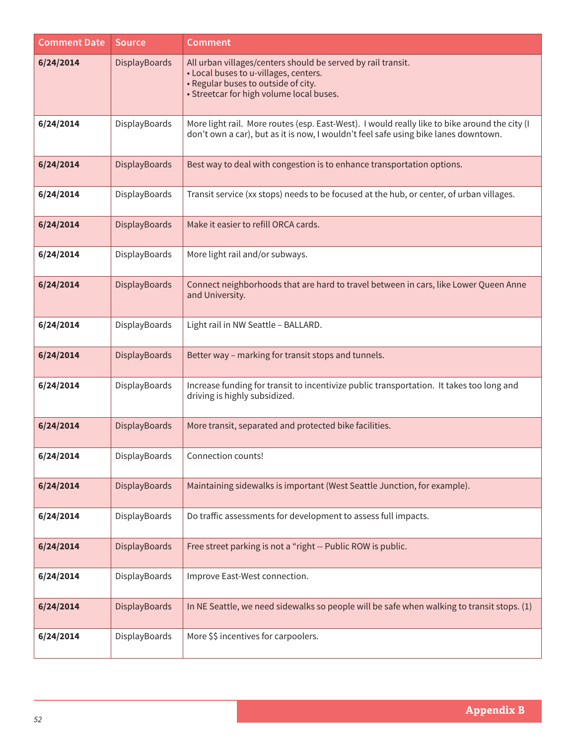| <b>Comment Date</b> | <b>Source</b>        | <b>Comment</b>                                                                                                                                                                           |
|---------------------|----------------------|------------------------------------------------------------------------------------------------------------------------------------------------------------------------------------------|
| 6/24/2014           | DisplayBoards        | All urban villages/centers should be served by rail transit.<br>• Local buses to u-villages, centers.<br>• Regular buses to outside of city.<br>• Streetcar for high volume local buses. |
| 6/24/2014           | DisplayBoards        | More light rail. More routes (esp. East-West). I would really like to bike around the city (I<br>don't own a car), but as it is now, I wouldn't feel safe using bike lanes downtown.     |
| 6/24/2014           | DisplayBoards        | Best way to deal with congestion is to enhance transportation options.                                                                                                                   |
| 6/24/2014           | DisplayBoards        | Transit service (xx stops) needs to be focused at the hub, or center, of urban villages.                                                                                                 |
| 6/24/2014           | <b>DisplayBoards</b> | Make it easier to refill ORCA cards.                                                                                                                                                     |
| 6/24/2014           | DisplayBoards        | More light rail and/or subways.                                                                                                                                                          |
| 6/24/2014           | <b>DisplayBoards</b> | Connect neighborhoods that are hard to travel between in cars, like Lower Queen Anne<br>and University.                                                                                  |
| 6/24/2014           | DisplayBoards        | Light rail in NW Seattle - BALLARD.                                                                                                                                                      |
| 6/24/2014           | DisplayBoards        | Better way - marking for transit stops and tunnels.                                                                                                                                      |
| 6/24/2014           | DisplayBoards        | Increase funding for transit to incentivize public transportation. It takes too long and<br>driving is highly subsidized.                                                                |
| 6/24/2014           | DisplayBoards        | More transit, separated and protected bike facilities.                                                                                                                                   |
| 6/24/2014           | DisplayBoards        | Connection counts!                                                                                                                                                                       |
| 6/24/2014           | <b>DisplayBoards</b> | Maintaining sidewalks is important (West Seattle Junction, for example).                                                                                                                 |
| 6/24/2014           | DisplayBoards        | Do traffic assessments for development to assess full impacts.                                                                                                                           |
| 6/24/2014           | <b>DisplayBoards</b> | Free street parking is not a "right -- Public ROW is public.                                                                                                                             |
| 6/24/2014           | DisplayBoards        | Improve East-West connection.                                                                                                                                                            |
| 6/24/2014           | <b>DisplayBoards</b> | In NE Seattle, we need sidewalks so people will be safe when walking to transit stops. (1)                                                                                               |
| 6/24/2014           | DisplayBoards        | More \$\$ incentives for carpoolers.                                                                                                                                                     |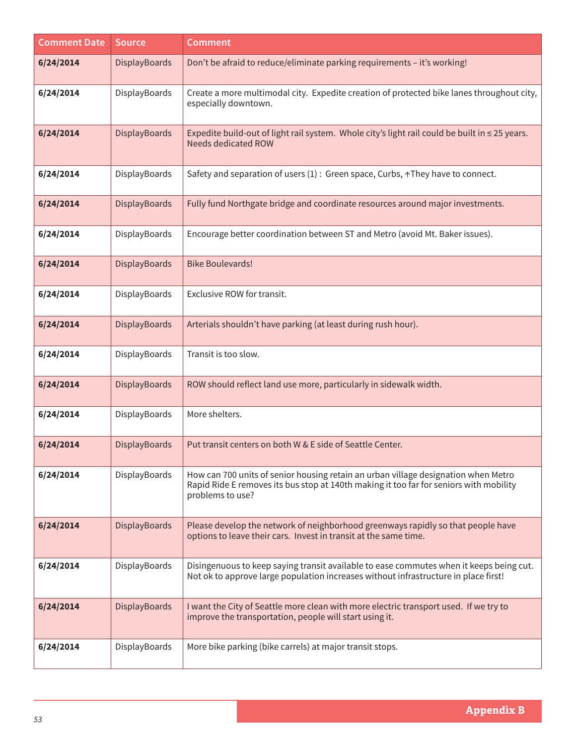| <b>Comment Date</b> | Source               | <b>Comment</b>                                                                                                                                                                                   |
|---------------------|----------------------|--------------------------------------------------------------------------------------------------------------------------------------------------------------------------------------------------|
| 6/24/2014           | <b>DisplayBoards</b> | Don't be afraid to reduce/eliminate parking requirements - it's working!                                                                                                                         |
| 6/24/2014           | DisplayBoards        | Create a more multimodal city. Expedite creation of protected bike lanes throughout city,<br>especially downtown.                                                                                |
| 6/24/2014           | DisplayBoards        | Expedite build-out of light rail system. Whole city's light rail could be built in $\leq$ 25 years.<br><b>Needs dedicated ROW</b>                                                                |
| 6/24/2014           | DisplayBoards        | Safety and separation of users (1) : Green space, Curbs, $\land$ They have to connect.                                                                                                           |
| 6/24/2014           | DisplayBoards        | Fully fund Northgate bridge and coordinate resources around major investments.                                                                                                                   |
| 6/24/2014           | DisplayBoards        | Encourage better coordination between ST and Metro (avoid Mt. Baker issues).                                                                                                                     |
| 6/24/2014           | <b>DisplayBoards</b> | <b>Bike Boulevards!</b>                                                                                                                                                                          |
| 6/24/2014           | DisplayBoards        | Exclusive ROW for transit.                                                                                                                                                                       |
| 6/24/2014           | DisplayBoards        | Arterials shouldn't have parking (at least during rush hour).                                                                                                                                    |
| 6/24/2014           | DisplayBoards        | Transit is too slow.                                                                                                                                                                             |
| 6/24/2014           | DisplayBoards        | ROW should reflect land use more, particularly in sidewalk width.                                                                                                                                |
| 6/24/2014           | DisplayBoards        | More shelters.                                                                                                                                                                                   |
| 6/24/2014           | <b>DisplayBoards</b> | Put transit centers on both W & E side of Seattle Center.                                                                                                                                        |
| 6/24/2014           | DisplayBoards        | How can 700 units of senior housing retain an urban village designation when Metro<br>Rapid Ride E removes its bus stop at 140th making it too far for seniors with mobility<br>problems to use? |
| 6/24/2014           | DisplayBoards        | Please develop the network of neighborhood greenways rapidly so that people have<br>options to leave their cars. Invest in transit at the same time.                                             |
| 6/24/2014           | DisplayBoards        | Disingenuous to keep saying transit available to ease commutes when it keeps being cut.<br>Not ok to approve large population increases without infrastructure in place first!                   |
| 6/24/2014           | DisplayBoards        | I want the City of Seattle more clean with more electric transport used. If we try to<br>improve the transportation, people will start using it.                                                 |
| 6/24/2014           | DisplayBoards        | More bike parking (bike carrels) at major transit stops.                                                                                                                                         |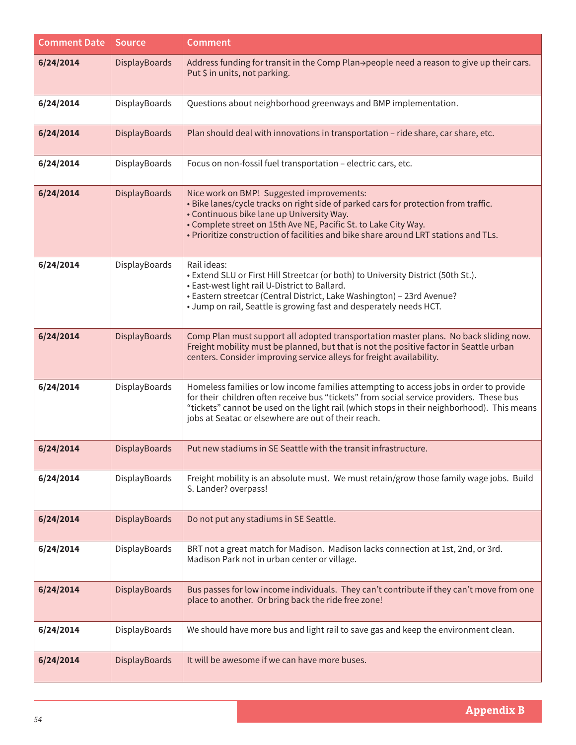| <b>Comment Date</b> | <b>Source</b> | <b>Comment</b>                                                                                                                                                                                                                                                                                                                          |
|---------------------|---------------|-----------------------------------------------------------------------------------------------------------------------------------------------------------------------------------------------------------------------------------------------------------------------------------------------------------------------------------------|
| 6/24/2014           | DisplayBoards | Address funding for transit in the Comp Plan->people need a reason to give up their cars.<br>Put \$ in units, not parking.                                                                                                                                                                                                              |
| 6/24/2014           | DisplayBoards | Questions about neighborhood greenways and BMP implementation.                                                                                                                                                                                                                                                                          |
| 6/24/2014           | DisplayBoards | Plan should deal with innovations in transportation - ride share, car share, etc.                                                                                                                                                                                                                                                       |
| 6/24/2014           | DisplayBoards | Focus on non-fossil fuel transportation - electric cars, etc.                                                                                                                                                                                                                                                                           |
| 6/24/2014           | DisplayBoards | Nice work on BMP! Suggested improvements:<br>. Bike lanes/cycle tracks on right side of parked cars for protection from traffic.<br>• Continuous bike lane up University Way.<br>• Complete street on 15th Ave NE, Pacific St. to Lake City Way.<br>. Prioritize construction of facilities and bike share around LRT stations and TLs. |
| 6/24/2014           | DisplayBoards | Rail ideas:<br>• Extend SLU or First Hill Streetcar (or both) to University District (50th St.).<br>• East-west light rail U-District to Ballard.<br>• Eastern streetcar (Central District, Lake Washington) - 23rd Avenue?<br>• Jump on rail, Seattle is growing fast and desperately needs HCT.                                       |
| 6/24/2014           | DisplayBoards | Comp Plan must support all adopted transportation master plans. No back sliding now.<br>Freight mobility must be planned, but that is not the positive factor in Seattle urban<br>centers. Consider improving service alleys for freight availability.                                                                                  |
| 6/24/2014           | DisplayBoards | Homeless families or low income families attempting to access jobs in order to provide<br>for their children often receive bus "tickets" from social service providers. These bus<br>"tickets" cannot be used on the light rail (which stops in their neighborhood). This means<br>jobs at Seatac or elsewhere are out of their reach.  |
| 6/24/2014           | DisplayBoards | Put new stadiums in SE Seattle with the transit infrastructure.                                                                                                                                                                                                                                                                         |
| 6/24/2014           | DisplayBoards | Freight mobility is an absolute must. We must retain/grow those family wage jobs. Build<br>S. Lander? overpass!                                                                                                                                                                                                                         |
| 6/24/2014           | DisplayBoards | Do not put any stadiums in SE Seattle.                                                                                                                                                                                                                                                                                                  |
| 6/24/2014           | DisplayBoards | BRT not a great match for Madison. Madison lacks connection at 1st, 2nd, or 3rd.<br>Madison Park not in urban center or village.                                                                                                                                                                                                        |
| 6/24/2014           | DisplayBoards | Bus passes for low income individuals. They can't contribute if they can't move from one<br>place to another. Or bring back the ride free zone!                                                                                                                                                                                         |
| 6/24/2014           | DisplayBoards | We should have more bus and light rail to save gas and keep the environment clean.                                                                                                                                                                                                                                                      |
| 6/24/2014           | DisplayBoards | It will be awesome if we can have more buses.                                                                                                                                                                                                                                                                                           |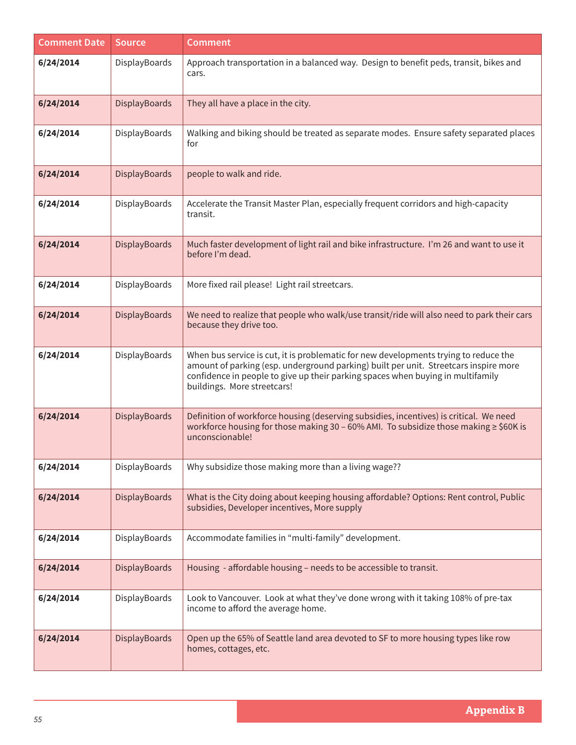| <b>Comment Date</b> | <b>Source</b>        | <b>Comment</b>                                                                                                                                                                                                                                                                                 |
|---------------------|----------------------|------------------------------------------------------------------------------------------------------------------------------------------------------------------------------------------------------------------------------------------------------------------------------------------------|
| 6/24/2014           | DisplayBoards        | Approach transportation in a balanced way. Design to benefit peds, transit, bikes and<br>cars.                                                                                                                                                                                                 |
| 6/24/2014           | DisplayBoards        | They all have a place in the city.                                                                                                                                                                                                                                                             |
| 6/24/2014           | DisplayBoards        | Walking and biking should be treated as separate modes. Ensure safety separated places<br>for                                                                                                                                                                                                  |
| 6/24/2014           | DisplayBoards        | people to walk and ride.                                                                                                                                                                                                                                                                       |
| 6/24/2014           | DisplayBoards        | Accelerate the Transit Master Plan, especially frequent corridors and high-capacity<br>transit.                                                                                                                                                                                                |
| 6/24/2014           | DisplayBoards        | Much faster development of light rail and bike infrastructure. I'm 26 and want to use it<br>before I'm dead.                                                                                                                                                                                   |
| 6/24/2014           | DisplayBoards        | More fixed rail please! Light rail streetcars.                                                                                                                                                                                                                                                 |
| 6/24/2014           | DisplayBoards        | We need to realize that people who walk/use transit/ride will also need to park their cars<br>because they drive too.                                                                                                                                                                          |
| 6/24/2014           | DisplayBoards        | When bus service is cut, it is problematic for new developments trying to reduce the<br>amount of parking (esp. underground parking) built per unit. Streetcars inspire more<br>confidence in people to give up their parking spaces when buying in multifamily<br>buildings. More streetcars! |
| 6/24/2014           | DisplayBoards        | Definition of workforce housing (deserving subsidies, incentives) is critical. We need<br>workforce housing for those making 30 - 60% AMI. To subsidize those making ≥ \$60K is<br>unconscionable!                                                                                             |
| 6/24/2014           | DisplayBoards        | Why subsidize those making more than a living wage??                                                                                                                                                                                                                                           |
| 6/24/2014           | <b>DisplayBoards</b> | What is the City doing about keeping housing affordable? Options: Rent control, Public<br>subsidies, Developer incentives, More supply                                                                                                                                                         |
| 6/24/2014           | DisplayBoards        | Accommodate families in "multi-family" development.                                                                                                                                                                                                                                            |
| 6/24/2014           | <b>DisplayBoards</b> | Housing - affordable housing - needs to be accessible to transit.                                                                                                                                                                                                                              |
| 6/24/2014           | DisplayBoards        | Look to Vancouver. Look at what they've done wrong with it taking 108% of pre-tax<br>income to afford the average home.                                                                                                                                                                        |
| 6/24/2014           | <b>DisplayBoards</b> | Open up the 65% of Seattle land area devoted to SF to more housing types like row<br>homes, cottages, etc.                                                                                                                                                                                     |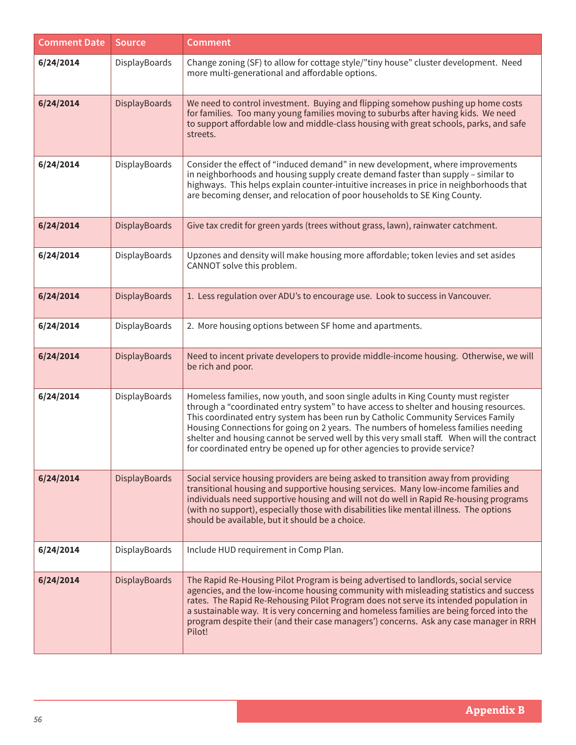| <b>Comment Date</b> | <b>Source</b>        | <b>Comment</b>                                                                                                                                                                                                                                                                                                                                                                                                                                                                                                                  |
|---------------------|----------------------|---------------------------------------------------------------------------------------------------------------------------------------------------------------------------------------------------------------------------------------------------------------------------------------------------------------------------------------------------------------------------------------------------------------------------------------------------------------------------------------------------------------------------------|
| 6/24/2014           | DisplayBoards        | Change zoning (SF) to allow for cottage style/"tiny house" cluster development. Need<br>more multi-generational and affordable options.                                                                                                                                                                                                                                                                                                                                                                                         |
| 6/24/2014           | DisplayBoards        | We need to control investment. Buying and flipping somehow pushing up home costs<br>for families. Too many young families moving to suburbs after having kids. We need<br>to support affordable low and middle-class housing with great schools, parks, and safe<br>streets.                                                                                                                                                                                                                                                    |
| 6/24/2014           | DisplayBoards        | Consider the effect of "induced demand" in new development, where improvements<br>in neighborhoods and housing supply create demand faster than supply - similar to<br>highways. This helps explain counter-intuitive increases in price in neighborhoods that<br>are becoming denser, and relocation of poor households to SE King County.                                                                                                                                                                                     |
| 6/24/2014           | <b>DisplayBoards</b> | Give tax credit for green yards (trees without grass, lawn), rainwater catchment.                                                                                                                                                                                                                                                                                                                                                                                                                                               |
| 6/24/2014           | DisplayBoards        | Upzones and density will make housing more affordable; token levies and set asides<br>CANNOT solve this problem.                                                                                                                                                                                                                                                                                                                                                                                                                |
| 6/24/2014           | <b>DisplayBoards</b> | 1. Less regulation over ADU's to encourage use. Look to success in Vancouver.                                                                                                                                                                                                                                                                                                                                                                                                                                                   |
| 6/24/2014           | DisplayBoards        | 2. More housing options between SF home and apartments.                                                                                                                                                                                                                                                                                                                                                                                                                                                                         |
| 6/24/2014           | <b>DisplayBoards</b> | Need to incent private developers to provide middle-income housing. Otherwise, we will<br>be rich and poor.                                                                                                                                                                                                                                                                                                                                                                                                                     |
| 6/24/2014           | DisplayBoards        | Homeless families, now youth, and soon single adults in King County must register<br>through a "coordinated entry system" to have access to shelter and housing resources.<br>This coordinated entry system has been run by Catholic Community Services Family<br>Housing Connections for going on 2 years. The numbers of homeless families needing<br>shelter and housing cannot be served well by this very small staff. When will the contract<br>for coordinated entry be opened up for other agencies to provide service? |
| 6/24/2014           | <b>DisplayBoards</b> | Social service housing providers are being asked to transition away from providing<br>transitional housing and supportive housing services. Many low-income families and<br>individuals need supportive housing and will not do well in Rapid Re-housing programs<br>(with no support), especially those with disabilities like mental illness. The options<br>should be available, but it should be a choice.                                                                                                                  |
| 6/24/2014           | DisplayBoards        | Include HUD requirement in Comp Plan.                                                                                                                                                                                                                                                                                                                                                                                                                                                                                           |
| 6/24/2014           | <b>DisplayBoards</b> | The Rapid Re-Housing Pilot Program is being advertised to landlords, social service<br>agencies, and the low-income housing community with misleading statistics and success<br>rates. The Rapid Re-Rehousing Pilot Program does not serve its intended population in<br>a sustainable way. It is very concerning and homeless families are being forced into the<br>program despite their (and their case managers') concerns. Ask any case manager in RRH<br>Pilot!                                                           |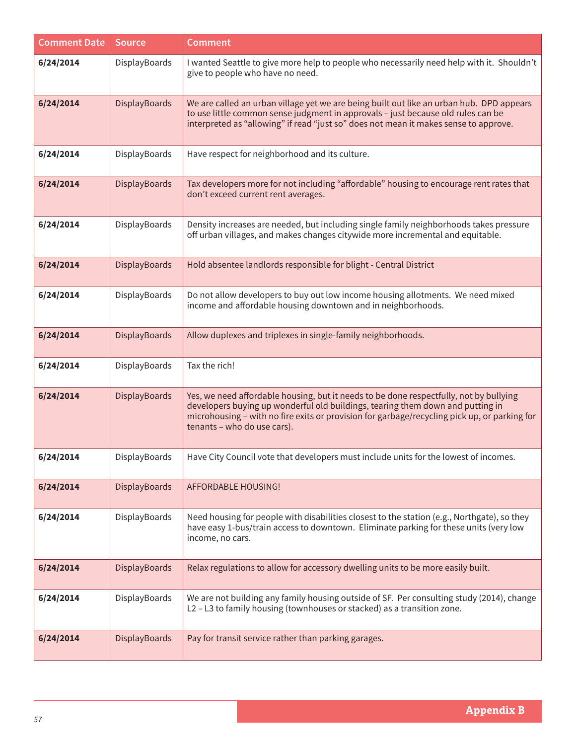| <b>Comment Date</b> | <b>Source</b>        | <b>Comment</b>                                                                                                                                                                                                                                                                                          |
|---------------------|----------------------|---------------------------------------------------------------------------------------------------------------------------------------------------------------------------------------------------------------------------------------------------------------------------------------------------------|
| 6/24/2014           | DisplayBoards        | I wanted Seattle to give more help to people who necessarily need help with it. Shouldn't<br>give to people who have no need.                                                                                                                                                                           |
| 6/24/2014           | DisplayBoards        | We are called an urban village yet we are being built out like an urban hub. DPD appears<br>to use little common sense judgment in approvals - just because old rules can be<br>interpreted as "allowing" if read "just so" does not mean it makes sense to approve.                                    |
| 6/24/2014           | DisplayBoards        | Have respect for neighborhood and its culture.                                                                                                                                                                                                                                                          |
| 6/24/2014           | DisplayBoards        | Tax developers more for not including "affordable" housing to encourage rent rates that<br>don't exceed current rent averages.                                                                                                                                                                          |
| 6/24/2014           | DisplayBoards        | Density increases are needed, but including single family neighborhoods takes pressure<br>off urban villages, and makes changes citywide more incremental and equitable.                                                                                                                                |
| 6/24/2014           | DisplayBoards        | Hold absentee landlords responsible for blight - Central District                                                                                                                                                                                                                                       |
| 6/24/2014           | DisplayBoards        | Do not allow developers to buy out low income housing allotments. We need mixed<br>income and affordable housing downtown and in neighborhoods.                                                                                                                                                         |
| 6/24/2014           | DisplayBoards        | Allow duplexes and triplexes in single-family neighborhoods.                                                                                                                                                                                                                                            |
| 6/24/2014           | DisplayBoards        | Tax the rich!                                                                                                                                                                                                                                                                                           |
| 6/24/2014           | DisplayBoards        | Yes, we need affordable housing, but it needs to be done respectfully, not by bullying<br>developers buying up wonderful old buildings, tearing them down and putting in<br>microhousing - with no fire exits or provision for garbage/recycling pick up, or parking for<br>tenants - who do use cars). |
| 6/24/2014           | DisplayBoards        | Have City Council vote that developers must include units for the lowest of incomes.                                                                                                                                                                                                                    |
| 6/24/2014           | DisplayBoards        | AFFORDABLE HOUSING!                                                                                                                                                                                                                                                                                     |
| 6/24/2014           | DisplayBoards        | Need housing for people with disabilities closest to the station (e.g., Northgate), so they<br>have easy 1-bus/train access to downtown. Eliminate parking for these units (very low<br>income, no cars.                                                                                                |
| 6/24/2014           | <b>DisplayBoards</b> | Relax regulations to allow for accessory dwelling units to be more easily built.                                                                                                                                                                                                                        |
| 6/24/2014           | DisplayBoards        | We are not building any family housing outside of SF. Per consulting study (2014), change<br>L2 - L3 to family housing (townhouses or stacked) as a transition zone.                                                                                                                                    |
| 6/24/2014           | <b>DisplayBoards</b> | Pay for transit service rather than parking garages.                                                                                                                                                                                                                                                    |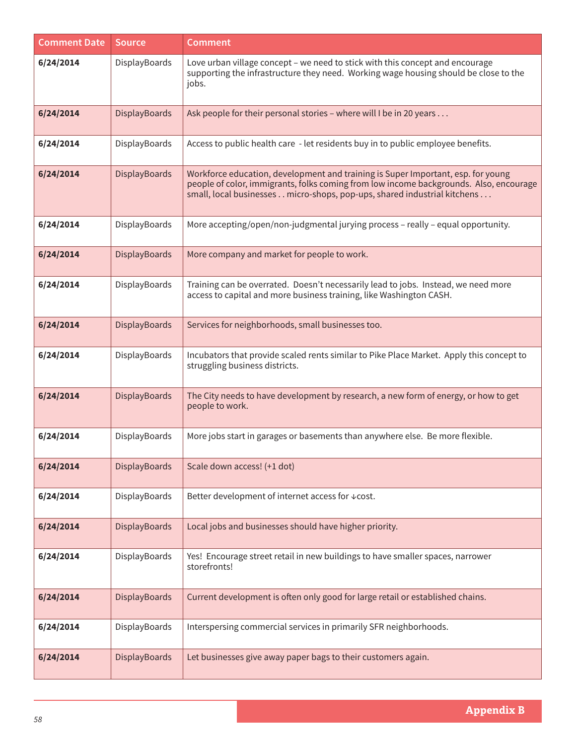| <b>Comment Date</b> | <b>Source</b>        | <b>Comment</b>                                                                                                                                                                                                                                         |
|---------------------|----------------------|--------------------------------------------------------------------------------------------------------------------------------------------------------------------------------------------------------------------------------------------------------|
| 6/24/2014           | DisplayBoards        | Love urban village concept - we need to stick with this concept and encourage<br>supporting the infrastructure they need. Working wage housing should be close to the<br>jobs.                                                                         |
| 6/24/2014           | DisplayBoards        | Ask people for their personal stories - where will I be in 20 years                                                                                                                                                                                    |
| 6/24/2014           | DisplayBoards        | Access to public health care - let residents buy in to public employee benefits.                                                                                                                                                                       |
| 6/24/2014           | <b>DisplayBoards</b> | Workforce education, development and training is Super Important, esp. for young<br>people of color, immigrants, folks coming from low income backgrounds. Also, encourage<br>small, local businesses micro-shops, pop-ups, shared industrial kitchens |
| 6/24/2014           | DisplayBoards        | More accepting/open/non-judgmental jurying process - really - equal opportunity.                                                                                                                                                                       |
| 6/24/2014           | DisplayBoards        | More company and market for people to work.                                                                                                                                                                                                            |
| 6/24/2014           | DisplayBoards        | Training can be overrated. Doesn't necessarily lead to jobs. Instead, we need more<br>access to capital and more business training, like Washington CASH.                                                                                              |
| 6/24/2014           | <b>DisplayBoards</b> | Services for neighborhoods, small businesses too.                                                                                                                                                                                                      |
| 6/24/2014           | DisplayBoards        | Incubators that provide scaled rents similar to Pike Place Market. Apply this concept to<br>struggling business districts.                                                                                                                             |
| 6/24/2014           | DisplayBoards        | The City needs to have development by research, a new form of energy, or how to get<br>people to work.                                                                                                                                                 |
| 6/24/2014           | DisplayBoards        | More jobs start in garages or basements than anywhere else. Be more flexible.                                                                                                                                                                          |
| 6/24/2014           | DisplayBoards        | Scale down access! (+1 dot)                                                                                                                                                                                                                            |
| 6/24/2014           | DisplayBoards        | Better development of internet access for ↓ cost.                                                                                                                                                                                                      |
| 6/24/2014           | DisplayBoards        | Local jobs and businesses should have higher priority.                                                                                                                                                                                                 |
| 6/24/2014           | DisplayBoards        | Yes! Encourage street retail in new buildings to have smaller spaces, narrower<br>storefronts!                                                                                                                                                         |
| 6/24/2014           | <b>DisplayBoards</b> | Current development is often only good for large retail or established chains.                                                                                                                                                                         |
| 6/24/2014           | DisplayBoards        | Interspersing commercial services in primarily SFR neighborhoods.                                                                                                                                                                                      |
| 6/24/2014           | <b>DisplayBoards</b> | Let businesses give away paper bags to their customers again.                                                                                                                                                                                          |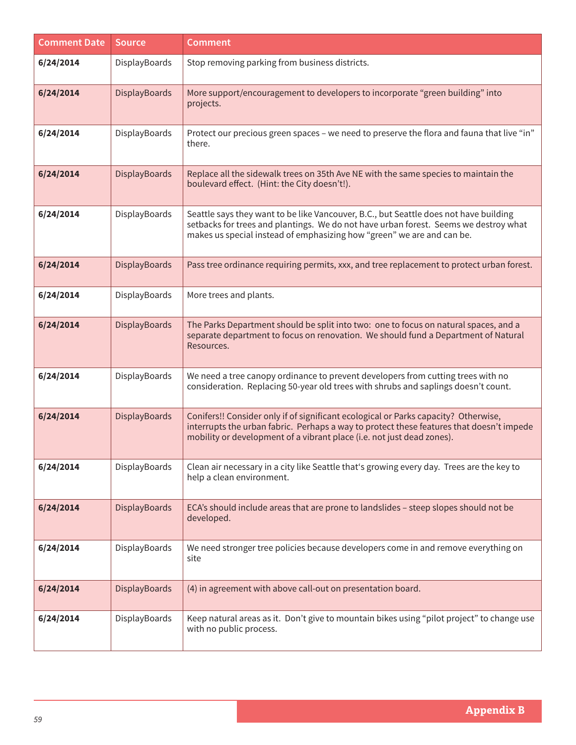| <b>Comment Date</b> | <b>Source</b>        | <b>Comment</b>                                                                                                                                                                                                                                            |
|---------------------|----------------------|-----------------------------------------------------------------------------------------------------------------------------------------------------------------------------------------------------------------------------------------------------------|
| 6/24/2014           | DisplayBoards        | Stop removing parking from business districts.                                                                                                                                                                                                            |
| 6/24/2014           | DisplayBoards        | More support/encouragement to developers to incorporate "green building" into<br>projects.                                                                                                                                                                |
| 6/24/2014           | DisplayBoards        | Protect our precious green spaces - we need to preserve the flora and fauna that live "in"<br>there.                                                                                                                                                      |
| 6/24/2014           | DisplayBoards        | Replace all the sidewalk trees on 35th Ave NE with the same species to maintain the<br>boulevard effect. (Hint: the City doesn't!).                                                                                                                       |
| 6/24/2014           | DisplayBoards        | Seattle says they want to be like Vancouver, B.C., but Seattle does not have building<br>setbacks for trees and plantings. We do not have urban forest. Seems we destroy what<br>makes us special instead of emphasizing how "green" we are and can be.   |
| 6/24/2014           | <b>DisplayBoards</b> | Pass tree ordinance requiring permits, xxx, and tree replacement to protect urban forest.                                                                                                                                                                 |
| 6/24/2014           | DisplayBoards        | More trees and plants.                                                                                                                                                                                                                                    |
| 6/24/2014           | <b>DisplayBoards</b> | The Parks Department should be split into two: one to focus on natural spaces, and a<br>separate department to focus on renovation. We should fund a Department of Natural<br>Resources.                                                                  |
| 6/24/2014           | DisplayBoards        | We need a tree canopy ordinance to prevent developers from cutting trees with no<br>consideration. Replacing 50-year old trees with shrubs and saplings doesn't count.                                                                                    |
| 6/24/2014           | <b>DisplayBoards</b> | Conifers!! Consider only if of significant ecological or Parks capacity? Otherwise,<br>interrupts the urban fabric. Perhaps a way to protect these features that doesn't impede<br>mobility or development of a vibrant place (i.e. not just dead zones). |
| 6/24/2014           | DisplayBoards        | Clean air necessary in a city like Seattle that's growing every day. Trees are the key to<br>help a clean environment.                                                                                                                                    |
| 6/24/2014           | <b>DisplayBoards</b> | ECA's should include areas that are prone to landslides - steep slopes should not be<br>developed.                                                                                                                                                        |
| 6/24/2014           | DisplayBoards        | We need stronger tree policies because developers come in and remove everything on<br>site                                                                                                                                                                |
| 6/24/2014           | <b>DisplayBoards</b> | (4) in agreement with above call-out on presentation board.                                                                                                                                                                                               |
| 6/24/2014           | DisplayBoards        | Keep natural areas as it. Don't give to mountain bikes using "pilot project" to change use<br>with no public process.                                                                                                                                     |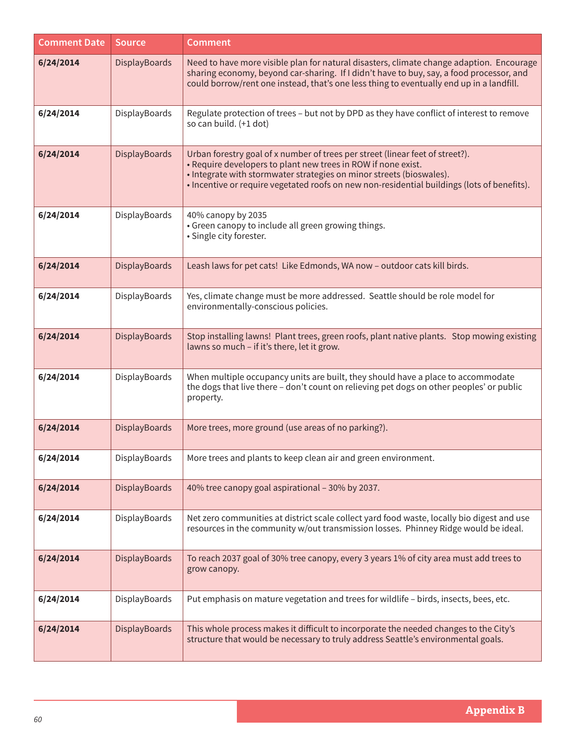| <b>Comment Date</b> | <b>Source</b>        | <b>Comment</b>                                                                                                                                                                                                                                                                                                        |
|---------------------|----------------------|-----------------------------------------------------------------------------------------------------------------------------------------------------------------------------------------------------------------------------------------------------------------------------------------------------------------------|
| 6/24/2014           | <b>DisplayBoards</b> | Need to have more visible plan for natural disasters, climate change adaption. Encourage<br>sharing economy, beyond car-sharing. If I didn't have to buy, say, a food processor, and<br>could borrow/rent one instead, that's one less thing to eventually end up in a landfill.                                      |
| 6/24/2014           | DisplayBoards        | Regulate protection of trees - but not by DPD as they have conflict of interest to remove<br>so can build. (+1 dot)                                                                                                                                                                                                   |
| 6/24/2014           | DisplayBoards        | Urban forestry goal of x number of trees per street (linear feet of street?).<br>. Require developers to plant new trees in ROW if none exist.<br>• Integrate with stormwater strategies on minor streets (bioswales).<br>• Incentive or require vegetated roofs on new non-residential buildings (lots of benefits). |
| 6/24/2014           | DisplayBoards        | 40% canopy by 2035<br>• Green canopy to include all green growing things.<br>· Single city forester.                                                                                                                                                                                                                  |
| 6/24/2014           | <b>DisplayBoards</b> | Leash laws for pet cats! Like Edmonds, WA now - outdoor cats kill birds.                                                                                                                                                                                                                                              |
| 6/24/2014           | DisplayBoards        | Yes, climate change must be more addressed. Seattle should be role model for<br>environmentally-conscious policies.                                                                                                                                                                                                   |
| 6/24/2014           | DisplayBoards        | Stop installing lawns! Plant trees, green roofs, plant native plants. Stop mowing existing<br>lawns so much - if it's there, let it grow.                                                                                                                                                                             |
| 6/24/2014           | DisplayBoards        | When multiple occupancy units are built, they should have a place to accommodate<br>the dogs that live there - don't count on relieving pet dogs on other peoples' or public<br>property.                                                                                                                             |
| 6/24/2014           | <b>DisplayBoards</b> | More trees, more ground (use areas of no parking?).                                                                                                                                                                                                                                                                   |
| 6/24/2014           |                      | DisplayBoards $\parallel$ More trees and plants to keep clean air and green environment.                                                                                                                                                                                                                              |
| 6/24/2014           | <b>DisplayBoards</b> | 40% tree canopy goal aspirational - 30% by 2037.                                                                                                                                                                                                                                                                      |
| 6/24/2014           | DisplayBoards        | Net zero communities at district scale collect yard food waste, locally bio digest and use<br>resources in the community w/out transmission losses. Phinney Ridge would be ideal.                                                                                                                                     |
| 6/24/2014           | <b>DisplayBoards</b> | To reach 2037 goal of 30% tree canopy, every 3 years 1% of city area must add trees to<br>grow canopy.                                                                                                                                                                                                                |
| 6/24/2014           | DisplayBoards        | Put emphasis on mature vegetation and trees for wildlife - birds, insects, bees, etc.                                                                                                                                                                                                                                 |
| 6/24/2014           | <b>DisplayBoards</b> | This whole process makes it difficult to incorporate the needed changes to the City's<br>structure that would be necessary to truly address Seattle's environmental goals.                                                                                                                                            |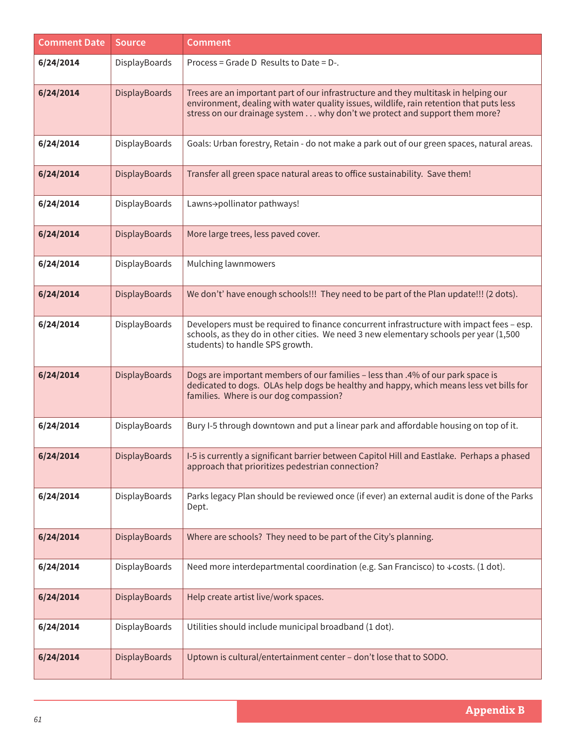| <b>Comment Date</b> | <b>Source</b>        | <b>Comment</b>                                                                                                                                                                                                                                              |
|---------------------|----------------------|-------------------------------------------------------------------------------------------------------------------------------------------------------------------------------------------------------------------------------------------------------------|
| 6/24/2014           | DisplayBoards        | Process = Grade D Results to Date = $D$ -.                                                                                                                                                                                                                  |
| 6/24/2014           | <b>DisplayBoards</b> | Trees are an important part of our infrastructure and they multitask in helping our<br>environment, dealing with water quality issues, wildlife, rain retention that puts less<br>stress on our drainage system why don't we protect and support them more? |
| 6/24/2014           | DisplayBoards        | Goals: Urban forestry, Retain - do not make a park out of our green spaces, natural areas.                                                                                                                                                                  |
| 6/24/2014           | <b>DisplayBoards</b> | Transfer all green space natural areas to office sustainability. Save them!                                                                                                                                                                                 |
| 6/24/2014           | DisplayBoards        | Lawns->pollinator pathways!                                                                                                                                                                                                                                 |
| 6/24/2014           | <b>DisplayBoards</b> | More large trees, less paved cover.                                                                                                                                                                                                                         |
| 6/24/2014           | DisplayBoards        | Mulching lawnmowers                                                                                                                                                                                                                                         |
| 6/24/2014           | <b>DisplayBoards</b> | We don't' have enough schools!!! They need to be part of the Plan update!!! (2 dots).                                                                                                                                                                       |
| 6/24/2014           | DisplayBoards        | Developers must be required to finance concurrent infrastructure with impact fees - esp.<br>schools, as they do in other cities. We need 3 new elementary schools per year (1,500<br>students) to handle SPS growth.                                        |
| 6/24/2014           | <b>DisplayBoards</b> | Dogs are important members of our families - less than .4% of our park space is<br>dedicated to dogs. OLAs help dogs be healthy and happy, which means less vet bills for<br>families. Where is our dog compassion?                                         |
| 6/24/2014           | DisplayBoards        | Bury I-5 through downtown and put a linear park and affordable housing on top of it.                                                                                                                                                                        |
| 6/24/2014           |                      | DisplayBoards   I-5 is currently a significant barrier between Capitol Hill and Eastlake. Perhaps a phased<br>approach that prioritizes pedestrian connection?                                                                                              |
| 6/24/2014           | DisplayBoards        | Parks legacy Plan should be reviewed once (if ever) an external audit is done of the Parks<br>Dept.                                                                                                                                                         |
| 6/24/2014           | <b>DisplayBoards</b> | Where are schools? They need to be part of the City's planning.                                                                                                                                                                                             |
| 6/24/2014           | DisplayBoards        | Need more interdepartmental coordination (e.g. San Francisco) to ↓ costs. (1 dot).                                                                                                                                                                          |
| 6/24/2014           | <b>DisplayBoards</b> | Help create artist live/work spaces.                                                                                                                                                                                                                        |
| 6/24/2014           | DisplayBoards        | Utilities should include municipal broadband (1 dot).                                                                                                                                                                                                       |
| 6/24/2014           | <b>DisplayBoards</b> | Uptown is cultural/entertainment center - don't lose that to SODO.                                                                                                                                                                                          |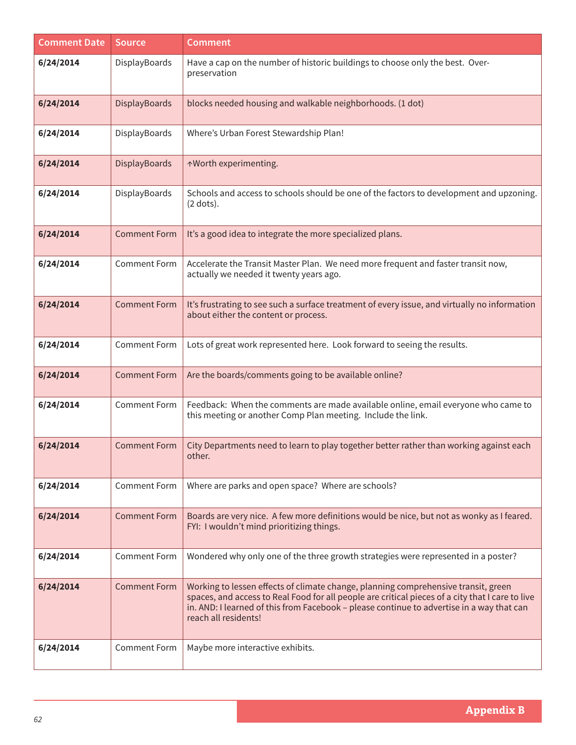| <b>Comment Date</b> | <b>Source</b>        | <b>Comment</b>                                                                                                                                                                                                                                                                                              |
|---------------------|----------------------|-------------------------------------------------------------------------------------------------------------------------------------------------------------------------------------------------------------------------------------------------------------------------------------------------------------|
| 6/24/2014           | DisplayBoards        | Have a cap on the number of historic buildings to choose only the best. Over-<br>preservation                                                                                                                                                                                                               |
| 6/24/2014           | <b>DisplayBoards</b> | blocks needed housing and walkable neighborhoods. (1 dot)                                                                                                                                                                                                                                                   |
| 6/24/2014           | DisplayBoards        | Where's Urban Forest Stewardship Plan!                                                                                                                                                                                                                                                                      |
| 6/24/2014           | DisplayBoards        | ↑Worth experimenting.                                                                                                                                                                                                                                                                                       |
| 6/24/2014           | DisplayBoards        | Schools and access to schools should be one of the factors to development and upzoning.<br>$(2$ dots).                                                                                                                                                                                                      |
| 6/24/2014           | <b>Comment Form</b>  | It's a good idea to integrate the more specialized plans.                                                                                                                                                                                                                                                   |
| 6/24/2014           | <b>Comment Form</b>  | Accelerate the Transit Master Plan. We need more frequent and faster transit now,<br>actually we needed it twenty years ago.                                                                                                                                                                                |
| 6/24/2014           | <b>Comment Form</b>  | It's frustrating to see such a surface treatment of every issue, and virtually no information<br>about either the content or process.                                                                                                                                                                       |
| 6/24/2014           | <b>Comment Form</b>  | Lots of great work represented here. Look forward to seeing the results.                                                                                                                                                                                                                                    |
| 6/24/2014           | <b>Comment Form</b>  | Are the boards/comments going to be available online?                                                                                                                                                                                                                                                       |
| 6/24/2014           | <b>Comment Form</b>  | Feedback: When the comments are made available online, email everyone who came to<br>this meeting or another Comp Plan meeting. Include the link.                                                                                                                                                           |
| 6/24/2014           | <b>Comment Form</b>  | City Departments need to learn to play together better rather than working against each<br>other.                                                                                                                                                                                                           |
| 6/24/2014           | <b>Comment Form</b>  | Where are parks and open space? Where are schools?                                                                                                                                                                                                                                                          |
| 6/24/2014           | <b>Comment Form</b>  | Boards are very nice. A few more definitions would be nice, but not as wonky as I feared.<br>FYI: I wouldn't mind prioritizing things.                                                                                                                                                                      |
| 6/24/2014           | <b>Comment Form</b>  | Wondered why only one of the three growth strategies were represented in a poster?                                                                                                                                                                                                                          |
| 6/24/2014           | <b>Comment Form</b>  | Working to lessen effects of climate change, planning comprehensive transit, green<br>spaces, and access to Real Food for all people are critical pieces of a city that I care to live<br>in. AND: I learned of this from Facebook - please continue to advertise in a way that can<br>reach all residents! |
| 6/24/2014           | <b>Comment Form</b>  | Maybe more interactive exhibits.                                                                                                                                                                                                                                                                            |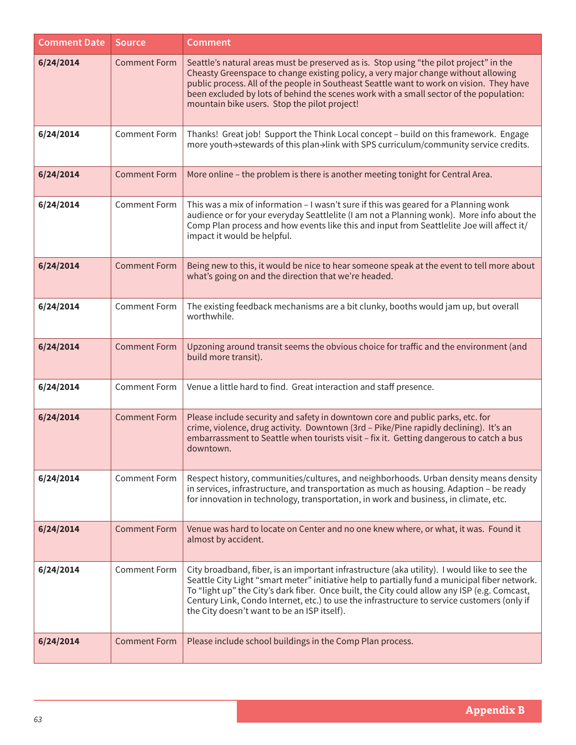| <b>Comment Date</b> | <b>Source</b>       | <b>Comment</b>                                                                                                                                                                                                                                                                                                                                                                                                                              |
|---------------------|---------------------|---------------------------------------------------------------------------------------------------------------------------------------------------------------------------------------------------------------------------------------------------------------------------------------------------------------------------------------------------------------------------------------------------------------------------------------------|
| 6/24/2014           | <b>Comment Form</b> | Seattle's natural areas must be preserved as is. Stop using "the pilot project" in the<br>Cheasty Greenspace to change existing policy, a very major change without allowing<br>public process. All of the people in Southeast Seattle want to work on vision. They have<br>been excluded by lots of behind the scenes work with a small sector of the population:<br>mountain bike users. Stop the pilot project!                          |
| 6/24/2014           | <b>Comment Form</b> | Thanks! Great job! Support the Think Local concept - build on this framework. Engage<br>more youth->stewards of this plan->link with SPS curriculum/community service credits.                                                                                                                                                                                                                                                              |
| 6/24/2014           | <b>Comment Form</b> | More online - the problem is there is another meeting tonight for Central Area.                                                                                                                                                                                                                                                                                                                                                             |
| 6/24/2014           | <b>Comment Form</b> | This was a mix of information - I wasn't sure if this was geared for a Planning wonk<br>audience or for your everyday Seattlelite (I am not a Planning wonk). More info about the<br>Comp Plan process and how events like this and input from Seattlelite Joe will affect it/<br>impact it would be helpful.                                                                                                                               |
| 6/24/2014           | <b>Comment Form</b> | Being new to this, it would be nice to hear someone speak at the event to tell more about<br>what's going on and the direction that we're headed.                                                                                                                                                                                                                                                                                           |
| 6/24/2014           | <b>Comment Form</b> | The existing feedback mechanisms are a bit clunky, booths would jam up, but overall<br>worthwhile.                                                                                                                                                                                                                                                                                                                                          |
| 6/24/2014           | <b>Comment Form</b> | Upzoning around transit seems the obvious choice for traffic and the environment (and<br>build more transit).                                                                                                                                                                                                                                                                                                                               |
| 6/24/2014           | <b>Comment Form</b> | Venue a little hard to find. Great interaction and staff presence.                                                                                                                                                                                                                                                                                                                                                                          |
| 6/24/2014           | <b>Comment Form</b> | Please include security and safety in downtown core and public parks, etc. for<br>crime, violence, drug activity. Downtown (3rd - Pike/Pine rapidly declining). It's an<br>embarrassment to Seattle when tourists visit - fix it. Getting dangerous to catch a bus<br>downtown.                                                                                                                                                             |
| 6/24/2014           | <b>Comment Form</b> | Respect history, communities/cultures, and neighborhoods. Urban density means density<br>in services, infrastructure, and transportation as much as housing. Adaption - be ready<br>for innovation in technology, transportation, in work and business, in climate, etc.                                                                                                                                                                    |
| 6/24/2014           | <b>Comment Form</b> | Venue was hard to locate on Center and no one knew where, or what, it was. Found it<br>almost by accident.                                                                                                                                                                                                                                                                                                                                  |
| 6/24/2014           | <b>Comment Form</b> | City broadband, fiber, is an important infrastructure (aka utility). I would like to see the<br>Seattle City Light "smart meter" initiative help to partially fund a municipal fiber network.<br>To "light up" the City's dark fiber. Once built, the City could allow any ISP (e.g. Comcast,<br>Century Link, Condo Internet, etc.) to use the infrastructure to service customers (only if<br>the City doesn't want to be an ISP itself). |
| 6/24/2014           | <b>Comment Form</b> | Please include school buildings in the Comp Plan process.                                                                                                                                                                                                                                                                                                                                                                                   |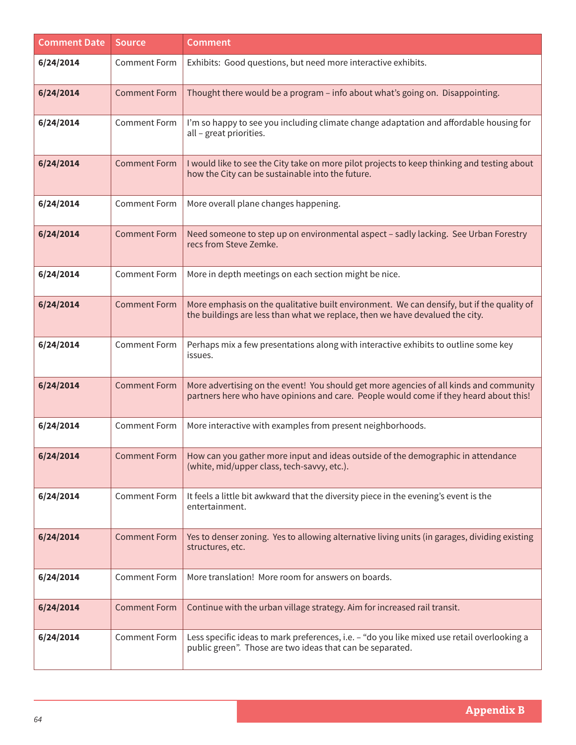| <b>Comment Date</b> | <b>Source</b>       | <b>Comment</b>                                                                                                                                                                  |
|---------------------|---------------------|---------------------------------------------------------------------------------------------------------------------------------------------------------------------------------|
| 6/24/2014           | <b>Comment Form</b> | Exhibits: Good questions, but need more interactive exhibits.                                                                                                                   |
| 6/24/2014           | <b>Comment Form</b> | Thought there would be a program - info about what's going on. Disappointing.                                                                                                   |
| 6/24/2014           | <b>Comment Form</b> | I'm so happy to see you including climate change adaptation and affordable housing for<br>all - great priorities.                                                               |
| 6/24/2014           | <b>Comment Form</b> | I would like to see the City take on more pilot projects to keep thinking and testing about<br>how the City can be sustainable into the future.                                 |
| 6/24/2014           | <b>Comment Form</b> | More overall plane changes happening.                                                                                                                                           |
| 6/24/2014           | <b>Comment Form</b> | Need someone to step up on environmental aspect - sadly lacking. See Urban Forestry<br>recs from Steve Zemke.                                                                   |
| 6/24/2014           | <b>Comment Form</b> | More in depth meetings on each section might be nice.                                                                                                                           |
| 6/24/2014           | <b>Comment Form</b> | More emphasis on the qualitative built environment. We can densify, but if the quality of<br>the buildings are less than what we replace, then we have devalued the city.       |
| 6/24/2014           | <b>Comment Form</b> | Perhaps mix a few presentations along with interactive exhibits to outline some key<br>issues.                                                                                  |
| 6/24/2014           | <b>Comment Form</b> | More advertising on the event! You should get more agencies of all kinds and community<br>partners here who have opinions and care. People would come if they heard about this! |
| 6/24/2014           | <b>Comment Form</b> | More interactive with examples from present neighborhoods.                                                                                                                      |
| 6/24/2014           | <b>Comment Form</b> | How can you gather more input and ideas outside of the demographic in attendance<br>(white, mid/upper class, tech-savvy, etc.).                                                 |
| 6/24/2014           | <b>Comment Form</b> | It feels a little bit awkward that the diversity piece in the evening's event is the<br>entertainment.                                                                          |
| 6/24/2014           | <b>Comment Form</b> | Yes to denser zoning. Yes to allowing alternative living units (in garages, dividing existing<br>structures, etc.                                                               |
| 6/24/2014           | <b>Comment Form</b> | More translation! More room for answers on boards.                                                                                                                              |
| 6/24/2014           | <b>Comment Form</b> | Continue with the urban village strategy. Aim for increased rail transit.                                                                                                       |
| 6/24/2014           | <b>Comment Form</b> | Less specific ideas to mark preferences, i.e. - "do you like mixed use retail overlooking a<br>public green". Those are two ideas that can be separated.                        |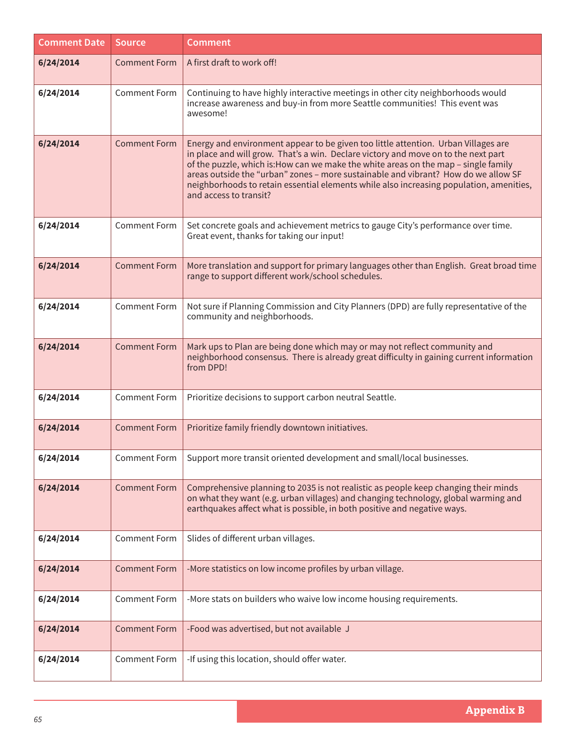| <b>Comment Date</b> | <b>Source</b>       | <b>Comment</b>                                                                                                                                                                                                                                                                                                                                                                                                                                                             |
|---------------------|---------------------|----------------------------------------------------------------------------------------------------------------------------------------------------------------------------------------------------------------------------------------------------------------------------------------------------------------------------------------------------------------------------------------------------------------------------------------------------------------------------|
| 6/24/2014           | <b>Comment Form</b> | A first draft to work off!                                                                                                                                                                                                                                                                                                                                                                                                                                                 |
| 6/24/2014           | <b>Comment Form</b> | Continuing to have highly interactive meetings in other city neighborhoods would<br>increase awareness and buy-in from more Seattle communities! This event was<br>awesome!                                                                                                                                                                                                                                                                                                |
| 6/24/2014           | <b>Comment Form</b> | Energy and environment appear to be given too little attention. Urban Villages are<br>in place and will grow. That's a win. Declare victory and move on to the next part<br>of the puzzle, which is: How can we make the white areas on the map - single family<br>areas outside the "urban" zones - more sustainable and vibrant? How do we allow SF<br>neighborhoods to retain essential elements while also increasing population, amenities,<br>and access to transit? |
| 6/24/2014           | <b>Comment Form</b> | Set concrete goals and achievement metrics to gauge City's performance over time.<br>Great event, thanks for taking our input!                                                                                                                                                                                                                                                                                                                                             |
| 6/24/2014           | <b>Comment Form</b> | More translation and support for primary languages other than English. Great broad time<br>range to support different work/school schedules.                                                                                                                                                                                                                                                                                                                               |
| 6/24/2014           | <b>Comment Form</b> | Not sure if Planning Commission and City Planners (DPD) are fully representative of the<br>community and neighborhoods.                                                                                                                                                                                                                                                                                                                                                    |
| 6/24/2014           | <b>Comment Form</b> | Mark ups to Plan are being done which may or may not reflect community and<br>neighborhood consensus. There is already great difficulty in gaining current information<br>from DPD!                                                                                                                                                                                                                                                                                        |
| 6/24/2014           | <b>Comment Form</b> | Prioritize decisions to support carbon neutral Seattle.                                                                                                                                                                                                                                                                                                                                                                                                                    |
| 6/24/2014           | <b>Comment Form</b> | Prioritize family friendly downtown initiatives.                                                                                                                                                                                                                                                                                                                                                                                                                           |
| 6/24/2014           | Comment Form        | Support more transit oriented development and small/local businesses.                                                                                                                                                                                                                                                                                                                                                                                                      |
| 6/24/2014           | <b>Comment Form</b> | Comprehensive planning to 2035 is not realistic as people keep changing their minds<br>on what they want (e.g. urban villages) and changing technology, global warming and<br>earthquakes affect what is possible, in both positive and negative ways.                                                                                                                                                                                                                     |
| 6/24/2014           | <b>Comment Form</b> | Slides of different urban villages.                                                                                                                                                                                                                                                                                                                                                                                                                                        |
| 6/24/2014           | <b>Comment Form</b> | -More statistics on low income profiles by urban village.                                                                                                                                                                                                                                                                                                                                                                                                                  |
| 6/24/2014           | <b>Comment Form</b> | -More stats on builders who waive low income housing requirements.                                                                                                                                                                                                                                                                                                                                                                                                         |
| 6/24/2014           | <b>Comment Form</b> | -Food was advertised, but not available J                                                                                                                                                                                                                                                                                                                                                                                                                                  |
| 6/24/2014           | <b>Comment Form</b> | -If using this location, should offer water.                                                                                                                                                                                                                                                                                                                                                                                                                               |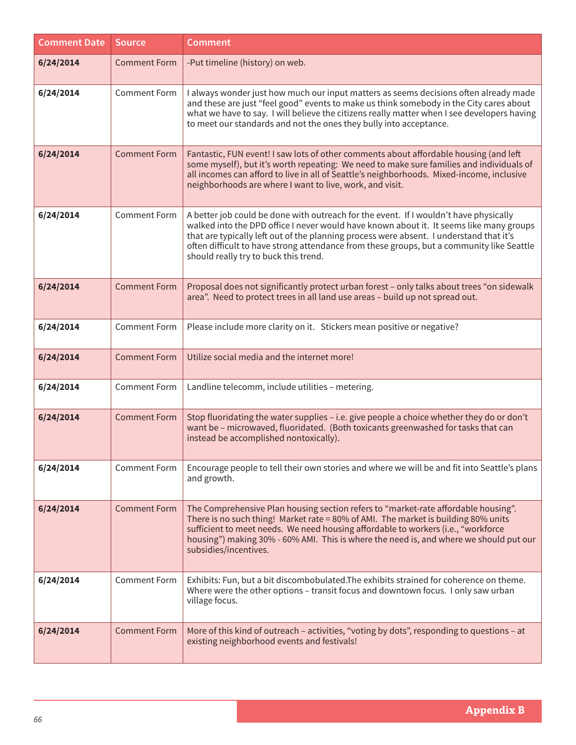| <b>Comment Date</b> | <b>Source</b>       | <b>Comment</b>                                                                                                                                                                                                                                                                                                                                                                                                    |
|---------------------|---------------------|-------------------------------------------------------------------------------------------------------------------------------------------------------------------------------------------------------------------------------------------------------------------------------------------------------------------------------------------------------------------------------------------------------------------|
| 6/24/2014           | <b>Comment Form</b> | -Put timeline (history) on web.                                                                                                                                                                                                                                                                                                                                                                                   |
| 6/24/2014           | <b>Comment Form</b> | I always wonder just how much our input matters as seems decisions often already made<br>and these are just "feel good" events to make us think somebody in the City cares about<br>what we have to say. I will believe the citizens really matter when I see developers having<br>to meet our standards and not the ones they bully into acceptance.                                                             |
| 6/24/2014           | <b>Comment Form</b> | Fantastic, FUN event! I saw lots of other comments about affordable housing (and left<br>some myself), but it's worth repeating: We need to make sure families and individuals of<br>all incomes can afford to live in all of Seattle's neighborhoods. Mixed-income, inclusive<br>neighborhoods are where I want to live, work, and visit.                                                                        |
| 6/24/2014           | <b>Comment Form</b> | A better job could be done with outreach for the event. If I wouldn't have physically<br>walked into the DPD office I never would have known about it. It seems like many groups<br>that are typically left out of the planning process were absent. I understand that it's<br>often difficult to have strong attendance from these groups, but a community like Seattle<br>should really try to buck this trend. |
| 6/24/2014           | <b>Comment Form</b> | Proposal does not significantly protect urban forest - only talks about trees "on sidewalk<br>area". Need to protect trees in all land use areas - build up not spread out.                                                                                                                                                                                                                                       |
| 6/24/2014           | <b>Comment Form</b> | Please include more clarity on it. Stickers mean positive or negative?                                                                                                                                                                                                                                                                                                                                            |
| 6/24/2014           | <b>Comment Form</b> | Utilize social media and the internet more!                                                                                                                                                                                                                                                                                                                                                                       |
| 6/24/2014           | <b>Comment Form</b> | Landline telecomm, include utilities - metering.                                                                                                                                                                                                                                                                                                                                                                  |
| 6/24/2014           | <b>Comment Form</b> | Stop fluoridating the water supplies - i.e. give people a choice whether they do or don't<br>want be - microwaved, fluoridated. (Both toxicants greenwashed for tasks that can<br>instead be accomplished nontoxically).                                                                                                                                                                                          |
| 6/24/2014           | <b>Comment Form</b> | Encourage people to tell their own stories and where we will be and fit into Seattle's plans<br>and growth.                                                                                                                                                                                                                                                                                                       |
| 6/24/2014           | <b>Comment Form</b> | The Comprehensive Plan housing section refers to "market-rate affordable housing".<br>There is no such thing! Market rate = 80% of AMI. The market is building 80% units<br>sufficient to meet needs. We need housing affordable to workers (i.e., "workforce<br>housing") making 30% - 60% AMI. This is where the need is, and where we should put our<br>subsidies/incentives.                                  |
| 6/24/2014           | <b>Comment Form</b> | Exhibits: Fun, but a bit discombobulated. The exhibits strained for coherence on theme.<br>Where were the other options - transit focus and downtown focus. I only saw urban<br>village focus.                                                                                                                                                                                                                    |
| 6/24/2014           | <b>Comment Form</b> | More of this kind of outreach - activities, "voting by dots", responding to questions - at<br>existing neighborhood events and festivals!                                                                                                                                                                                                                                                                         |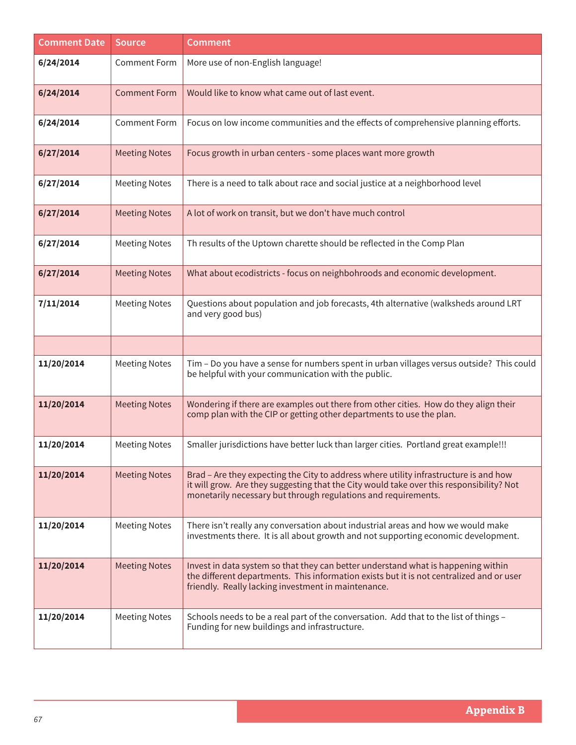| <b>Comment Date</b> | <b>Source</b>        | <b>Comment</b>                                                                                                                                                                                                                                      |
|---------------------|----------------------|-----------------------------------------------------------------------------------------------------------------------------------------------------------------------------------------------------------------------------------------------------|
| 6/24/2014           | <b>Comment Form</b>  | More use of non-English language!                                                                                                                                                                                                                   |
| 6/24/2014           | <b>Comment Form</b>  | Would like to know what came out of last event.                                                                                                                                                                                                     |
| 6/24/2014           | <b>Comment Form</b>  | Focus on low income communities and the effects of comprehensive planning efforts.                                                                                                                                                                  |
| 6/27/2014           | <b>Meeting Notes</b> | Focus growth in urban centers - some places want more growth                                                                                                                                                                                        |
| 6/27/2014           | <b>Meeting Notes</b> | There is a need to talk about race and social justice at a neighborhood level                                                                                                                                                                       |
| 6/27/2014           | <b>Meeting Notes</b> | A lot of work on transit, but we don't have much control                                                                                                                                                                                            |
| 6/27/2014           | <b>Meeting Notes</b> | Th results of the Uptown charette should be reflected in the Comp Plan                                                                                                                                                                              |
| 6/27/2014           | <b>Meeting Notes</b> | What about ecodistricts - focus on neighbohroods and economic development.                                                                                                                                                                          |
| 7/11/2014           | <b>Meeting Notes</b> | Questions about population and job forecasts, 4th alternative (walksheds around LRT<br>and very good bus)                                                                                                                                           |
|                     |                      |                                                                                                                                                                                                                                                     |
| 11/20/2014          | <b>Meeting Notes</b> | Tim - Do you have a sense for numbers spent in urban villages versus outside? This could<br>be helpful with your communication with the public.                                                                                                     |
| 11/20/2014          | <b>Meeting Notes</b> | Wondering if there are examples out there from other cities. How do they align their<br>comp plan with the CIP or getting other departments to use the plan.                                                                                        |
| 11/20/2014          | <b>Meeting Notes</b> | Smaller jurisdictions have better luck than larger cities. Portland great example!!!                                                                                                                                                                |
| 11/20/2014          | <b>Meeting Notes</b> | Brad – Are they expecting the City to address where utility infrastructure is and how<br>it will grow. Are they suggesting that the City would take over this responsibility? Not<br>monetarily necessary but through regulations and requirements. |
| 11/20/2014          | <b>Meeting Notes</b> | There isn't really any conversation about industrial areas and how we would make<br>investments there. It is all about growth and not supporting economic development.                                                                              |
| 11/20/2014          | <b>Meeting Notes</b> | Invest in data system so that they can better understand what is happening within<br>the different departments. This information exists but it is not centralized and or user<br>friendly. Really lacking investment in maintenance.                |
| 11/20/2014          | <b>Meeting Notes</b> | Schools needs to be a real part of the conversation. Add that to the list of things -<br>Funding for new buildings and infrastructure.                                                                                                              |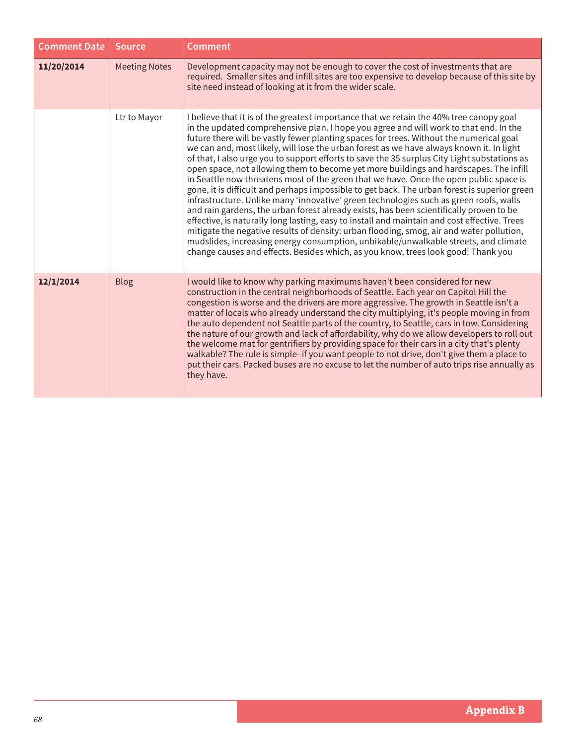| <b>Comment Date</b> | <b>Source</b>        | Comment                                                                                                                                                                                                                                                                                                                                                                                                                                                                                                                                                                                                                                                                                                                                                                                                                                                                                                                                                                                                                                                                                                                                                                                                                                                                                                                 |
|---------------------|----------------------|-------------------------------------------------------------------------------------------------------------------------------------------------------------------------------------------------------------------------------------------------------------------------------------------------------------------------------------------------------------------------------------------------------------------------------------------------------------------------------------------------------------------------------------------------------------------------------------------------------------------------------------------------------------------------------------------------------------------------------------------------------------------------------------------------------------------------------------------------------------------------------------------------------------------------------------------------------------------------------------------------------------------------------------------------------------------------------------------------------------------------------------------------------------------------------------------------------------------------------------------------------------------------------------------------------------------------|
| 11/20/2014          | <b>Meeting Notes</b> | Development capacity may not be enough to cover the cost of investments that are<br>required. Smaller sites and infill sites are too expensive to develop because of this site by<br>site need instead of looking at it from the wider scale.                                                                                                                                                                                                                                                                                                                                                                                                                                                                                                                                                                                                                                                                                                                                                                                                                                                                                                                                                                                                                                                                           |
|                     | Ltr to Mayor         | I believe that it is of the greatest importance that we retain the 40% tree canopy goal<br>in the updated comprehensive plan. I hope you agree and will work to that end. In the<br>future there will be vastly fewer planting spaces for trees. Without the numerical goal<br>we can and, most likely, will lose the urban forest as we have always known it. In light<br>of that, I also urge you to support efforts to save the 35 surplus City Light substations as<br>open space, not allowing them to become yet more buildings and hardscapes. The infill<br>in Seattle now threatens most of the green that we have. Once the open public space is<br>gone, it is difficult and perhaps impossible to get back. The urban forest is superior green<br>infrastructure. Unlike many 'innovative' green technologies such as green roofs, walls<br>and rain gardens, the urban forest already exists, has been scientifically proven to be<br>effective, is naturally long lasting, easy to install and maintain and cost effective. Trees<br>mitigate the negative results of density: urban flooding, smog, air and water pollution,<br>mudslides, increasing energy consumption, unbikable/unwalkable streets, and climate<br>change causes and effects. Besides which, as you know, trees look good! Thank you |
| 12/1/2014           | <b>Blog</b>          | I would like to know why parking maximums haven't been considered for new<br>construction in the central neighborhoods of Seattle. Each year on Capitol Hill the<br>congestion is worse and the drivers are more aggressive. The growth in Seattle isn't a<br>matter of locals who already understand the city multiplying, it's people moving in from<br>the auto dependent not Seattle parts of the country, to Seattle, cars in tow. Considering<br>the nature of our growth and lack of affordability, why do we allow developers to roll out<br>the welcome mat for gentrifiers by providing space for their cars in a city that's plenty<br>walkable? The rule is simple- if you want people to not drive, don't give them a place to<br>put their cars. Packed buses are no excuse to let the number of auto trips rise annually as<br>they have.                                                                                                                                                                                                                                                                                                                                                                                                                                                                |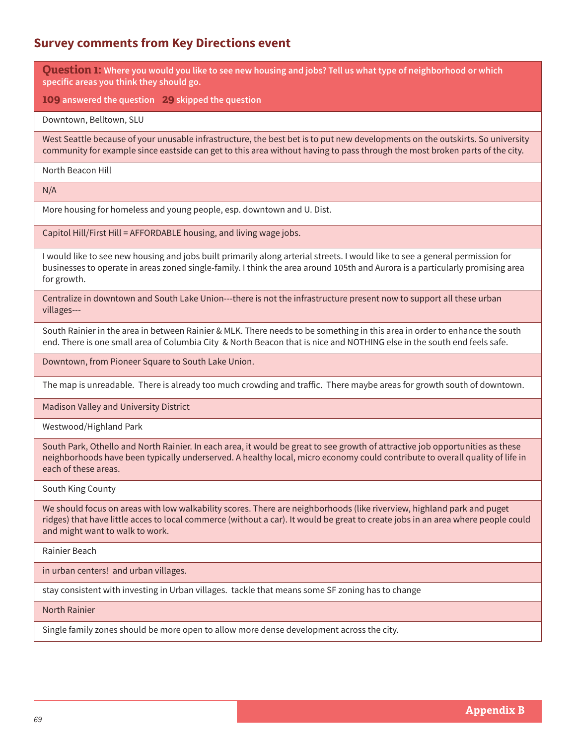## **Survey comments from Key Directions event**

**Question 1: Where you would you like to see new housing and jobs? Tell us what type of neighborhood or which specific areas you think they should go.**

**109 answered the question 29 skipped the question**

Downtown, Belltown, SLU

West Seattle because of your unusable infrastructure, the best bet is to put new developments on the outskirts. So university community for example since eastside can get to this area without having to pass through the most broken parts of the city.

North Beacon Hill

N/A

More housing for homeless and young people, esp. downtown and U. Dist.

Capitol Hill/First Hill = AFFORDABLE housing, and living wage jobs.

I would like to see new housing and jobs built primarily along arterial streets. I would like to see a general permission for businesses to operate in areas zoned single-family. I think the area around 105th and Aurora is a particularly promising area for growth.

Centralize in downtown and South Lake Union---there is not the infrastructure present now to support all these urban villages---

South Rainier in the area in between Rainier & MLK. There needs to be something in this area in order to enhance the south end. There is one small area of Columbia City & North Beacon that is nice and NOTHING else in the south end feels safe.

Downtown, from Pioneer Square to South Lake Union.

The map is unreadable. There is already too much crowding and traffic. There maybe areas for growth south of downtown.

Madison Valley and University District

Westwood/Highland Park

South Park, Othello and North Rainier. In each area, it would be great to see growth of attractive job opportunities as these neighborhoods have been typically underserved. A healthy local, micro economy could contribute to overall quality of life in each of these areas.

South King County

We should focus on areas with low walkability scores. There are neighborhoods (like riverview, highland park and puget ridges) that have little acces to local commerce (without a car). It would be great to create jobs in an area where people could and might want to walk to work.

Rainier Beach

in urban centers! and urban villages.

stay consistent with investing in Urban villages. tackle that means some SF zoning has to change

North Rainier

Single family zones should be more open to allow more dense development across the city.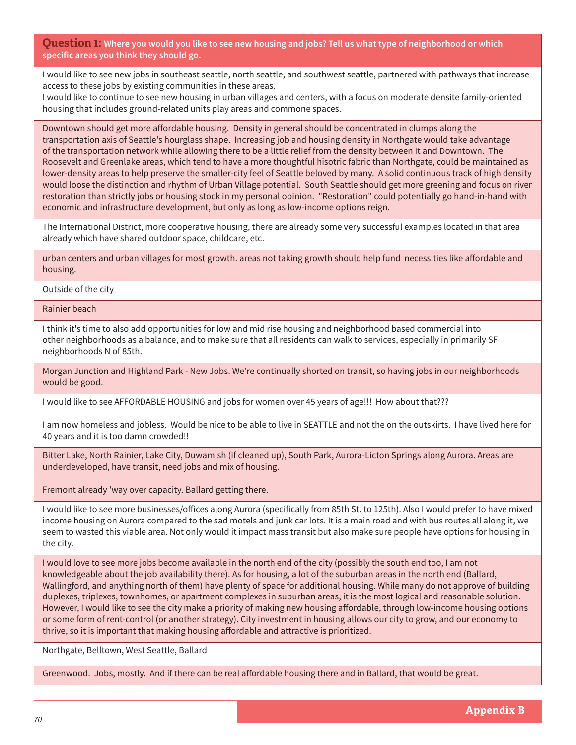**Question 1: Where you would you like to see new housing and jobs? Tell us what type of neighborhood or which specific areas you think they should go.**

I would like to see new jobs in southeast seattle, north seattle, and southwest seattle, partnered with pathways that increase access to these jobs by existing communities in these areas.

I would like to continue to see new housing in urban villages and centers, with a focus on moderate densite family-oriented housing that includes ground-related units play areas and commone spaces.

Downtown should get more affordable housing. Density in general should be concentrated in clumps along the transportation axis of Seattle's hourglass shape. Increasing job and housing density in Northgate would take advantage of the transportation network while allowing there to be a little relief from the density between it and Downtown. The Roosevelt and Greenlake areas, which tend to have a more thoughtful hisotric fabric than Northgate, could be maintained as lower-density areas to help preserve the smaller-city feel of Seattle beloved by many. A solid continuous track of high density would loose the distinction and rhythm of Urban Village potential. South Seattle should get more greening and focus on river restoration than strictly jobs or housing stock in my personal opinion. "Restoration" could potentially go hand-in-hand with economic and infrastructure development, but only as long as low-income options reign.

The International District, more cooperative housing, there are already some very successful examples located in that area already which have shared outdoor space, childcare, etc.

urban centers and urban villages for most growth. areas not taking growth should help fund necessities like affordable and housing.

Outside of the city

Rainier beach

I think it's time to also add opportunities for low and mid rise housing and neighborhood based commercial into other neighborhoods as a balance, and to make sure that all residents can walk to services, especially in primarily SF neighborhoods N of 85th.

Morgan Junction and Highland Park - New Jobs. We're continually shorted on transit, so having jobs in our neighborhoods would be good.

I would like to see AFFORDABLE HOUSING and jobs for women over 45 years of age!!! How about that???

I am now homeless and jobless. Would be nice to be able to live in SEATTLE and not the on the outskirts. I have lived here for 40 years and it is too damn crowded!!

Bitter Lake, North Rainier, Lake City, Duwamish (if cleaned up), South Park, Aurora-Licton Springs along Aurora. Areas are underdeveloped, have transit, need jobs and mix of housing.

Fremont already 'way over capacity. Ballard getting there.

I would like to see more businesses/offices along Aurora (specifically from 85th St. to 125th). Also I would prefer to have mixed income housing on Aurora compared to the sad motels and junk car lots. It is a main road and with bus routes all along it, we seem to wasted this viable area. Not only would it impact mass transit but also make sure people have options for housing in the city.

I would love to see more jobs become available in the north end of the city (possibly the south end too, I am not knowledgeable about the job availability there). As for housing, a lot of the suburban areas in the north end (Ballard, Wallingford, and anything north of them) have plenty of space for additional housing. While many do not approve of building duplexes, triplexes, townhomes, or apartment complexes in suburban areas, it is the most logical and reasonable solution. However, I would like to see the city make a priority of making new housing affordable, through low-income housing options or some form of rent-control (or another strategy). City investment in housing allows our city to grow, and our economy to thrive, so it is important that making housing affordable and attractive is prioritized.

Northgate, Belltown, West Seattle, Ballard

Greenwood. Jobs, mostly. And if there can be real affordable housing there and in Ballard, that would be great.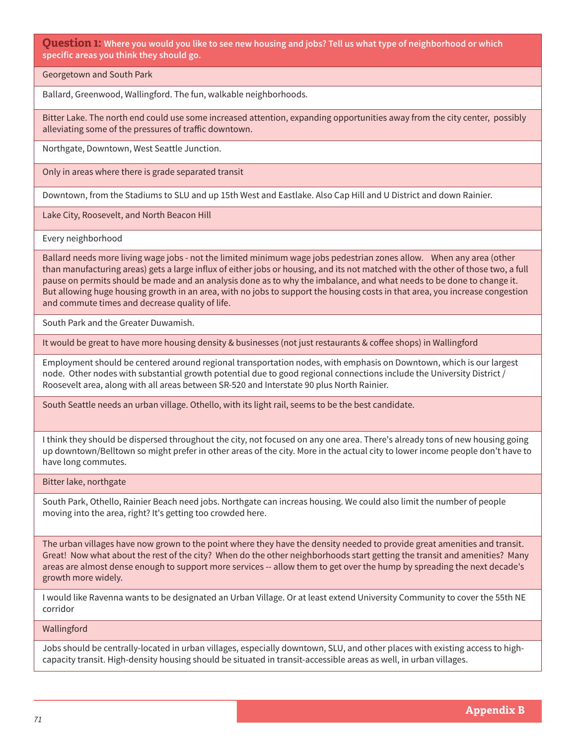**Question 1: Where you would you like to see new housing and jobs? Tell us what type of neighborhood or which specific areas you think they should go.**

Georgetown and South Park

Ballard, Greenwood, Wallingford. The fun, walkable neighborhoods.

Bitter Lake. The north end could use some increased attention, expanding opportunities away from the city center, possibly alleviating some of the pressures of traffic downtown.

Northgate, Downtown, West Seattle Junction.

Only in areas where there is grade separated transit

Downtown, from the Stadiums to SLU and up 15th West and Eastlake. Also Cap Hill and U District and down Rainier.

Lake City, Roosevelt, and North Beacon Hill

Every neighborhood

Ballard needs more living wage jobs - not the limited minimum wage jobs pedestrian zones allow. When any area (other than manufacturing areas) gets a large influx of either jobs or housing, and its not matched with the other of those two, a full pause on permits should be made and an analysis done as to why the imbalance, and what needs to be done to change it. But allowing huge housing growth in an area, with no jobs to support the housing costs in that area, you increase congestion and commute times and decrease quality of life.

South Park and the Greater Duwamish.

It would be great to have more housing density & businesses (not just restaurants & coffee shops) in Wallingford

Employment should be centered around regional transportation nodes, with emphasis on Downtown, which is our largest node. Other nodes with substantial growth potential due to good regional connections include the University District / Roosevelt area, along with all areas between SR-520 and Interstate 90 plus North Rainier.

South Seattle needs an urban village. Othello, with its light rail, seems to be the best candidate.

I think they should be dispersed throughout the city, not focused on any one area. There's already tons of new housing going up downtown/Belltown so might prefer in other areas of the city. More in the actual city to lower income people don't have to have long commutes.

Bitter lake, northgate

South Park, Othello, Rainier Beach need jobs. Northgate can increas housing. We could also limit the number of people moving into the area, right? It's getting too crowded here.

The urban villages have now grown to the point where they have the density needed to provide great amenities and transit. Great! Now what about the rest of the city? When do the other neighborhoods start getting the transit and amenities? Many areas are almost dense enough to support more services -- allow them to get over the hump by spreading the next decade's growth more widely.

I would like Ravenna wants to be designated an Urban Village. Or at least extend University Community to cover the 55th NE corridor

Wallingford

Jobs should be centrally-located in urban villages, especially downtown, SLU, and other places with existing access to highcapacity transit. High-density housing should be situated in transit-accessible areas as well, in urban villages.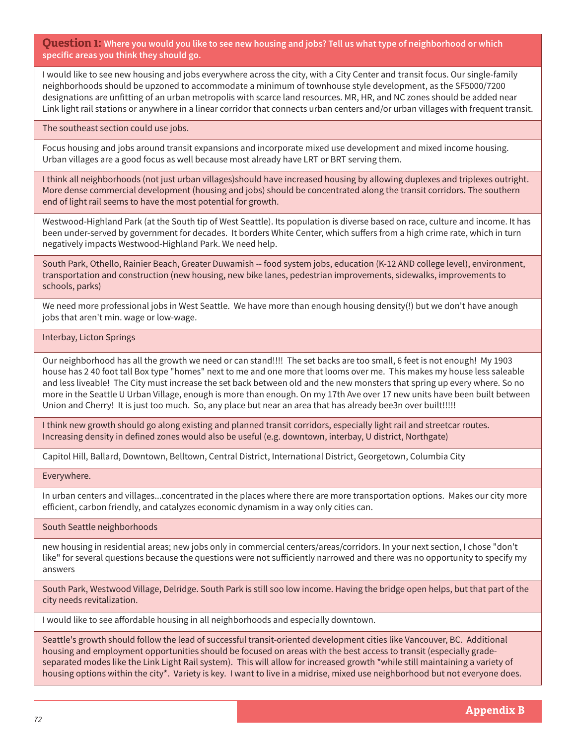**Question 1: Where you would you like to see new housing and jobs? Tell us what type of neighborhood or which specific areas you think they should go.**

I would like to see new housing and jobs everywhere across the city, with a City Center and transit focus. Our single-family neighborhoods should be upzoned to accommodate a minimum of townhouse style development, as the SF5000/7200 designations are unfitting of an urban metropolis with scarce land resources. MR, HR, and NC zones should be added near Link light rail stations or anywhere in a linear corridor that connects urban centers and/or urban villages with frequent transit.

The southeast section could use jobs.

Focus housing and jobs around transit expansions and incorporate mixed use development and mixed income housing. Urban villages are a good focus as well because most already have LRT or BRT serving them.

I think all neighborhoods (not just urban villages)should have increased housing by allowing duplexes and triplexes outright. More dense commercial development (housing and jobs) should be concentrated along the transit corridors. The southern end of light rail seems to have the most potential for growth.

Westwood-Highland Park (at the South tip of West Seattle). Its population is diverse based on race, culture and income. It has been under-served by government for decades. It borders White Center, which suffers from a high crime rate, which in turn negatively impacts Westwood-Highland Park. We need help.

South Park, Othello, Rainier Beach, Greater Duwamish -- food system jobs, education (K-12 AND college level), environment, transportation and construction (new housing, new bike lanes, pedestrian improvements, sidewalks, improvements to schools, parks)

We need more professional jobs in West Seattle. We have more than enough housing density(!) but we don't have anough jobs that aren't min. wage or low-wage.

## Interbay, Licton Springs

Our neighborhood has all the growth we need or can stand!!!! The set backs are too small, 6 feet is not enough! My 1903 house has 2 40 foot tall Box type "homes" next to me and one more that looms over me. This makes my house less saleable and less liveable! The City must increase the set back between old and the new monsters that spring up every where. So no more in the Seattle U Urban Village, enough is more than enough. On my 17th Ave over 17 new units have been built between Union and Cherry! It is just too much. So, any place but near an area that has already bee3n over built!!!!!

I think new growth should go along existing and planned transit corridors, especially light rail and streetcar routes. Increasing density in defined zones would also be useful (e.g. downtown, interbay, U district, Northgate)

Capitol Hill, Ballard, Downtown, Belltown, Central District, International District, Georgetown, Columbia City

Everywhere.

In urban centers and villages...concentrated in the places where there are more transportation options. Makes our city more efficient, carbon friendly, and catalyzes economic dynamism in a way only cities can.

South Seattle neighborhoods

new housing in residential areas; new jobs only in commercial centers/areas/corridors. In your next section, I chose "don't like" for several questions because the questions were not sufficiently narrowed and there was no opportunity to specify my answers

South Park, Westwood Village, Delridge. South Park is still soo low income. Having the bridge open helps, but that part of the city needs revitalization.

I would like to see affordable housing in all neighborhoods and especially downtown.

Seattle's growth should follow the lead of successful transit-oriented development cities like Vancouver, BC. Additional housing and employment opportunities should be focused on areas with the best access to transit (especially gradeseparated modes like the Link Light Rail system). This will allow for increased growth \*while still maintaining a variety of housing options within the city\*. Variety is key. I want to live in a midrise, mixed use neighborhood but not everyone does.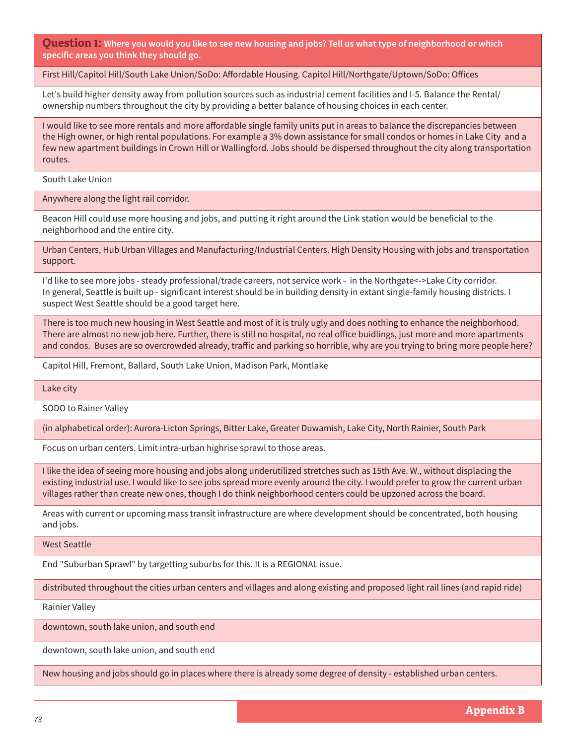**Question 1: Where you would you like to see new housing and jobs? Tell us what type of neighborhood or which specific areas you think they should go.**

First Hill/Capitol Hill/South Lake Union/SoDo: Affordable Housing. Capitol Hill/Northgate/Uptown/SoDo: Offices

Let's build higher density away from pollution sources such as industrial cement facilities and I-5. Balance the Rental/ ownership numbers throughout the city by providing a better balance of housing choices in each center.

I would like to see more rentals and more affordable single family units put in areas to balance the discrepancies between the High owner, or high rental populations. For example a 3% down assistance for small condos or homes in Lake City and a few new apartment buildings in Crown Hill or Wallingford. Jobs should be dispersed throughout the city along transportation routes.

South Lake Union

Anywhere along the light rail corridor.

Beacon Hill could use more housing and jobs, and putting it right around the Link station would be beneficial to the neighborhood and the entire city.

Urban Centers, Hub Urban Villages and Manufacturing/Industrial Centers. High Density Housing with jobs and transportation support.

I'd like to see more jobs - steady professional/trade careers, not service work - in the Northgate<->Lake City corridor. In general, Seattle is built up - significant interest should be in building density in extant single-family housing districts. I suspect West Seattle should be a good target here.

There is too much new housing in West Seattle and most of it is truly ugly and does nothing to enhance the neighborhood. There are almost no new job here. Further, there is still no hospital, no real office buidlings, just more and more apartments and condos. Buses are so overcrowded already, traffic and parking so horrible, why are you trying to bring more people here?

Capitol Hill, Fremont, Ballard, South Lake Union, Madison Park, Montlake

Lake city

SODO to Rainer Valley

(in alphabetical order): Aurora-Licton Springs, Bitter Lake, Greater Duwamish, Lake City, North Rainier, South Park

Focus on urban centers. Limit intra-urban highrise sprawl to those areas.

I like the idea of seeing more housing and jobs along underutilized stretches such as 15th Ave. W., without displacing the existing industrial use. I would like to see jobs spread more evenly around the city. I would prefer to grow the current urban villages rather than create new ones, though I do think neighborhood centers could be upzoned across the board.

Areas with current or upcoming mass transit infrastructure are where development should be concentrated, both housing and jobs.

West Seattle

End "Suburban Sprawl" by targetting suburbs for this. It is a REGIONAL issue.

distributed throughout the cities urban centers and villages and along existing and proposed light rail lines (and rapid ride)

Rainier Valley

downtown, south lake union, and south end

downtown, south lake union, and south end

New housing and jobs should go in places where there is already some degree of density - established urban centers.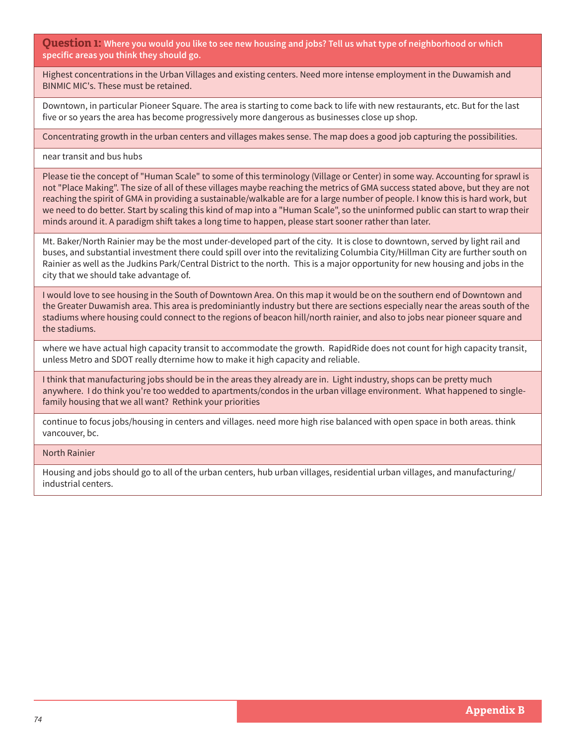**Question 1: Where you would you like to see new housing and jobs? Tell us what type of neighborhood or which specific areas you think they should go.**

Highest concentrations in the Urban Villages and existing centers. Need more intense employment in the Duwamish and BINMIC MIC's. These must be retained.

Downtown, in particular Pioneer Square. The area is starting to come back to life with new restaurants, etc. But for the last five or so years the area has become progressively more dangerous as businesses close up shop.

Concentrating growth in the urban centers and villages makes sense. The map does a good job capturing the possibilities.

near transit and bus hubs

Please tie the concept of "Human Scale" to some of this terminology (Village or Center) in some way. Accounting for sprawl is not "Place Making". The size of all of these villages maybe reaching the metrics of GMA success stated above, but they are not reaching the spirit of GMA in providing a sustainable/walkable are for a large number of people. I know this is hard work, but we need to do better. Start by scaling this kind of map into a "Human Scale", so the uninformed public can start to wrap their minds around it. A paradigm shift takes a long time to happen, please start sooner rather than later.

Mt. Baker/North Rainier may be the most under-developed part of the city. It is close to downtown, served by light rail and buses, and substantial investment there could spill over into the revitalizing Columbia City/Hillman City are further south on Rainier as well as the Judkins Park/Central District to the north. This is a major opportunity for new housing and jobs in the city that we should take advantage of.

I would love to see housing in the South of Downtown Area. On this map it would be on the southern end of Downtown and the Greater Duwamish area. This area is predominiantly industry but there are sections especially near the areas south of the stadiums where housing could connect to the regions of beacon hill/north rainier, and also to jobs near pioneer square and the stadiums.

where we have actual high capacity transit to accommodate the growth. RapidRide does not count for high capacity transit, unless Metro and SDOT really dternime how to make it high capacity and reliable.

I think that manufacturing jobs should be in the areas they already are in. Light industry, shops can be pretty much anywhere. I do think you're too wedded to apartments/condos in the urban village environment. What happened to singlefamily housing that we all want? Rethink your priorities

continue to focus jobs/housing in centers and villages. need more high rise balanced with open space in both areas. think vancouver, bc.

### North Rainier

Housing and jobs should go to all of the urban centers, hub urban villages, residential urban villages, and manufacturing/ industrial centers.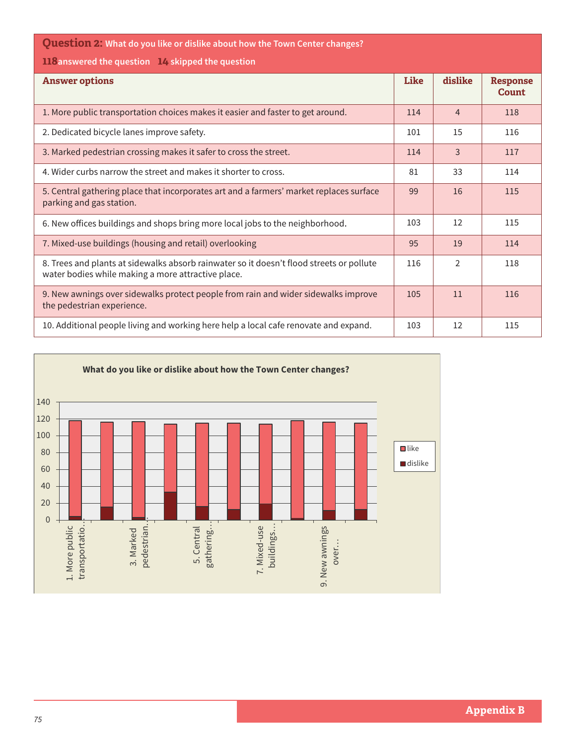| <b>Question 2:</b> What do you like or dislike about how the Town Center changes?                                                              |             |                |                                 |  |  |  |  |  |
|------------------------------------------------------------------------------------------------------------------------------------------------|-------------|----------------|---------------------------------|--|--|--|--|--|
| <b>LL8</b> answered the question L4 skipped the question                                                                                       |             |                |                                 |  |  |  |  |  |
| <b>Answer options</b>                                                                                                                          | <b>Like</b> | dislike        | <b>Response</b><br><b>Count</b> |  |  |  |  |  |
| 1. More public transportation choices makes it easier and faster to get around.                                                                | 114         | $\overline{4}$ | 118                             |  |  |  |  |  |
| 2. Dedicated bicycle lanes improve safety.                                                                                                     | 101         | 15             | 116                             |  |  |  |  |  |
| 3. Marked pedestrian crossing makes it safer to cross the street.                                                                              | 114         | $\overline{3}$ | 117                             |  |  |  |  |  |
| 4. Wider curbs narrow the street and makes it shorter to cross.                                                                                | 81          | 33             | 114                             |  |  |  |  |  |
| 5. Central gathering place that incorporates art and a farmers' market replaces surface<br>parking and gas station.                            | 99          | 16             | 115                             |  |  |  |  |  |
| 6. New offices buildings and shops bring more local jobs to the neighborhood.                                                                  | 103         | 12             | 115                             |  |  |  |  |  |
| 7. Mixed-use buildings (housing and retail) overlooking                                                                                        | 95          | 19             | 114                             |  |  |  |  |  |
| 8. Trees and plants at sidewalks absorb rainwater so it doesn't flood streets or pollute<br>water bodies while making a more attractive place. | 116         | $\overline{2}$ | 118                             |  |  |  |  |  |
| 9. New awnings over sidewalks protect people from rain and wider sidewalks improve<br>the pedestrian experience.                               | 105         | 11             | 116                             |  |  |  |  |  |
| 10. Additional people living and working here help a local cafe renovate and expand.                                                           | 103         | 12             | 115                             |  |  |  |  |  |

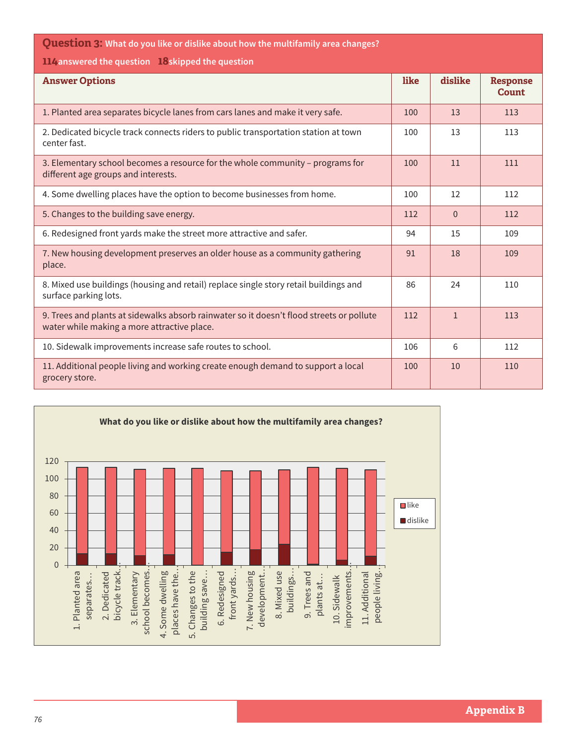**Question 3: What do you like or dislike about how the multifamily area changes?**

**114answered the question 18skipped the question**

| <b>Answer Options</b>                                                                                                                   | like | dislike      | <b>Response</b><br><b>Count</b> |
|-----------------------------------------------------------------------------------------------------------------------------------------|------|--------------|---------------------------------|
| 1. Planted area separates bicycle lanes from cars lanes and make it very safe.                                                          | 100  | 13           | 113                             |
| 2. Dedicated bicycle track connects riders to public transportation station at town<br>center fast.                                     | 100  | 13           | 113                             |
| 3. Elementary school becomes a resource for the whole community - programs for<br>different age groups and interests.                   | 100  | 11           | 111                             |
| 4. Some dwelling places have the option to become businesses from home.                                                                 | 100  | 12           | 112                             |
| 5. Changes to the building save energy.                                                                                                 | 112  | $\Omega$     | 112                             |
| 6. Redesigned front yards make the street more attractive and safer.                                                                    | 94   | 15           | 109                             |
| 7. New housing development preserves an older house as a community gathering<br>place.                                                  | 91   | 18           | 109                             |
| 8. Mixed use buildings (housing and retail) replace single story retail buildings and<br>surface parking lots.                          | 86   | 24           | 110                             |
| 9. Trees and plants at sidewalks absorb rainwater so it doesn't flood streets or pollute<br>water while making a more attractive place. | 112  | $\mathbf{1}$ | 113                             |
| 10. Sidewalk improvements increase safe routes to school.                                                                               | 106  | 6            | 112                             |
| 11. Additional people living and working create enough demand to support a local<br>grocery store.                                      | 100  | 10           | 110                             |

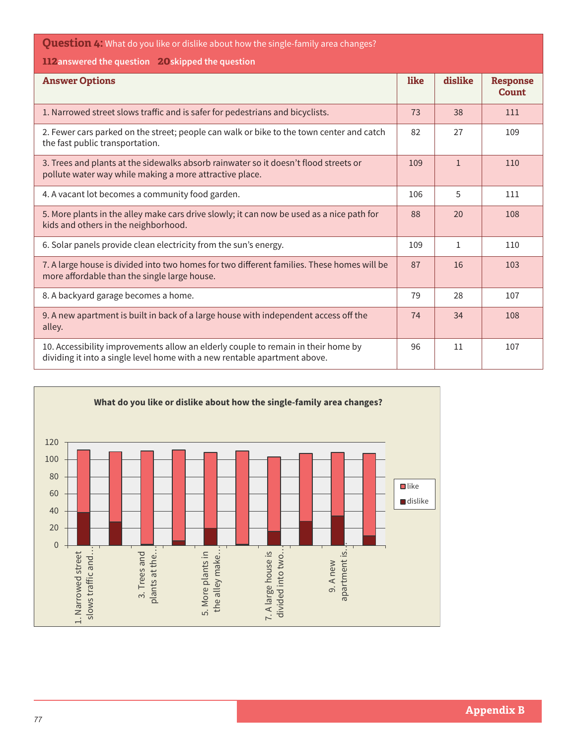| <b>Question 4:</b> What do you like or dislike about how the single-family area changes?                                                                       |      |              |                                 |  |  |  |  |  |
|----------------------------------------------------------------------------------------------------------------------------------------------------------------|------|--------------|---------------------------------|--|--|--|--|--|
| 112 answered the question 20 skipped the question                                                                                                              |      |              |                                 |  |  |  |  |  |
| <b>Answer Options</b>                                                                                                                                          | like | dislike      | <b>Response</b><br><b>Count</b> |  |  |  |  |  |
| 1. Narrowed street slows traffic and is safer for pedestrians and bicyclists.                                                                                  | 73   | 38           | 111                             |  |  |  |  |  |
| 2. Fewer cars parked on the street; people can walk or bike to the town center and catch<br>the fast public transportation.                                    | 82   | 27           | 109                             |  |  |  |  |  |
| 3. Trees and plants at the sidewalks absorb rainwater so it doesn't flood streets or<br>pollute water way while making a more attractive place.                | 109  | $\mathbf{1}$ | 110                             |  |  |  |  |  |
| 4. A vacant lot becomes a community food garden.                                                                                                               | 106  | 5            | 111                             |  |  |  |  |  |
| 5. More plants in the alley make cars drive slowly; it can now be used as a nice path for<br>kids and others in the neighborhood.                              | 88   | 20           | 108                             |  |  |  |  |  |
| 6. Solar panels provide clean electricity from the sun's energy.                                                                                               | 109  | 1            | 110                             |  |  |  |  |  |
| 7. A large house is divided into two homes for two different families. These homes will be<br>more affordable than the single large house.                     | 87   | 16           | 103                             |  |  |  |  |  |
| 8. A backyard garage becomes a home.                                                                                                                           | 79   | 28           | 107                             |  |  |  |  |  |
| 9. A new apartment is built in back of a large house with independent access off the<br>alley.                                                                 | 74   | 34           | 108                             |  |  |  |  |  |
| 10. Accessibility improvements allow an elderly couple to remain in their home by<br>dividing it into a single level home with a new rentable apartment above. | 96   | 11           | 107                             |  |  |  |  |  |

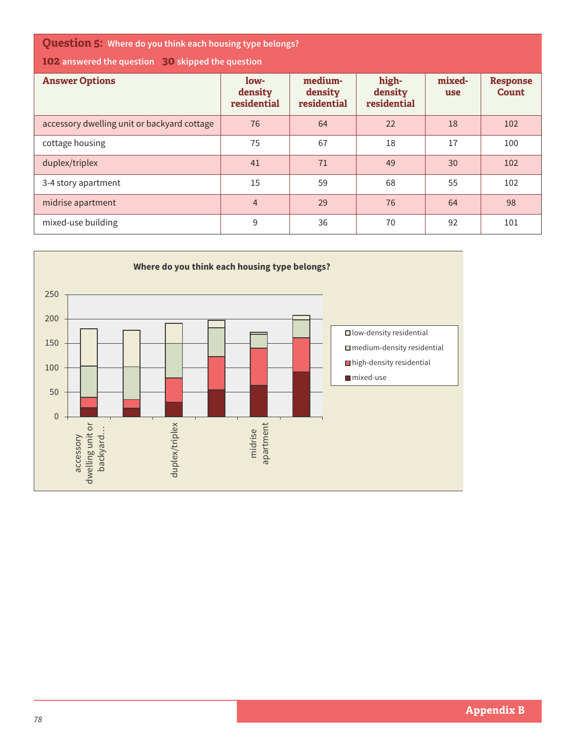**Question 5: Where do you think each housing type belongs?**

**102 answered the question 30 skipped the question**

| <b>Answer Options</b>                       | low-<br>density<br>residential | medium-<br>density<br>residential | high-<br>density<br>residential | mixed-<br>use | <b>Response</b><br><b>Count</b> |
|---------------------------------------------|--------------------------------|-----------------------------------|---------------------------------|---------------|---------------------------------|
| accessory dwelling unit or backyard cottage | 76                             | 64                                | 22                              | 18            | 102                             |
| cottage housing                             | 75                             | 67                                | 18                              | 17            | 100                             |
| duplex/triplex                              | 41                             | 71                                | 49                              | 30            | 102                             |
| 3-4 story apartment                         | 15                             | 59                                | 68                              | 55            | 102                             |
| midrise apartment                           | $\overline{4}$                 | 29                                | 76                              | 64            | 98                              |
| mixed-use building                          | 9                              | 36                                | 70                              | 92            | 101                             |

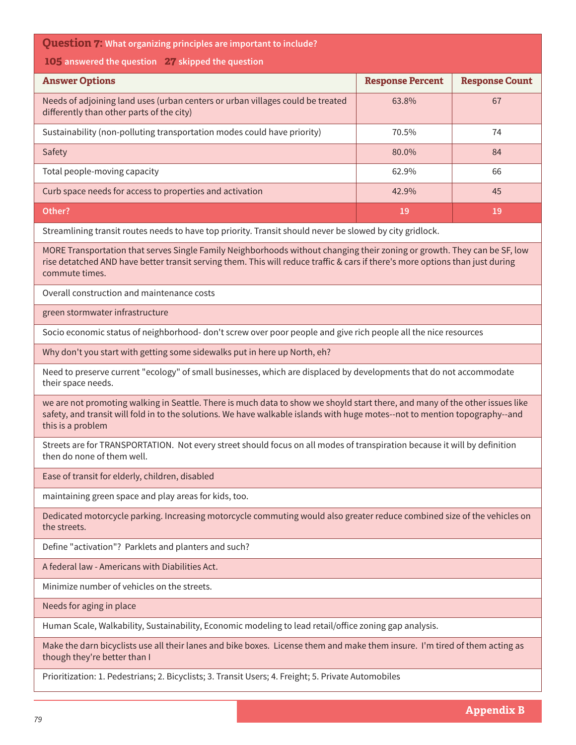| <b>Question 7:</b> What organizing principles are important to include?<br>105 answered the question 27 skipped the question<br><b>Answer Options</b><br><b>Response Percent</b><br>Needs of adjoining land uses (urban centers or urban villages could be treated<br>63.8%<br>differently than other parts of the city)<br>Sustainability (non-polluting transportation modes could have priority)<br>70.5% |  | <b>Response Count</b><br>67<br>74 |  |  |  |  |
|--------------------------------------------------------------------------------------------------------------------------------------------------------------------------------------------------------------------------------------------------------------------------------------------------------------------------------------------------------------------------------------------------------------|--|-----------------------------------|--|--|--|--|
|                                                                                                                                                                                                                                                                                                                                                                                                              |  |                                   |  |  |  |  |
|                                                                                                                                                                                                                                                                                                                                                                                                              |  |                                   |  |  |  |  |
|                                                                                                                                                                                                                                                                                                                                                                                                              |  |                                   |  |  |  |  |
|                                                                                                                                                                                                                                                                                                                                                                                                              |  |                                   |  |  |  |  |
|                                                                                                                                                                                                                                                                                                                                                                                                              |  |                                   |  |  |  |  |
| Safety<br>80.0%                                                                                                                                                                                                                                                                                                                                                                                              |  | 84                                |  |  |  |  |
| Total people-moving capacity<br>62.9%                                                                                                                                                                                                                                                                                                                                                                        |  | 66                                |  |  |  |  |
| Curb space needs for access to properties and activation<br>42.9%                                                                                                                                                                                                                                                                                                                                            |  | 45                                |  |  |  |  |
| Other?<br>19                                                                                                                                                                                                                                                                                                                                                                                                 |  | 19                                |  |  |  |  |
| Streamlining transit routes needs to have top priority. Transit should never be slowed by city gridlock.                                                                                                                                                                                                                                                                                                     |  |                                   |  |  |  |  |
| MORE Transportation that serves Single Family Neighborhoods without changing their zoning or growth. They can be SF, low<br>rise detatched AND have better transit serving them. This will reduce traffic & cars if there's more options than just during<br>commute times.                                                                                                                                  |  |                                   |  |  |  |  |
| Overall construction and maintenance costs                                                                                                                                                                                                                                                                                                                                                                   |  |                                   |  |  |  |  |
| green stormwater infrastructure                                                                                                                                                                                                                                                                                                                                                                              |  |                                   |  |  |  |  |
| Socio economic status of neighborhood- don't screw over poor people and give rich people all the nice resources                                                                                                                                                                                                                                                                                              |  |                                   |  |  |  |  |
| Why don't you start with getting some sidewalks put in here up North, eh?                                                                                                                                                                                                                                                                                                                                    |  |                                   |  |  |  |  |
| Need to preserve current "ecology" of small businesses, which are displaced by developments that do not accommodate<br>their space needs.                                                                                                                                                                                                                                                                    |  |                                   |  |  |  |  |
| we are not promoting walking in Seattle. There is much data to show we shoyld start there, and many of the other issues like<br>safety, and transit will fold in to the solutions. We have walkable islands with huge motes--not to mention topography--and<br>this is a problem                                                                                                                             |  |                                   |  |  |  |  |
| Streets are for TRANSPORTATION. Not every street should focus on all modes of transpiration because it will by definition<br>then do none of them well.                                                                                                                                                                                                                                                      |  |                                   |  |  |  |  |
| Ease of transit for elderly, children, disabled                                                                                                                                                                                                                                                                                                                                                              |  |                                   |  |  |  |  |
| maintaining green space and play areas for kids, too.                                                                                                                                                                                                                                                                                                                                                        |  |                                   |  |  |  |  |
| Dedicated motorcycle parking. Increasing motorcycle commuting would also greater reduce combined size of the vehicles on<br>the streets.                                                                                                                                                                                                                                                                     |  |                                   |  |  |  |  |
| Define "activation"? Parklets and planters and such?                                                                                                                                                                                                                                                                                                                                                         |  |                                   |  |  |  |  |
| A federal law - Americans with Diabilities Act.                                                                                                                                                                                                                                                                                                                                                              |  |                                   |  |  |  |  |
| Minimize number of vehicles on the streets.                                                                                                                                                                                                                                                                                                                                                                  |  |                                   |  |  |  |  |
| Needs for aging in place                                                                                                                                                                                                                                                                                                                                                                                     |  |                                   |  |  |  |  |
| Human Scale, Walkability, Sustainability, Economic modeling to lead retail/office zoning gap analysis.                                                                                                                                                                                                                                                                                                       |  |                                   |  |  |  |  |
| Make the darn bicyclists use all their lanes and bike boxes. License them and make them insure. I'm tired of them acting as<br>though they're better than I                                                                                                                                                                                                                                                  |  |                                   |  |  |  |  |

Prioritization: 1. Pedestrians; 2. Bicyclists; 3. Transit Users; 4. Freight; 5. Private Automobiles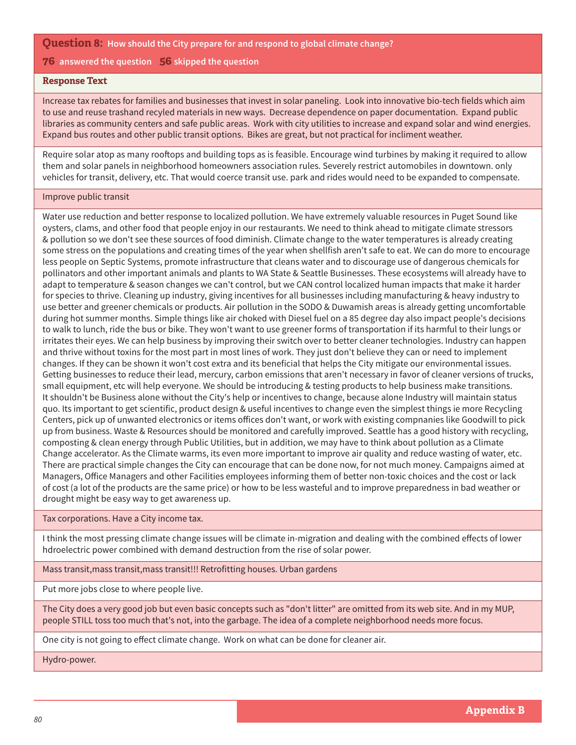### **76 answered the question 56 skipped the question**

### **Response Text**

Increase tax rebates for families and businesses that invest in solar paneling. Look into innovative bio-tech fields which aim to use and reuse trashand recyled materials in new ways. Decrease dependence on paper documentation. Expand public libraries as community centers and safe public areas. Work with city utilities to increase and expand solar and wind energies. Expand bus routes and other public transit options. Bikes are great, but not practical for incliment weather.

Require solar atop as many rooftops and building tops as is feasible. Encourage wind turbines by making it required to allow them and solar panels in neighborhood homeowners association rules. Severely restrict automobiles in downtown. only vehicles for transit, delivery, etc. That would coerce transit use. park and rides would need to be expanded to compensate.

#### Improve public transit

Water use reduction and better response to localized pollution. We have extremely valuable resources in Puget Sound like oysters, clams, and other food that people enjoy in our restaurants. We need to think ahead to mitigate climate stressors & pollution so we don't see these sources of food diminish. Climate change to the water temperatures is already creating some stress on the populations and creating times of the year when shellfish aren't safe to eat. We can do more to encourage less people on Septic Systems, promote infrastructure that cleans water and to discourage use of dangerous chemicals for pollinators and other important animals and plants to WA State & Seattle Businesses. These ecosystems will already have to adapt to temperature & season changes we can't control, but we CAN control localized human impacts that make it harder for species to thrive. Cleaning up industry, giving incentives for all businesses including manufacturing & heavy industry to use better and greener chemicals or products. Air pollution in the SODO & Duwamish areas is already getting uncomfortable during hot summer months. Simple things like air choked with Diesel fuel on a 85 degree day also impact people's decisions to walk to lunch, ride the bus or bike. They won't want to use greener forms of transportation if its harmful to their lungs or irritates their eyes. We can help business by improving their switch over to better cleaner technologies. Industry can happen and thrive without toxins for the most part in most lines of work. They just don't believe they can or need to implement changes. If they can be shown it won't cost extra and its beneficial that helps the City mitigate our environmental issues. Getting businesses to reduce their lead, mercury, carbon emissions that aren't necessary in favor of cleaner versions of trucks, small equipment, etc will help everyone. We should be introducing & testing products to help business make transitions. It shouldn't be Business alone without the City's help or incentives to change, because alone Industry will maintain status quo. Its important to get scientific, product design & useful incentives to change even the simplest things ie more Recycling Centers, pick up of unwanted electronics or items offices don't want, or work with existing compnanies like Goodwill to pick up from business. Waste & Resources should be monitored and carefully improved. Seattle has a good history with recycling, composting & clean energy through Public Utilities, but in addition, we may have to think about pollution as a Climate Change accelerator. As the Climate warms, its even more important to improve air quality and reduce wasting of water, etc. There are practical simple changes the City can encourage that can be done now, for not much money. Campaigns aimed at Managers, Office Managers and other Facilities employees informing them of better non-toxic choices and the cost or lack of cost (a lot of the products are the same price) or how to be less wasteful and to improve preparedness in bad weather or drought might be easy way to get awareness up.

Tax corporations. Have a City income tax.

I think the most pressing climate change issues will be climate in-migration and dealing with the combined effects of lower hdroelectric power combined with demand destruction from the rise of solar power.

Mass transit,mass transit,mass transit!!! Retrofitting houses. Urban gardens

Put more jobs close to where people live.

The City does a very good job but even basic concepts such as "don't litter" are omitted from its web site. And in my MUP, people STILL toss too much that's not, into the garbage. The idea of a complete neighborhood needs more focus.

One city is not going to effect climate change. Work on what can be done for cleaner air.

Hydro-power.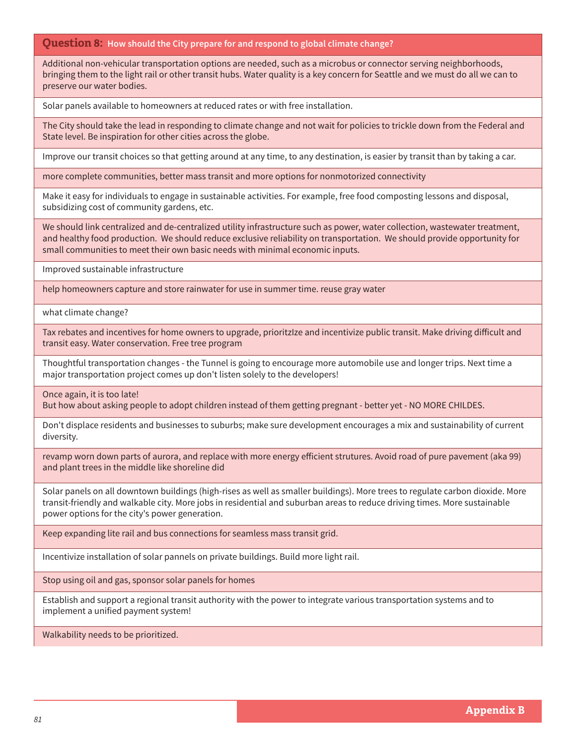Additional non-vehicular transportation options are needed, such as a microbus or connector serving neighborhoods, bringing them to the light rail or other transit hubs. Water quality is a key concern for Seattle and we must do all we can to preserve our water bodies.

Solar panels available to homeowners at reduced rates or with free installation.

The City should take the lead in responding to climate change and not wait for policies to trickle down from the Federal and State level. Be inspiration for other cities across the globe.

Improve our transit choices so that getting around at any time, to any destination, is easier by transit than by taking a car.

more complete communities, better mass transit and more options for nonmotorized connectivity

Make it easy for individuals to engage in sustainable activities. For example, free food composting lessons and disposal, subsidizing cost of community gardens, etc.

We should link centralized and de-centralized utility infrastructure such as power, water collection, wastewater treatment, and healthy food production. We should reduce exclusive reliability on transportation. We should provide opportunity for small communities to meet their own basic needs with minimal economic inputs.

Improved sustainable infrastructure

help homeowners capture and store rainwater for use in summer time. reuse gray water

what climate change?

Tax rebates and incentives for home owners to upgrade, prioritzIze and incentivize public transit. Make driving difficult and transit easy. Water conservation. Free tree program

Thoughtful transportation changes - the Tunnel is going to encourage more automobile use and longer trips. Next time a major transportation project comes up don't listen solely to the developers!

Once again, it is too late!

But how about asking people to adopt children instead of them getting pregnant - better yet - NO MORE CHILDES.

Don't displace residents and businesses to suburbs; make sure development encourages a mix and sustainability of current diversity.

revamp worn down parts of aurora, and replace with more energy efficient strutures. Avoid road of pure pavement (aka 99) and plant trees in the middle like shoreline did

Solar panels on all downtown buildings (high-rises as well as smaller buildings). More trees to regulate carbon dioxide. More transit-friendly and walkable city. More jobs in residential and suburban areas to reduce driving times. More sustainable power options for the city's power generation.

Keep expanding lite rail and bus connections for seamless mass transit grid.

Incentivize installation of solar pannels on private buildings. Build more light rail.

Stop using oil and gas, sponsor solar panels for homes

Establish and support a regional transit authority with the power to integrate various transportation systems and to implement a unified payment system!

Walkability needs to be prioritized.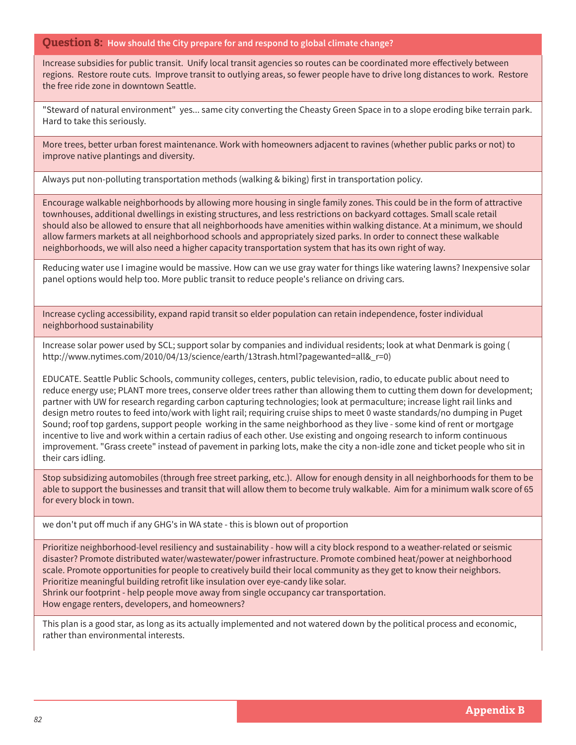Increase subsidies for public transit. Unify local transit agencies so routes can be coordinated more effectively between regions. Restore route cuts. Improve transit to outlying areas, so fewer people have to drive long distances to work. Restore the free ride zone in downtown Seattle.

"Steward of natural environment" yes... same city converting the Cheasty Green Space in to a slope eroding bike terrain park. Hard to take this seriously.

More trees, better urban forest maintenance. Work with homeowners adjacent to ravines (whether public parks or not) to improve native plantings and diversity.

Always put non-polluting transportation methods (walking & biking) first in transportation policy.

Encourage walkable neighborhoods by allowing more housing in single family zones. This could be in the form of attractive townhouses, additional dwellings in existing structures, and less restrictions on backyard cottages. Small scale retail should also be allowed to ensure that all neighborhoods have amenities within walking distance. At a minimum, we should allow farmers markets at all neighborhood schools and appropriately sized parks. In order to connect these walkable neighborhoods, we will also need a higher capacity transportation system that has its own right of way.

Reducing water use I imagine would be massive. How can we use gray water for things like watering lawns? Inexpensive solar panel options would help too. More public transit to reduce people's reliance on driving cars.

Increase cycling accessibility, expand rapid transit so elder population can retain independence, foster individual neighborhood sustainability

Increase solar power used by SCL; support solar by companies and individual residents; look at what Denmark is going ( http://www.nytimes.com/2010/04/13/science/earth/13trash.html?pagewanted=all&\_r=0)

EDUCATE. Seattle Public Schools, community colleges, centers, public television, radio, to educate public about need to reduce energy use; PLANT more trees, conserve older trees rather than allowing them to cutting them down for development; partner with UW for research regarding carbon capturing technologies; look at permaculture; increase light rail links and design metro routes to feed into/work with light rail; requiring cruise ships to meet 0 waste standards/no dumping in Puget Sound; roof top gardens, support people working in the same neighborhood as they live - some kind of rent or mortgage incentive to live and work within a certain radius of each other. Use existing and ongoing research to inform continuous improvement. "Grass creete" instead of pavement in parking lots, make the city a non-idle zone and ticket people who sit in their cars idling.

Stop subsidizing automobiles (through free street parking, etc.). Allow for enough density in all neighborhoods for them to be able to support the businesses and transit that will allow them to become truly walkable. Aim for a minimum walk score of 65 for every block in town.

we don't put off much if any GHG's in WA state - this is blown out of proportion

Prioritize neighborhood-level resiliency and sustainability - how will a city block respond to a weather-related or seismic disaster? Promote distributed water/wastewater/power infrastructure. Promote combined heat/power at neighborhood scale. Promote opportunities for people to creatively build their local community as they get to know their neighbors. Prioritize meaningful building retrofit like insulation over eye-candy like solar.

Shrink our footprint - help people move away from single occupancy car transportation. How engage renters, developers, and homeowners?

This plan is a good star, as long as its actually implemented and not watered down by the political process and economic, rather than environmental interests.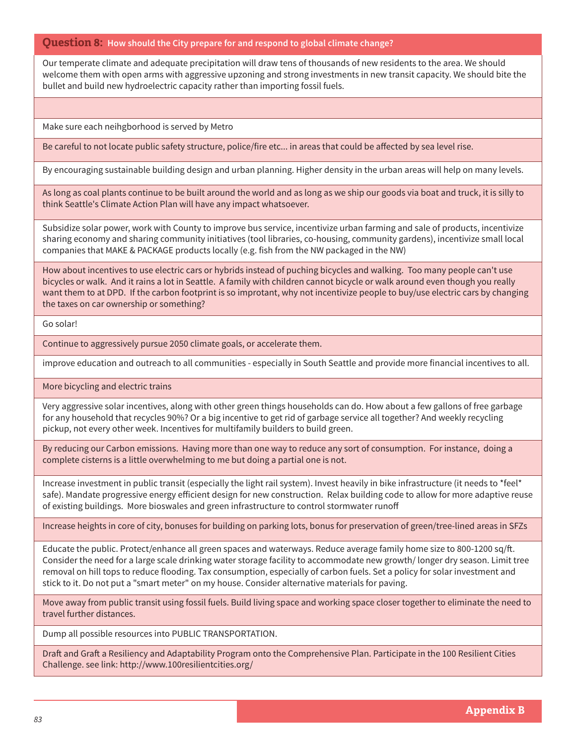Our temperate climate and adequate precipitation will draw tens of thousands of new residents to the area. We should welcome them with open arms with aggressive upzoning and strong investments in new transit capacity. We should bite the bullet and build new hydroelectric capacity rather than importing fossil fuels.

Make sure each neihgborhood is served by Metro

Be careful to not locate public safety structure, police/fire etc... in areas that could be affected by sea level rise.

By encouraging sustainable building design and urban planning. Higher density in the urban areas will help on many levels.

As long as coal plants continue to be built around the world and as long as we ship our goods via boat and truck, it is silly to think Seattle's Climate Action Plan will have any impact whatsoever.

Subsidize solar power, work with County to improve bus service, incentivize urban farming and sale of products, incentivize sharing economy and sharing community initiatives (tool libraries, co-housing, community gardens), incentivize small local companies that MAKE & PACKAGE products locally (e.g. fish from the NW packaged in the NW)

How about incentives to use electric cars or hybrids instead of puching bicycles and walking. Too many people can't use bicycles or walk. And it rains a lot in Seattle. A family with children cannot bicycle or walk around even though you really want them to at DPD. If the carbon footprint is so improtant, why not incentivize people to buy/use electric cars by changing the taxes on car ownership or something?

Go solar!

Continue to aggressively pursue 2050 climate goals, or accelerate them.

improve education and outreach to all communities - especially in South Seattle and provide more financial incentives to all.

More bicycling and electric trains

Very aggressive solar incentives, along with other green things households can do. How about a few gallons of free garbage for any household that recycles 90%? Or a big incentive to get rid of garbage service all together? And weekly recycling pickup, not every other week. Incentives for multifamily builders to build green.

By reducing our Carbon emissions. Having more than one way to reduce any sort of consumption. For instance, doing a complete cisterns is a little overwhelming to me but doing a partial one is not.

Increase investment in public transit (especially the light rail system). Invest heavily in bike infrastructure (it needs to \*feel\* safe). Mandate progressive energy efficient design for new construction. Relax building code to allow for more adaptive reuse of existing buildings. More bioswales and green infrastructure to control stormwater runoff

Increase heights in core of city, bonuses for building on parking lots, bonus for preservation of green/tree-lined areas in SFZs

Educate the public. Protect/enhance all green spaces and waterways. Reduce average family home size to 800-1200 sq/ft. Consider the need for a large scale drinking water storage facility to accommodate new growth/ longer dry season. Limit tree removal on hill tops to reduce flooding. Tax consumption, especially of carbon fuels. Set a policy for solar investment and stick to it. Do not put a "smart meter" on my house. Consider alternative materials for paving.

Move away from public transit using fossil fuels. Build living space and working space closer together to eliminate the need to travel further distances.

Dump all possible resources into PUBLIC TRANSPORTATION.

Draft and Graft a Resiliency and Adaptability Program onto the Comprehensive Plan. Participate in the 100 Resilient Cities Challenge. see link: http://www.100resilientcities.org/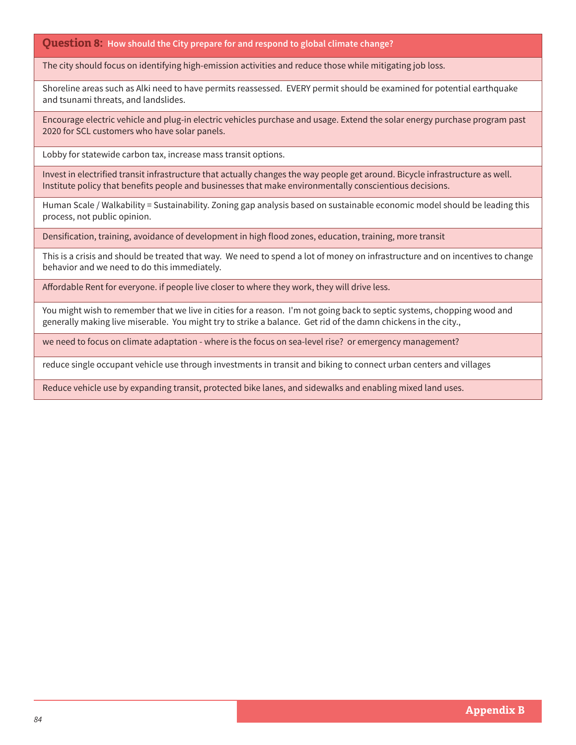The city should focus on identifying high-emission activities and reduce those while mitigating job loss.

Shoreline areas such as Alki need to have permits reassessed. EVERY permit should be examined for potential earthquake and tsunami threats, and landslides.

Encourage electric vehicle and plug-in electric vehicles purchase and usage. Extend the solar energy purchase program past 2020 for SCL customers who have solar panels.

Lobby for statewide carbon tax, increase mass transit options.

Invest in electrified transit infrastructure that actually changes the way people get around. Bicycle infrastructure as well. Institute policy that benefits people and businesses that make environmentally conscientious decisions.

Human Scale / Walkability = Sustainability. Zoning gap analysis based on sustainable economic model should be leading this process, not public opinion.

Densification, training, avoidance of development in high flood zones, education, training, more transit

This is a crisis and should be treated that way. We need to spend a lot of money on infrastructure and on incentives to change behavior and we need to do this immediately.

Affordable Rent for everyone. if people live closer to where they work, they will drive less.

You might wish to remember that we live in cities for a reason. I'm not going back to septic systems, chopping wood and generally making live miserable. You might try to strike a balance. Get rid of the damn chickens in the city.,

we need to focus on climate adaptation - where is the focus on sea-level rise? or emergency management?

reduce single occupant vehicle use through investments in transit and biking to connect urban centers and villages

Reduce vehicle use by expanding transit, protected bike lanes, and sidewalks and enabling mixed land uses.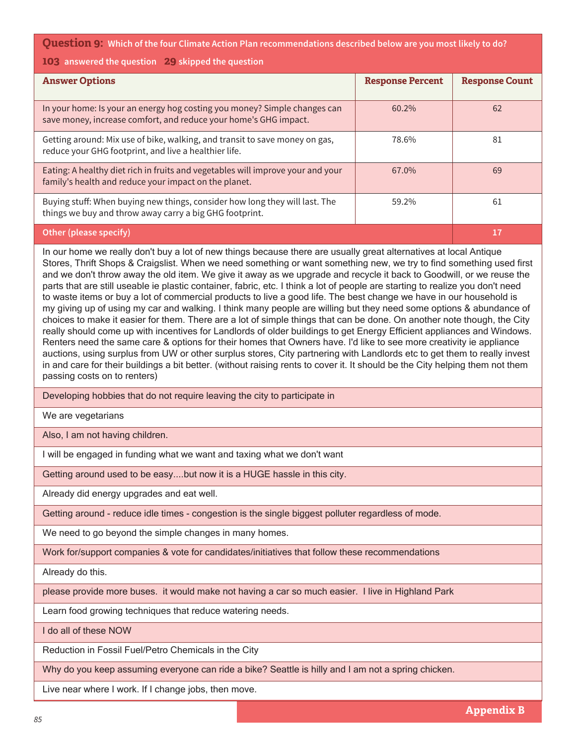**Question 9: Which of the four Climate Action Plan recommendations described below are you most likely to do?**

### **103 answered the question 29 skipped the question**

| <b>Answer Options</b>                                                                                                                         | <b>Response Percent</b> | <b>Response Count</b> |
|-----------------------------------------------------------------------------------------------------------------------------------------------|-------------------------|-----------------------|
| In your home: Is your an energy hog costing you money? Simple changes can<br>save money, increase comfort, and reduce your home's GHG impact. | 60.2%                   | 62                    |
| Getting around: Mix use of bike, walking, and transit to save money on gas,<br>reduce your GHG footprint, and live a healthier life.          | 78.6%                   | 81                    |
| Eating: A healthy diet rich in fruits and vegetables will improve your and your<br>family's health and reduce your impact on the planet.      | 67.0%                   | 69                    |
| Buying stuff: When buying new things, consider how long they will last. The<br>things we buy and throw away carry a big GHG footprint.        | 59.2%                   | 61                    |
| Other (please specify)                                                                                                                        |                         | 17                    |

In our home we really don't buy a lot of new things because there are usually great alternatives at local Antique Stores, Thrift Shops & Craigslist. When we need something or want something new, we try to find something used first and we don't throw away the old item. We give it away as we upgrade and recycle it back to Goodwill, or we reuse the parts that are still useable ie plastic container, fabric, etc. I think a lot of people are starting to realize you don't need to waste items or buy a lot of commercial products to live a good life. The best change we have in our household is my giving up of using my car and walking. I think many people are willing but they need some options & abundance of choices to make it easier for them. There are a lot of simple things that can be done. On another note though, the City really should come up with incentives for Landlords of older buildings to get Energy Efficient appliances and Windows. Renters need the same care & options for their homes that Owners have. I'd like to see more creativity ie appliance auctions, using surplus from UW or other surplus stores, City partnering with Landlords etc to get them to really invest in and care for their buildings a bit better. (without raising rents to cover it. It should be the City helping them not them passing costs on to renters)

Developing hobbies that do not require leaving the city to participate in

We are vegetarians

Also, I am not having children.

I will be engaged in funding what we want and taxing what we don't want

Getting around used to be easy....but now it is a HUGE hassle in this city.

Already did energy upgrades and eat well.

Getting around - reduce idle times - congestion is the single biggest polluter regardless of mode.

We need to go beyond the simple changes in many homes.

Work for/support companies & vote for candidates/initiatives that follow these recommendations

Already do this.

please provide more buses. it would make not having a car so much easier. I live in Highland Park

Learn food growing techniques that reduce watering needs.

I do all of these NOW

Reduction in Fossil Fuel/Petro Chemicals in the City

Why do you keep assuming everyone can ride a bike? Seattle is hilly and I am not a spring chicken.

Live near where I work. If I change jobs, then move.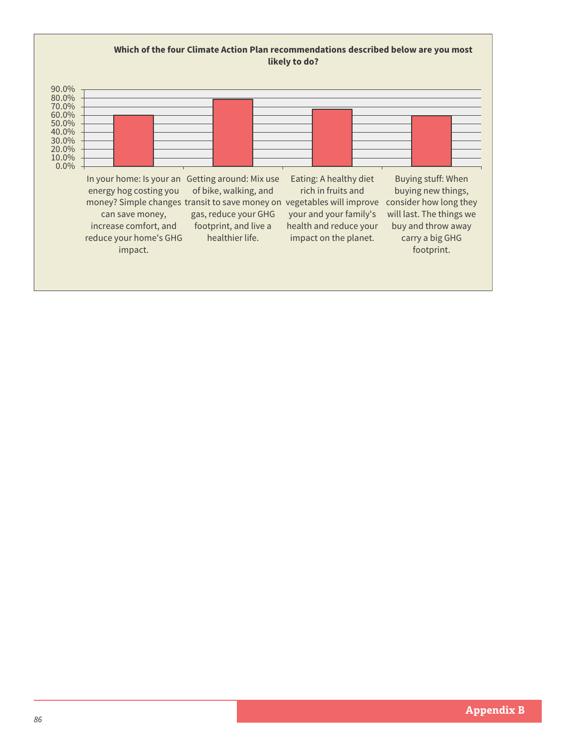# **Which of the four Climate Action Plan recommendations described below are you most likely to do?**

| $90.0\%$<br>80.0%<br>70.0%<br>60.0%<br>50.0%<br>40.0%<br>30.0%<br>20.0%<br>10.0%<br>$0.0\%$ |                                                                                                                                                                                                               |                                                                                           |                                                                                                                                                      |                                                                                                                                                       |
|---------------------------------------------------------------------------------------------|---------------------------------------------------------------------------------------------------------------------------------------------------------------------------------------------------------------|-------------------------------------------------------------------------------------------|------------------------------------------------------------------------------------------------------------------------------------------------------|-------------------------------------------------------------------------------------------------------------------------------------------------------|
|                                                                                             | In your home: Is your an Getting around: Mix use<br>energy hog costing you<br>money? Simple changes transit to save money on<br>can save money,<br>increase comfort, and<br>reduce your home's GHG<br>impact. | of bike, walking, and<br>gas, reduce your GHG<br>footprint, and live a<br>healthier life. | Eating: A healthy diet<br>rich in fruits and<br>vegetables will improve<br>your and your family's<br>health and reduce your<br>impact on the planet. | Buying stuff: When<br>buying new things,<br>consider how long they<br>will last. The things we<br>buy and throw away<br>carry a big GHG<br>footprint. |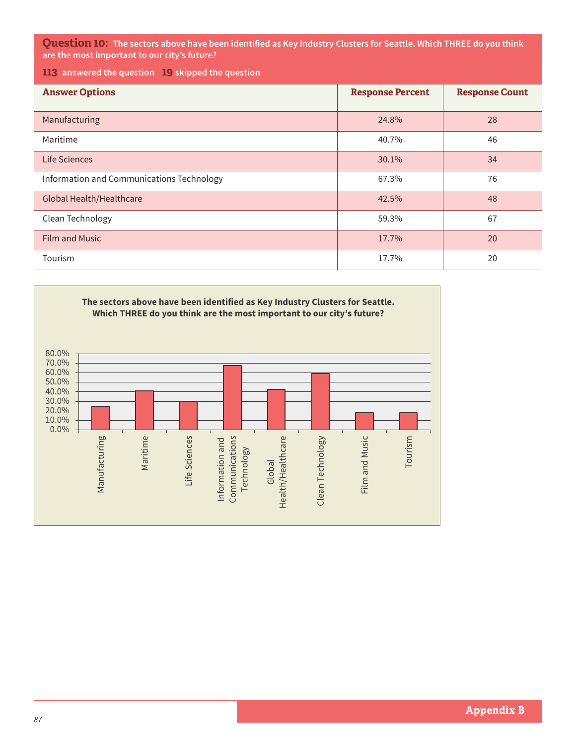**Question 10: The sectors above have been identified as Key Industry Clusters for Seattle. Which THREE do you think are the most important to our city's future?**

**113 answered the question 19 skipped the question**

| <b>Answer Options</b>                     | <b>Response Percent</b> | <b>Response Count</b> |
|-------------------------------------------|-------------------------|-----------------------|
| Manufacturing                             | 24.8%                   | 28                    |
| Maritime                                  | 40.7%                   | 46                    |
| Life Sciences                             | 30.1%                   | 34                    |
| Information and Communications Technology | 67.3%                   | 76                    |
| <b>Global Health/Healthcare</b>           | 42.5%                   | 48                    |
| Clean Technology                          | 59.3%                   | 67                    |
| <b>Film and Music</b>                     | 17.7%                   | 20                    |
| Tourism                                   | 17.7%                   | 20                    |

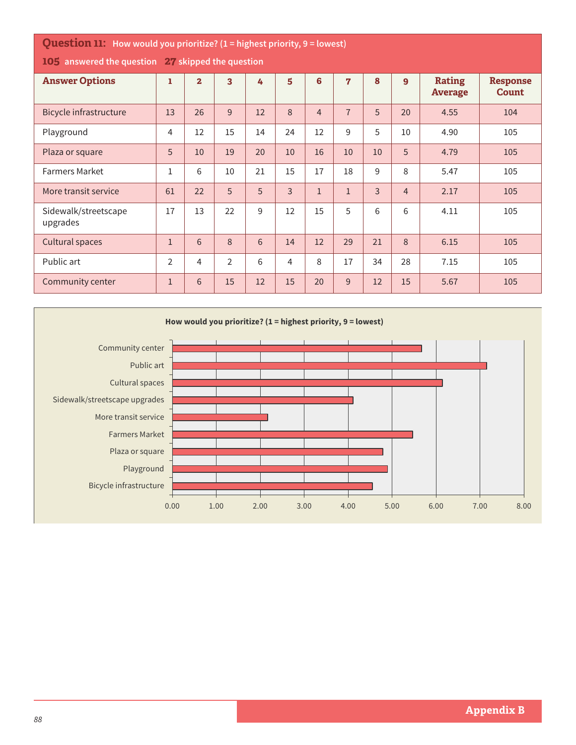| <b>Question 11:</b> How would you prioritize? (1 = highest priority, 9 = lowest) |                |                         |                         |    |                |                |                |                |                |                                 |                                 |
|----------------------------------------------------------------------------------|----------------|-------------------------|-------------------------|----|----------------|----------------|----------------|----------------|----------------|---------------------------------|---------------------------------|
| 105 answered the question 27 skipped the question                                |                |                         |                         |    |                |                |                |                |                |                                 |                                 |
| <b>Answer Options</b>                                                            | ı              | $\overline{\mathbf{2}}$ | $\overline{\mathbf{3}}$ | 4  | 5              | 6              | $\overline{7}$ | 8              | $\mathbf{9}$   | <b>Rating</b><br><b>Average</b> | <b>Response</b><br><b>Count</b> |
| <b>Bicycle infrastructure</b>                                                    | 13             | 26                      | 9                       | 12 | 8              | $\overline{4}$ | $\overline{7}$ | 5              | 20             | 4.55                            | 104                             |
| Playground                                                                       | 4              | 12                      | 15                      | 14 | 24             | 12             | 9              | 5              | 10             | 4.90                            | 105                             |
| Plaza or square                                                                  | 5              | 10                      | 19                      | 20 | 10             | 16             | 10             | 10             | 5              | 4.79                            | 105                             |
| <b>Farmers Market</b>                                                            | $\mathbf{1}$   | $6\,$                   | 10                      | 21 | 15             | 17             | 18             | 9              | 8              | 5.47                            | 105                             |
| More transit service                                                             | 61             | 22                      | 5                       | 5  | $\overline{3}$ | $\mathbf{1}$   | $\mathbf{1}$   | $\overline{3}$ | $\overline{4}$ | 2.17                            | 105                             |
| Sidewalk/streetscape<br>upgrades                                                 | 17             | 13                      | 22                      | 9  | 12             | 15             | 5              | 6              | 6              | 4.11                            | 105                             |
| Cultural spaces                                                                  | $\mathbf{1}$   | 6                       | 8                       | 6  | 14             | 12             | 29             | 21             | 8              | 6.15                            | 105                             |
| Public art                                                                       | $\overline{2}$ | $\overline{4}$          | $\overline{2}$          | 6  | 4              | 8              | 17             | 34             | 28             | 7.15                            | 105                             |
| Community center                                                                 | $\mathbf{1}$   | 6                       | 15                      | 12 | 15             | 20             | 9              | 12             | 15             | 5.67                            | 105                             |

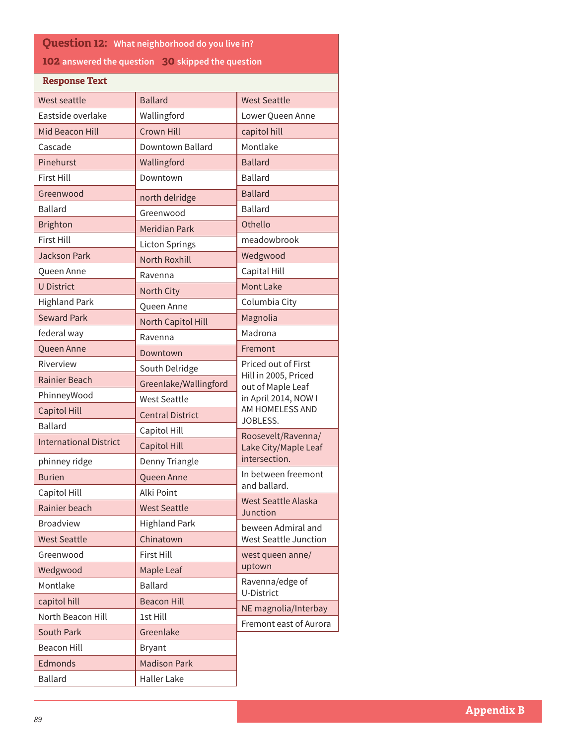| <b>Question 12: What neighborhood do you live in?</b> |                         |                                            |  |  |  |  |
|-------------------------------------------------------|-------------------------|--------------------------------------------|--|--|--|--|
| 102 answered the question 30 skipped the question     |                         |                                            |  |  |  |  |
| <b>Response Text</b>                                  |                         |                                            |  |  |  |  |
| <b>West seattle</b>                                   | <b>Ballard</b>          | <b>West Seattle</b>                        |  |  |  |  |
| Eastside overlake                                     | Wallingford             | Lower Queen Anne                           |  |  |  |  |
| <b>Mid Beacon Hill</b>                                | Crown Hill              | capitol hill                               |  |  |  |  |
| Cascade                                               | Downtown Ballard        | Montlake                                   |  |  |  |  |
| Pinehurst                                             | Wallingford             | <b>Ballard</b>                             |  |  |  |  |
| <b>First Hill</b>                                     | Downtown                | <b>Ballard</b>                             |  |  |  |  |
| Greenwood                                             | north delridge          | <b>Ballard</b>                             |  |  |  |  |
| <b>Ballard</b>                                        | Greenwood               | <b>Ballard</b>                             |  |  |  |  |
| <b>Brighton</b>                                       | <b>Meridian Park</b>    | Othello                                    |  |  |  |  |
| <b>First Hill</b>                                     | <b>Licton Springs</b>   | meadowbrook                                |  |  |  |  |
| <b>Jackson Park</b>                                   | <b>North Roxhill</b>    | Wedgwood                                   |  |  |  |  |
| Queen Anne                                            | Ravenna                 | Capital Hill                               |  |  |  |  |
| <b>U District</b>                                     | North City              | <b>Mont Lake</b>                           |  |  |  |  |
| <b>Highland Park</b>                                  | Queen Anne              | Columbia City                              |  |  |  |  |
| <b>Seward Park</b>                                    | North Capitol Hill      | Magnolia                                   |  |  |  |  |
| federal way                                           | Ravenna                 | Madrona                                    |  |  |  |  |
| Queen Anne                                            | Downtown                | Fremont                                    |  |  |  |  |
| Riverview                                             | South Delridge          | Priced out of First                        |  |  |  |  |
| <b>Rainier Beach</b>                                  | Greenlake/Wallingford   | Hill in 2005, Priced<br>out of Maple Leaf  |  |  |  |  |
| PhinneyWood                                           | <b>West Seattle</b>     | in April 2014, NOW I                       |  |  |  |  |
| <b>Capitol Hill</b>                                   | <b>Central District</b> | AM HOMELESS AND                            |  |  |  |  |
| <b>Ballard</b>                                        | Capitol Hill            | JOBLESS.                                   |  |  |  |  |
| <b>International District</b>                         | <b>Capitol Hill</b>     | Roosevelt/Ravenna/<br>Lake City/Maple Leaf |  |  |  |  |
| phinney ridge                                         | Denny Triangle          | intersection.                              |  |  |  |  |
| <b>Burien</b>                                         | Queen Anne              | In between freemont                        |  |  |  |  |
| Capitol Hill                                          | Alki Point              | and ballard.                               |  |  |  |  |
| Rainier beach                                         | <b>West Seattle</b>     | <b>West Seattle Alaska</b><br>Junction     |  |  |  |  |
| <b>Broadview</b>                                      | <b>Highland Park</b>    | beween Admiral and                         |  |  |  |  |
| <b>West Seattle</b>                                   | Chinatown               | <b>West Seattle Junction</b>               |  |  |  |  |
| Greenwood                                             | <b>First Hill</b>       | west queen anne/                           |  |  |  |  |
| Wedgwood                                              | Maple Leaf              | uptown                                     |  |  |  |  |
| Montlake                                              | <b>Ballard</b>          | Ravenna/edge of<br>U-District              |  |  |  |  |
| capitol hill                                          | <b>Beacon Hill</b>      | NE magnolia/Interbay                       |  |  |  |  |
| North Beacon Hill                                     | 1st Hill                | Fremont east of Aurora                     |  |  |  |  |
| <b>South Park</b>                                     | Greenlake               |                                            |  |  |  |  |
| <b>Beacon Hill</b>                                    | <b>Bryant</b>           |                                            |  |  |  |  |
| Edmonds                                               | <b>Madison Park</b>     |                                            |  |  |  |  |
| <b>Ballard</b>                                        | <b>Haller Lake</b>      |                                            |  |  |  |  |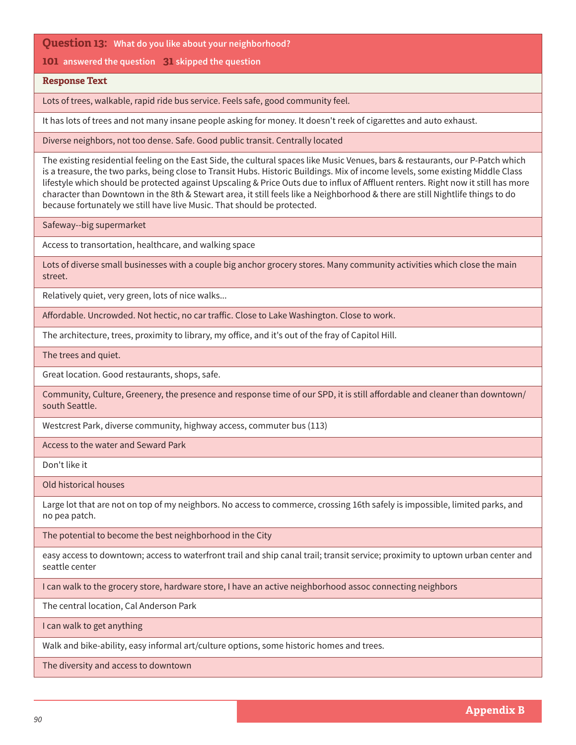**101 answered the question 31 skipped the question**

### **Response Text**

Lots of trees, walkable, rapid ride bus service. Feels safe, good community feel.

It has lots of trees and not many insane people asking for money. It doesn't reek of cigarettes and auto exhaust.

Diverse neighbors, not too dense. Safe. Good public transit. Centrally located

The existing residential feeling on the East Side, the cultural spaces like Music Venues, bars & restaurants, our P-Patch which is a treasure, the two parks, being close to Transit Hubs. Historic Buildings. Mix of income levels, some existing Middle Class lifestyle which should be protected against Upscaling & Price Outs due to influx of Affluent renters. Right now it still has more character than Downtown in the 8th & Stewart area, it still feels like a Neighborhood & there are still Nightlife things to do because fortunately we still have live Music. That should be protected.

Safeway--big supermarket

Access to transortation, healthcare, and walking space

Lots of diverse small businesses with a couple big anchor grocery stores. Many community activities which close the main street.

Relatively quiet, very green, lots of nice walks...

Affordable. Uncrowded. Not hectic, no car traffic. Close to Lake Washington. Close to work.

The architecture, trees, proximity to library, my office, and it's out of the fray of Capitol Hill.

The trees and quiet.

Great location. Good restaurants, shops, safe.

Community, Culture, Greenery, the presence and response time of our SPD, it is still affordable and cleaner than downtown/ south Seattle.

Westcrest Park, diverse community, highway access, commuter bus (113)

Access to the water and Seward Park

Don't like it

Old historical houses

Large lot that are not on top of my neighbors. No access to commerce, crossing 16th safely is impossible, limited parks, and no pea patch.

The potential to become the best neighborhood in the City

easy access to downtown; access to waterfront trail and ship canal trail; transit service; proximity to uptown urban center and seattle center

I can walk to the grocery store, hardware store, I have an active neighborhood assoc connecting neighbors

The central location, Cal Anderson Park

I can walk to get anything

Walk and bike-ability, easy informal art/culture options, some historic homes and trees.

The diversity and access to downtown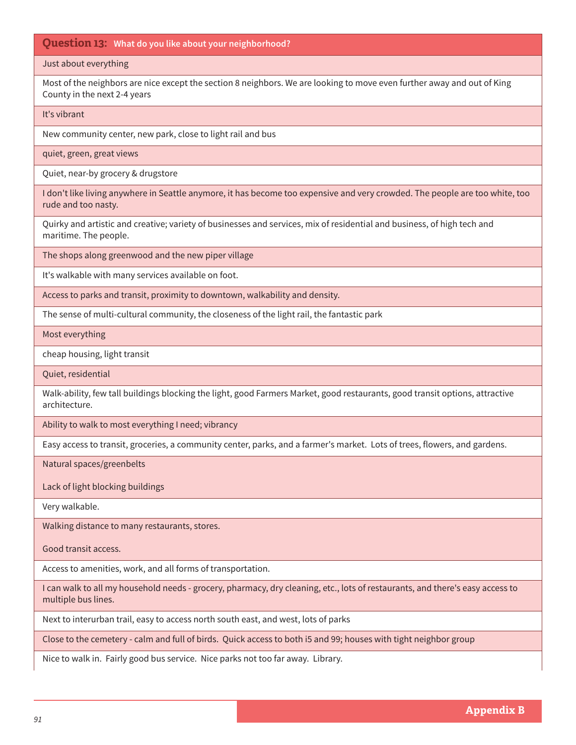### Just about everything

Most of the neighbors are nice except the section 8 neighbors. We are looking to move even further away and out of King County in the next 2-4 years

### It's vibrant

New community center, new park, close to light rail and bus

quiet, green, great views

Quiet, near-by grocery & drugstore

I don't like living anywhere in Seattle anymore, it has become too expensive and very crowded. The people are too white, too rude and too nasty.

Quirky and artistic and creative; variety of businesses and services, mix of residential and business, of high tech and maritime. The people.

The shops along greenwood and the new piper village

It's walkable with many services available on foot.

Access to parks and transit, proximity to downtown, walkability and density.

The sense of multi-cultural community, the closeness of the light rail, the fantastic park

Most everything

cheap housing, light transit

Quiet, residential

Walk-ability, few tall buildings blocking the light, good Farmers Market, good restaurants, good transit options, attractive architecture.

Ability to walk to most everything I need; vibrancy

Easy access to transit, groceries, a community center, parks, and a farmer's market. Lots of trees, flowers, and gardens.

Natural spaces/greenbelts

Lack of light blocking buildings

Very walkable.

Walking distance to many restaurants, stores.

Good transit access.

Access to amenities, work, and all forms of transportation.

I can walk to all my household needs - grocery, pharmacy, dry cleaning, etc., lots of restaurants, and there's easy access to multiple bus lines.

Next to interurban trail, easy to access north south east, and west, lots of parks

Close to the cemetery - calm and full of birds. Quick access to both i5 and 99; houses with tight neighbor group

Nice to walk in. Fairly good bus service. Nice parks not too far away. Library.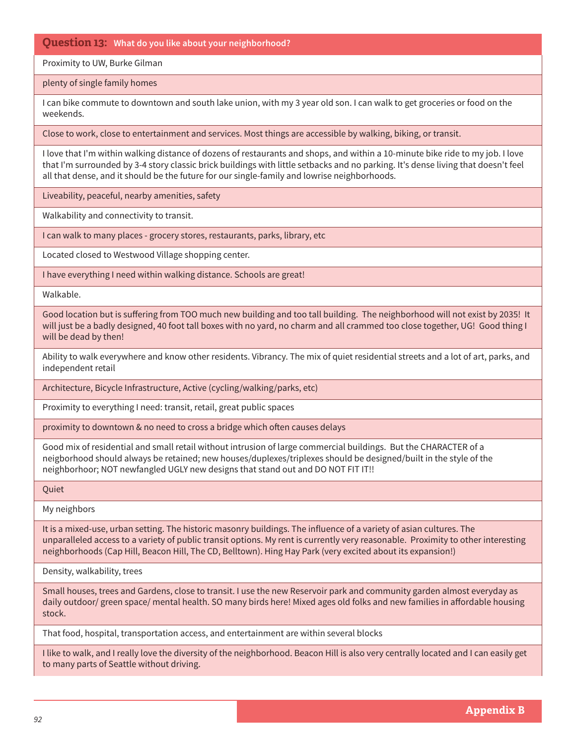# Proximity to UW, Burke Gilman

plenty of single family homes

I can bike commute to downtown and south lake union, with my 3 year old son. I can walk to get groceries or food on the weekends.

Close to work, close to entertainment and services. Most things are accessible by walking, biking, or transit.

I love that I'm within walking distance of dozens of restaurants and shops, and within a 10-minute bike ride to my job. I love that I'm surrounded by 3-4 story classic brick buildings with little setbacks and no parking. It's dense living that doesn't feel all that dense, and it should be the future for our single-family and lowrise neighborhoods.

Liveability, peaceful, nearby amenities, safety

Walkability and connectivity to transit.

I can walk to many places - grocery stores, restaurants, parks, library, etc

Located closed to Westwood Village shopping center.

I have everything I need within walking distance. Schools are great!

Walkable.

Good location but is suffering from TOO much new building and too tall building. The neighborhood will not exist by 2035! It will just be a badly designed, 40 foot tall boxes with no yard, no charm and all crammed too close together, UG! Good thing I will be dead by then!

Ability to walk everywhere and know other residents. Vibrancy. The mix of quiet residential streets and a lot of art, parks, and independent retail

Architecture, Bicycle Infrastructure, Active (cycling/walking/parks, etc)

Proximity to everything I need: transit, retail, great public spaces

proximity to downtown & no need to cross a bridge which often causes delays

Good mix of residential and small retail without intrusion of large commercial buildings. But the CHARACTER of a neigborhood should always be retained; new houses/duplexes/triplexes should be designed/built in the style of the neighborhoor; NOT newfangled UGLY new designs that stand out and DO NOT FIT IT!!

**Ouiet** 

My neighbors

It is a mixed-use, urban setting. The historic masonry buildings. The influence of a variety of asian cultures. The unparalleled access to a variety of public transit options. My rent is currently very reasonable. Proximity to other interesting neighborhoods (Cap Hill, Beacon Hill, The CD, Belltown). Hing Hay Park (very excited about its expansion!)

Density, walkability, trees

Small houses, trees and Gardens, close to transit. I use the new Reservoir park and community garden almost everyday as daily outdoor/ green space/ mental health. SO many birds here! Mixed ages old folks and new families in affordable housing stock.

That food, hospital, transportation access, and entertainment are within several blocks

I like to walk, and I really love the diversity of the neighborhood. Beacon Hill is also very centrally located and I can easily get to many parts of Seattle without driving.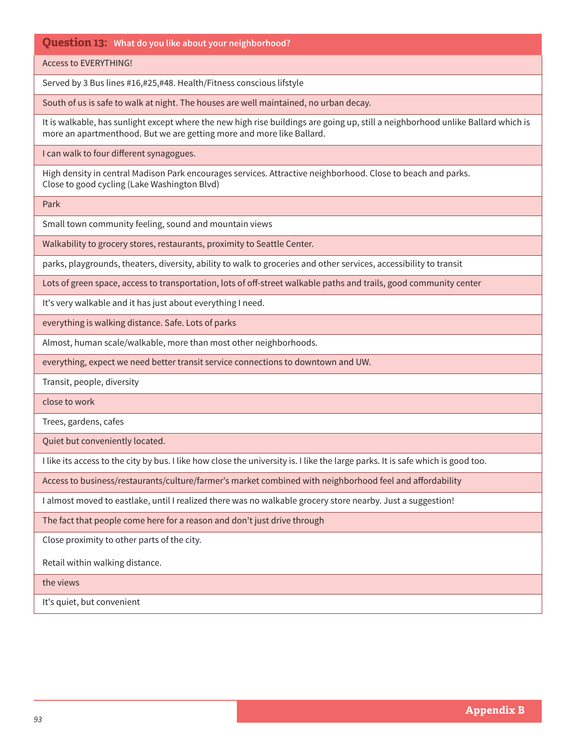Access to EVERYTHING!

Served by 3 Bus lines #16,#25,#48. Health/Fitness conscious lifstyle

South of us is safe to walk at night. The houses are well maintained, no urban decay.

It is walkable, has sunlight except where the new high rise buildings are going up, still a neighborhood unlike Ballard which is more an apartmenthood. But we are getting more and more like Ballard.

I can walk to four different synagogues.

High density in central Madison Park encourages services. Attractive neighborhood. Close to beach and parks. Close to good cycling (Lake Washington Blvd)

Park

Small town community feeling, sound and mountain views

Walkability to grocery stores, restaurants, proximity to Seattle Center.

parks, playgrounds, theaters, diversity, ability to walk to groceries and other services, accessibility to transit

Lots of green space, access to transportation, lots of off-street walkable paths and trails, good community center

It's very walkable and it has just about everything I need.

everything is walking distance. Safe. Lots of parks

Almost, human scale/walkable, more than most other neighborhoods.

everything, expect we need better transit service connections to downtown and UW.

Transit, people, diversity

close to work

Trees, gardens, cafes

Quiet but conveniently located.

I like its access to the city by bus. I like how close the university is. I like the large parks. It is safe which is good too.

Access to business/restaurants/culture/farmer's market combined with neighborhood feel and affordability

I almost moved to eastlake, until I realized there was no walkable grocery store nearby. Just a suggestion!

The fact that people come here for a reason and don't just drive through

Close proximity to other parts of the city.

Retail within walking distance.

the views

It's quiet, but convenient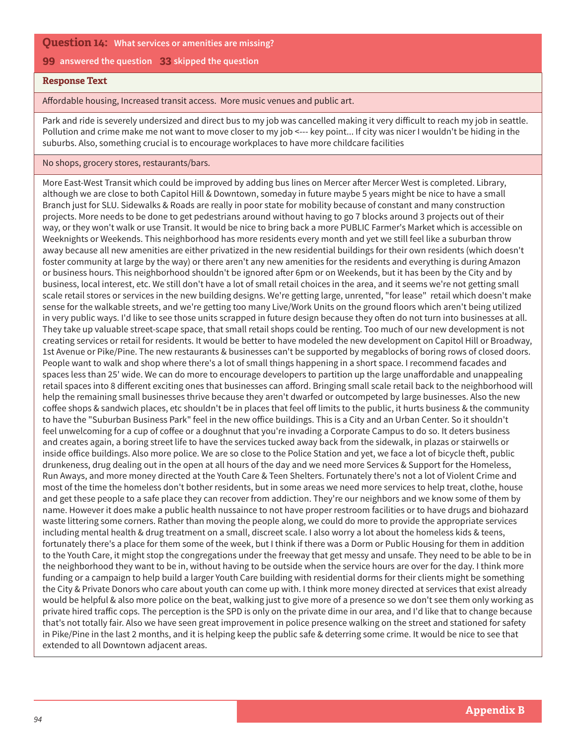## **Question 14: What services or amenities are missing?**

### **99 answered the question 33 skipped the question**

## **Response Text**

Affordable housing, Increased transit access. More music venues and public art.

Park and ride is severely undersized and direct bus to my job was cancelled making it very difficult to reach my job in seattle. Pollution and crime make me not want to move closer to my job <--- key point... If city was nicer I wouldn't be hiding in the suburbs. Also, something crucial is to encourage workplaces to have more childcare facilities

No shops, grocery stores, restaurants/bars.

More East-West Transit which could be improved by adding bus lines on Mercer after Mercer West is completed. Library, although we are close to both Capitol Hill & Downtown, someday in future maybe 5 years might be nice to have a small Branch just for SLU. Sidewalks & Roads are really in poor state for mobility because of constant and many construction projects. More needs to be done to get pedestrians around without having to go 7 blocks around 3 projects out of their way, or they won't walk or use Transit. It would be nice to bring back a more PUBLIC Farmer's Market which is accessible on Weeknights or Weekends. This neighborhood has more residents every month and yet we still feel like a suburban throw away because all new amenities are either privatized in the new residential buildings for their own residents (which doesn't foster community at large by the way) or there aren't any new amenities for the residents and everything is during Amazon or business hours. This neighborhood shouldn't be ignored after 6pm or on Weekends, but it has been by the City and by business, local interest, etc. We still don't have a lot of small retail choices in the area, and it seems we're not getting small scale retail stores or services in the new building designs. We're getting large, unrented, "for lease" retail which doesn't make sense for the walkable streets, and we're getting too many Live/Work Units on the ground floors which aren't being utilized in very public ways. I'd like to see those units scrapped in future design because they often do not turn into businesses at all. They take up valuable street-scape space, that small retail shops could be renting. Too much of our new development is not creating services or retail for residents. It would be better to have modeled the new development on Capitol Hill or Broadway, 1st Avenue or Pike/Pine. The new restaurants & businesses can't be supported by megablocks of boring rows of closed doors. People want to walk and shop where there's a lot of small things happening in a short space. I recommend facades and spaces less than 25' wide. We can do more to encourage developers to partition up the large unaffordable and unappealing retail spaces into 8 different exciting ones that businesses can afford. Bringing small scale retail back to the neighborhood will help the remaining small businesses thrive because they aren't dwarfed or outcompeted by large businesses. Also the new coffee shops & sandwich places, etc shouldn't be in places that feel off limits to the public, it hurts business & the community to have the "Suburban Business Park" feel in the new office buildings. This is a City and an Urban Center. So it shouldn't feel unwelcoming for a cup of coffee or a doughnut that you're invading a Corporate Campus to do so. It deters business and creates again, a boring street life to have the services tucked away back from the sidewalk, in plazas or stairwells or inside office buildings. Also more police. We are so close to the Police Station and yet, we face a lot of bicycle theft, public drunkeness, drug dealing out in the open at all hours of the day and we need more Services & Support for the Homeless, Run Aways, and more money directed at the Youth Care & Teen Shelters. Fortunately there's not a lot of Violent Crime and most of the time the homeless don't bother residents, but in some areas we need more services to help treat, clothe, house and get these people to a safe place they can recover from addiction. They're our neighbors and we know some of them by name. However it does make a public health nussaince to not have proper restroom facilities or to have drugs and biohazard waste littering some corners. Rather than moving the people along, we could do more to provide the appropriate services including mental health & drug treatment on a small, discreet scale. I also worry a lot about the homeless kids & teens, fortunately there's a place for them some of the week, but I think if there was a Dorm or Public Housing for them in addition to the Youth Care, it might stop the congregations under the freeway that get messy and unsafe. They need to be able to be in the neighborhood they want to be in, without having to be outside when the service hours are over for the day. I think more funding or a campaign to help build a larger Youth Care building with residential dorms for their clients might be something the City & Private Donors who care about youth can come up with. I think more money directed at services that exist already would be helpful & also more police on the beat, walking just to give more of a presence so we don't see them only working as private hired traffic cops. The perception is the SPD is only on the private dime in our area, and I'd like that to change because that's not totally fair. Also we have seen great improvement in police presence walking on the street and stationed for safety in Pike/Pine in the last 2 months, and it is helping keep the public safe & deterring some crime. It would be nice to see that extended to all Downtown adjacent areas.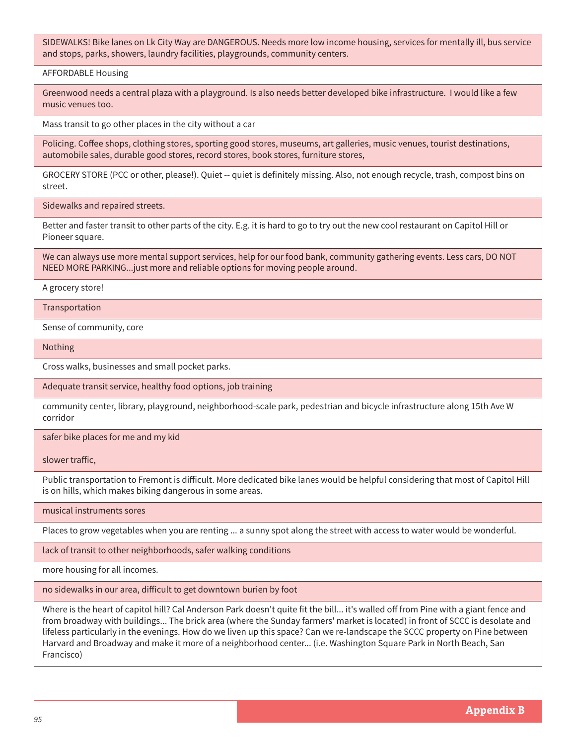SIDEWALKS! Bike lanes on Lk City Way are DANGEROUS. Needs more low income housing, services for mentally ill, bus service and stops, parks, showers, laundry facilities, playgrounds, community centers.

AFFORDABLE Housing

Greenwood needs a central plaza with a playground. Is also needs better developed bike infrastructure. I would like a few music venues too.

Mass transit to go other places in the city without a car

Policing. Coffee shops, clothing stores, sporting good stores, museums, art galleries, music venues, tourist destinations, automobile sales, durable good stores, record stores, book stores, furniture stores,

GROCERY STORE (PCC or other, please!). Quiet -- quiet is definitely missing. Also, not enough recycle, trash, compost bins on street.

Sidewalks and repaired streets.

Better and faster transit to other parts of the city. E.g. it is hard to go to try out the new cool restaurant on Capitol Hill or Pioneer square.

We can always use more mental support services, help for our food bank, community gathering events. Less cars, DO NOT NEED MORE PARKING...just more and reliable options for moving people around.

A grocery store!

**Transportation** 

Sense of community, core

Nothing

Cross walks, businesses and small pocket parks.

Adequate transit service, healthy food options, job training

community center, library, playground, neighborhood-scale park, pedestrian and bicycle infrastructure along 15th Ave W corridor

safer bike places for me and my kid

slower traffic,

Public transportation to Fremont is difficult. More dedicated bike lanes would be helpful considering that most of Capitol Hill is on hills, which makes biking dangerous in some areas.

musical instruments sores

Places to grow vegetables when you are renting ... a sunny spot along the street with access to water would be wonderful.

lack of transit to other neighborhoods, safer walking conditions

more housing for all incomes.

no sidewalks in our area, difficult to get downtown burien by foot

Where is the heart of capitol hill? Cal Anderson Park doesn't quite fit the bill... it's walled off from Pine with a giant fence and from broadway with buildings... The brick area (where the Sunday farmers' market is located) in front of SCCC is desolate and lifeless particularly in the evenings. How do we liven up this space? Can we re-landscape the SCCC property on Pine between Harvard and Broadway and make it more of a neighborhood center... (i.e. Washington Square Park in North Beach, San Francisco)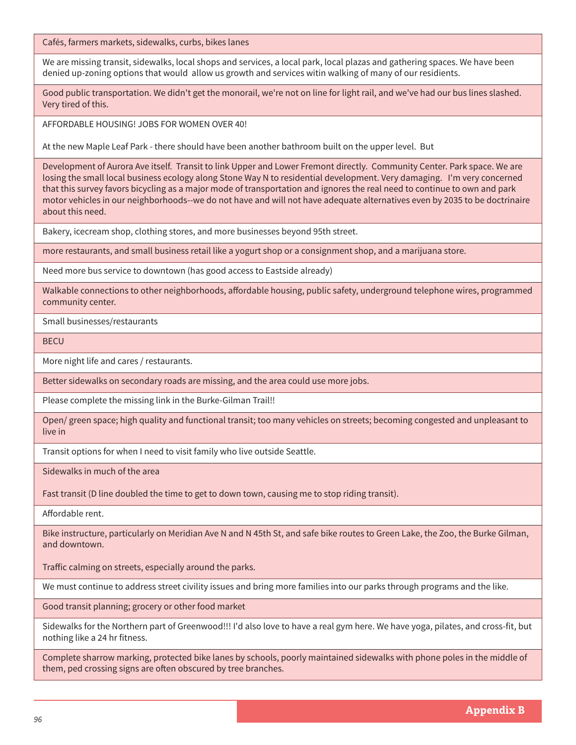Cafés, farmers markets, sidewalks, curbs, bikes lanes

We are missing transit, sidewalks, local shops and services, a local park, local plazas and gathering spaces. We have been denied up-zoning options that would allow us growth and services witin walking of many of our residients.

Good public transportation. We didn't get the monorail, we're not on line for light rail, and we've had our bus lines slashed. Very tired of this.

AFFORDABLE HOUSING! JOBS FOR WOMEN OVER 40!

At the new Maple Leaf Park - there should have been another bathroom built on the upper level. But

Development of Aurora Ave itself. Transit to link Upper and Lower Fremont directly. Community Center. Park space. We are losing the small local business ecology along Stone Way N to residential development. Very damaging. I'm very concerned that this survey favors bicycling as a major mode of transportation and ignores the real need to continue to own and park motor vehicles in our neighborhoods--we do not have and will not have adequate alternatives even by 2035 to be doctrinaire about this need.

Bakery, icecream shop, clothing stores, and more businesses beyond 95th street.

more restaurants, and small business retail like a yogurt shop or a consignment shop, and a marijuana store.

Need more bus service to downtown (has good access to Eastside already)

Walkable connections to other neighborhoods, affordable housing, public safety, underground telephone wires, programmed community center.

Small businesses/restaurants

**BECU** 

More night life and cares / restaurants.

Better sidewalks on secondary roads are missing, and the area could use more jobs.

Please complete the missing link in the Burke-Gilman Trail!!

Open/ green space; high quality and functional transit; too many vehicles on streets; becoming congested and unpleasant to live in

Transit options for when I need to visit family who live outside Seattle.

Sidewalks in much of the area

Fast transit (D line doubled the time to get to down town, causing me to stop riding transit).

Affordable rent.

Bike instructure, particularly on Meridian Ave N and N 45th St, and safe bike routes to Green Lake, the Zoo, the Burke Gilman, and downtown.

Traffic calming on streets, especially around the parks.

We must continue to address street civility issues and bring more families into our parks through programs and the like.

Good transit planning; grocery or other food market

Sidewalks for the Northern part of Greenwood!!! I'd also love to have a real gym here. We have yoga, pilates, and cross-fit, but nothing like a 24 hr fitness.

Complete sharrow marking, protected bike lanes by schools, poorly maintained sidewalks with phone poles in the middle of them, ped crossing signs are often obscured by tree branches.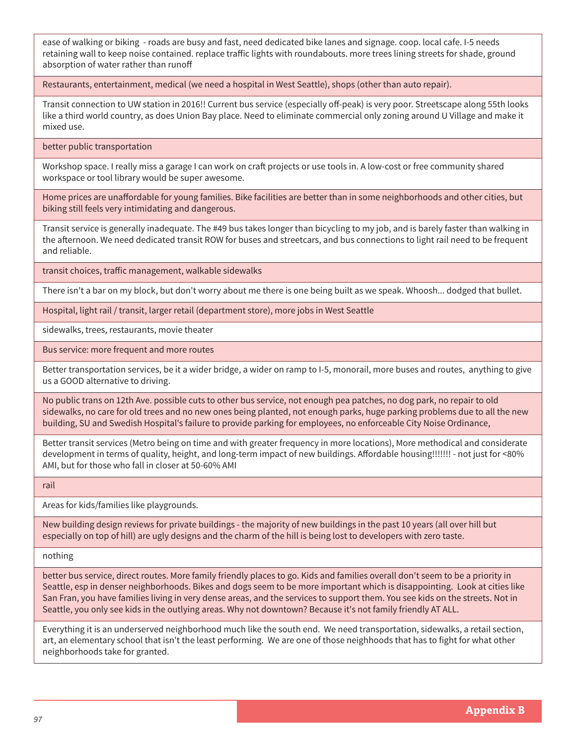ease of walking or biking - roads are busy and fast, need dedicated bike lanes and signage. coop. local cafe. I-5 needs retaining wall to keep noise contained. replace traffic lights with roundabouts. more trees lining streets for shade, ground absorption of water rather than runoff

Restaurants, entertainment, medical (we need a hospital in West Seattle), shops (other than auto repair).

Transit connection to UW station in 2016!! Current bus service (especially off-peak) is very poor. Streetscape along 55th looks like a third world country, as does Union Bay place. Need to eliminate commercial only zoning around U Village and make it mixed use.

better public transportation

Workshop space. I really miss a garage I can work on craft projects or use tools in. A low-cost or free community shared workspace or tool library would be super awesome.

Home prices are unaffordable for young families. Bike facilities are better than in some neighborhoods and other cities, but biking still feels very intimidating and dangerous.

Transit service is generally inadequate. The #49 bus takes longer than bicycling to my job, and is barely faster than walking in the afternoon. We need dedicated transit ROW for buses and streetcars, and bus connections to light rail need to be frequent and reliable.

transit choices, traffic management, walkable sidewalks

There isn't a bar on my block, but don't worry about me there is one being built as we speak. Whoosh... dodged that bullet.

Hospital, light rail / transit, larger retail (department store), more jobs in West Seattle

sidewalks, trees, restaurants, movie theater

Bus service: more frequent and more routes

Better transportation services, be it a wider bridge, a wider on ramp to I-5, monorail, more buses and routes, anything to give us a GOOD alternative to driving.

No public trans on 12th Ave. possible cuts to other bus service, not enough pea patches, no dog park, no repair to old sidewalks, no care for old trees and no new ones being planted, not enough parks, huge parking problems due to all the new building, SU and Swedish Hospital's failure to provide parking for employees, no enforceable City Noise Ordinance,

Better transit services (Metro being on time and with greater frequency in more locations), More methodical and considerate development in terms of quality, height, and long-term impact of new buildings. Affordable housing!!!!!!! - not just for <80% AMI, but for those who fall in closer at 50-60% AMI

rail

Areas for kids/families like playgrounds.

New building design reviews for private buildings - the majority of new buildings in the past 10 years (all over hill but especially on top of hill) are ugly designs and the charm of the hill is being lost to developers with zero taste.

nothing

better bus service, direct routes. More family friendly places to go. Kids and families overall don't seem to be a priority in Seattle, esp in denser neighborhoods. Bikes and dogs seem to be more important which is disappointing. Look at cities like San Fran, you have families living in very dense areas, and the services to support them. You see kids on the streets. Not in Seattle, you only see kids in the outlying areas. Why not downtown? Because it's not family friendly AT ALL.

Everything it is an underserved neighborhood much like the south end. We need transportation, sidewalks, a retail section, art, an elementary school that isn't the least performing. We are one of those neighhoods that has to fight for what other neighborhoods take for granted.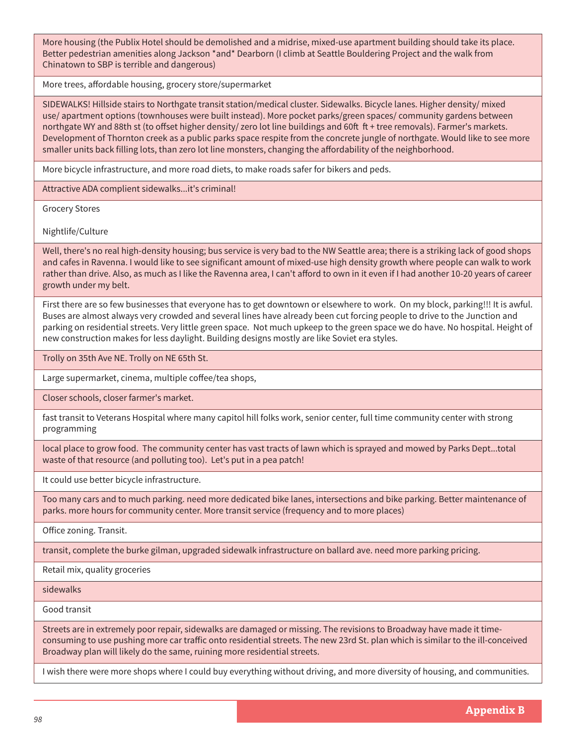More housing (the Publix Hotel should be demolished and a midrise, mixed-use apartment building should take its place. Better pedestrian amenities along Jackson \*and\* Dearborn (I climb at Seattle Bouldering Project and the walk from Chinatown to SBP is terrible and dangerous)

More trees, affordable housing, grocery store/supermarket

SIDEWALKS! Hillside stairs to Northgate transit station/medical cluster. Sidewalks. Bicycle lanes. Higher density/ mixed use/ apartment options (townhouses were built instead). More pocket parks/green spaces/ community gardens between northgate WY and 88th st (to offset higher density/ zero lot line buildings and 60ft ft + tree removals). Farmer's markets. Development of Thornton creek as a public parks space respite from the concrete jungle of northgate. Would like to see more smaller units back filling lots, than zero lot line monsters, changing the affordability of the neighborhood.

More bicycle infrastructure, and more road diets, to make roads safer for bikers and peds.

Attractive ADA complient sidewalks...it's criminal!

Grocery Stores

Nightlife/Culture

Well, there's no real high-density housing; bus service is very bad to the NW Seattle area; there is a striking lack of good shops and cafes in Ravenna. I would like to see significant amount of mixed-use high density growth where people can walk to work rather than drive. Also, as much as I like the Ravenna area, I can't afford to own in it even if I had another 10-20 years of career growth under my belt.

First there are so few businesses that everyone has to get downtown or elsewhere to work. On my block, parking!!! It is awful. Buses are almost always very crowded and several lines have already been cut forcing people to drive to the Junction and parking on residential streets. Very little green space. Not much upkeep to the green space we do have. No hospital. Height of new construction makes for less daylight. Building designs mostly are like Soviet era styles.

Trolly on 35th Ave NE. Trolly on NE 65th St.

Large supermarket, cinema, multiple coffee/tea shops,

Closer schools, closer farmer's market.

fast transit to Veterans Hospital where many capitol hill folks work, senior center, full time community center with strong programming

local place to grow food. The community center has vast tracts of lawn which is sprayed and mowed by Parks Dept...total waste of that resource (and polluting too). Let's put in a pea patch!

It could use better bicycle infrastructure.

Too many cars and to much parking. need more dedicated bike lanes, intersections and bike parking. Better maintenance of parks. more hours for community center. More transit service (frequency and to more places)

Office zoning. Transit.

transit, complete the burke gilman, upgraded sidewalk infrastructure on ballard ave. need more parking pricing.

Retail mix, quality groceries

sidewalks

Good transit

Streets are in extremely poor repair, sidewalks are damaged or missing. The revisions to Broadway have made it timeconsuming to use pushing more car traffic onto residential streets. The new 23rd St. plan which is similar to the ill-conceived Broadway plan will likely do the same, ruining more residential streets.

I wish there were more shops where I could buy everything without driving, and more diversity of housing, and communities.